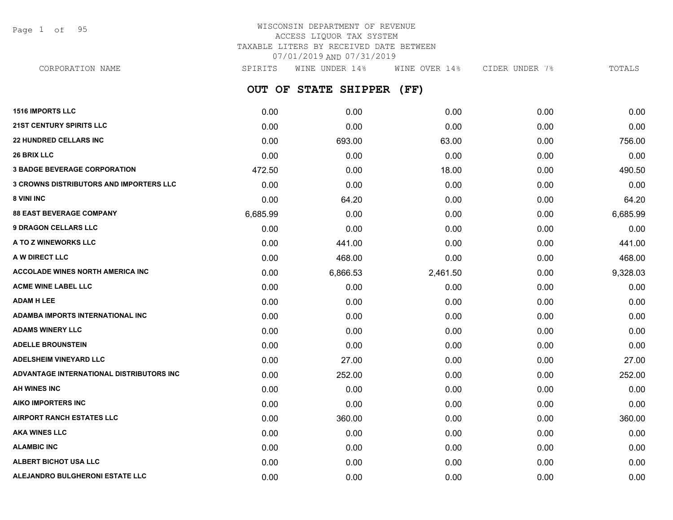Page 1 of 95

## WISCONSIN DEPARTMENT OF REVENUE ACCESS LIQUOR TAX SYSTEM TAXABLE LITERS BY RECEIVED DATE BETWEEN 07/01/2019 AND 07/31/2019

**OUT OF STATE SHIPPER (FF) 1516 IMPORTS LLC** 0.00 0.00 0.00 0.00 0.00 CORPORATION NAME SPIRITS WINE UNDER 14% WINE OVER 14% CIDER UNDER 7% TOTALS

| <b>21ST CENTURY SPIRITS LLC</b>                | 0.00     | 0.00     | 0.00     | 0.00 | 0.00     |
|------------------------------------------------|----------|----------|----------|------|----------|
| <b>22 HUNDRED CELLARS INC</b>                  | 0.00     | 693.00   | 63.00    | 0.00 | 756.00   |
| <b>26 BRIX LLC</b>                             | 0.00     | 0.00     | 0.00     | 0.00 | 0.00     |
| <b>3 BADGE BEVERAGE CORPORATION</b>            | 472.50   | 0.00     | 18.00    | 0.00 | 490.50   |
| <b>3 CROWNS DISTRIBUTORS AND IMPORTERS LLC</b> | 0.00     | 0.00     | 0.00     | 0.00 | 0.00     |
| 8 VINI INC                                     | 0.00     | 64.20    | 0.00     | 0.00 | 64.20    |
| <b>88 EAST BEVERAGE COMPANY</b>                | 6,685.99 | 0.00     | 0.00     | 0.00 | 6,685.99 |
| <b>9 DRAGON CELLARS LLC</b>                    | 0.00     | 0.00     | 0.00     | 0.00 | 0.00     |
| A TO Z WINEWORKS LLC                           | 0.00     | 441.00   | 0.00     | 0.00 | 441.00   |
| A W DIRECT LLC                                 | 0.00     | 468.00   | 0.00     | 0.00 | 468.00   |
| <b>ACCOLADE WINES NORTH AMERICA INC.</b>       | 0.00     | 6,866.53 | 2,461.50 | 0.00 | 9,328.03 |
| <b>ACME WINE LABEL LLC</b>                     | 0.00     | 0.00     | 0.00     | 0.00 | 0.00     |
| <b>ADAM H LEE</b>                              | 0.00     | 0.00     | 0.00     | 0.00 | 0.00     |
| ADAMBA IMPORTS INTERNATIONAL INC               | 0.00     | 0.00     | 0.00     | 0.00 | 0.00     |
| <b>ADAMS WINERY LLC</b>                        | 0.00     | 0.00     | 0.00     | 0.00 | 0.00     |
| <b>ADELLE BROUNSTEIN</b>                       | 0.00     | 0.00     | 0.00     | 0.00 | 0.00     |
| <b>ADELSHEIM VINEYARD LLC</b>                  | 0.00     | 27.00    | 0.00     | 0.00 | 27.00    |
| ADVANTAGE INTERNATIONAL DISTRIBUTORS INC       | 0.00     | 252.00   | 0.00     | 0.00 | 252.00   |
| AH WINES INC                                   | 0.00     | 0.00     | 0.00     | 0.00 | 0.00     |
| <b>AIKO IMPORTERS INC</b>                      | 0.00     | 0.00     | 0.00     | 0.00 | 0.00     |
| <b>AIRPORT RANCH ESTATES LLC</b>               | 0.00     | 360.00   | 0.00     | 0.00 | 360.00   |
| <b>AKA WINES LLC</b>                           | 0.00     | 0.00     | 0.00     | 0.00 | 0.00     |
| <b>ALAMBIC INC</b>                             | 0.00     | 0.00     | 0.00     | 0.00 | 0.00     |
| <b>ALBERT BICHOT USA LLC</b>                   | 0.00     | 0.00     | 0.00     | 0.00 | 0.00     |
| ALEJANDRO BULGHERONI ESTATE LLC                | 0.00     | 0.00     | 0.00     | 0.00 | 0.00     |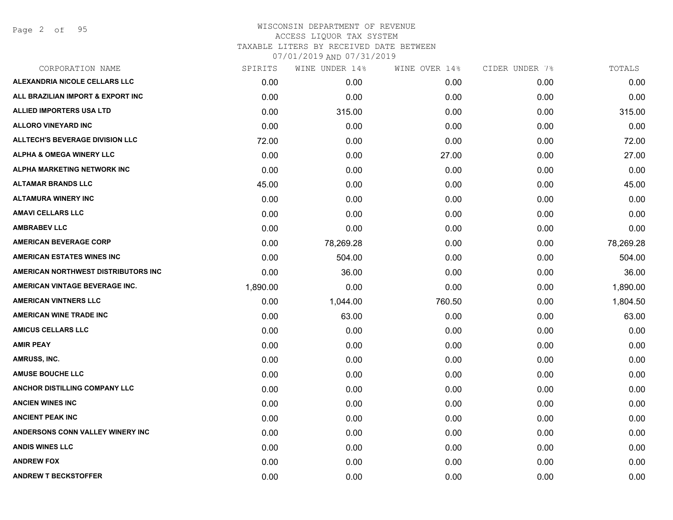| CORPORATION NAME                       | SPIRITS  | WINE UNDER 14% | WINE OVER 14% | CIDER UNDER 7% | TOTALS    |
|----------------------------------------|----------|----------------|---------------|----------------|-----------|
| ALEXANDRIA NICOLE CELLARS LLC          | 0.00     | 0.00           | 0.00          | 0.00           | 0.00      |
| ALL BRAZILIAN IMPORT & EXPORT INC      | 0.00     | 0.00           | 0.00          | 0.00           | 0.00      |
| <b>ALLIED IMPORTERS USA LTD</b>        | 0.00     | 315.00         | 0.00          | 0.00           | 315.00    |
| <b>ALLORO VINEYARD INC</b>             | 0.00     | 0.00           | 0.00          | 0.00           | 0.00      |
| <b>ALLTECH'S BEVERAGE DIVISION LLC</b> | 72.00    | 0.00           | 0.00          | 0.00           | 72.00     |
| <b>ALPHA &amp; OMEGA WINERY LLC</b>    | 0.00     | 0.00           | 27.00         | 0.00           | 27.00     |
| <b>ALPHA MARKETING NETWORK INC</b>     | 0.00     | 0.00           | 0.00          | 0.00           | 0.00      |
| <b>ALTAMAR BRANDS LLC</b>              | 45.00    | 0.00           | 0.00          | 0.00           | 45.00     |
| <b>ALTAMURA WINERY INC</b>             | 0.00     | 0.00           | 0.00          | 0.00           | 0.00      |
| <b>AMAVI CELLARS LLC</b>               | 0.00     | 0.00           | 0.00          | 0.00           | 0.00      |
| <b>AMBRABEV LLC</b>                    | 0.00     | 0.00           | 0.00          | 0.00           | 0.00      |
| <b>AMERICAN BEVERAGE CORP</b>          | 0.00     | 78,269.28      | 0.00          | 0.00           | 78,269.28 |
| <b>AMERICAN ESTATES WINES INC</b>      | 0.00     | 504.00         | 0.00          | 0.00           | 504.00    |
| AMERICAN NORTHWEST DISTRIBUTORS INC    | 0.00     | 36.00          | 0.00          | 0.00           | 36.00     |
| AMERICAN VINTAGE BEVERAGE INC.         | 1,890.00 | 0.00           | 0.00          | 0.00           | 1,890.00  |
| <b>AMERICAN VINTNERS LLC</b>           | 0.00     | 1,044.00       | 760.50        | 0.00           | 1,804.50  |
| <b>AMERICAN WINE TRADE INC</b>         | 0.00     | 63.00          | 0.00          | 0.00           | 63.00     |
| <b>AMICUS CELLARS LLC</b>              | 0.00     | 0.00           | 0.00          | 0.00           | 0.00      |
| <b>AMIR PEAY</b>                       | 0.00     | 0.00           | 0.00          | 0.00           | 0.00      |
| AMRUSS, INC.                           | 0.00     | 0.00           | 0.00          | 0.00           | 0.00      |
| <b>AMUSE BOUCHE LLC</b>                | 0.00     | 0.00           | 0.00          | 0.00           | 0.00      |
| ANCHOR DISTILLING COMPANY LLC          | 0.00     | 0.00           | 0.00          | 0.00           | 0.00      |
| <b>ANCIEN WINES INC</b>                | 0.00     | 0.00           | 0.00          | 0.00           | 0.00      |
| <b>ANCIENT PEAK INC</b>                | 0.00     | 0.00           | 0.00          | 0.00           | 0.00      |
| ANDERSONS CONN VALLEY WINERY INC       | 0.00     | 0.00           | 0.00          | 0.00           | 0.00      |
| <b>ANDIS WINES LLC</b>                 | 0.00     | 0.00           | 0.00          | 0.00           | 0.00      |
| <b>ANDREW FOX</b>                      | 0.00     | 0.00           | 0.00          | 0.00           | 0.00      |
| <b>ANDREW T BECKSTOFFER</b>            | 0.00     | 0.00           | 0.00          | 0.00           | 0.00      |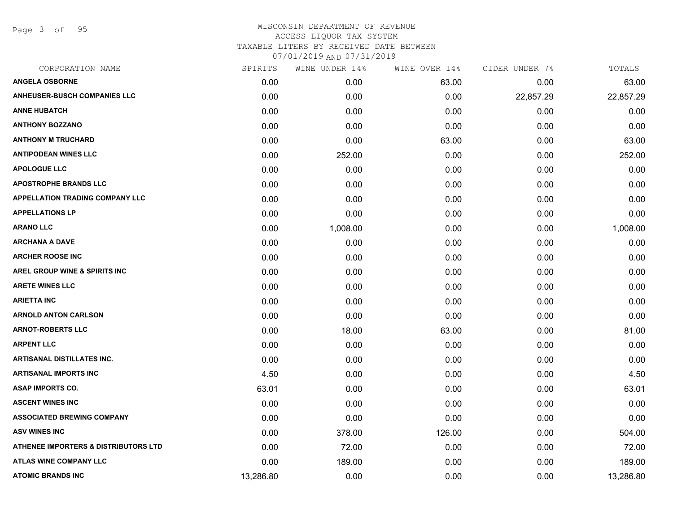Page 3 of 95

| CORPORATION NAME                         | SPIRITS   | WINE UNDER 14% | WINE OVER 14% | CIDER UNDER 7% | TOTALS    |
|------------------------------------------|-----------|----------------|---------------|----------------|-----------|
| <b>ANGELA OSBORNE</b>                    | 0.00      | 0.00           | 63.00         | 0.00           | 63.00     |
| <b>ANHEUSER-BUSCH COMPANIES LLC</b>      | 0.00      | 0.00           | 0.00          | 22,857.29      | 22,857.29 |
| <b>ANNE HUBATCH</b>                      | 0.00      | 0.00           | 0.00          | 0.00           | 0.00      |
| <b>ANTHONY BOZZANO</b>                   | 0.00      | 0.00           | 0.00          | 0.00           | 0.00      |
| <b>ANTHONY M TRUCHARD</b>                | 0.00      | 0.00           | 63.00         | 0.00           | 63.00     |
| <b>ANTIPODEAN WINES LLC</b>              | 0.00      | 252.00         | 0.00          | 0.00           | 252.00    |
| <b>APOLOGUE LLC</b>                      | 0.00      | 0.00           | 0.00          | 0.00           | 0.00      |
| <b>APOSTROPHE BRANDS LLC</b>             | 0.00      | 0.00           | 0.00          | 0.00           | 0.00      |
| <b>APPELLATION TRADING COMPANY LLC</b>   | 0.00      | 0.00           | 0.00          | 0.00           | 0.00      |
| <b>APPELLATIONS LP</b>                   | 0.00      | 0.00           | 0.00          | 0.00           | 0.00      |
| <b>ARANO LLC</b>                         | 0.00      | 1,008.00       | 0.00          | 0.00           | 1,008.00  |
| <b>ARCHANA A DAVE</b>                    | 0.00      | 0.00           | 0.00          | 0.00           | 0.00      |
| <b>ARCHER ROOSE INC</b>                  | 0.00      | 0.00           | 0.00          | 0.00           | 0.00      |
| <b>AREL GROUP WINE &amp; SPIRITS INC</b> | 0.00      | 0.00           | 0.00          | 0.00           | 0.00      |
| <b>ARETE WINES LLC</b>                   | 0.00      | 0.00           | 0.00          | 0.00           | 0.00      |
| <b>ARIETTA INC</b>                       | 0.00      | 0.00           | 0.00          | 0.00           | 0.00      |
| <b>ARNOLD ANTON CARLSON</b>              | 0.00      | 0.00           | 0.00          | 0.00           | 0.00      |
| <b>ARNOT-ROBERTS LLC</b>                 | 0.00      | 18.00          | 63.00         | 0.00           | 81.00     |
| <b>ARPENT LLC</b>                        | 0.00      | 0.00           | 0.00          | 0.00           | 0.00      |
| ARTISANAL DISTILLATES INC.               | 0.00      | 0.00           | 0.00          | 0.00           | 0.00      |
| <b>ARTISANAL IMPORTS INC</b>             | 4.50      | 0.00           | 0.00          | 0.00           | 4.50      |
| <b>ASAP IMPORTS CO.</b>                  | 63.01     | 0.00           | 0.00          | 0.00           | 63.01     |
| <b>ASCENT WINES INC</b>                  | 0.00      | 0.00           | 0.00          | 0.00           | 0.00      |
| <b>ASSOCIATED BREWING COMPANY</b>        | 0.00      | 0.00           | 0.00          | 0.00           | 0.00      |
| <b>ASV WINES INC</b>                     | 0.00      | 378.00         | 126.00        | 0.00           | 504.00    |
| ATHENEE IMPORTERS & DISTRIBUTORS LTD     | 0.00      | 72.00          | 0.00          | 0.00           | 72.00     |
| <b>ATLAS WINE COMPANY LLC</b>            | 0.00      | 189.00         | 0.00          | 0.00           | 189.00    |
| <b>ATOMIC BRANDS INC</b>                 | 13,286.80 | 0.00           | 0.00          | 0.00           | 13,286.80 |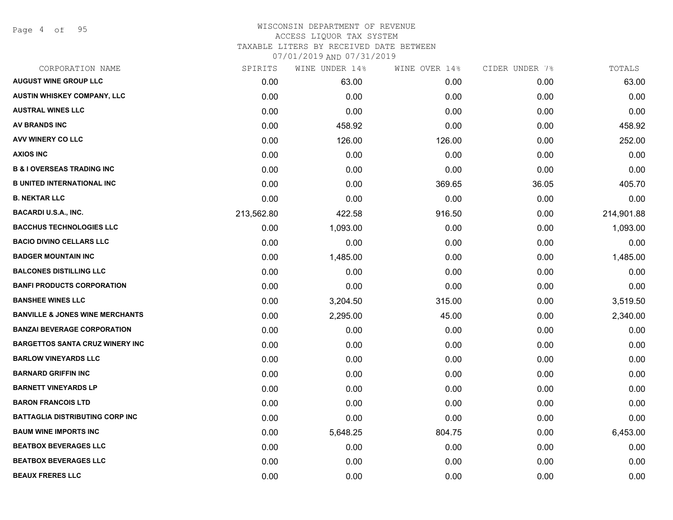Page 4 of 95

#### WISCONSIN DEPARTMENT OF REVENUE ACCESS LIQUOR TAX SYSTEM TAXABLE LITERS BY RECEIVED DATE BETWEEN

| CORPORATION NAME                           | SPIRITS    | WINE UNDER 14% | WINE OVER 14% | CIDER UNDER 7% | TOTALS     |
|--------------------------------------------|------------|----------------|---------------|----------------|------------|
| <b>AUGUST WINE GROUP LLC</b>               | 0.00       | 63.00          | 0.00          | 0.00           | 63.00      |
| <b>AUSTIN WHISKEY COMPANY, LLC</b>         | 0.00       | 0.00           | 0.00          | 0.00           | 0.00       |
| <b>AUSTRAL WINES LLC</b>                   | 0.00       | 0.00           | 0.00          | 0.00           | 0.00       |
| AV BRANDS INC                              | 0.00       | 458.92         | 0.00          | 0.00           | 458.92     |
| AVV WINERY CO LLC                          | 0.00       | 126.00         | 126.00        | 0.00           | 252.00     |
| <b>AXIOS INC</b>                           | 0.00       | 0.00           | 0.00          | 0.00           | 0.00       |
| <b>B &amp; I OVERSEAS TRADING INC</b>      | 0.00       | 0.00           | 0.00          | 0.00           | 0.00       |
| <b>B UNITED INTERNATIONAL INC</b>          | 0.00       | 0.00           | 369.65        | 36.05          | 405.70     |
| <b>B. NEKTAR LLC</b>                       | 0.00       | 0.00           | 0.00          | 0.00           | 0.00       |
| <b>BACARDI U.S.A., INC.</b>                | 213,562.80 | 422.58         | 916.50        | 0.00           | 214,901.88 |
| <b>BACCHUS TECHNOLOGIES LLC</b>            | 0.00       | 1,093.00       | 0.00          | 0.00           | 1,093.00   |
| <b>BACIO DIVINO CELLARS LLC</b>            | 0.00       | 0.00           | 0.00          | 0.00           | 0.00       |
| <b>BADGER MOUNTAIN INC</b>                 | 0.00       | 1,485.00       | 0.00          | 0.00           | 1,485.00   |
| <b>BALCONES DISTILLING LLC</b>             | 0.00       | 0.00           | 0.00          | 0.00           | 0.00       |
| <b>BANFI PRODUCTS CORPORATION</b>          | 0.00       | 0.00           | 0.00          | 0.00           | 0.00       |
| <b>BANSHEE WINES LLC</b>                   | 0.00       | 3,204.50       | 315.00        | 0.00           | 3,519.50   |
| <b>BANVILLE &amp; JONES WINE MERCHANTS</b> | 0.00       | 2,295.00       | 45.00         | 0.00           | 2,340.00   |
| <b>BANZAI BEVERAGE CORPORATION</b>         | 0.00       | 0.00           | 0.00          | 0.00           | 0.00       |
| <b>BARGETTOS SANTA CRUZ WINERY INC</b>     | 0.00       | 0.00           | 0.00          | 0.00           | 0.00       |
| <b>BARLOW VINEYARDS LLC</b>                | 0.00       | 0.00           | 0.00          | 0.00           | 0.00       |
| <b>BARNARD GRIFFIN INC</b>                 | 0.00       | 0.00           | 0.00          | 0.00           | 0.00       |
| <b>BARNETT VINEYARDS LP</b>                | 0.00       | 0.00           | 0.00          | 0.00           | 0.00       |
| <b>BARON FRANCOIS LTD</b>                  | 0.00       | 0.00           | 0.00          | 0.00           | 0.00       |
| <b>BATTAGLIA DISTRIBUTING CORP INC</b>     | 0.00       | 0.00           | 0.00          | 0.00           | 0.00       |
| <b>BAUM WINE IMPORTS INC</b>               | 0.00       | 5,648.25       | 804.75        | 0.00           | 6,453.00   |
| <b>BEATBOX BEVERAGES LLC</b>               | 0.00       | 0.00           | 0.00          | 0.00           | 0.00       |
| <b>BEATBOX BEVERAGES LLC</b>               | 0.00       | 0.00           | 0.00          | 0.00           | 0.00       |
| <b>BEAUX FRERES LLC</b>                    | 0.00       | 0.00           | 0.00          | 0.00           | 0.00       |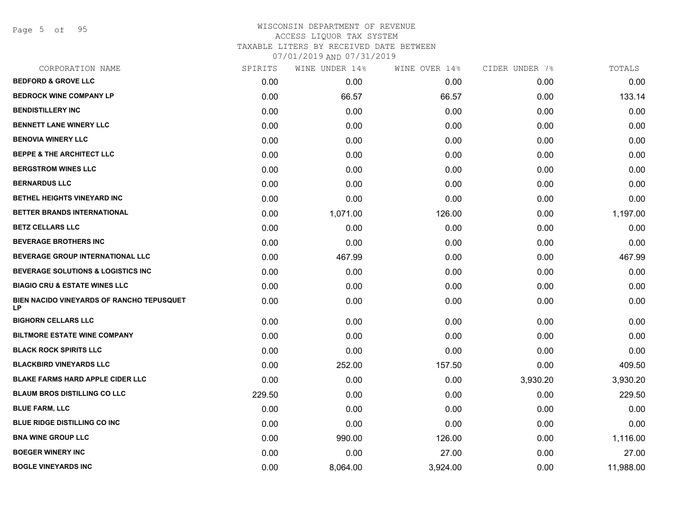Page 5 of 95

| CORPORATION NAME                                | SPIRITS | WINE UNDER 14% | WINE OVER 14% | CIDER UNDER 7% | TOTALS    |
|-------------------------------------------------|---------|----------------|---------------|----------------|-----------|
| <b>BEDFORD &amp; GROVE LLC</b>                  | 0.00    | 0.00           | 0.00          | 0.00           | 0.00      |
| <b>BEDROCK WINE COMPANY LP</b>                  | 0.00    | 66.57          | 66.57         | 0.00           | 133.14    |
| <b>BENDISTILLERY INC</b>                        | 0.00    | 0.00           | 0.00          | 0.00           | 0.00      |
| <b>BENNETT LANE WINERY LLC</b>                  | 0.00    | 0.00           | 0.00          | 0.00           | 0.00      |
| <b>BENOVIA WINERY LLC</b>                       | 0.00    | 0.00           | 0.00          | 0.00           | 0.00      |
| <b>BEPPE &amp; THE ARCHITECT LLC</b>            | 0.00    | 0.00           | 0.00          | 0.00           | 0.00      |
| <b>BERGSTROM WINES LLC</b>                      | 0.00    | 0.00           | 0.00          | 0.00           | 0.00      |
| <b>BERNARDUS LLC</b>                            | 0.00    | 0.00           | 0.00          | 0.00           | 0.00      |
| <b>BETHEL HEIGHTS VINEYARD INC</b>              | 0.00    | 0.00           | 0.00          | 0.00           | 0.00      |
| BETTER BRANDS INTERNATIONAL                     | 0.00    | 1,071.00       | 126.00        | 0.00           | 1,197.00  |
| <b>BETZ CELLARS LLC</b>                         | 0.00    | 0.00           | 0.00          | 0.00           | 0.00      |
| <b>BEVERAGE BROTHERS INC</b>                    | 0.00    | 0.00           | 0.00          | 0.00           | 0.00      |
| BEVERAGE GROUP INTERNATIONAL LLC                | 0.00    | 467.99         | 0.00          | 0.00           | 467.99    |
| <b>BEVERAGE SOLUTIONS &amp; LOGISTICS INC</b>   | 0.00    | 0.00           | 0.00          | 0.00           | 0.00      |
| <b>BIAGIO CRU &amp; ESTATE WINES LLC</b>        | 0.00    | 0.00           | 0.00          | 0.00           | 0.00      |
| BIEN NACIDO VINEYARDS OF RANCHO TEPUSQUET<br>LP | 0.00    | 0.00           | 0.00          | 0.00           | 0.00      |
| <b>BIGHORN CELLARS LLC</b>                      | 0.00    | 0.00           | 0.00          | 0.00           | 0.00      |
| <b>BILTMORE ESTATE WINE COMPANY</b>             | 0.00    | 0.00           | 0.00          | 0.00           | 0.00      |
| <b>BLACK ROCK SPIRITS LLC</b>                   | 0.00    | 0.00           | 0.00          | 0.00           | 0.00      |
| <b>BLACKBIRD VINEYARDS LLC</b>                  | 0.00    | 252.00         | 157.50        | 0.00           | 409.50    |
| <b>BLAKE FARMS HARD APPLE CIDER LLC</b>         | 0.00    | 0.00           | 0.00          | 3,930.20       | 3,930.20  |
| <b>BLAUM BROS DISTILLING CO LLC</b>             | 229.50  | 0.00           | 0.00          | 0.00           | 229.50    |
| <b>BLUE FARM, LLC</b>                           | 0.00    | 0.00           | 0.00          | 0.00           | 0.00      |
| <b>BLUE RIDGE DISTILLING CO INC</b>             | 0.00    | 0.00           | 0.00          | 0.00           | 0.00      |
| <b>BNA WINE GROUP LLC</b>                       | 0.00    | 990.00         | 126.00        | 0.00           | 1,116.00  |
| <b>BOEGER WINERY INC</b>                        | 0.00    | 0.00           | 27.00         | 0.00           | 27.00     |
| <b>BOGLE VINEYARDS INC</b>                      | 0.00    | 8,064.00       | 3,924.00      | 0.00           | 11,988.00 |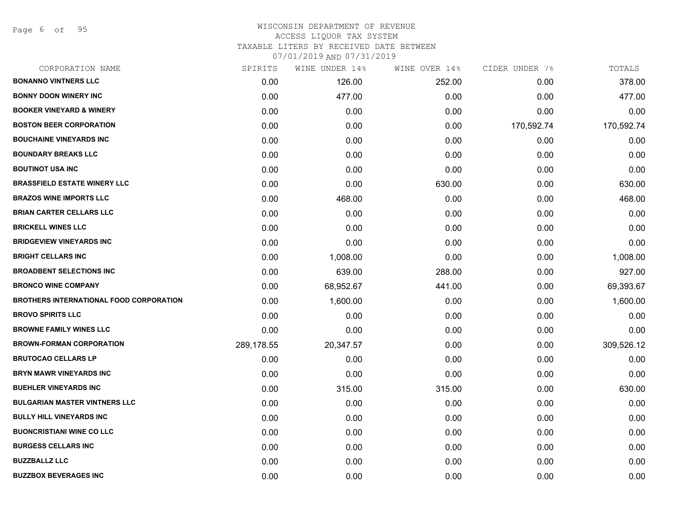Page 6 of 95

#### WISCONSIN DEPARTMENT OF REVENUE ACCESS LIQUOR TAX SYSTEM TAXABLE LITERS BY RECEIVED DATE BETWEEN

| CORPORATION NAME                               | SPIRITS    | WINE UNDER 14% | WINE OVER 14% | CIDER UNDER 7% | TOTALS     |
|------------------------------------------------|------------|----------------|---------------|----------------|------------|
| <b>BONANNO VINTNERS LLC</b>                    | 0.00       | 126.00         | 252.00        | 0.00           | 378.00     |
| <b>BONNY DOON WINERY INC</b>                   | 0.00       | 477.00         | 0.00          | 0.00           | 477.00     |
| <b>BOOKER VINEYARD &amp; WINERY</b>            | 0.00       | 0.00           | 0.00          | 0.00           | 0.00       |
| <b>BOSTON BEER CORPORATION</b>                 | 0.00       | 0.00           | 0.00          | 170,592.74     | 170,592.74 |
| <b>BOUCHAINE VINEYARDS INC</b>                 | 0.00       | 0.00           | 0.00          | 0.00           | 0.00       |
| <b>BOUNDARY BREAKS LLC</b>                     | 0.00       | 0.00           | 0.00          | 0.00           | 0.00       |
| <b>BOUTINOT USA INC</b>                        | 0.00       | 0.00           | 0.00          | 0.00           | 0.00       |
| <b>BRASSFIELD ESTATE WINERY LLC</b>            | 0.00       | 0.00           | 630.00        | 0.00           | 630.00     |
| <b>BRAZOS WINE IMPORTS LLC</b>                 | 0.00       | 468.00         | 0.00          | 0.00           | 468.00     |
| <b>BRIAN CARTER CELLARS LLC</b>                | 0.00       | 0.00           | 0.00          | 0.00           | 0.00       |
| <b>BRICKELL WINES LLC</b>                      | 0.00       | 0.00           | 0.00          | 0.00           | 0.00       |
| <b>BRIDGEVIEW VINEYARDS INC</b>                | 0.00       | 0.00           | 0.00          | 0.00           | 0.00       |
| <b>BRIGHT CELLARS INC</b>                      | 0.00       | 1,008.00       | 0.00          | 0.00           | 1,008.00   |
| <b>BROADBENT SELECTIONS INC</b>                | 0.00       | 639.00         | 288.00        | 0.00           | 927.00     |
| <b>BRONCO WINE COMPANY</b>                     | 0.00       | 68,952.67      | 441.00        | 0.00           | 69,393.67  |
| <b>BROTHERS INTERNATIONAL FOOD CORPORATION</b> | 0.00       | 1,600.00       | 0.00          | 0.00           | 1,600.00   |
| <b>BROVO SPIRITS LLC</b>                       | 0.00       | 0.00           | 0.00          | 0.00           | 0.00       |
| <b>BROWNE FAMILY WINES LLC</b>                 | 0.00       | 0.00           | 0.00          | 0.00           | 0.00       |
| <b>BROWN-FORMAN CORPORATION</b>                | 289,178.55 | 20,347.57      | 0.00          | 0.00           | 309,526.12 |
| <b>BRUTOCAO CELLARS LP</b>                     | 0.00       | 0.00           | 0.00          | 0.00           | 0.00       |
| <b>BRYN MAWR VINEYARDS INC</b>                 | 0.00       | 0.00           | 0.00          | 0.00           | 0.00       |
| <b>BUEHLER VINEYARDS INC</b>                   | 0.00       | 315.00         | 315.00        | 0.00           | 630.00     |
| <b>BULGARIAN MASTER VINTNERS LLC</b>           | 0.00       | 0.00           | 0.00          | 0.00           | 0.00       |
| <b>BULLY HILL VINEYARDS INC</b>                | 0.00       | 0.00           | 0.00          | 0.00           | 0.00       |
| <b>BUONCRISTIANI WINE CO LLC</b>               | 0.00       | 0.00           | 0.00          | 0.00           | 0.00       |
| <b>BURGESS CELLARS INC</b>                     | 0.00       | 0.00           | 0.00          | 0.00           | 0.00       |
| <b>BUZZBALLZ LLC</b>                           | 0.00       | 0.00           | 0.00          | 0.00           | 0.00       |
| <b>BUZZBOX BEVERAGES INC</b>                   | 0.00       | 0.00           | 0.00          | 0.00           | 0.00       |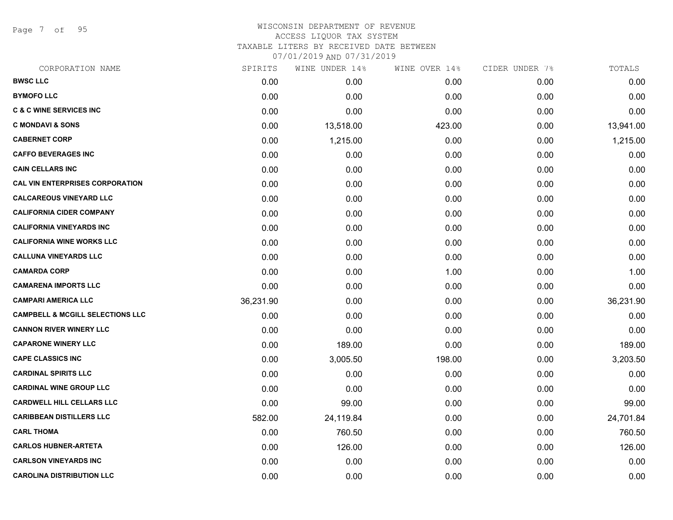Page 7 of 95

#### WISCONSIN DEPARTMENT OF REVENUE ACCESS LIQUOR TAX SYSTEM TAXABLE LITERS BY RECEIVED DATE BETWEEN

| CORPORATION NAME                            | SPIRITS   | WINE UNDER 14% | WINE OVER 14% | CIDER UNDER 7% | TOTALS    |
|---------------------------------------------|-----------|----------------|---------------|----------------|-----------|
| <b>BWSC LLC</b>                             | 0.00      | 0.00           | 0.00          | 0.00           | 0.00      |
| <b>BYMOFO LLC</b>                           | 0.00      | 0.00           | 0.00          | 0.00           | 0.00      |
| <b>C &amp; C WINE SERVICES INC</b>          | 0.00      | 0.00           | 0.00          | 0.00           | 0.00      |
| <b>C MONDAVI &amp; SONS</b>                 | 0.00      | 13,518.00      | 423.00        | 0.00           | 13,941.00 |
| <b>CABERNET CORP</b>                        | 0.00      | 1,215.00       | 0.00          | 0.00           | 1,215.00  |
| <b>CAFFO BEVERAGES INC</b>                  | 0.00      | 0.00           | 0.00          | 0.00           | 0.00      |
| <b>CAIN CELLARS INC</b>                     | 0.00      | 0.00           | 0.00          | 0.00           | 0.00      |
| <b>CAL VIN ENTERPRISES CORPORATION</b>      | 0.00      | 0.00           | 0.00          | 0.00           | 0.00      |
| <b>CALCAREOUS VINEYARD LLC</b>              | 0.00      | 0.00           | 0.00          | 0.00           | 0.00      |
| <b>CALIFORNIA CIDER COMPANY</b>             | 0.00      | 0.00           | 0.00          | 0.00           | 0.00      |
| <b>CALIFORNIA VINEYARDS INC</b>             | 0.00      | 0.00           | 0.00          | 0.00           | 0.00      |
| <b>CALIFORNIA WINE WORKS LLC</b>            | 0.00      | 0.00           | 0.00          | 0.00           | 0.00      |
| <b>CALLUNA VINEYARDS LLC</b>                | 0.00      | 0.00           | 0.00          | 0.00           | 0.00      |
| <b>CAMARDA CORP</b>                         | 0.00      | 0.00           | 1.00          | 0.00           | 1.00      |
| <b>CAMARENA IMPORTS LLC</b>                 | 0.00      | 0.00           | 0.00          | 0.00           | 0.00      |
| <b>CAMPARI AMERICA LLC</b>                  | 36,231.90 | 0.00           | 0.00          | 0.00           | 36,231.90 |
| <b>CAMPBELL &amp; MCGILL SELECTIONS LLC</b> | 0.00      | 0.00           | 0.00          | 0.00           | 0.00      |
| <b>CANNON RIVER WINERY LLC</b>              | 0.00      | 0.00           | 0.00          | 0.00           | 0.00      |
| <b>CAPARONE WINERY LLC</b>                  | 0.00      | 189.00         | 0.00          | 0.00           | 189.00    |
| <b>CAPE CLASSICS INC</b>                    | 0.00      | 3,005.50       | 198.00        | 0.00           | 3,203.50  |
| <b>CARDINAL SPIRITS LLC</b>                 | 0.00      | 0.00           | 0.00          | 0.00           | 0.00      |
| <b>CARDINAL WINE GROUP LLC</b>              | 0.00      | 0.00           | 0.00          | 0.00           | 0.00      |
| <b>CARDWELL HILL CELLARS LLC</b>            | 0.00      | 99.00          | 0.00          | 0.00           | 99.00     |
| <b>CARIBBEAN DISTILLERS LLC</b>             | 582.00    | 24,119.84      | 0.00          | 0.00           | 24,701.84 |
| <b>CARL THOMA</b>                           | 0.00      | 760.50         | 0.00          | 0.00           | 760.50    |
| <b>CARLOS HUBNER-ARTETA</b>                 | 0.00      | 126.00         | 0.00          | 0.00           | 126.00    |
| <b>CARLSON VINEYARDS INC</b>                | 0.00      | 0.00           | 0.00          | 0.00           | 0.00      |
| <b>CAROLINA DISTRIBUTION LLC</b>            | 0.00      | 0.00           | 0.00          | 0.00           | 0.00      |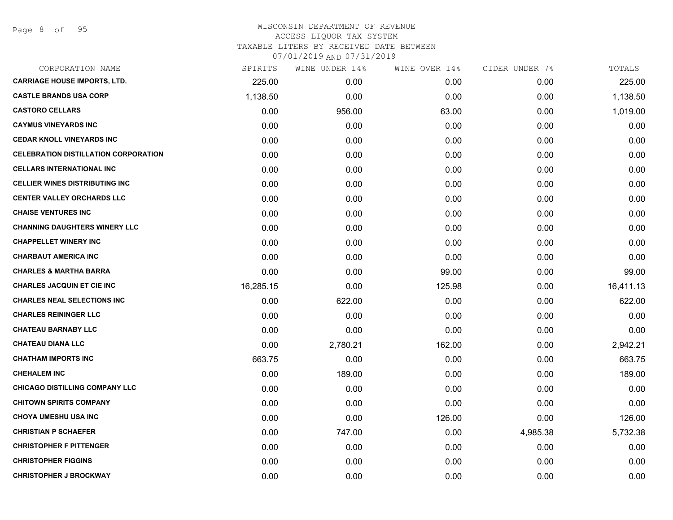# WISCONSIN DEPARTMENT OF REVENUE ACCESS LIQUOR TAX SYSTEM TAXABLE LITERS BY RECEIVED DATE BETWEEN

| CORPORATION NAME                            | SPIRITS   | WINE UNDER 14% | WINE OVER 14% | CIDER UNDER 7% | TOTALS    |
|---------------------------------------------|-----------|----------------|---------------|----------------|-----------|
| <b>CARRIAGE HOUSE IMPORTS, LTD.</b>         | 225.00    | 0.00           | 0.00          | 0.00           | 225.00    |
| <b>CASTLE BRANDS USA CORP</b>               | 1,138.50  | 0.00           | 0.00          | 0.00           | 1,138.50  |
| <b>CASTORO CELLARS</b>                      | 0.00      | 956.00         | 63.00         | 0.00           | 1,019.00  |
| <b>CAYMUS VINEYARDS INC</b>                 | 0.00      | 0.00           | 0.00          | 0.00           | 0.00      |
| <b>CEDAR KNOLL VINEYARDS INC</b>            | 0.00      | 0.00           | 0.00          | 0.00           | 0.00      |
| <b>CELEBRATION DISTILLATION CORPORATION</b> | 0.00      | 0.00           | 0.00          | 0.00           | 0.00      |
| <b>CELLARS INTERNATIONAL INC</b>            | 0.00      | 0.00           | 0.00          | 0.00           | 0.00      |
| <b>CELLIER WINES DISTRIBUTING INC</b>       | 0.00      | 0.00           | 0.00          | 0.00           | 0.00      |
| <b>CENTER VALLEY ORCHARDS LLC</b>           | 0.00      | 0.00           | 0.00          | 0.00           | 0.00      |
| <b>CHAISE VENTURES INC</b>                  | 0.00      | 0.00           | 0.00          | 0.00           | 0.00      |
| <b>CHANNING DAUGHTERS WINERY LLC</b>        | 0.00      | 0.00           | 0.00          | 0.00           | 0.00      |
| <b>CHAPPELLET WINERY INC</b>                | 0.00      | 0.00           | 0.00          | 0.00           | 0.00      |
| <b>CHARBAUT AMERICA INC</b>                 | 0.00      | 0.00           | 0.00          | 0.00           | 0.00      |
| <b>CHARLES &amp; MARTHA BARRA</b>           | 0.00      | 0.00           | 99.00         | 0.00           | 99.00     |
| <b>CHARLES JACQUIN ET CIE INC</b>           | 16,285.15 | 0.00           | 125.98        | 0.00           | 16,411.13 |
| <b>CHARLES NEAL SELECTIONS INC</b>          | 0.00      | 622.00         | 0.00          | 0.00           | 622.00    |
| <b>CHARLES REININGER LLC</b>                | 0.00      | 0.00           | 0.00          | 0.00           | 0.00      |
| <b>CHATEAU BARNABY LLC</b>                  | 0.00      | 0.00           | 0.00          | 0.00           | 0.00      |
| <b>CHATEAU DIANA LLC</b>                    | 0.00      | 2,780.21       | 162.00        | 0.00           | 2,942.21  |
| <b>CHATHAM IMPORTS INC</b>                  | 663.75    | 0.00           | 0.00          | 0.00           | 663.75    |
| <b>CHEHALEM INC</b>                         | 0.00      | 189.00         | 0.00          | 0.00           | 189.00    |
| <b>CHICAGO DISTILLING COMPANY LLC</b>       | 0.00      | 0.00           | 0.00          | 0.00           | 0.00      |
| <b>CHITOWN SPIRITS COMPANY</b>              | 0.00      | 0.00           | 0.00          | 0.00           | 0.00      |
| <b>CHOYA UMESHU USA INC</b>                 | 0.00      | 0.00           | 126.00        | 0.00           | 126.00    |
| <b>CHRISTIAN P SCHAEFER</b>                 | 0.00      | 747.00         | 0.00          | 4,985.38       | 5,732.38  |
| <b>CHRISTOPHER F PITTENGER</b>              | 0.00      | 0.00           | 0.00          | 0.00           | 0.00      |
| <b>CHRISTOPHER FIGGINS</b>                  | 0.00      | 0.00           | 0.00          | 0.00           | 0.00      |
| <b>CHRISTOPHER J BROCKWAY</b>               | 0.00      | 0.00           | 0.00          | 0.00           | 0.00      |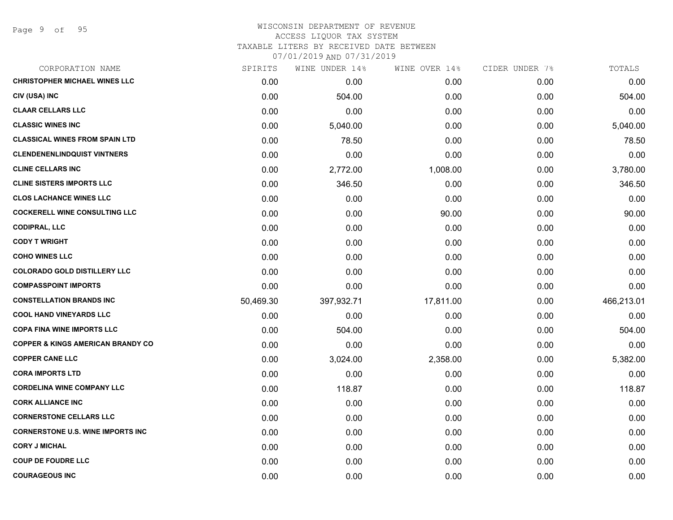# WISCONSIN DEPARTMENT OF REVENUE ACCESS LIQUOR TAX SYSTEM TAXABLE LITERS BY RECEIVED DATE BETWEEN

| CORPORATION NAME                             | SPIRITS   | WINE UNDER 14% | WINE OVER 14% | CIDER UNDER 7% | TOTALS     |
|----------------------------------------------|-----------|----------------|---------------|----------------|------------|
| <b>CHRISTOPHER MICHAEL WINES LLC</b>         | 0.00      | 0.00           | 0.00          | 0.00           | 0.00       |
| CIV (USA) INC                                | 0.00      | 504.00         | 0.00          | 0.00           | 504.00     |
| <b>CLAAR CELLARS LLC</b>                     | 0.00      | 0.00           | 0.00          | 0.00           | 0.00       |
| <b>CLASSIC WINES INC</b>                     | 0.00      | 5,040.00       | 0.00          | 0.00           | 5,040.00   |
| <b>CLASSICAL WINES FROM SPAIN LTD</b>        | 0.00      | 78.50          | 0.00          | 0.00           | 78.50      |
| <b>CLENDENENLINDQUIST VINTNERS</b>           | 0.00      | 0.00           | 0.00          | 0.00           | 0.00       |
| <b>CLINE CELLARS INC</b>                     | 0.00      | 2,772.00       | 1,008.00      | 0.00           | 3,780.00   |
| <b>CLINE SISTERS IMPORTS LLC</b>             | 0.00      | 346.50         | 0.00          | 0.00           | 346.50     |
| <b>CLOS LACHANCE WINES LLC</b>               | 0.00      | 0.00           | 0.00          | 0.00           | 0.00       |
| <b>COCKERELL WINE CONSULTING LLC</b>         | 0.00      | 0.00           | 90.00         | 0.00           | 90.00      |
| <b>CODIPRAL, LLC</b>                         | 0.00      | 0.00           | 0.00          | 0.00           | 0.00       |
| <b>CODY T WRIGHT</b>                         | 0.00      | 0.00           | 0.00          | 0.00           | 0.00       |
| <b>COHO WINES LLC</b>                        | 0.00      | 0.00           | 0.00          | 0.00           | 0.00       |
| <b>COLORADO GOLD DISTILLERY LLC</b>          | 0.00      | 0.00           | 0.00          | 0.00           | 0.00       |
| <b>COMPASSPOINT IMPORTS</b>                  | 0.00      | 0.00           | 0.00          | 0.00           | 0.00       |
| <b>CONSTELLATION BRANDS INC</b>              | 50,469.30 | 397,932.71     | 17,811.00     | 0.00           | 466,213.01 |
| <b>COOL HAND VINEYARDS LLC</b>               | 0.00      | 0.00           | 0.00          | 0.00           | 0.00       |
| <b>COPA FINA WINE IMPORTS LLC</b>            | 0.00      | 504.00         | 0.00          | 0.00           | 504.00     |
| <b>COPPER &amp; KINGS AMERICAN BRANDY CO</b> | 0.00      | 0.00           | 0.00          | 0.00           | 0.00       |
| <b>COPPER CANE LLC</b>                       | 0.00      | 3,024.00       | 2,358.00      | 0.00           | 5,382.00   |
| <b>CORA IMPORTS LTD</b>                      | 0.00      | 0.00           | 0.00          | 0.00           | 0.00       |
| <b>CORDELINA WINE COMPANY LLC</b>            | 0.00      | 118.87         | 0.00          | 0.00           | 118.87     |
| <b>CORK ALLIANCE INC</b>                     | 0.00      | 0.00           | 0.00          | 0.00           | 0.00       |
| <b>CORNERSTONE CELLARS LLC</b>               | 0.00      | 0.00           | 0.00          | 0.00           | 0.00       |
| <b>CORNERSTONE U.S. WINE IMPORTS INC.</b>    | 0.00      | 0.00           | 0.00          | 0.00           | 0.00       |
| <b>CORY J MICHAL</b>                         | 0.00      | 0.00           | 0.00          | 0.00           | 0.00       |
| <b>COUP DE FOUDRE LLC</b>                    | 0.00      | 0.00           | 0.00          | 0.00           | 0.00       |
| <b>COURAGEOUS INC</b>                        | 0.00      | 0.00           | 0.00          | 0.00           | 0.00       |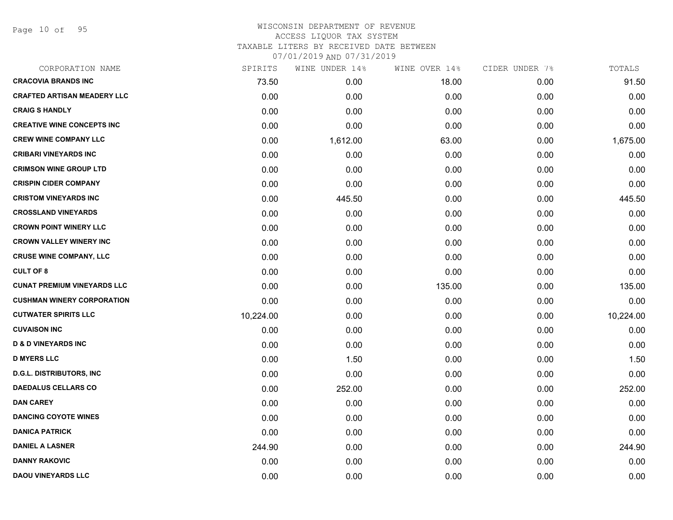Page 10 of 95

| CORPORATION NAME                   | SPIRITS   | WINE UNDER 14% | WINE OVER 14% | CIDER UNDER 7% | TOTALS    |
|------------------------------------|-----------|----------------|---------------|----------------|-----------|
| <b>CRACOVIA BRANDS INC</b>         | 73.50     | 0.00           | 18.00         | 0.00           | 91.50     |
| <b>CRAFTED ARTISAN MEADERY LLC</b> | 0.00      | 0.00           | 0.00          | 0.00           | 0.00      |
| <b>CRAIG S HANDLY</b>              | 0.00      | 0.00           | 0.00          | 0.00           | 0.00      |
| <b>CREATIVE WINE CONCEPTS INC</b>  | 0.00      | 0.00           | 0.00          | 0.00           | 0.00      |
| <b>CREW WINE COMPANY LLC</b>       | 0.00      | 1,612.00       | 63.00         | 0.00           | 1,675.00  |
| <b>CRIBARI VINEYARDS INC</b>       | 0.00      | 0.00           | 0.00          | 0.00           | 0.00      |
| <b>CRIMSON WINE GROUP LTD</b>      | 0.00      | 0.00           | 0.00          | 0.00           | 0.00      |
| <b>CRISPIN CIDER COMPANY</b>       | 0.00      | 0.00           | 0.00          | 0.00           | 0.00      |
| <b>CRISTOM VINEYARDS INC</b>       | 0.00      | 445.50         | 0.00          | 0.00           | 445.50    |
| <b>CROSSLAND VINEYARDS</b>         | 0.00      | 0.00           | 0.00          | 0.00           | 0.00      |
| <b>CROWN POINT WINERY LLC</b>      | 0.00      | 0.00           | 0.00          | 0.00           | 0.00      |
| <b>CROWN VALLEY WINERY INC</b>     | 0.00      | 0.00           | 0.00          | 0.00           | 0.00      |
| <b>CRUSE WINE COMPANY, LLC</b>     | 0.00      | 0.00           | 0.00          | 0.00           | 0.00      |
| <b>CULT OF 8</b>                   | 0.00      | 0.00           | 0.00          | 0.00           | 0.00      |
| <b>CUNAT PREMIUM VINEYARDS LLC</b> | 0.00      | 0.00           | 135.00        | 0.00           | 135.00    |
| <b>CUSHMAN WINERY CORPORATION</b>  | 0.00      | 0.00           | 0.00          | 0.00           | 0.00      |
| <b>CUTWATER SPIRITS LLC</b>        | 10,224.00 | 0.00           | 0.00          | 0.00           | 10,224.00 |
| <b>CUVAISON INC</b>                | 0.00      | 0.00           | 0.00          | 0.00           | 0.00      |
| <b>D &amp; D VINEYARDS INC</b>     | 0.00      | 0.00           | 0.00          | 0.00           | 0.00      |
| <b>D MYERS LLC</b>                 | 0.00      | 1.50           | 0.00          | 0.00           | 1.50      |
| <b>D.G.L. DISTRIBUTORS, INC</b>    | 0.00      | 0.00           | 0.00          | 0.00           | 0.00      |
| <b>DAEDALUS CELLARS CO</b>         | 0.00      | 252.00         | 0.00          | 0.00           | 252.00    |
| <b>DAN CAREY</b>                   | 0.00      | 0.00           | 0.00          | 0.00           | 0.00      |
| <b>DANCING COYOTE WINES</b>        | 0.00      | 0.00           | 0.00          | 0.00           | 0.00      |
| <b>DANICA PATRICK</b>              | 0.00      | 0.00           | 0.00          | 0.00           | 0.00      |
| <b>DANIEL A LASNER</b>             | 244.90    | 0.00           | 0.00          | 0.00           | 244.90    |
| <b>DANNY RAKOVIC</b>               | 0.00      | 0.00           | 0.00          | 0.00           | 0.00      |
| <b>DAOU VINEYARDS LLC</b>          | 0.00      | 0.00           | 0.00          | 0.00           | 0.00      |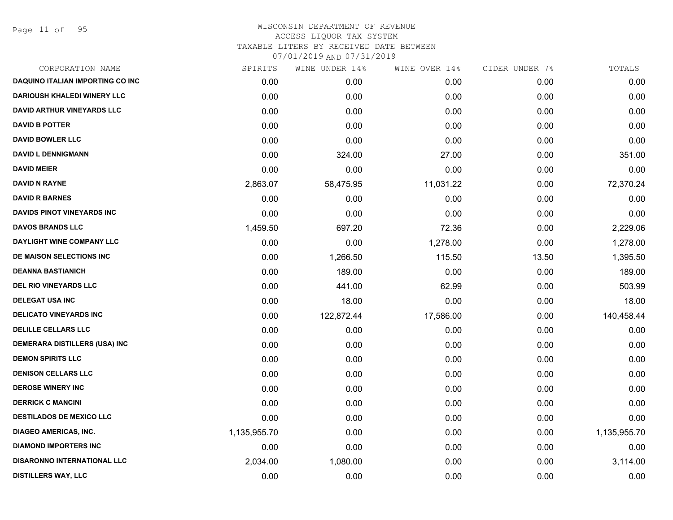Page 11 of 95

| CORPORATION NAME                        | SPIRITS      | WINE UNDER 14% | WINE OVER 14% | CIDER UNDER 7% | TOTALS       |
|-----------------------------------------|--------------|----------------|---------------|----------------|--------------|
| <b>DAQUINO ITALIAN IMPORTING CO INC</b> | 0.00         | 0.00           | 0.00          | 0.00           | 0.00         |
| <b>DARIOUSH KHALEDI WINERY LLC</b>      | 0.00         | 0.00           | 0.00          | 0.00           | 0.00         |
| <b>DAVID ARTHUR VINEYARDS LLC</b>       | 0.00         | 0.00           | 0.00          | 0.00           | 0.00         |
| <b>DAVID B POTTER</b>                   | 0.00         | 0.00           | 0.00          | 0.00           | 0.00         |
| <b>DAVID BOWLER LLC</b>                 | 0.00         | 0.00           | 0.00          | 0.00           | 0.00         |
| <b>DAVID L DENNIGMANN</b>               | 0.00         | 324.00         | 27.00         | 0.00           | 351.00       |
| <b>DAVID MEIER</b>                      | 0.00         | 0.00           | 0.00          | 0.00           | 0.00         |
| <b>DAVID N RAYNE</b>                    | 2,863.07     | 58,475.95      | 11,031.22     | 0.00           | 72,370.24    |
| <b>DAVID R BARNES</b>                   | 0.00         | 0.00           | 0.00          | 0.00           | 0.00         |
| <b>DAVIDS PINOT VINEYARDS INC</b>       | 0.00         | 0.00           | 0.00          | 0.00           | 0.00         |
| <b>DAVOS BRANDS LLC</b>                 | 1,459.50     | 697.20         | 72.36         | 0.00           | 2,229.06     |
| <b>DAYLIGHT WINE COMPANY LLC</b>        | 0.00         | 0.00           | 1,278.00      | 0.00           | 1,278.00     |
| DE MAISON SELECTIONS INC                | 0.00         | 1,266.50       | 115.50        | 13.50          | 1,395.50     |
| <b>DEANNA BASTIANICH</b>                | 0.00         | 189.00         | 0.00          | 0.00           | 189.00       |
| <b>DEL RIO VINEYARDS LLC</b>            | 0.00         | 441.00         | 62.99         | 0.00           | 503.99       |
| <b>DELEGAT USA INC</b>                  | 0.00         | 18.00          | 0.00          | 0.00           | 18.00        |
| <b>DELICATO VINEYARDS INC</b>           | 0.00         | 122,872.44     | 17,586.00     | 0.00           | 140,458.44   |
| <b>DELILLE CELLARS LLC</b>              | 0.00         | 0.00           | 0.00          | 0.00           | 0.00         |
| <b>DEMERARA DISTILLERS (USA) INC</b>    | 0.00         | 0.00           | 0.00          | 0.00           | 0.00         |
| <b>DEMON SPIRITS LLC</b>                | 0.00         | 0.00           | 0.00          | 0.00           | 0.00         |
| <b>DENISON CELLARS LLC</b>              | 0.00         | 0.00           | 0.00          | 0.00           | 0.00         |
| <b>DEROSE WINERY INC</b>                | 0.00         | 0.00           | 0.00          | 0.00           | 0.00         |
| <b>DERRICK C MANCINI</b>                | 0.00         | 0.00           | 0.00          | 0.00           | 0.00         |
| <b>DESTILADOS DE MEXICO LLC</b>         | 0.00         | 0.00           | 0.00          | 0.00           | 0.00         |
| <b>DIAGEO AMERICAS, INC.</b>            | 1,135,955.70 | 0.00           | 0.00          | 0.00           | 1,135,955.70 |
| <b>DIAMOND IMPORTERS INC</b>            | 0.00         | 0.00           | 0.00          | 0.00           | 0.00         |
| <b>DISARONNO INTERNATIONAL LLC</b>      | 2,034.00     | 1,080.00       | 0.00          | 0.00           | 3,114.00     |
| <b>DISTILLERS WAY, LLC</b>              | 0.00         | 0.00           | 0.00          | 0.00           | 0.00         |
|                                         |              |                |               |                |              |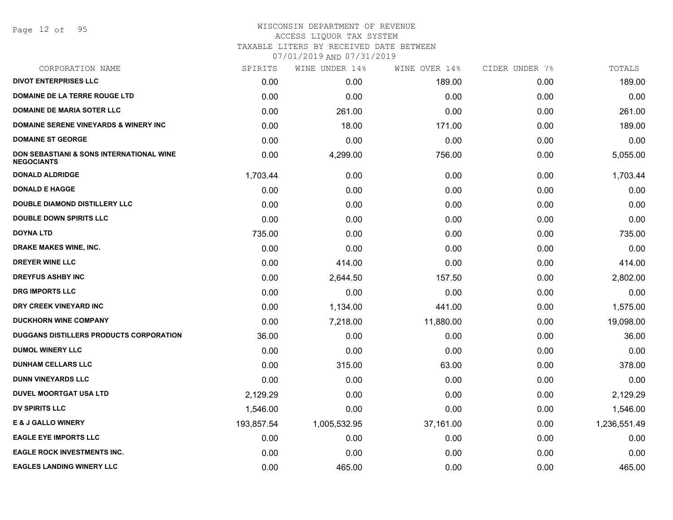Page 12 of 95

# WISCONSIN DEPARTMENT OF REVENUE ACCESS LIQUOR TAX SYSTEM

TAXABLE LITERS BY RECEIVED DATE BETWEEN

| CORPORATION NAME                                              | SPIRITS    | WINE UNDER 14% | WINE OVER 14% | CIDER UNDER 7% | TOTALS       |
|---------------------------------------------------------------|------------|----------------|---------------|----------------|--------------|
| <b>DIVOT ENTERPRISES LLC</b>                                  | 0.00       | 0.00           | 189.00        | 0.00           | 189.00       |
| DOMAINE DE LA TERRE ROUGE LTD                                 | 0.00       | 0.00           | 0.00          | 0.00           | 0.00         |
| <b>DOMAINE DE MARIA SOTER LLC</b>                             | 0.00       | 261.00         | 0.00          | 0.00           | 261.00       |
| <b>DOMAINE SERENE VINEYARDS &amp; WINERY INC</b>              | 0.00       | 18.00          | 171.00        | 0.00           | 189.00       |
| <b>DOMAINE ST GEORGE</b>                                      | 0.00       | 0.00           | 0.00          | 0.00           | 0.00         |
| DON SEBASTIANI & SONS INTERNATIONAL WINE<br><b>NEGOCIANTS</b> | 0.00       | 4,299.00       | 756.00        | 0.00           | 5,055.00     |
| <b>DONALD ALDRIDGE</b>                                        | 1,703.44   | 0.00           | 0.00          | 0.00           | 1,703.44     |
| <b>DONALD E HAGGE</b>                                         | 0.00       | 0.00           | 0.00          | 0.00           | 0.00         |
| <b>DOUBLE DIAMOND DISTILLERY LLC</b>                          | 0.00       | 0.00           | 0.00          | 0.00           | 0.00         |
| <b>DOUBLE DOWN SPIRITS LLC</b>                                | 0.00       | 0.00           | 0.00          | 0.00           | 0.00         |
| <b>DOYNA LTD</b>                                              | 735.00     | 0.00           | 0.00          | 0.00           | 735.00       |
| DRAKE MAKES WINE, INC.                                        | 0.00       | 0.00           | 0.00          | 0.00           | 0.00         |
| <b>DREYER WINE LLC</b>                                        | 0.00       | 414.00         | 0.00          | 0.00           | 414.00       |
| <b>DREYFUS ASHBY INC</b>                                      | 0.00       | 2,644.50       | 157.50        | 0.00           | 2,802.00     |
| <b>DRG IMPORTS LLC</b>                                        | 0.00       | 0.00           | 0.00          | 0.00           | 0.00         |
| DRY CREEK VINEYARD INC                                        | 0.00       | 1,134.00       | 441.00        | 0.00           | 1,575.00     |
| <b>DUCKHORN WINE COMPANY</b>                                  | 0.00       | 7,218.00       | 11,880.00     | 0.00           | 19,098.00    |
| DUGGANS DISTILLERS PRODUCTS CORPORATION                       | 36.00      | 0.00           | 0.00          | 0.00           | 36.00        |
| <b>DUMOL WINERY LLC</b>                                       | 0.00       | 0.00           | 0.00          | 0.00           | 0.00         |
| <b>DUNHAM CELLARS LLC</b>                                     | 0.00       | 315.00         | 63.00         | 0.00           | 378.00       |
| <b>DUNN VINEYARDS LLC</b>                                     | 0.00       | 0.00           | 0.00          | 0.00           | 0.00         |
| <b>DUVEL MOORTGAT USA LTD</b>                                 | 2,129.29   | 0.00           | 0.00          | 0.00           | 2,129.29     |
| <b>DV SPIRITS LLC</b>                                         | 1,546.00   | 0.00           | 0.00          | 0.00           | 1,546.00     |
| <b>E &amp; J GALLO WINERY</b>                                 | 193,857.54 | 1,005,532.95   | 37,161.00     | 0.00           | 1,236,551.49 |
| <b>EAGLE EYE IMPORTS LLC</b>                                  | 0.00       | 0.00           | 0.00          | 0.00           | 0.00         |
| <b>EAGLE ROCK INVESTMENTS INC.</b>                            | 0.00       | 0.00           | 0.00          | 0.00           | 0.00         |
| <b>EAGLES LANDING WINERY LLC</b>                              | 0.00       | 465.00         | 0.00          | 0.00           | 465.00       |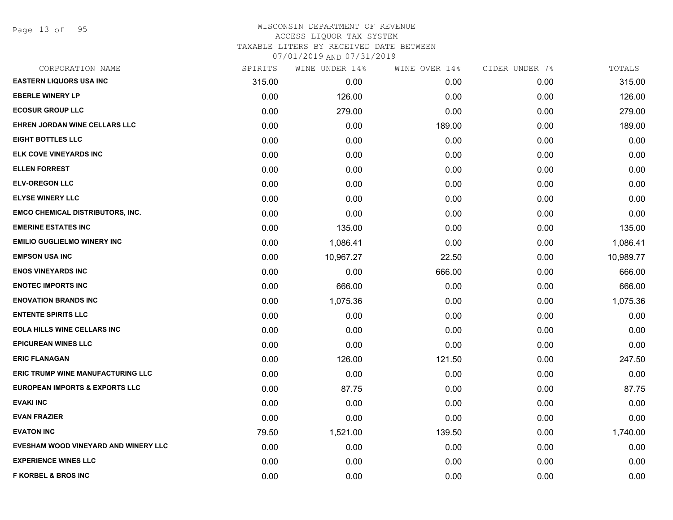Page 13 of 95

| CORPORATION NAME                          | SPIRITS | WINE UNDER 14% | WINE OVER 14% | CIDER UNDER 7% | TOTALS    |
|-------------------------------------------|---------|----------------|---------------|----------------|-----------|
| <b>EASTERN LIQUORS USA INC</b>            | 315.00  | 0.00           | 0.00          | 0.00           | 315.00    |
| <b>EBERLE WINERY LP</b>                   | 0.00    | 126.00         | 0.00          | 0.00           | 126.00    |
| <b>ECOSUR GROUP LLC</b>                   | 0.00    | 279.00         | 0.00          | 0.00           | 279.00    |
| <b>EHREN JORDAN WINE CELLARS LLC</b>      | 0.00    | 0.00           | 189.00        | 0.00           | 189.00    |
| <b>EIGHT BOTTLES LLC</b>                  | 0.00    | 0.00           | 0.00          | 0.00           | 0.00      |
| ELK COVE VINEYARDS INC                    | 0.00    | 0.00           | 0.00          | 0.00           | 0.00      |
| <b>ELLEN FORREST</b>                      | 0.00    | 0.00           | 0.00          | 0.00           | 0.00      |
| <b>ELV-OREGON LLC</b>                     | 0.00    | 0.00           | 0.00          | 0.00           | 0.00      |
| <b>ELYSE WINERY LLC</b>                   | 0.00    | 0.00           | 0.00          | 0.00           | 0.00      |
| <b>EMCO CHEMICAL DISTRIBUTORS, INC.</b>   | 0.00    | 0.00           | 0.00          | 0.00           | 0.00      |
| <b>EMERINE ESTATES INC</b>                | 0.00    | 135.00         | 0.00          | 0.00           | 135.00    |
| <b>EMILIO GUGLIELMO WINERY INC</b>        | 0.00    | 1,086.41       | 0.00          | 0.00           | 1,086.41  |
| <b>EMPSON USA INC</b>                     | 0.00    | 10,967.27      | 22.50         | 0.00           | 10,989.77 |
| <b>ENOS VINEYARDS INC</b>                 | 0.00    | 0.00           | 666.00        | 0.00           | 666.00    |
| <b>ENOTEC IMPORTS INC</b>                 | 0.00    | 666.00         | 0.00          | 0.00           | 666.00    |
| <b>ENOVATION BRANDS INC</b>               | 0.00    | 1,075.36       | 0.00          | 0.00           | 1,075.36  |
| <b>ENTENTE SPIRITS LLC</b>                | 0.00    | 0.00           | 0.00          | 0.00           | 0.00      |
| <b>EOLA HILLS WINE CELLARS INC</b>        | 0.00    | 0.00           | 0.00          | 0.00           | 0.00      |
| <b>EPICUREAN WINES LLC</b>                | 0.00    | 0.00           | 0.00          | 0.00           | 0.00      |
| <b>ERIC FLANAGAN</b>                      | 0.00    | 126.00         | 121.50        | 0.00           | 247.50    |
| <b>ERIC TRUMP WINE MANUFACTURING LLC</b>  | 0.00    | 0.00           | 0.00          | 0.00           | 0.00      |
| <b>EUROPEAN IMPORTS &amp; EXPORTS LLC</b> | 0.00    | 87.75          | 0.00          | 0.00           | 87.75     |
| <b>EVAKI INC</b>                          | 0.00    | 0.00           | 0.00          | 0.00           | 0.00      |
| <b>EVAN FRAZIER</b>                       | 0.00    | 0.00           | 0.00          | 0.00           | 0.00      |
| <b>EVATON INC</b>                         | 79.50   | 1,521.00       | 139.50        | 0.00           | 1,740.00  |
| EVESHAM WOOD VINEYARD AND WINERY LLC      | 0.00    | 0.00           | 0.00          | 0.00           | 0.00      |
| <b>EXPERIENCE WINES LLC</b>               | 0.00    | 0.00           | 0.00          | 0.00           | 0.00      |
| <b>F KORBEL &amp; BROS INC</b>            | 0.00    | 0.00           | 0.00          | 0.00           | 0.00      |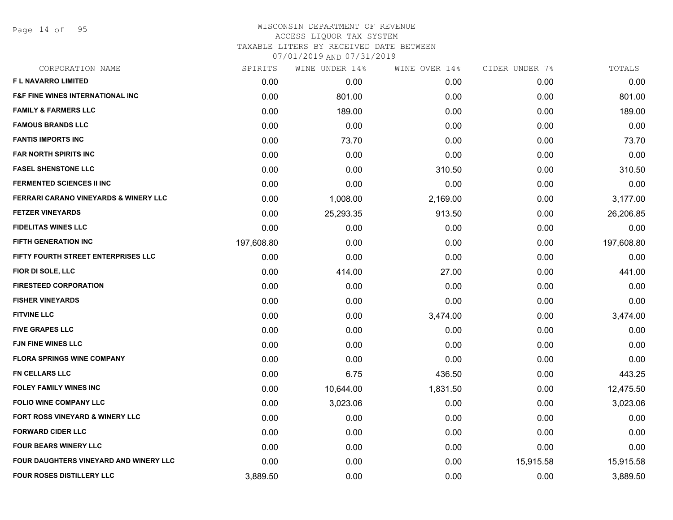Page 14 of 95

## WISCONSIN DEPARTMENT OF REVENUE ACCESS LIQUOR TAX SYSTEM TAXABLE LITERS BY RECEIVED DATE BETWEEN

| CORPORATION NAME                                 | SPIRITS    | WINE UNDER 14% | WINE OVER 14% | CIDER UNDER 7% | TOTALS     |
|--------------------------------------------------|------------|----------------|---------------|----------------|------------|
| F L NAVARRO LIMITED                              | 0.00       | 0.00           | 0.00          | 0.00           | 0.00       |
| <b>F&amp;F FINE WINES INTERNATIONAL INC.</b>     | 0.00       | 801.00         | 0.00          | 0.00           | 801.00     |
| <b>FAMILY &amp; FARMERS LLC</b>                  | 0.00       | 189.00         | 0.00          | 0.00           | 189.00     |
| <b>FAMOUS BRANDS LLC</b>                         | 0.00       | 0.00           | 0.00          | 0.00           | 0.00       |
| <b>FANTIS IMPORTS INC</b>                        | 0.00       | 73.70          | 0.00          | 0.00           | 73.70      |
| <b>FAR NORTH SPIRITS INC</b>                     | 0.00       | 0.00           | 0.00          | 0.00           | 0.00       |
| <b>FASEL SHENSTONE LLC</b>                       | 0.00       | 0.00           | 310.50        | 0.00           | 310.50     |
| <b>FERMENTED SCIENCES II INC</b>                 | 0.00       | 0.00           | 0.00          | 0.00           | 0.00       |
| <b>FERRARI CARANO VINEYARDS &amp; WINERY LLC</b> | 0.00       | 1,008.00       | 2,169.00      | 0.00           | 3,177.00   |
| <b>FETZER VINEYARDS</b>                          | 0.00       | 25,293.35      | 913.50        | 0.00           | 26,206.85  |
| <b>FIDELITAS WINES LLC</b>                       | 0.00       | 0.00           | 0.00          | 0.00           | 0.00       |
| <b>FIFTH GENERATION INC</b>                      | 197,608.80 | 0.00           | 0.00          | 0.00           | 197,608.80 |
| FIFTY FOURTH STREET ENTERPRISES LLC              | 0.00       | 0.00           | 0.00          | 0.00           | 0.00       |
| FIOR DI SOLE, LLC                                | 0.00       | 414.00         | 27.00         | 0.00           | 441.00     |
| <b>FIRESTEED CORPORATION</b>                     | 0.00       | 0.00           | 0.00          | 0.00           | 0.00       |
| <b>FISHER VINEYARDS</b>                          | 0.00       | 0.00           | 0.00          | 0.00           | 0.00       |
| <b>FITVINE LLC</b>                               | 0.00       | 0.00           | 3,474.00      | 0.00           | 3,474.00   |
| <b>FIVE GRAPES LLC</b>                           | 0.00       | 0.00           | 0.00          | 0.00           | 0.00       |
| <b>FJN FINE WINES LLC</b>                        | 0.00       | 0.00           | 0.00          | 0.00           | 0.00       |
| <b>FLORA SPRINGS WINE COMPANY</b>                | 0.00       | 0.00           | 0.00          | 0.00           | 0.00       |
| <b>FN CELLARS LLC</b>                            | 0.00       | 6.75           | 436.50        | 0.00           | 443.25     |
| <b>FOLEY FAMILY WINES INC</b>                    | 0.00       | 10,644.00      | 1,831.50      | 0.00           | 12,475.50  |
| <b>FOLIO WINE COMPANY LLC</b>                    | 0.00       | 3,023.06       | 0.00          | 0.00           | 3,023.06   |
| FORT ROSS VINEYARD & WINERY LLC                  | 0.00       | 0.00           | 0.00          | 0.00           | 0.00       |
| <b>FORWARD CIDER LLC</b>                         | 0.00       | 0.00           | 0.00          | 0.00           | 0.00       |
| <b>FOUR BEARS WINERY LLC</b>                     | 0.00       | 0.00           | 0.00          | 0.00           | 0.00       |
| FOUR DAUGHTERS VINEYARD AND WINERY LLC           | 0.00       | 0.00           | 0.00          | 15,915.58      | 15,915.58  |
| <b>FOUR ROSES DISTILLERY LLC</b>                 | 3,889.50   | 0.00           | 0.00          | 0.00           | 3,889.50   |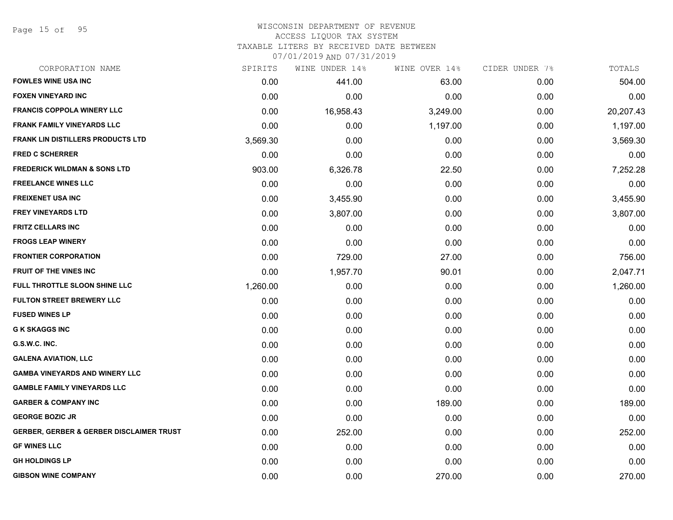Page 15 of 95

### WISCONSIN DEPARTMENT OF REVENUE ACCESS LIQUOR TAX SYSTEM

TAXABLE LITERS BY RECEIVED DATE BETWEEN

| CORPORATION NAME                                    | SPIRITS  | WINE UNDER 14% | WINE OVER 14% | CIDER UNDER 7% | TOTALS    |
|-----------------------------------------------------|----------|----------------|---------------|----------------|-----------|
| <b>FOWLES WINE USA INC</b>                          | 0.00     | 441.00         | 63.00         | 0.00           | 504.00    |
| <b>FOXEN VINEYARD INC</b>                           | 0.00     | 0.00           | 0.00          | 0.00           | 0.00      |
| <b>FRANCIS COPPOLA WINERY LLC</b>                   | 0.00     | 16,958.43      | 3,249.00      | 0.00           | 20,207.43 |
| <b>FRANK FAMILY VINEYARDS LLC</b>                   | 0.00     | 0.00           | 1,197.00      | 0.00           | 1,197.00  |
| <b>FRANK LIN DISTILLERS PRODUCTS LTD</b>            | 3,569.30 | 0.00           | 0.00          | 0.00           | 3,569.30  |
| <b>FRED C SCHERRER</b>                              | 0.00     | 0.00           | 0.00          | 0.00           | 0.00      |
| <b>FREDERICK WILDMAN &amp; SONS LTD</b>             | 903.00   | 6,326.78       | 22.50         | 0.00           | 7,252.28  |
| <b>FREELANCE WINES LLC</b>                          | 0.00     | 0.00           | 0.00          | 0.00           | 0.00      |
| <b>FREIXENET USA INC</b>                            | 0.00     | 3,455.90       | 0.00          | 0.00           | 3,455.90  |
| <b>FREY VINEYARDS LTD</b>                           | 0.00     | 3,807.00       | 0.00          | 0.00           | 3,807.00  |
| <b>FRITZ CELLARS INC</b>                            | 0.00     | 0.00           | 0.00          | 0.00           | 0.00      |
| <b>FROGS LEAP WINERY</b>                            | 0.00     | 0.00           | 0.00          | 0.00           | 0.00      |
| <b>FRONTIER CORPORATION</b>                         | 0.00     | 729.00         | 27.00         | 0.00           | 756.00    |
| FRUIT OF THE VINES INC                              | 0.00     | 1,957.70       | 90.01         | 0.00           | 2,047.71  |
| FULL THROTTLE SLOON SHINE LLC                       | 1,260.00 | 0.00           | 0.00          | 0.00           | 1,260.00  |
| <b>FULTON STREET BREWERY LLC</b>                    | 0.00     | 0.00           | 0.00          | 0.00           | 0.00      |
| <b>FUSED WINES LP</b>                               | 0.00     | 0.00           | 0.00          | 0.00           | 0.00      |
| <b>G K SKAGGS INC</b>                               | 0.00     | 0.00           | 0.00          | 0.00           | 0.00      |
| G.S.W.C. INC.                                       | 0.00     | 0.00           | 0.00          | 0.00           | 0.00      |
| <b>GALENA AVIATION, LLC</b>                         | 0.00     | 0.00           | 0.00          | 0.00           | 0.00      |
| <b>GAMBA VINEYARDS AND WINERY LLC</b>               | 0.00     | 0.00           | 0.00          | 0.00           | 0.00      |
| <b>GAMBLE FAMILY VINEYARDS LLC</b>                  | 0.00     | 0.00           | 0.00          | 0.00           | 0.00      |
| <b>GARBER &amp; COMPANY INC</b>                     | 0.00     | 0.00           | 189.00        | 0.00           | 189.00    |
| <b>GEORGE BOZIC JR</b>                              | 0.00     | 0.00           | 0.00          | 0.00           | 0.00      |
| <b>GERBER, GERBER &amp; GERBER DISCLAIMER TRUST</b> | 0.00     | 252.00         | 0.00          | 0.00           | 252.00    |
| <b>GF WINES LLC</b>                                 | 0.00     | 0.00           | 0.00          | 0.00           | 0.00      |
| <b>GH HOLDINGS LP</b>                               | 0.00     | 0.00           | 0.00          | 0.00           | 0.00      |
| <b>GIBSON WINE COMPANY</b>                          | 0.00     | 0.00           | 270.00        | 0.00           | 270.00    |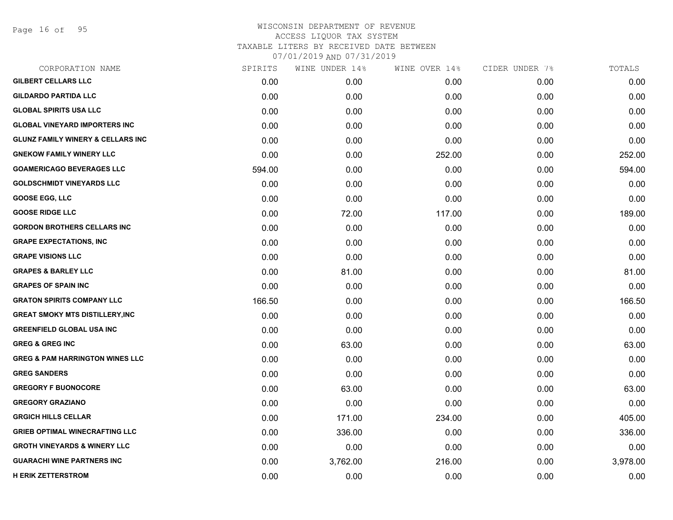Page 16 of 95

| CORPORATION NAME                             | SPIRITS | WINE UNDER 14%    | WINE OVER 14% | CIDER UNDER 7% | TOTALS   |
|----------------------------------------------|---------|-------------------|---------------|----------------|----------|
| <b>GILBERT CELLARS LLC</b>                   | 0.00    | 0.00 <sub>1</sub> | 0.00          | 0.00           | 0.00     |
| <b>GILDARDO PARTIDA LLC</b>                  | 0.00    | 0.00              | 0.00          | 0.00           | 0.00     |
| <b>GLOBAL SPIRITS USA LLC</b>                | 0.00    | 0.00              | 0.00          | 0.00           | 0.00     |
| <b>GLOBAL VINEYARD IMPORTERS INC</b>         | 0.00    | 0.00              | 0.00          | 0.00           | 0.00     |
| <b>GLUNZ FAMILY WINERY &amp; CELLARS INC</b> | 0.00    | 0.00              | 0.00          | 0.00           | 0.00     |
| <b>GNEKOW FAMILY WINERY LLC</b>              | 0.00    | 0.00              | 252.00        | 0.00           | 252.00   |
| <b>GOAMERICAGO BEVERAGES LLC</b>             | 594.00  | 0.00              | 0.00          | 0.00           | 594.00   |
| <b>GOLDSCHMIDT VINEYARDS LLC</b>             | 0.00    | 0.00              | 0.00          | 0.00           | 0.00     |
| <b>GOOSE EGG, LLC</b>                        | 0.00    | 0.00              | 0.00          | 0.00           | 0.00     |
| <b>GOOSE RIDGE LLC</b>                       | 0.00    | 72.00             | 117.00        | 0.00           | 189.00   |
| <b>GORDON BROTHERS CELLARS INC</b>           | 0.00    | 0.00              | 0.00          | 0.00           | 0.00     |
| <b>GRAPE EXPECTATIONS, INC</b>               | 0.00    | 0.00              | 0.00          | 0.00           | 0.00     |
| <b>GRAPE VISIONS LLC</b>                     | 0.00    | 0.00              | 0.00          | 0.00           | 0.00     |
| <b>GRAPES &amp; BARLEY LLC</b>               | 0.00    | 81.00             | 0.00          | 0.00           | 81.00    |
| <b>GRAPES OF SPAIN INC</b>                   | 0.00    | 0.00              | 0.00          | 0.00           | 0.00     |
| <b>GRATON SPIRITS COMPANY LLC</b>            | 166.50  | 0.00              | 0.00          | 0.00           | 166.50   |
| <b>GREAT SMOKY MTS DISTILLERY, INC</b>       | 0.00    | 0.00              | 0.00          | 0.00           | 0.00     |
| <b>GREENFIELD GLOBAL USA INC</b>             | 0.00    | 0.00              | 0.00          | 0.00           | 0.00     |
| <b>GREG &amp; GREG INC</b>                   | 0.00    | 63.00             | 0.00          | 0.00           | 63.00    |
| <b>GREG &amp; PAM HARRINGTON WINES LLC</b>   | 0.00    | 0.00              | 0.00          | 0.00           | 0.00     |
| <b>GREG SANDERS</b>                          | 0.00    | 0.00              | 0.00          | 0.00           | 0.00     |
| <b>GREGORY F BUONOCORE</b>                   | 0.00    | 63.00             | 0.00          | 0.00           | 63.00    |
| <b>GREGORY GRAZIANO</b>                      | 0.00    | 0.00              | 0.00          | 0.00           | 0.00     |
| <b>GRGICH HILLS CELLAR</b>                   | 0.00    | 171.00            | 234.00        | 0.00           | 405.00   |
| <b>GRIEB OPTIMAL WINECRAFTING LLC</b>        | 0.00    | 336.00            | 0.00          | 0.00           | 336.00   |
| <b>GROTH VINEYARDS &amp; WINERY LLC</b>      | 0.00    | 0.00              | 0.00          | 0.00           | 0.00     |
| <b>GUARACHI WINE PARTNERS INC</b>            | 0.00    | 3,762.00          | 216.00        | 0.00           | 3,978.00 |
| <b>H ERIK ZETTERSTROM</b>                    | 0.00    | 0.00              | 0.00          | 0.00           | 0.00     |
|                                              |         |                   |               |                |          |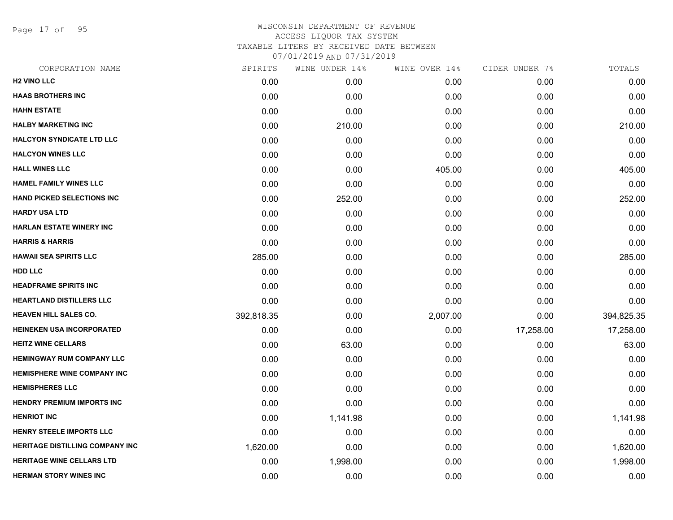Page 17 of 95

| CORPORATION NAME                       | SPIRITS    | WINE UNDER 14% | WINE OVER 14% | CIDER UNDER 7% | TOTALS     |
|----------------------------------------|------------|----------------|---------------|----------------|------------|
| <b>H2 VINO LLC</b>                     | 0.00       | 0.00           | 0.00          | 0.00           | 0.00       |
| <b>HAAS BROTHERS INC</b>               | 0.00       | 0.00           | 0.00          | 0.00           | 0.00       |
| <b>HAHN ESTATE</b>                     | 0.00       | 0.00           | 0.00          | 0.00           | 0.00       |
| <b>HALBY MARKETING INC</b>             | 0.00       | 210.00         | 0.00          | 0.00           | 210.00     |
| <b>HALCYON SYNDICATE LTD LLC</b>       | 0.00       | 0.00           | 0.00          | 0.00           | 0.00       |
| <b>HALCYON WINES LLC</b>               | 0.00       | 0.00           | 0.00          | 0.00           | 0.00       |
| <b>HALL WINES LLC</b>                  | 0.00       | 0.00           | 405.00        | 0.00           | 405.00     |
| <b>HAMEL FAMILY WINES LLC</b>          | 0.00       | 0.00           | 0.00          | 0.00           | 0.00       |
| <b>HAND PICKED SELECTIONS INC</b>      | 0.00       | 252.00         | 0.00          | 0.00           | 252.00     |
| <b>HARDY USA LTD</b>                   | 0.00       | 0.00           | 0.00          | 0.00           | 0.00       |
| <b>HARLAN ESTATE WINERY INC</b>        | 0.00       | 0.00           | 0.00          | 0.00           | 0.00       |
| <b>HARRIS &amp; HARRIS</b>             | 0.00       | 0.00           | 0.00          | 0.00           | 0.00       |
| <b>HAWAII SEA SPIRITS LLC</b>          | 285.00     | 0.00           | 0.00          | 0.00           | 285.00     |
| <b>HDD LLC</b>                         | 0.00       | 0.00           | 0.00          | 0.00           | 0.00       |
| <b>HEADFRAME SPIRITS INC</b>           | 0.00       | 0.00           | 0.00          | 0.00           | 0.00       |
| <b>HEARTLAND DISTILLERS LLC</b>        | 0.00       | 0.00           | 0.00          | 0.00           | 0.00       |
| <b>HEAVEN HILL SALES CO.</b>           | 392,818.35 | 0.00           | 2,007.00      | 0.00           | 394,825.35 |
| <b>HEINEKEN USA INCORPORATED</b>       | 0.00       | 0.00           | 0.00          | 17,258.00      | 17,258.00  |
| <b>HEITZ WINE CELLARS</b>              | 0.00       | 63.00          | 0.00          | 0.00           | 63.00      |
| <b>HEMINGWAY RUM COMPANY LLC</b>       | 0.00       | 0.00           | 0.00          | 0.00           | 0.00       |
| <b>HEMISPHERE WINE COMPANY INC</b>     | 0.00       | 0.00           | 0.00          | 0.00           | 0.00       |
| <b>HEMISPHERES LLC</b>                 | 0.00       | 0.00           | 0.00          | 0.00           | 0.00       |
| <b>HENDRY PREMIUM IMPORTS INC</b>      | 0.00       | 0.00           | 0.00          | 0.00           | 0.00       |
| <b>HENRIOT INC</b>                     | 0.00       | 1,141.98       | 0.00          | 0.00           | 1,141.98   |
| <b>HENRY STEELE IMPORTS LLC</b>        | 0.00       | 0.00           | 0.00          | 0.00           | 0.00       |
| <b>HERITAGE DISTILLING COMPANY INC</b> | 1,620.00   | 0.00           | 0.00          | 0.00           | 1,620.00   |
| <b>HERITAGE WINE CELLARS LTD</b>       | 0.00       | 1,998.00       | 0.00          | 0.00           | 1,998.00   |
| <b>HERMAN STORY WINES INC</b>          | 0.00       | 0.00           | 0.00          | 0.00           | 0.00       |
|                                        |            |                |               |                |            |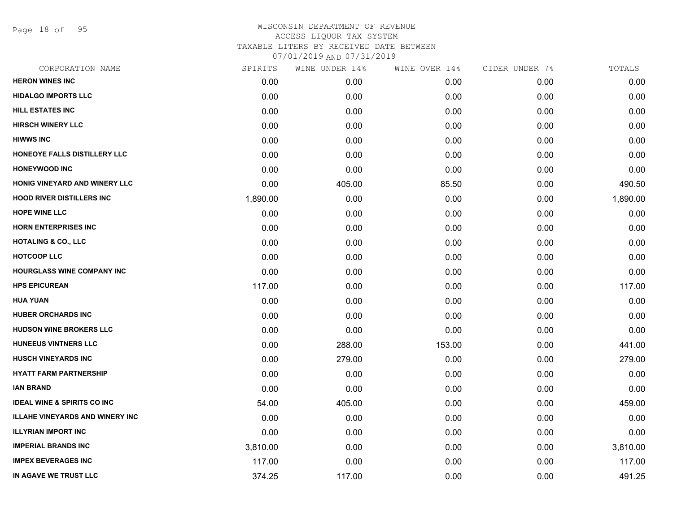Page 18 of 95

# WISCONSIN DEPARTMENT OF REVENUE ACCESS LIQUOR TAX SYSTEM TAXABLE LITERS BY RECEIVED DATE BETWEEN

| CORPORATION NAME                       | SPIRITS  | WINE UNDER 14% | WINE OVER 14% | CIDER UNDER 7% | TOTALS   |
|----------------------------------------|----------|----------------|---------------|----------------|----------|
| <b>HERON WINES INC</b>                 | 0.00     | 0.00           | 0.00          | 0.00           | 0.00     |
| <b>HIDALGO IMPORTS LLC</b>             | 0.00     | 0.00           | 0.00          | 0.00           | 0.00     |
| <b>HILL ESTATES INC</b>                | 0.00     | 0.00           | 0.00          | 0.00           | 0.00     |
| <b>HIRSCH WINERY LLC</b>               | 0.00     | 0.00           | 0.00          | 0.00           | 0.00     |
| <b>HIWWS INC</b>                       | 0.00     | 0.00           | 0.00          | 0.00           | 0.00     |
| HONEOYE FALLS DISTILLERY LLC           | 0.00     | 0.00           | 0.00          | 0.00           | 0.00     |
| <b>HONEYWOOD INC</b>                   | 0.00     | 0.00           | 0.00          | 0.00           | 0.00     |
| HONIG VINEYARD AND WINERY LLC          | 0.00     | 405.00         | 85.50         | 0.00           | 490.50   |
| <b>HOOD RIVER DISTILLERS INC</b>       | 1,890.00 | 0.00           | 0.00          | 0.00           | 1,890.00 |
| <b>HOPE WINE LLC</b>                   | 0.00     | 0.00           | 0.00          | 0.00           | 0.00     |
| <b>HORN ENTERPRISES INC</b>            | 0.00     | 0.00           | 0.00          | 0.00           | 0.00     |
| <b>HOTALING &amp; CO., LLC</b>         | 0.00     | 0.00           | 0.00          | 0.00           | 0.00     |
| <b>HOTCOOP LLC</b>                     | 0.00     | 0.00           | 0.00          | 0.00           | 0.00     |
| <b>HOURGLASS WINE COMPANY INC</b>      | 0.00     | 0.00           | 0.00          | 0.00           | 0.00     |
| <b>HPS EPICUREAN</b>                   | 117.00   | 0.00           | 0.00          | 0.00           | 117.00   |
| <b>HUA YUAN</b>                        | 0.00     | 0.00           | 0.00          | 0.00           | 0.00     |
| <b>HUBER ORCHARDS INC</b>              | 0.00     | 0.00           | 0.00          | 0.00           | 0.00     |
| <b>HUDSON WINE BROKERS LLC</b>         | 0.00     | 0.00           | 0.00          | 0.00           | 0.00     |
| <b>HUNEEUS VINTNERS LLC</b>            | 0.00     | 288.00         | 153.00        | 0.00           | 441.00   |
| <b>HUSCH VINEYARDS INC</b>             | 0.00     | 279.00         | 0.00          | 0.00           | 279.00   |
| <b>HYATT FARM PARTNERSHIP</b>          | 0.00     | 0.00           | 0.00          | 0.00           | 0.00     |
| <b>IAN BRAND</b>                       | 0.00     | 0.00           | 0.00          | 0.00           | 0.00     |
| <b>IDEAL WINE &amp; SPIRITS CO INC</b> | 54.00    | 405.00         | 0.00          | 0.00           | 459.00   |
| <b>ILLAHE VINEYARDS AND WINERY INC</b> | 0.00     | 0.00           | 0.00          | 0.00           | 0.00     |
| <b>ILLYRIAN IMPORT INC</b>             | 0.00     | 0.00           | 0.00          | 0.00           | 0.00     |
| <b>IMPERIAL BRANDS INC</b>             | 3,810.00 | 0.00           | 0.00          | 0.00           | 3,810.00 |
| <b>IMPEX BEVERAGES INC</b>             | 117.00   | 0.00           | 0.00          | 0.00           | 117.00   |
| IN AGAVE WE TRUST LLC                  | 374.25   | 117.00         | 0.00          | 0.00           | 491.25   |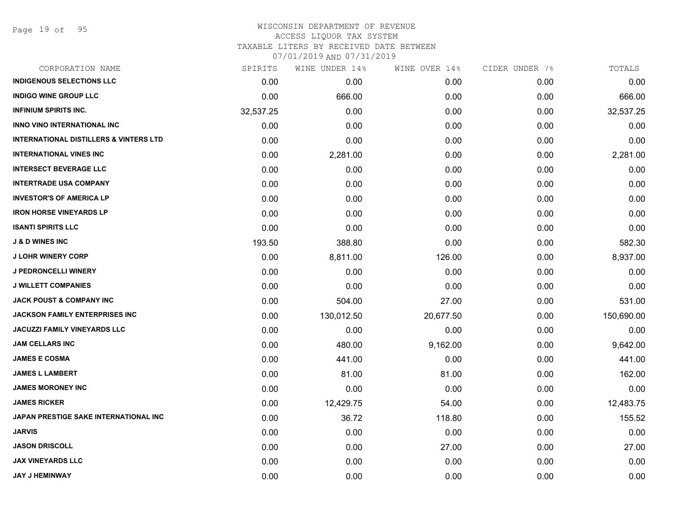| CORPORATION NAME                                  | SPIRITS   | WINE UNDER 14% | WINE OVER 14% | CIDER UNDER 7% | TOTALS     |
|---------------------------------------------------|-----------|----------------|---------------|----------------|------------|
| <b>INDIGENOUS SELECTIONS LLC</b>                  | 0.00      | 0.00           | 0.00          | 0.00           | 0.00       |
| <b>INDIGO WINE GROUP LLC</b>                      | 0.00      | 666.00         | 0.00          | 0.00           | 666.00     |
| <b>INFINIUM SPIRITS INC.</b>                      | 32,537.25 | 0.00           | 0.00          | 0.00           | 32,537.25  |
| <b>INNO VINO INTERNATIONAL INC</b>                | 0.00      | 0.00           | 0.00          | 0.00           | 0.00       |
| <b>INTERNATIONAL DISTILLERS &amp; VINTERS LTD</b> | 0.00      | 0.00           | 0.00          | 0.00           | 0.00       |
| <b>INTERNATIONAL VINES INC</b>                    | 0.00      | 2,281.00       | 0.00          | 0.00           | 2,281.00   |
| <b>INTERSECT BEVERAGE LLC</b>                     | 0.00      | 0.00           | 0.00          | 0.00           | 0.00       |
| <b>INTERTRADE USA COMPANY</b>                     | 0.00      | 0.00           | 0.00          | 0.00           | 0.00       |
| <b>INVESTOR'S OF AMERICA LP</b>                   | 0.00      | 0.00           | 0.00          | 0.00           | 0.00       |
| <b>IRON HORSE VINEYARDS LP</b>                    | 0.00      | 0.00           | 0.00          | 0.00           | 0.00       |
| <b>ISANTI SPIRITS LLC</b>                         | 0.00      | 0.00           | 0.00          | 0.00           | 0.00       |
| <b>J &amp; D WINES INC</b>                        | 193.50    | 388.80         | 0.00          | 0.00           | 582.30     |
| <b>J LOHR WINERY CORP</b>                         | 0.00      | 8,811.00       | 126.00        | 0.00           | 8,937.00   |
| J PEDRONCELLI WINERY                              | 0.00      | 0.00           | 0.00          | 0.00           | 0.00       |
| <b>J WILLETT COMPANIES</b>                        | 0.00      | 0.00           | 0.00          | 0.00           | 0.00       |
| <b>JACK POUST &amp; COMPANY INC</b>               | 0.00      | 504.00         | 27.00         | 0.00           | 531.00     |
| <b>JACKSON FAMILY ENTERPRISES INC</b>             | 0.00      | 130,012.50     | 20,677.50     | 0.00           | 150,690.00 |
| <b>JACUZZI FAMILY VINEYARDS LLC</b>               | 0.00      | 0.00           | 0.00          | 0.00           | 0.00       |
| <b>JAM CELLARS INC</b>                            | 0.00      | 480.00         | 9,162.00      | 0.00           | 9,642.00   |
| <b>JAMES E COSMA</b>                              | 0.00      | 441.00         | 0.00          | 0.00           | 441.00     |
| <b>JAMES L LAMBERT</b>                            | 0.00      | 81.00          | 81.00         | 0.00           | 162.00     |
| <b>JAMES MORONEY INC</b>                          | 0.00      | 0.00           | 0.00          | 0.00           | 0.00       |
| <b>JAMES RICKER</b>                               | 0.00      | 12,429.75      | 54.00         | 0.00           | 12,483.75  |
| <b>JAPAN PRESTIGE SAKE INTERNATIONAL INC</b>      | 0.00      | 36.72          | 118.80        | 0.00           | 155.52     |
| <b>JARVIS</b>                                     | 0.00      | 0.00           | 0.00          | 0.00           | 0.00       |
| <b>JASON DRISCOLL</b>                             | 0.00      | 0.00           | 27.00         | 0.00           | 27.00      |
| <b>JAX VINEYARDS LLC</b>                          | 0.00      | 0.00           | 0.00          | 0.00           | 0.00       |
| <b>JAY J HEMINWAY</b>                             | 0.00      | 0.00           | 0.00          | 0.00           | 0.00       |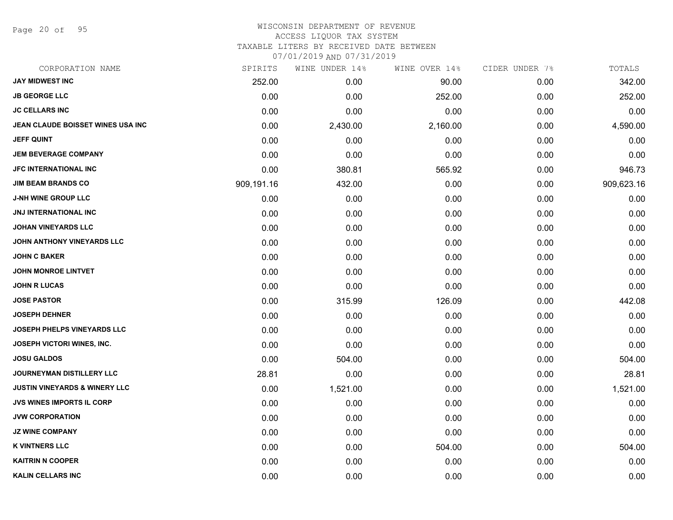Page 20 of 95

#### WISCONSIN DEPARTMENT OF REVENUE ACCESS LIQUOR TAX SYSTEM TAXABLE LITERS BY RECEIVED DATE BETWEEN

| CORPORATION NAME                         | SPIRITS    | WINE UNDER 14% | WINE OVER 14% | CIDER UNDER 7% | TOTALS     |
|------------------------------------------|------------|----------------|---------------|----------------|------------|
| <b>JAY MIDWEST INC</b>                   | 252.00     | 0.00           | 90.00         | 0.00           | 342.00     |
| <b>JB GEORGE LLC</b>                     | 0.00       | 0.00           | 252.00        | 0.00           | 252.00     |
| <b>JC CELLARS INC</b>                    | 0.00       | 0.00           | 0.00          | 0.00           | 0.00       |
| JEAN CLAUDE BOISSET WINES USA INC        | 0.00       | 2,430.00       | 2,160.00      | 0.00           | 4,590.00   |
| <b>JEFF QUINT</b>                        | 0.00       | 0.00           | 0.00          | 0.00           | 0.00       |
| <b>JEM BEVERAGE COMPANY</b>              | 0.00       | 0.00           | 0.00          | 0.00           | 0.00       |
| JFC INTERNATIONAL INC                    | 0.00       | 380.81         | 565.92        | 0.00           | 946.73     |
| <b>JIM BEAM BRANDS CO</b>                | 909,191.16 | 432.00         | 0.00          | 0.00           | 909,623.16 |
| J-NH WINE GROUP LLC                      | 0.00       | 0.00           | 0.00          | 0.00           | 0.00       |
| <b>JNJ INTERNATIONAL INC</b>             | 0.00       | 0.00           | 0.00          | 0.00           | 0.00       |
| <b>JOHAN VINEYARDS LLC</b>               | 0.00       | 0.00           | 0.00          | 0.00           | 0.00       |
| JOHN ANTHONY VINEYARDS LLC               | 0.00       | 0.00           | 0.00          | 0.00           | 0.00       |
| <b>JOHN C BAKER</b>                      | 0.00       | 0.00           | 0.00          | 0.00           | 0.00       |
| JOHN MONROE LINTVET                      | 0.00       | 0.00           | 0.00          | 0.00           | 0.00       |
| <b>JOHN R LUCAS</b>                      | 0.00       | 0.00           | 0.00          | 0.00           | 0.00       |
| <b>JOSE PASTOR</b>                       | 0.00       | 315.99         | 126.09        | 0.00           | 442.08     |
| <b>JOSEPH DEHNER</b>                     | 0.00       | 0.00           | 0.00          | 0.00           | 0.00       |
| <b>JOSEPH PHELPS VINEYARDS LLC</b>       | 0.00       | 0.00           | 0.00          | 0.00           | 0.00       |
| <b>JOSEPH VICTORI WINES, INC.</b>        | 0.00       | 0.00           | 0.00          | 0.00           | 0.00       |
| <b>JOSU GALDOS</b>                       | 0.00       | 504.00         | 0.00          | 0.00           | 504.00     |
| JOURNEYMAN DISTILLERY LLC                | 28.81      | 0.00           | 0.00          | 0.00           | 28.81      |
| <b>JUSTIN VINEYARDS &amp; WINERY LLC</b> | 0.00       | 1,521.00       | 0.00          | 0.00           | 1,521.00   |
| <b>JVS WINES IMPORTS IL CORP</b>         | 0.00       | 0.00           | 0.00          | 0.00           | 0.00       |
| <b>JVW CORPORATION</b>                   | 0.00       | 0.00           | 0.00          | 0.00           | 0.00       |
| <b>JZ WINE COMPANY</b>                   | 0.00       | 0.00           | 0.00          | 0.00           | 0.00       |
| <b>K VINTNERS LLC</b>                    | 0.00       | 0.00           | 504.00        | 0.00           | 504.00     |
| <b>KAITRIN N COOPER</b>                  | 0.00       | 0.00           | 0.00          | 0.00           | 0.00       |
| <b>KALIN CELLARS INC</b>                 | 0.00       | 0.00           | 0.00          | 0.00           | 0.00       |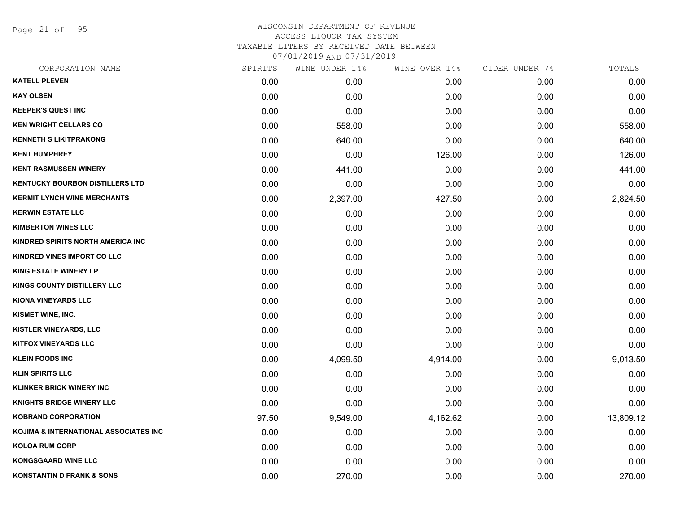Page 21 of 95

| CORPORATION NAME                       | SPIRITS | WINE UNDER 14% | WINE OVER 14% | CIDER UNDER 7% | TOTALS    |
|----------------------------------------|---------|----------------|---------------|----------------|-----------|
| <b>KATELL PLEVEN</b>                   | 0.00    | 0.00           | 0.00          | 0.00           | 0.00      |
| <b>KAY OLSEN</b>                       | 0.00    | 0.00           | 0.00          | 0.00           | 0.00      |
| <b>KEEPER'S QUEST INC</b>              | 0.00    | 0.00           | 0.00          | 0.00           | 0.00      |
| <b>KEN WRIGHT CELLARS CO</b>           | 0.00    | 558.00         | 0.00          | 0.00           | 558.00    |
| <b>KENNETH S LIKITPRAKONG</b>          | 0.00    | 640.00         | 0.00          | 0.00           | 640.00    |
| <b>KENT HUMPHREY</b>                   | 0.00    | 0.00           | 126.00        | 0.00           | 126.00    |
| <b>KENT RASMUSSEN WINERY</b>           | 0.00    | 441.00         | 0.00          | 0.00           | 441.00    |
| <b>KENTUCKY BOURBON DISTILLERS LTD</b> | 0.00    | 0.00           | 0.00          | 0.00           | 0.00      |
| <b>KERMIT LYNCH WINE MERCHANTS</b>     | 0.00    | 2,397.00       | 427.50        | 0.00           | 2,824.50  |
| <b>KERWIN ESTATE LLC</b>               | 0.00    | 0.00           | 0.00          | 0.00           | 0.00      |
| <b>KIMBERTON WINES LLC</b>             | 0.00    | 0.00           | 0.00          | 0.00           | 0.00      |
| KINDRED SPIRITS NORTH AMERICA INC      | 0.00    | 0.00           | 0.00          | 0.00           | 0.00      |
| KINDRED VINES IMPORT CO LLC            | 0.00    | 0.00           | 0.00          | 0.00           | 0.00      |
| <b>KING ESTATE WINERY LP</b>           | 0.00    | 0.00           | 0.00          | 0.00           | 0.00      |
| <b>KINGS COUNTY DISTILLERY LLC</b>     | 0.00    | 0.00           | 0.00          | 0.00           | 0.00      |
| <b>KIONA VINEYARDS LLC</b>             | 0.00    | 0.00           | 0.00          | 0.00           | 0.00      |
| KISMET WINE, INC.                      | 0.00    | 0.00           | 0.00          | 0.00           | 0.00      |
| <b>KISTLER VINEYARDS, LLC</b>          | 0.00    | 0.00           | 0.00          | 0.00           | 0.00      |
| <b>KITFOX VINEYARDS LLC</b>            | 0.00    | 0.00           | 0.00          | 0.00           | 0.00      |
| <b>KLEIN FOODS INC</b>                 | 0.00    | 4,099.50       | 4,914.00      | 0.00           | 9,013.50  |
| <b>KLIN SPIRITS LLC</b>                | 0.00    | 0.00           | 0.00          | 0.00           | 0.00      |
| <b>KLINKER BRICK WINERY INC</b>        | 0.00    | 0.00           | 0.00          | 0.00           | 0.00      |
| <b>KNIGHTS BRIDGE WINERY LLC</b>       | 0.00    | 0.00           | 0.00          | 0.00           | 0.00      |
| <b>KOBRAND CORPORATION</b>             | 97.50   | 9,549.00       | 4,162.62      | 0.00           | 13,809.12 |
| KOJIMA & INTERNATIONAL ASSOCIATES INC  | 0.00    | 0.00           | 0.00          | 0.00           | 0.00      |
| <b>KOLOA RUM CORP</b>                  | 0.00    | 0.00           | 0.00          | 0.00           | 0.00      |
| <b>KONGSGAARD WINE LLC</b>             | 0.00    | 0.00           | 0.00          | 0.00           | 0.00      |
| <b>KONSTANTIN D FRANK &amp; SONS</b>   | 0.00    | 270.00         | 0.00          | 0.00           | 270.00    |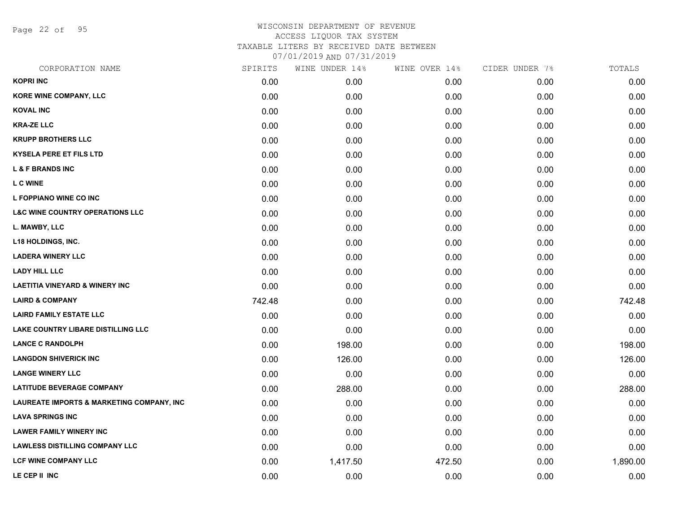Page 22 of 95

| CORPORATION NAME                           | SPIRITS | WINE UNDER 14% | WINE OVER 14% | CIDER UNDER 7% | TOTALS   |
|--------------------------------------------|---------|----------------|---------------|----------------|----------|
| <b>KOPRI INC</b>                           | 0.00    | 0.00           | 0.00          | 0.00           | 0.00     |
| KORE WINE COMPANY, LLC                     | 0.00    | 0.00           | 0.00          | 0.00           | 0.00     |
| <b>KOVAL INC</b>                           | 0.00    | 0.00           | 0.00          | 0.00           | 0.00     |
| <b>KRA-ZE LLC</b>                          | 0.00    | 0.00           | 0.00          | 0.00           | 0.00     |
| <b>KRUPP BROTHERS LLC</b>                  | 0.00    | 0.00           | 0.00          | 0.00           | 0.00     |
| <b>KYSELA PERE ET FILS LTD</b>             | 0.00    | 0.00           | 0.00          | 0.00           | 0.00     |
| <b>L &amp; F BRANDS INC</b>                | 0.00    | 0.00           | 0.00          | 0.00           | 0.00     |
| <b>L C WINE</b>                            | 0.00    | 0.00           | 0.00          | 0.00           | 0.00     |
| L FOPPIANO WINE CO INC                     | 0.00    | 0.00           | 0.00          | 0.00           | 0.00     |
| <b>L&amp;C WINE COUNTRY OPERATIONS LLC</b> | 0.00    | 0.00           | 0.00          | 0.00           | 0.00     |
| L. MAWBY, LLC                              | 0.00    | 0.00           | 0.00          | 0.00           | 0.00     |
| <b>L18 HOLDINGS, INC.</b>                  | 0.00    | 0.00           | 0.00          | 0.00           | 0.00     |
| <b>LADERA WINERY LLC</b>                   | 0.00    | 0.00           | 0.00          | 0.00           | 0.00     |
| <b>LADY HILL LLC</b>                       | 0.00    | 0.00           | 0.00          | 0.00           | 0.00     |
| <b>LAETITIA VINEYARD &amp; WINERY INC</b>  | 0.00    | 0.00           | 0.00          | 0.00           | 0.00     |
| <b>LAIRD &amp; COMPANY</b>                 | 742.48  | 0.00           | 0.00          | 0.00           | 742.48   |
| <b>LAIRD FAMILY ESTATE LLC</b>             | 0.00    | 0.00           | 0.00          | 0.00           | 0.00     |
| LAKE COUNTRY LIBARE DISTILLING LLC         | 0.00    | 0.00           | 0.00          | 0.00           | 0.00     |
| <b>LANCE C RANDOLPH</b>                    | 0.00    | 198.00         | 0.00          | 0.00           | 198.00   |
| <b>LANGDON SHIVERICK INC</b>               | 0.00    | 126.00         | 0.00          | 0.00           | 126.00   |
| <b>LANGE WINERY LLC</b>                    | 0.00    | 0.00           | 0.00          | 0.00           | 0.00     |
| <b>LATITUDE BEVERAGE COMPANY</b>           | 0.00    | 288.00         | 0.00          | 0.00           | 288.00   |
| LAUREATE IMPORTS & MARKETING COMPANY, INC  | 0.00    | 0.00           | 0.00          | 0.00           | 0.00     |
| <b>LAVA SPRINGS INC</b>                    | 0.00    | 0.00           | 0.00          | 0.00           | 0.00     |
| <b>LAWER FAMILY WINERY INC</b>             | 0.00    | 0.00           | 0.00          | 0.00           | 0.00     |
| <b>LAWLESS DISTILLING COMPANY LLC</b>      | 0.00    | 0.00           | 0.00          | 0.00           | 0.00     |
| <b>LCF WINE COMPANY LLC</b>                | 0.00    | 1,417.50       | 472.50        | 0.00           | 1,890.00 |
| LE CEP II INC                              | 0.00    | 0.00           | 0.00          | 0.00           | 0.00     |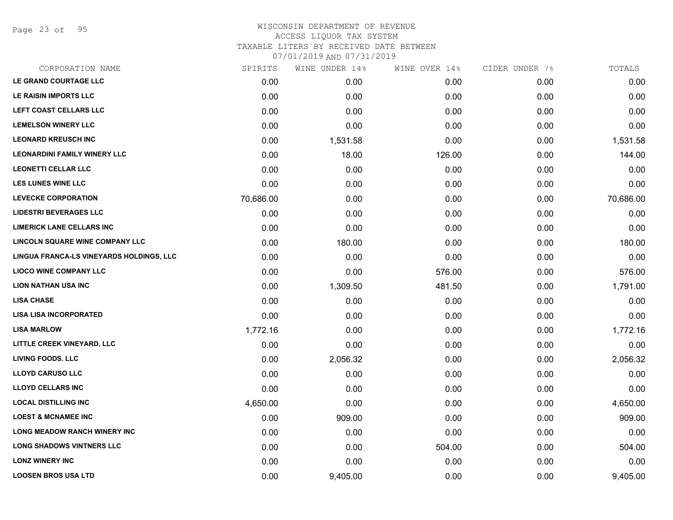Page 23 of 95

# WISCONSIN DEPARTMENT OF REVENUE ACCESS LIQUOR TAX SYSTEM

TAXABLE LITERS BY RECEIVED DATE BETWEEN

| CORPORATION NAME                         | SPIRITS   | WINE UNDER 14% | WINE OVER 14% | CIDER UNDER 7% | TOTALS    |
|------------------------------------------|-----------|----------------|---------------|----------------|-----------|
| LE GRAND COURTAGE LLC                    | 0.00      | 0.00           | 0.00          | 0.00           | 0.00      |
| LE RAISIN IMPORTS LLC                    | 0.00      | 0.00           | 0.00          | 0.00           | 0.00      |
| LEFT COAST CELLARS LLC                   | 0.00      | 0.00           | 0.00          | 0.00           | 0.00      |
| <b>LEMELSON WINERY LLC</b>               | 0.00      | 0.00           | 0.00          | 0.00           | 0.00      |
| <b>LEONARD KREUSCH INC</b>               | 0.00      | 1,531.58       | 0.00          | 0.00           | 1,531.58  |
| <b>LEONARDINI FAMILY WINERY LLC</b>      | 0.00      | 18.00          | 126.00        | 0.00           | 144.00    |
| <b>LEONETTI CELLAR LLC</b>               | 0.00      | 0.00           | 0.00          | 0.00           | 0.00      |
| <b>LES LUNES WINE LLC</b>                | 0.00      | 0.00           | 0.00          | 0.00           | 0.00      |
| <b>LEVECKE CORPORATION</b>               | 70,686.00 | 0.00           | 0.00          | 0.00           | 70,686.00 |
| <b>LIDESTRI BEVERAGES LLC</b>            | 0.00      | 0.00           | 0.00          | 0.00           | 0.00      |
| <b>LIMERICK LANE CELLARS INC</b>         | 0.00      | 0.00           | 0.00          | 0.00           | 0.00      |
| LINCOLN SQUARE WINE COMPANY LLC          | 0.00      | 180.00         | 0.00          | 0.00           | 180.00    |
| LINGUA FRANCA-LS VINEYARDS HOLDINGS, LLC | 0.00      | 0.00           | 0.00          | 0.00           | 0.00      |
| <b>LIOCO WINE COMPANY LLC</b>            | 0.00      | 0.00           | 576.00        | 0.00           | 576.00    |
| <b>LION NATHAN USA INC</b>               | 0.00      | 1,309.50       | 481.50        | 0.00           | 1,791.00  |
| <b>LISA CHASE</b>                        | 0.00      | 0.00           | 0.00          | 0.00           | 0.00      |
| <b>LISA LISA INCORPORATED</b>            | 0.00      | 0.00           | 0.00          | 0.00           | 0.00      |
| <b>LISA MARLOW</b>                       | 1,772.16  | 0.00           | 0.00          | 0.00           | 1,772.16  |
| LITTLE CREEK VINEYARD, LLC               | 0.00      | 0.00           | 0.00          | 0.00           | 0.00      |
| <b>LIVING FOODS. LLC</b>                 | 0.00      | 2,056.32       | 0.00          | 0.00           | 2,056.32  |
| <b>LLOYD CARUSO LLC</b>                  | 0.00      | 0.00           | 0.00          | 0.00           | 0.00      |
| <b>LLOYD CELLARS INC</b>                 | 0.00      | 0.00           | 0.00          | 0.00           | 0.00      |
| <b>LOCAL DISTILLING INC</b>              | 4,650.00  | 0.00           | 0.00          | 0.00           | 4,650.00  |
| <b>LOEST &amp; MCNAMEE INC</b>           | 0.00      | 909.00         | 0.00          | 0.00           | 909.00    |
| <b>LONG MEADOW RANCH WINERY INC</b>      | 0.00      | 0.00           | 0.00          | 0.00           | 0.00      |
| <b>LONG SHADOWS VINTNERS LLC</b>         | 0.00      | 0.00           | 504.00        | 0.00           | 504.00    |
| <b>LONZ WINERY INC</b>                   | 0.00      | 0.00           | 0.00          | 0.00           | 0.00      |
| <b>LOOSEN BROS USA LTD</b>               | 0.00      | 9,405.00       | 0.00          | 0.00           | 9,405.00  |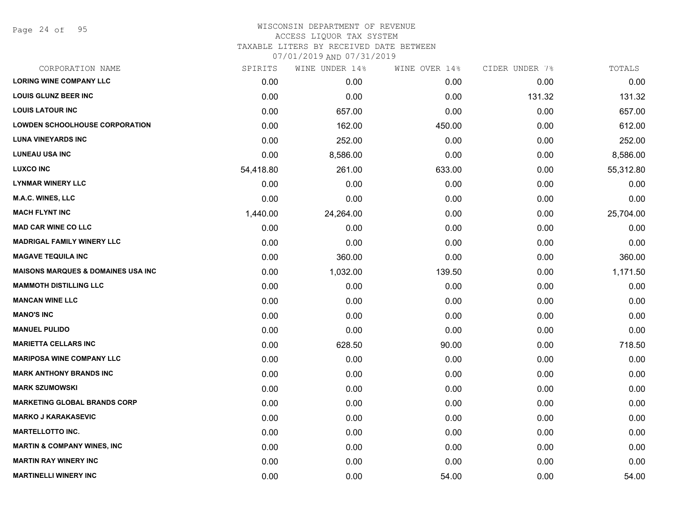Page 24 of 95

## WISCONSIN DEPARTMENT OF REVENUE ACCESS LIQUOR TAX SYSTEM TAXABLE LITERS BY RECEIVED DATE BETWEEN

| CORPORATION NAME                              | SPIRITS   | WINE UNDER 14% | WINE OVER 14% | CIDER UNDER 7% | TOTALS    |
|-----------------------------------------------|-----------|----------------|---------------|----------------|-----------|
| <b>LORING WINE COMPANY LLC</b>                | 0.00      | 0.00           | 0.00          | 0.00           | 0.00      |
| <b>LOUIS GLUNZ BEER INC</b>                   | 0.00      | 0.00           | 0.00          | 131.32         | 131.32    |
| <b>LOUIS LATOUR INC</b>                       | 0.00      | 657.00         | 0.00          | 0.00           | 657.00    |
| <b>LOWDEN SCHOOLHOUSE CORPORATION</b>         | 0.00      | 162.00         | 450.00        | 0.00           | 612.00    |
| <b>LUNA VINEYARDS INC</b>                     | 0.00      | 252.00         | 0.00          | 0.00           | 252.00    |
| <b>LUNEAU USA INC</b>                         | 0.00      | 8,586.00       | 0.00          | 0.00           | 8,586.00  |
| <b>LUXCO INC</b>                              | 54,418.80 | 261.00         | 633.00        | 0.00           | 55,312.80 |
| <b>LYNMAR WINERY LLC</b>                      | 0.00      | 0.00           | 0.00          | 0.00           | 0.00      |
| M.A.C. WINES, LLC                             | 0.00      | 0.00           | 0.00          | 0.00           | 0.00      |
| <b>MACH FLYNT INC</b>                         | 1,440.00  | 24,264.00      | 0.00          | 0.00           | 25,704.00 |
| <b>MAD CAR WINE CO LLC</b>                    | 0.00      | 0.00           | 0.00          | 0.00           | 0.00      |
| <b>MADRIGAL FAMILY WINERY LLC</b>             | 0.00      | 0.00           | 0.00          | 0.00           | 0.00      |
| <b>MAGAVE TEQUILA INC</b>                     | 0.00      | 360.00         | 0.00          | 0.00           | 360.00    |
| <b>MAISONS MARQUES &amp; DOMAINES USA INC</b> | 0.00      | 1,032.00       | 139.50        | 0.00           | 1,171.50  |
| <b>MAMMOTH DISTILLING LLC</b>                 | 0.00      | 0.00           | 0.00          | 0.00           | 0.00      |
| <b>MANCAN WINE LLC</b>                        | 0.00      | 0.00           | 0.00          | 0.00           | 0.00      |
| <b>MANO'S INC</b>                             | 0.00      | 0.00           | 0.00          | 0.00           | 0.00      |
| <b>MANUEL PULIDO</b>                          | 0.00      | 0.00           | 0.00          | 0.00           | 0.00      |
| <b>MARIETTA CELLARS INC</b>                   | 0.00      | 628.50         | 90.00         | 0.00           | 718.50    |
| <b>MARIPOSA WINE COMPANY LLC</b>              | 0.00      | 0.00           | 0.00          | 0.00           | 0.00      |
| <b>MARK ANTHONY BRANDS INC</b>                | 0.00      | 0.00           | 0.00          | 0.00           | 0.00      |
| <b>MARK SZUMOWSKI</b>                         | 0.00      | 0.00           | 0.00          | 0.00           | 0.00      |
| <b>MARKETING GLOBAL BRANDS CORP</b>           | 0.00      | 0.00           | 0.00          | 0.00           | 0.00      |
| <b>MARKO J KARAKASEVIC</b>                    | 0.00      | 0.00           | 0.00          | 0.00           | 0.00      |
| <b>MARTELLOTTO INC.</b>                       | 0.00      | 0.00           | 0.00          | 0.00           | 0.00      |
| <b>MARTIN &amp; COMPANY WINES, INC</b>        | 0.00      | 0.00           | 0.00          | 0.00           | 0.00      |
| <b>MARTIN RAY WINERY INC</b>                  | 0.00      | 0.00           | 0.00          | 0.00           | 0.00      |
| <b>MARTINELLI WINERY INC</b>                  | 0.00      | 0.00           | 54.00         | 0.00           | 54.00     |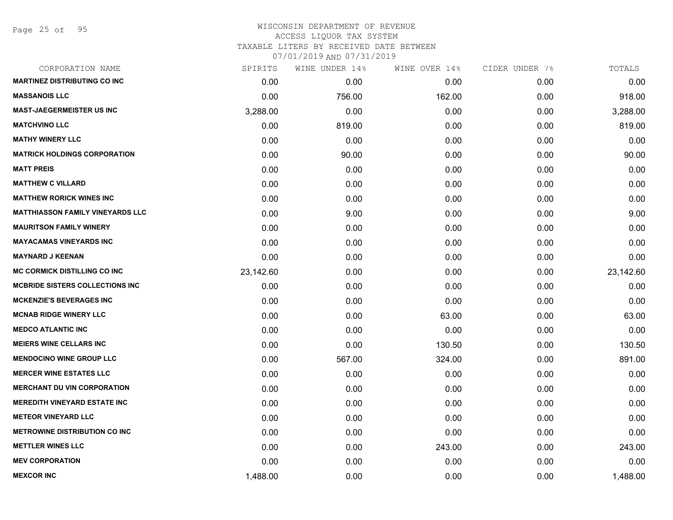Page 25 of 95

## WISCONSIN DEPARTMENT OF REVENUE ACCESS LIQUOR TAX SYSTEM TAXABLE LITERS BY RECEIVED DATE BETWEEN

| CORPORATION NAME                        | SPIRITS   | WINE UNDER 14% | WINE OVER 14% | CIDER UNDER 7% | TOTALS    |
|-----------------------------------------|-----------|----------------|---------------|----------------|-----------|
| <b>MARTINEZ DISTRIBUTING CO INC</b>     | 0.00      | 0.00           | 0.00          | 0.00           | 0.00      |
| <b>MASSANOIS LLC</b>                    | 0.00      | 756.00         | 162.00        | 0.00           | 918.00    |
| <b>MAST-JAEGERMEISTER US INC</b>        | 3,288.00  | 0.00           | 0.00          | 0.00           | 3,288.00  |
| <b>MATCHVINO LLC</b>                    | 0.00      | 819.00         | 0.00          | 0.00           | 819.00    |
| <b>MATHY WINERY LLC</b>                 | 0.00      | 0.00           | 0.00          | 0.00           | 0.00      |
| <b>MATRICK HOLDINGS CORPORATION</b>     | 0.00      | 90.00          | 0.00          | 0.00           | 90.00     |
| <b>MATT PREIS</b>                       | 0.00      | 0.00           | 0.00          | 0.00           | 0.00      |
| <b>MATTHEW C VILLARD</b>                | 0.00      | 0.00           | 0.00          | 0.00           | 0.00      |
| <b>MATTHEW RORICK WINES INC</b>         | 0.00      | 0.00           | 0.00          | 0.00           | 0.00      |
| <b>MATTHIASSON FAMILY VINEYARDS LLC</b> | 0.00      | 9.00           | 0.00          | 0.00           | 9.00      |
| <b>MAURITSON FAMILY WINERY</b>          | 0.00      | 0.00           | 0.00          | 0.00           | 0.00      |
| <b>MAYACAMAS VINEYARDS INC</b>          | 0.00      | 0.00           | 0.00          | 0.00           | 0.00      |
| <b>MAYNARD J KEENAN</b>                 | 0.00      | 0.00           | 0.00          | 0.00           | 0.00      |
| <b>MC CORMICK DISTILLING CO INC</b>     | 23,142.60 | 0.00           | 0.00          | 0.00           | 23,142.60 |
| <b>MCBRIDE SISTERS COLLECTIONS INC</b>  | 0.00      | 0.00           | 0.00          | 0.00           | 0.00      |
| <b>MCKENZIE'S BEVERAGES INC</b>         | 0.00      | 0.00           | 0.00          | 0.00           | 0.00      |
| <b>MCNAB RIDGE WINERY LLC</b>           | 0.00      | 0.00           | 63.00         | 0.00           | 63.00     |
| <b>MEDCO ATLANTIC INC</b>               | 0.00      | 0.00           | 0.00          | 0.00           | 0.00      |
| <b>MEIERS WINE CELLARS INC</b>          | 0.00      | 0.00           | 130.50        | 0.00           | 130.50    |
| <b>MENDOCINO WINE GROUP LLC</b>         | 0.00      | 567.00         | 324.00        | 0.00           | 891.00    |
| <b>MERCER WINE ESTATES LLC</b>          | 0.00      | 0.00           | 0.00          | 0.00           | 0.00      |
| <b>MERCHANT DU VIN CORPORATION</b>      | 0.00      | 0.00           | 0.00          | 0.00           | 0.00      |
| <b>MEREDITH VINEYARD ESTATE INC</b>     | 0.00      | 0.00           | 0.00          | 0.00           | 0.00      |
| <b>METEOR VINEYARD LLC</b>              | 0.00      | 0.00           | 0.00          | 0.00           | 0.00      |
| <b>METROWINE DISTRIBUTION CO INC</b>    | 0.00      | 0.00           | 0.00          | 0.00           | 0.00      |
| <b>METTLER WINES LLC</b>                | 0.00      | 0.00           | 243.00        | 0.00           | 243.00    |
| <b>MEV CORPORATION</b>                  | 0.00      | 0.00           | 0.00          | 0.00           | 0.00      |
| <b>MEXCOR INC</b>                       | 1,488.00  | 0.00           | 0.00          | 0.00           | 1,488.00  |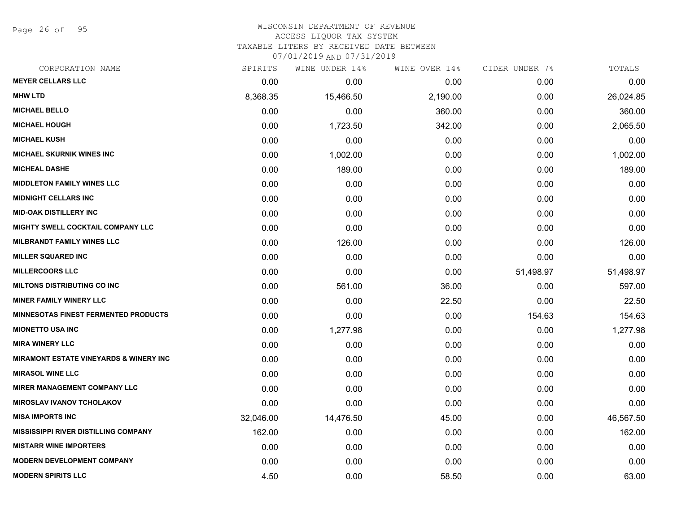Page 26 of 95

#### WISCONSIN DEPARTMENT OF REVENUE ACCESS LIQUOR TAX SYSTEM TAXABLE LITERS BY RECEIVED DATE BETWEEN

| CORPORATION NAME                                  | SPIRITS   | WINE UNDER 14% | WINE OVER 14% | CIDER UNDER 7% | TOTALS    |
|---------------------------------------------------|-----------|----------------|---------------|----------------|-----------|
| <b>MEYER CELLARS LLC</b>                          | 0.00      | 0.00           | 0.00          | 0.00           | 0.00      |
| <b>MHW LTD</b>                                    | 8,368.35  | 15,466.50      | 2,190.00      | 0.00           | 26,024.85 |
| <b>MICHAEL BELLO</b>                              | 0.00      | 0.00           | 360.00        | 0.00           | 360.00    |
| <b>MICHAEL HOUGH</b>                              | 0.00      | 1,723.50       | 342.00        | 0.00           | 2,065.50  |
| <b>MICHAEL KUSH</b>                               | 0.00      | 0.00           | 0.00          | 0.00           | 0.00      |
| <b>MICHAEL SKURNIK WINES INC</b>                  | 0.00      | 1,002.00       | 0.00          | 0.00           | 1,002.00  |
| <b>MICHEAL DASHE</b>                              | 0.00      | 189.00         | 0.00          | 0.00           | 189.00    |
| <b>MIDDLETON FAMILY WINES LLC</b>                 | 0.00      | 0.00           | 0.00          | 0.00           | 0.00      |
| <b>MIDNIGHT CELLARS INC</b>                       | 0.00      | 0.00           | 0.00          | 0.00           | 0.00      |
| <b>MID-OAK DISTILLERY INC</b>                     | 0.00      | 0.00           | 0.00          | 0.00           | 0.00      |
| <b>MIGHTY SWELL COCKTAIL COMPANY LLC</b>          | 0.00      | 0.00           | 0.00          | 0.00           | 0.00      |
| <b>MILBRANDT FAMILY WINES LLC</b>                 | 0.00      | 126.00         | 0.00          | 0.00           | 126.00    |
| <b>MILLER SQUARED INC</b>                         | 0.00      | 0.00           | 0.00          | 0.00           | 0.00      |
| <b>MILLERCOORS LLC</b>                            | 0.00      | 0.00           | 0.00          | 51,498.97      | 51,498.97 |
| <b>MILTONS DISTRIBUTING CO INC</b>                | 0.00      | 561.00         | 36.00         | 0.00           | 597.00    |
| <b>MINER FAMILY WINERY LLC</b>                    | 0.00      | 0.00           | 22.50         | 0.00           | 22.50     |
| <b>MINNESOTAS FINEST FERMENTED PRODUCTS</b>       | 0.00      | 0.00           | 0.00          | 154.63         | 154.63    |
| <b>MIONETTO USA INC</b>                           | 0.00      | 1,277.98       | 0.00          | 0.00           | 1,277.98  |
| <b>MIRA WINERY LLC</b>                            | 0.00      | 0.00           | 0.00          | 0.00           | 0.00      |
| <b>MIRAMONT ESTATE VINEYARDS &amp; WINERY INC</b> | 0.00      | 0.00           | 0.00          | 0.00           | 0.00      |
| <b>MIRASOL WINE LLC</b>                           | 0.00      | 0.00           | 0.00          | 0.00           | 0.00      |
| <b>MIRER MANAGEMENT COMPANY LLC</b>               | 0.00      | 0.00           | 0.00          | 0.00           | 0.00      |
| <b>MIROSLAV IVANOV TCHOLAKOV</b>                  | 0.00      | 0.00           | 0.00          | 0.00           | 0.00      |
| <b>MISA IMPORTS INC</b>                           | 32,046.00 | 14,476.50      | 45.00         | 0.00           | 46,567.50 |
| <b>MISSISSIPPI RIVER DISTILLING COMPANY</b>       | 162.00    | 0.00           | 0.00          | 0.00           | 162.00    |
| <b>MISTARR WINE IMPORTERS</b>                     | 0.00      | 0.00           | 0.00          | 0.00           | 0.00      |
| <b>MODERN DEVELOPMENT COMPANY</b>                 | 0.00      | 0.00           | 0.00          | 0.00           | 0.00      |
| <b>MODERN SPIRITS LLC</b>                         | 4.50      | 0.00           | 58.50         | 0.00           | 63.00     |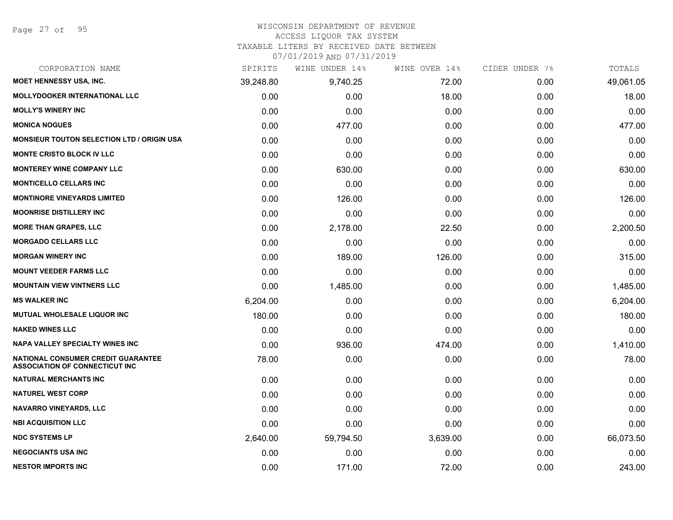#### WISCONSIN DEPARTMENT OF REVENUE

#### ACCESS LIQUOR TAX SYSTEM

TAXABLE LITERS BY RECEIVED DATE BETWEEN

| CORPORATION NAME                                                                   | SPIRITS   | WINE UNDER 14% | WINE OVER 14% | CIDER UNDER 7% | TOTALS    |
|------------------------------------------------------------------------------------|-----------|----------------|---------------|----------------|-----------|
| MOET HENNESSY USA, INC.                                                            | 39,248.80 | 9,740.25       | 72.00         | 0.00           | 49,061.05 |
| MOLLYDOOKER INTERNATIONAL LLC                                                      | 0.00      | 0.00           | 18.00         | 0.00           | 18.00     |
| <b>MOLLY'S WINERY INC</b>                                                          | 0.00      | 0.00           | 0.00          | 0.00           | 0.00      |
| <b>MONICA NOGUES</b>                                                               | 0.00      | 477.00         | 0.00          | 0.00           | 477.00    |
| <b>MONSIEUR TOUTON SELECTION LTD / ORIGIN USA</b>                                  | 0.00      | 0.00           | 0.00          | 0.00           | 0.00      |
| MONTE CRISTO BLOCK IV LLC                                                          | 0.00      | 0.00           | 0.00          | 0.00           | 0.00      |
| <b>MONTEREY WINE COMPANY LLC</b>                                                   | 0.00      | 630.00         | 0.00          | 0.00           | 630.00    |
| <b>MONTICELLO CELLARS INC</b>                                                      | 0.00      | 0.00           | 0.00          | 0.00           | 0.00      |
| <b>MONTINORE VINEYARDS LIMITED</b>                                                 | 0.00      | 126.00         | 0.00          | 0.00           | 126.00    |
| <b>MOONRISE DISTILLERY INC</b>                                                     | 0.00      | 0.00           | 0.00          | 0.00           | 0.00      |
| <b>MORE THAN GRAPES, LLC</b>                                                       | 0.00      | 2,178.00       | 22.50         | 0.00           | 2,200.50  |
| <b>MORGADO CELLARS LLC</b>                                                         | 0.00      | 0.00           | 0.00          | 0.00           | 0.00      |
| <b>MORGAN WINERY INC</b>                                                           | 0.00      | 189.00         | 126.00        | 0.00           | 315.00    |
| <b>MOUNT VEEDER FARMS LLC</b>                                                      | 0.00      | 0.00           | 0.00          | 0.00           | 0.00      |
| <b>MOUNTAIN VIEW VINTNERS LLC</b>                                                  | 0.00      | 1,485.00       | 0.00          | 0.00           | 1,485.00  |
| <b>MS WALKER INC</b>                                                               | 6,204.00  | 0.00           | 0.00          | 0.00           | 6,204.00  |
| <b>MUTUAL WHOLESALE LIQUOR INC</b>                                                 | 180.00    | 0.00           | 0.00          | 0.00           | 180.00    |
| <b>NAKED WINES LLC</b>                                                             | 0.00      | 0.00           | 0.00          | 0.00           | 0.00      |
| <b>NAPA VALLEY SPECIALTY WINES INC</b>                                             | 0.00      | 936.00         | 474.00        | 0.00           | 1,410.00  |
| <b>NATIONAL CONSUMER CREDIT GUARANTEE</b><br><b>ASSOCIATION OF CONNECTICUT INC</b> | 78.00     | 0.00           | 0.00          | 0.00           | 78.00     |
| <b>NATURAL MERCHANTS INC</b>                                                       | 0.00      | 0.00           | 0.00          | 0.00           | 0.00      |
| <b>NATUREL WEST CORP</b>                                                           | 0.00      | 0.00           | 0.00          | 0.00           | 0.00      |
| <b>NAVARRO VINEYARDS, LLC</b>                                                      | 0.00      | 0.00           | 0.00          | 0.00           | 0.00      |
| <b>NBI ACQUISITION LLC</b>                                                         | 0.00      | 0.00           | 0.00          | 0.00           | 0.00      |
| <b>NDC SYSTEMS LP</b>                                                              | 2,640.00  | 59,794.50      | 3,639.00      | 0.00           | 66,073.50 |
| <b>NEGOCIANTS USA INC</b>                                                          | 0.00      | 0.00           | 0.00          | 0.00           | 0.00      |
| <b>NESTOR IMPORTS INC</b>                                                          | 0.00      | 171.00         | 72.00         | 0.00           | 243.00    |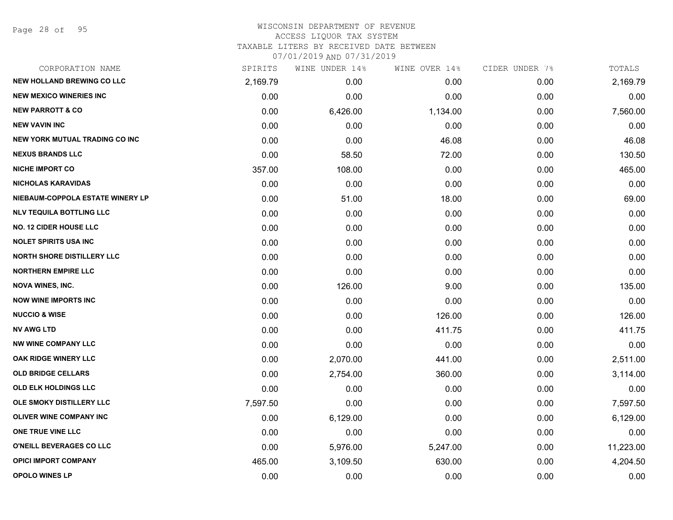Page 28 of 95

#### WISCONSIN DEPARTMENT OF REVENUE ACCESS LIQUOR TAX SYSTEM TAXABLE LITERS BY RECEIVED DATE BETWEEN

| CORPORATION NAME                      | SPIRITS  | WINE UNDER 14% | WINE OVER 14% | CIDER UNDER 7% | TOTALS    |
|---------------------------------------|----------|----------------|---------------|----------------|-----------|
| <b>NEW HOLLAND BREWING CO LLC</b>     | 2,169.79 | 0.00           | 0.00          | 0.00           | 2,169.79  |
| <b>NEW MEXICO WINERIES INC</b>        | 0.00     | 0.00           | 0.00          | 0.00           | 0.00      |
| <b>NEW PARROTT &amp; CO</b>           | 0.00     | 6,426.00       | 1,134.00      | 0.00           | 7,560.00  |
| <b>NEW VAVIN INC</b>                  | 0.00     | 0.00           | 0.00          | 0.00           | 0.00      |
| <b>NEW YORK MUTUAL TRADING CO INC</b> | 0.00     | 0.00           | 46.08         | 0.00           | 46.08     |
| <b>NEXUS BRANDS LLC</b>               | 0.00     | 58.50          | 72.00         | 0.00           | 130.50    |
| <b>NICHE IMPORT CO</b>                | 357.00   | 108.00         | 0.00          | 0.00           | 465.00    |
| <b>NICHOLAS KARAVIDAS</b>             | 0.00     | 0.00           | 0.00          | 0.00           | 0.00      |
| NIEBAUM-COPPOLA ESTATE WINERY LP      | 0.00     | 51.00          | 18.00         | 0.00           | 69.00     |
| <b>NLV TEQUILA BOTTLING LLC</b>       | 0.00     | 0.00           | 0.00          | 0.00           | 0.00      |
| <b>NO. 12 CIDER HOUSE LLC</b>         | 0.00     | 0.00           | 0.00          | 0.00           | 0.00      |
| <b>NOLET SPIRITS USA INC</b>          | 0.00     | 0.00           | 0.00          | 0.00           | 0.00      |
| <b>NORTH SHORE DISTILLERY LLC</b>     | 0.00     | 0.00           | 0.00          | 0.00           | 0.00      |
| <b>NORTHERN EMPIRE LLC</b>            | 0.00     | 0.00           | 0.00          | 0.00           | 0.00      |
| <b>NOVA WINES, INC.</b>               | 0.00     | 126.00         | 9.00          | 0.00           | 135.00    |
| <b>NOW WINE IMPORTS INC</b>           | 0.00     | 0.00           | 0.00          | 0.00           | 0.00      |
| <b>NUCCIO &amp; WISE</b>              | 0.00     | 0.00           | 126.00        | 0.00           | 126.00    |
| <b>NV AWG LTD</b>                     | 0.00     | 0.00           | 411.75        | 0.00           | 411.75    |
| <b>NW WINE COMPANY LLC</b>            | 0.00     | 0.00           | 0.00          | 0.00           | 0.00      |
| OAK RIDGE WINERY LLC                  | 0.00     | 2,070.00       | 441.00        | 0.00           | 2,511.00  |
| <b>OLD BRIDGE CELLARS</b>             | 0.00     | 2,754.00       | 360.00        | 0.00           | 3,114.00  |
| OLD ELK HOLDINGS LLC                  | 0.00     | 0.00           | 0.00          | 0.00           | 0.00      |
| OLE SMOKY DISTILLERY LLC              | 7,597.50 | 0.00           | 0.00          | 0.00           | 7,597.50  |
| OLIVER WINE COMPANY INC               | 0.00     | 6,129.00       | 0.00          | 0.00           | 6,129.00  |
| ONE TRUE VINE LLC                     | 0.00     | 0.00           | 0.00          | 0.00           | 0.00      |
| O'NEILL BEVERAGES CO LLC              | 0.00     | 5,976.00       | 5,247.00      | 0.00           | 11,223.00 |
| <b>OPICI IMPORT COMPANY</b>           | 465.00   | 3,109.50       | 630.00        | 0.00           | 4,204.50  |
| <b>OPOLO WINES LP</b>                 | 0.00     | 0.00           | 0.00          | 0.00           | 0.00      |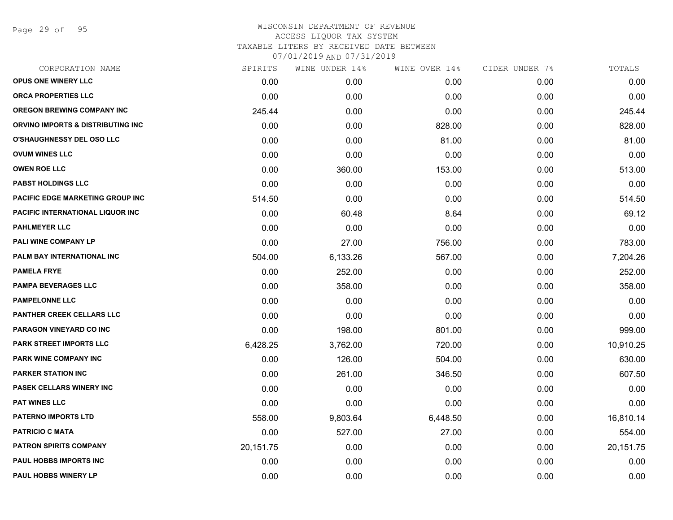Page 29 of 95

| CORPORATION NAME                  | SPIRITS   | WINE UNDER 14% | WINE OVER 14% | CIDER UNDER 7% | TOTALS    |
|-----------------------------------|-----------|----------------|---------------|----------------|-----------|
| OPUS ONE WINERY LLC               | 0.00      | 0.00           | 0.00          | 0.00           | 0.00      |
| <b>ORCA PROPERTIES LLC</b>        | 0.00      | 0.00           | 0.00          | 0.00           | 0.00      |
| <b>OREGON BREWING COMPANY INC</b> | 245.44    | 0.00           | 0.00          | 0.00           | 245.44    |
| ORVINO IMPORTS & DISTRIBUTING INC | 0.00      | 0.00           | 828.00        | 0.00           | 828.00    |
| <b>O'SHAUGHNESSY DEL OSO LLC</b>  | 0.00      | 0.00           | 81.00         | 0.00           | 81.00     |
| <b>OVUM WINES LLC</b>             | 0.00      | 0.00           | 0.00          | 0.00           | 0.00      |
| <b>OWEN ROE LLC</b>               | 0.00      | 360.00         | 153.00        | 0.00           | 513.00    |
| <b>PABST HOLDINGS LLC</b>         | 0.00      | 0.00           | 0.00          | 0.00           | 0.00      |
| PACIFIC EDGE MARKETING GROUP INC  | 514.50    | 0.00           | 0.00          | 0.00           | 514.50    |
| PACIFIC INTERNATIONAL LIQUOR INC  | 0.00      | 60.48          | 8.64          | 0.00           | 69.12     |
| <b>PAHLMEYER LLC</b>              | 0.00      | 0.00           | 0.00          | 0.00           | 0.00      |
| PALI WINE COMPANY LP              | 0.00      | 27.00          | 756.00        | 0.00           | 783.00    |
| PALM BAY INTERNATIONAL INC        | 504.00    | 6,133.26       | 567.00        | 0.00           | 7,204.26  |
| <b>PAMELA FRYE</b>                | 0.00      | 252.00         | 0.00          | 0.00           | 252.00    |
| <b>PAMPA BEVERAGES LLC</b>        | 0.00      | 358.00         | 0.00          | 0.00           | 358.00    |
| <b>PAMPELONNE LLC</b>             | 0.00      | 0.00           | 0.00          | 0.00           | 0.00      |
| <b>PANTHER CREEK CELLARS LLC</b>  | 0.00      | 0.00           | 0.00          | 0.00           | 0.00      |
| <b>PARAGON VINEYARD CO INC</b>    | 0.00      | 198.00         | 801.00        | 0.00           | 999.00    |
| <b>PARK STREET IMPORTS LLC</b>    | 6,428.25  | 3,762.00       | 720.00        | 0.00           | 10,910.25 |
| PARK WINE COMPANY INC             | 0.00      | 126.00         | 504.00        | 0.00           | 630.00    |
| <b>PARKER STATION INC</b>         | 0.00      | 261.00         | 346.50        | 0.00           | 607.50    |
| PASEK CELLARS WINERY INC          | 0.00      | 0.00           | 0.00          | 0.00           | 0.00      |
| <b>PAT WINES LLC</b>              | 0.00      | 0.00           | 0.00          | 0.00           | 0.00      |
| <b>PATERNO IMPORTS LTD</b>        | 558.00    | 9,803.64       | 6,448.50      | 0.00           | 16,810.14 |
| <b>PATRICIO C MATA</b>            | 0.00      | 527.00         | 27.00         | 0.00           | 554.00    |
| <b>PATRON SPIRITS COMPANY</b>     | 20,151.75 | 0.00           | 0.00          | 0.00           | 20,151.75 |
| PAUL HOBBS IMPORTS INC            | 0.00      | 0.00           | 0.00          | 0.00           | 0.00      |
| <b>PAUL HOBBS WINERY LP</b>       | 0.00      | 0.00           | 0.00          | 0.00           | 0.00      |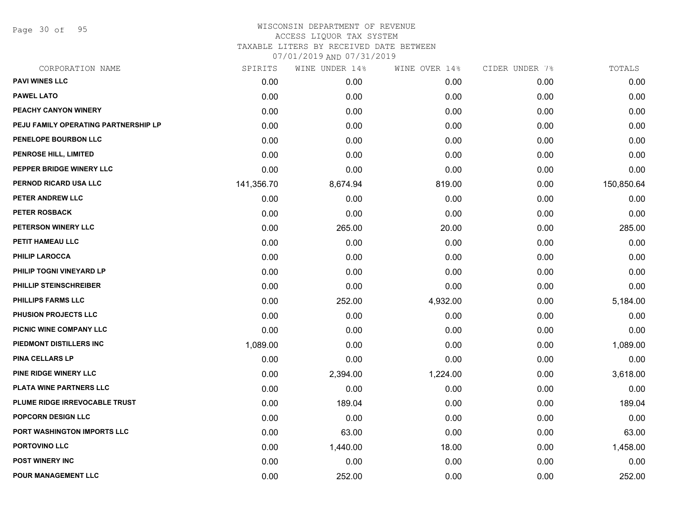Page 30 of 95

# WISCONSIN DEPARTMENT OF REVENUE ACCESS LIQUOR TAX SYSTEM TAXABLE LITERS BY RECEIVED DATE BETWEEN

| CORPORATION NAME                     | SPIRITS    | WINE UNDER 14% | WINE OVER 14% | CIDER UNDER 7% | TOTALS     |
|--------------------------------------|------------|----------------|---------------|----------------|------------|
| <b>PAVI WINES LLC</b>                | 0.00       | 0.00           | 0.00          | 0.00           | 0.00       |
| <b>PAWEL LATO</b>                    | 0.00       | 0.00           | 0.00          | 0.00           | 0.00       |
| PEACHY CANYON WINERY                 | 0.00       | 0.00           | 0.00          | 0.00           | 0.00       |
| PEJU FAMILY OPERATING PARTNERSHIP LP | 0.00       | 0.00           | 0.00          | 0.00           | 0.00       |
| PENELOPE BOURBON LLC                 | 0.00       | 0.00           | 0.00          | 0.00           | 0.00       |
| PENROSE HILL, LIMITED                | 0.00       | 0.00           | 0.00          | 0.00           | 0.00       |
| PEPPER BRIDGE WINERY LLC             | 0.00       | 0.00           | 0.00          | 0.00           | 0.00       |
| PERNOD RICARD USA LLC                | 141,356.70 | 8,674.94       | 819.00        | 0.00           | 150,850.64 |
| PETER ANDREW LLC                     | 0.00       | 0.00           | 0.00          | 0.00           | 0.00       |
| <b>PETER ROSBACK</b>                 | 0.00       | 0.00           | 0.00          | 0.00           | 0.00       |
| PETERSON WINERY LLC                  | 0.00       | 265.00         | 20.00         | 0.00           | 285.00     |
| PETIT HAMEAU LLC                     | 0.00       | 0.00           | 0.00          | 0.00           | 0.00       |
| <b>PHILIP LAROCCA</b>                | 0.00       | 0.00           | 0.00          | 0.00           | 0.00       |
| PHILIP TOGNI VINEYARD LP             | 0.00       | 0.00           | 0.00          | 0.00           | 0.00       |
| PHILLIP STEINSCHREIBER               | 0.00       | 0.00           | 0.00          | 0.00           | 0.00       |
| PHILLIPS FARMS LLC                   | 0.00       | 252.00         | 4,932.00      | 0.00           | 5,184.00   |
| PHUSION PROJECTS LLC                 | 0.00       | 0.00           | 0.00          | 0.00           | 0.00       |
| PICNIC WINE COMPANY LLC              | 0.00       | 0.00           | 0.00          | 0.00           | 0.00       |
| PIEDMONT DISTILLERS INC              | 1,089.00   | 0.00           | 0.00          | 0.00           | 1,089.00   |
| <b>PINA CELLARS LP</b>               | 0.00       | 0.00           | 0.00          | 0.00           | 0.00       |
| <b>PINE RIDGE WINERY LLC</b>         | 0.00       | 2,394.00       | 1,224.00      | 0.00           | 3,618.00   |
| PLATA WINE PARTNERS LLC              | 0.00       | 0.00           | 0.00          | 0.00           | 0.00       |
| PLUME RIDGE IRREVOCABLE TRUST        | 0.00       | 189.04         | 0.00          | 0.00           | 189.04     |
| POPCORN DESIGN LLC                   | 0.00       | 0.00           | 0.00          | 0.00           | 0.00       |
| PORT WASHINGTON IMPORTS LLC          | 0.00       | 63.00          | 0.00          | 0.00           | 63.00      |
| <b>PORTOVINO LLC</b>                 | 0.00       | 1,440.00       | 18.00         | 0.00           | 1,458.00   |
| <b>POST WINERY INC</b>               | 0.00       | 0.00           | 0.00          | 0.00           | 0.00       |
| POUR MANAGEMENT LLC                  | 0.00       | 252.00         | 0.00          | 0.00           | 252.00     |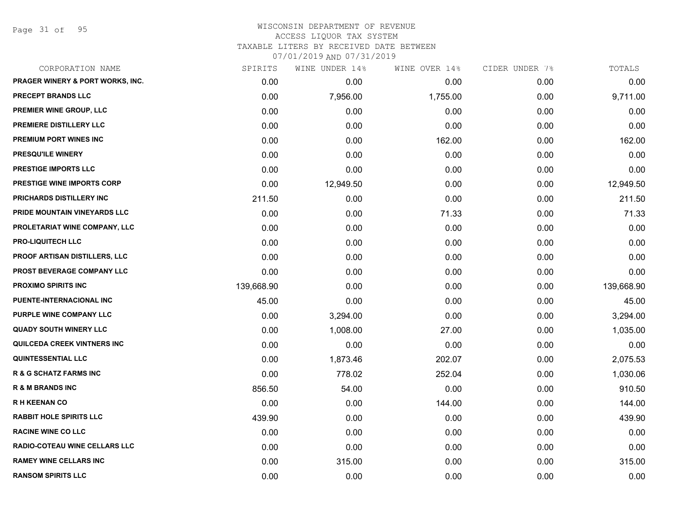Page 31 of 95

| CORPORATION NAME                            | SPIRITS    | WINE UNDER 14% | WINE OVER 14% | CIDER UNDER 7% | TOTALS     |
|---------------------------------------------|------------|----------------|---------------|----------------|------------|
| <b>PRAGER WINERY &amp; PORT WORKS, INC.</b> | 0.00       | 0.00           | 0.00          | 0.00           | 0.00       |
| PRECEPT BRANDS LLC                          | 0.00       | 7,956.00       | 1,755.00      | 0.00           | 9,711.00   |
| PREMIER WINE GROUP, LLC                     | 0.00       | 0.00           | 0.00          | 0.00           | 0.00       |
| PREMIERE DISTILLERY LLC                     | 0.00       | 0.00           | 0.00          | 0.00           | 0.00       |
| PREMIUM PORT WINES INC                      | 0.00       | 0.00           | 162.00        | 0.00           | 162.00     |
| PRESQU'ILE WINERY                           | 0.00       | 0.00           | 0.00          | 0.00           | 0.00       |
| PRESTIGE IMPORTS LLC                        | 0.00       | 0.00           | 0.00          | 0.00           | 0.00       |
| PRESTIGE WINE IMPORTS CORP                  | 0.00       | 12,949.50      | 0.00          | 0.00           | 12,949.50  |
| PRICHARDS DISTILLERY INC                    | 211.50     | 0.00           | 0.00          | 0.00           | 211.50     |
| PRIDE MOUNTAIN VINEYARDS LLC                | 0.00       | 0.00           | 71.33         | 0.00           | 71.33      |
| PROLETARIAT WINE COMPANY, LLC               | 0.00       | 0.00           | 0.00          | 0.00           | 0.00       |
| <b>PRO-LIQUITECH LLC</b>                    | 0.00       | 0.00           | 0.00          | 0.00           | 0.00       |
| <b>PROOF ARTISAN DISTILLERS, LLC</b>        | 0.00       | 0.00           | 0.00          | 0.00           | 0.00       |
| <b>PROST BEVERAGE COMPANY LLC</b>           | 0.00       | 0.00           | 0.00          | 0.00           | 0.00       |
| <b>PROXIMO SPIRITS INC</b>                  | 139,668.90 | 0.00           | 0.00          | 0.00           | 139,668.90 |
| PUENTE-INTERNACIONAL INC                    | 45.00      | 0.00           | 0.00          | 0.00           | 45.00      |
| PURPLE WINE COMPANY LLC                     | 0.00       | 3,294.00       | 0.00          | 0.00           | 3,294.00   |
| <b>QUADY SOUTH WINERY LLC</b>               | 0.00       | 1,008.00       | 27.00         | 0.00           | 1,035.00   |
| QUILCEDA CREEK VINTNERS INC                 | 0.00       | 0.00           | 0.00          | 0.00           | 0.00       |
| <b>QUINTESSENTIAL LLC</b>                   | 0.00       | 1,873.46       | 202.07        | 0.00           | 2,075.53   |
| <b>R &amp; G SCHATZ FARMS INC</b>           | 0.00       | 778.02         | 252.04        | 0.00           | 1,030.06   |
| <b>R &amp; M BRANDS INC</b>                 | 856.50     | 54.00          | 0.00          | 0.00           | 910.50     |
| <b>RH KEENAN CO</b>                         | 0.00       | 0.00           | 144.00        | 0.00           | 144.00     |
| <b>RABBIT HOLE SPIRITS LLC</b>              | 439.90     | 0.00           | 0.00          | 0.00           | 439.90     |
| <b>RACINE WINE CO LLC</b>                   | 0.00       | 0.00           | 0.00          | 0.00           | 0.00       |
| RADIO-COTEAU WINE CELLARS LLC               | 0.00       | 0.00           | 0.00          | 0.00           | 0.00       |
| <b>RAMEY WINE CELLARS INC</b>               | 0.00       | 315.00         | 0.00          | 0.00           | 315.00     |
| <b>RANSOM SPIRITS LLC</b>                   | 0.00       | 0.00           | 0.00          | 0.00           | 0.00       |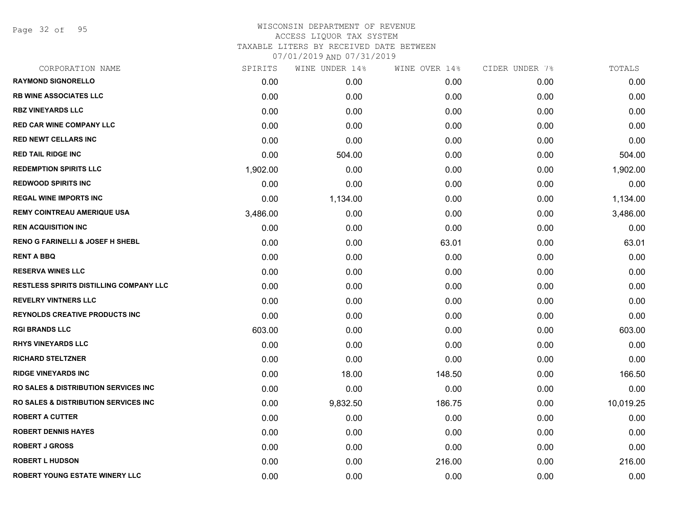Page 32 of 95

| CORPORATION NAME                                | SPIRITS  | WINE UNDER 14% | WINE OVER 14% | CIDER UNDER 7% | TOTALS    |
|-------------------------------------------------|----------|----------------|---------------|----------------|-----------|
| <b>RAYMOND SIGNORELLO</b>                       | 0.00     | 0.00           | 0.00          | 0.00           | 0.00      |
| <b>RB WINE ASSOCIATES LLC</b>                   | 0.00     | 0.00           | 0.00          | 0.00           | 0.00      |
| <b>RBZ VINEYARDS LLC</b>                        | 0.00     | 0.00           | 0.00          | 0.00           | 0.00      |
| <b>RED CAR WINE COMPANY LLC</b>                 | 0.00     | 0.00           | 0.00          | 0.00           | 0.00      |
| <b>RED NEWT CELLARS INC</b>                     | 0.00     | 0.00           | 0.00          | 0.00           | 0.00      |
| <b>RED TAIL RIDGE INC</b>                       | 0.00     | 504.00         | 0.00          | 0.00           | 504.00    |
| <b>REDEMPTION SPIRITS LLC</b>                   | 1,902.00 | 0.00           | 0.00          | 0.00           | 1,902.00  |
| <b>REDWOOD SPIRITS INC</b>                      | 0.00     | 0.00           | 0.00          | 0.00           | 0.00      |
| <b>REGAL WINE IMPORTS INC</b>                   | 0.00     | 1,134.00       | 0.00          | 0.00           | 1,134.00  |
| <b>REMY COINTREAU AMERIQUE USA</b>              | 3,486.00 | 0.00           | 0.00          | 0.00           | 3,486.00  |
| <b>REN ACQUISITION INC</b>                      | 0.00     | 0.00           | 0.00          | 0.00           | 0.00      |
| <b>RENO G FARINELLI &amp; JOSEF H SHEBL</b>     | 0.00     | 0.00           | 63.01         | 0.00           | 63.01     |
| <b>RENT A BBQ</b>                               | 0.00     | 0.00           | 0.00          | 0.00           | 0.00      |
| <b>RESERVA WINES LLC</b>                        | 0.00     | 0.00           | 0.00          | 0.00           | 0.00      |
| <b>RESTLESS SPIRITS DISTILLING COMPANY LLC</b>  | 0.00     | 0.00           | 0.00          | 0.00           | 0.00      |
| <b>REVELRY VINTNERS LLC</b>                     | 0.00     | 0.00           | 0.00          | 0.00           | 0.00      |
| <b>REYNOLDS CREATIVE PRODUCTS INC</b>           | 0.00     | 0.00           | 0.00          | 0.00           | 0.00      |
| <b>RGI BRANDS LLC</b>                           | 603.00   | 0.00           | 0.00          | 0.00           | 603.00    |
| <b>RHYS VINEYARDS LLC</b>                       | 0.00     | 0.00           | 0.00          | 0.00           | 0.00      |
| <b>RICHARD STELTZNER</b>                        | 0.00     | 0.00           | 0.00          | 0.00           | 0.00      |
| <b>RIDGE VINEYARDS INC</b>                      | 0.00     | 18.00          | 148.50        | 0.00           | 166.50    |
| <b>RO SALES &amp; DISTRIBUTION SERVICES INC</b> | 0.00     | 0.00           | 0.00          | 0.00           | 0.00      |
| RO SALES & DISTRIBUTION SERVICES INC            | 0.00     | 9,832.50       | 186.75        | 0.00           | 10,019.25 |
| <b>ROBERT A CUTTER</b>                          | 0.00     | 0.00           | 0.00          | 0.00           | 0.00      |
| <b>ROBERT DENNIS HAYES</b>                      | 0.00     | 0.00           | 0.00          | 0.00           | 0.00      |
| <b>ROBERT J GROSS</b>                           | 0.00     | 0.00           | 0.00          | 0.00           | 0.00      |
| <b>ROBERT L HUDSON</b>                          | 0.00     | 0.00           | 216.00        | 0.00           | 216.00    |
| ROBERT YOUNG ESTATE WINERY LLC                  | 0.00     | 0.00           | 0.00          | 0.00           | 0.00      |
|                                                 |          |                |               |                |           |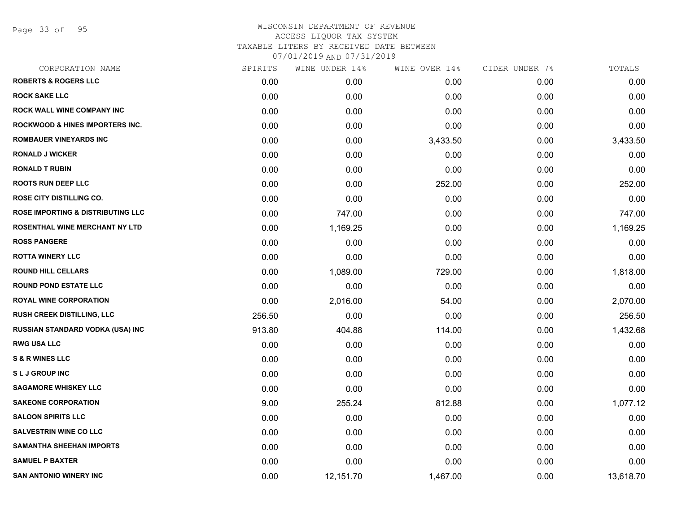Page 33 of 95

| CORPORATION NAME                             | SPIRITS | WINE UNDER 14% | WINE OVER 14% | CIDER UNDER 7% | TOTALS    |
|----------------------------------------------|---------|----------------|---------------|----------------|-----------|
| <b>ROBERTS &amp; ROGERS LLC</b>              | 0.00    | 0.00           | 0.00          | 0.00           | 0.00      |
| <b>ROCK SAKE LLC</b>                         | 0.00    | 0.00           | 0.00          | 0.00           | 0.00      |
| <b>ROCK WALL WINE COMPANY INC</b>            | 0.00    | 0.00           | 0.00          | 0.00           | 0.00      |
| <b>ROCKWOOD &amp; HINES IMPORTERS INC.</b>   | 0.00    | 0.00           | 0.00          | 0.00           | 0.00      |
| <b>ROMBAUER VINEYARDS INC</b>                | 0.00    | 0.00           | 3,433.50      | 0.00           | 3,433.50  |
| <b>RONALD J WICKER</b>                       | 0.00    | 0.00           | 0.00          | 0.00           | 0.00      |
| <b>RONALD T RUBIN</b>                        | 0.00    | 0.00           | 0.00          | 0.00           | 0.00      |
| <b>ROOTS RUN DEEP LLC</b>                    | 0.00    | 0.00           | 252.00        | 0.00           | 252.00    |
| ROSE CITY DISTILLING CO.                     | 0.00    | 0.00           | 0.00          | 0.00           | 0.00      |
| <b>ROSE IMPORTING &amp; DISTRIBUTING LLC</b> | 0.00    | 747.00         | 0.00          | 0.00           | 747.00    |
| <b>ROSENTHAL WINE MERCHANT NY LTD</b>        | 0.00    | 1,169.25       | 0.00          | 0.00           | 1,169.25  |
| <b>ROSS PANGERE</b>                          | 0.00    | 0.00           | 0.00          | 0.00           | 0.00      |
| <b>ROTTA WINERY LLC</b>                      | 0.00    | 0.00           | 0.00          | 0.00           | 0.00      |
| <b>ROUND HILL CELLARS</b>                    | 0.00    | 1,089.00       | 729.00        | 0.00           | 1,818.00  |
| <b>ROUND POND ESTATE LLC</b>                 | 0.00    | 0.00           | 0.00          | 0.00           | 0.00      |
| <b>ROYAL WINE CORPORATION</b>                | 0.00    | 2,016.00       | 54.00         | 0.00           | 2,070.00  |
| RUSH CREEK DISTILLING, LLC                   | 256.50  | 0.00           | 0.00          | 0.00           | 256.50    |
| RUSSIAN STANDARD VODKA (USA) INC             | 913.80  | 404.88         | 114.00        | 0.00           | 1,432.68  |
| <b>RWG USA LLC</b>                           | 0.00    | 0.00           | 0.00          | 0.00           | 0.00      |
| <b>S &amp; R WINES LLC</b>                   | 0.00    | 0.00           | 0.00          | 0.00           | 0.00      |
| <b>SLJ GROUP INC</b>                         | 0.00    | 0.00           | 0.00          | 0.00           | 0.00      |
| <b>SAGAMORE WHISKEY LLC</b>                  | 0.00    | 0.00           | 0.00          | 0.00           | 0.00      |
| <b>SAKEONE CORPORATION</b>                   | 9.00    | 255.24         | 812.88        | 0.00           | 1,077.12  |
| <b>SALOON SPIRITS LLC</b>                    | 0.00    | 0.00           | 0.00          | 0.00           | 0.00      |
| <b>SALVESTRIN WINE CO LLC</b>                | 0.00    | 0.00           | 0.00          | 0.00           | 0.00      |
| <b>SAMANTHA SHEEHAN IMPORTS</b>              | 0.00    | 0.00           | 0.00          | 0.00           | 0.00      |
| <b>SAMUEL P BAXTER</b>                       | 0.00    | 0.00           | 0.00          | 0.00           | 0.00      |
| <b>SAN ANTONIO WINERY INC</b>                | 0.00    | 12,151.70      | 1,467.00      | 0.00           | 13,618.70 |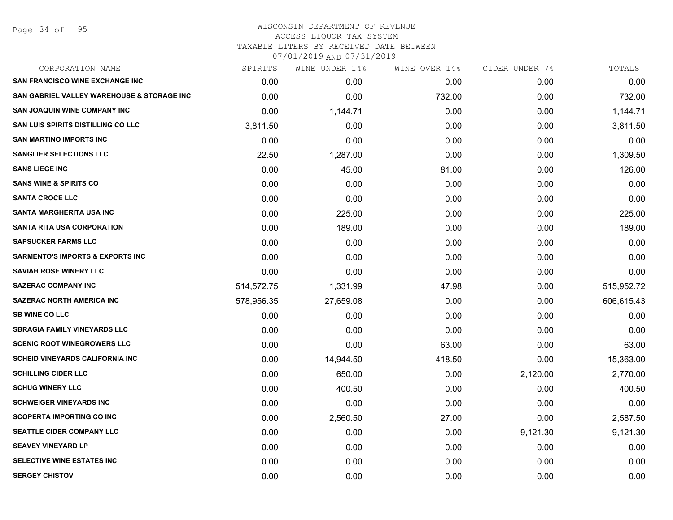#### WISCONSIN DEPARTMENT OF REVENUE ACCESS LIQUOR TAX SYSTEM TAXABLE LITERS BY RECEIVED DATE BETWEEN

| CORPORATION NAME                                      | SPIRITS    | WINE UNDER 14% | WINE OVER 14% | CIDER UNDER 7% | TOTALS     |
|-------------------------------------------------------|------------|----------------|---------------|----------------|------------|
| <b>SAN FRANCISCO WINE EXCHANGE INC</b>                | 0.00       | 0.00           | 0.00          | 0.00           | 0.00       |
| <b>SAN GABRIEL VALLEY WAREHOUSE &amp; STORAGE INC</b> | 0.00       | 0.00           | 732.00        | 0.00           | 732.00     |
| <b>SAN JOAQUIN WINE COMPANY INC</b>                   | 0.00       | 1,144.71       | 0.00          | 0.00           | 1,144.71   |
| <b>SAN LUIS SPIRITS DISTILLING CO LLC</b>             | 3,811.50   | 0.00           | 0.00          | 0.00           | 3,811.50   |
| <b>SAN MARTINO IMPORTS INC</b>                        | 0.00       | 0.00           | 0.00          | 0.00           | 0.00       |
| <b>SANGLIER SELECTIONS LLC</b>                        | 22.50      | 1,287.00       | 0.00          | 0.00           | 1,309.50   |
| <b>SANS LIEGE INC</b>                                 | 0.00       | 45.00          | 81.00         | 0.00           | 126.00     |
| <b>SANS WINE &amp; SPIRITS CO</b>                     | 0.00       | 0.00           | 0.00          | 0.00           | 0.00       |
| <b>SANTA CROCE LLC</b>                                | 0.00       | 0.00           | 0.00          | 0.00           | 0.00       |
| <b>SANTA MARGHERITA USA INC</b>                       | 0.00       | 225.00         | 0.00          | 0.00           | 225.00     |
| <b>SANTA RITA USA CORPORATION</b>                     | 0.00       | 189.00         | 0.00          | 0.00           | 189.00     |
| <b>SAPSUCKER FARMS LLC</b>                            | 0.00       | 0.00           | 0.00          | 0.00           | 0.00       |
| <b>SARMENTO'S IMPORTS &amp; EXPORTS INC</b>           | 0.00       | 0.00           | 0.00          | 0.00           | 0.00       |
| <b>SAVIAH ROSE WINERY LLC</b>                         | 0.00       | 0.00           | 0.00          | 0.00           | 0.00       |
| <b>SAZERAC COMPANY INC</b>                            | 514,572.75 | 1,331.99       | 47.98         | 0.00           | 515,952.72 |
| <b>SAZERAC NORTH AMERICA INC</b>                      | 578,956.35 | 27,659.08      | 0.00          | 0.00           | 606,615.43 |
| <b>SB WINE CO LLC</b>                                 | 0.00       | 0.00           | 0.00          | 0.00           | 0.00       |
| <b>SBRAGIA FAMILY VINEYARDS LLC</b>                   | 0.00       | 0.00           | 0.00          | 0.00           | 0.00       |
| <b>SCENIC ROOT WINEGROWERS LLC</b>                    | 0.00       | 0.00           | 63.00         | 0.00           | 63.00      |
| <b>SCHEID VINEYARDS CALIFORNIA INC</b>                | 0.00       | 14,944.50      | 418.50        | 0.00           | 15,363.00  |
| <b>SCHILLING CIDER LLC</b>                            | 0.00       | 650.00         | 0.00          | 2,120.00       | 2,770.00   |
| <b>SCHUG WINERY LLC</b>                               | 0.00       | 400.50         | 0.00          | 0.00           | 400.50     |
| <b>SCHWEIGER VINEYARDS INC</b>                        | 0.00       | 0.00           | 0.00          | 0.00           | 0.00       |
| <b>SCOPERTA IMPORTING CO INC</b>                      | 0.00       | 2,560.50       | 27.00         | 0.00           | 2,587.50   |
| <b>SEATTLE CIDER COMPANY LLC</b>                      | 0.00       | 0.00           | 0.00          | 9,121.30       | 9,121.30   |
| <b>SEAVEY VINEYARD LP</b>                             | 0.00       | 0.00           | 0.00          | 0.00           | 0.00       |
| SELECTIVE WINE ESTATES INC                            | 0.00       | 0.00           | 0.00          | 0.00           | 0.00       |
| <b>SERGEY CHISTOV</b>                                 | 0.00       | 0.00           | 0.00          | 0.00           | 0.00       |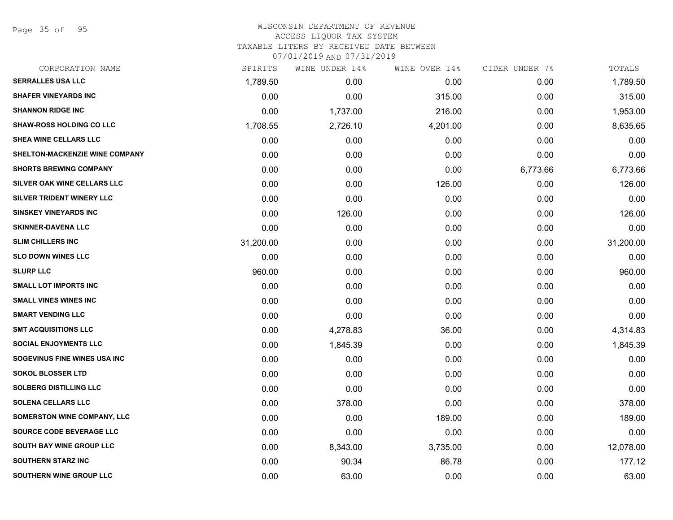Page 35 of 95

| CORPORATION NAME                | SPIRITS   | WINE UNDER 14% | WINE OVER 14% | CIDER UNDER 7% | TOTALS    |
|---------------------------------|-----------|----------------|---------------|----------------|-----------|
| <b>SERRALLES USA LLC</b>        | 1,789.50  | 0.00           | 0.00          | 0.00           | 1,789.50  |
| <b>SHAFER VINEYARDS INC</b>     | 0.00      | 0.00           | 315.00        | 0.00           | 315.00    |
| <b>SHANNON RIDGE INC</b>        | 0.00      | 1,737.00       | 216.00        | 0.00           | 1,953.00  |
| <b>SHAW-ROSS HOLDING CO LLC</b> | 1,708.55  | 2,726.10       | 4,201.00      | 0.00           | 8,635.65  |
| SHEA WINE CELLARS LLC           | 0.00      | 0.00           | 0.00          | 0.00           | 0.00      |
| SHELTON-MACKENZIE WINE COMPANY  | 0.00      | 0.00           | 0.00          | 0.00           | 0.00      |
| <b>SHORTS BREWING COMPANY</b>   | 0.00      | 0.00           | 0.00          | 6,773.66       | 6,773.66  |
| SILVER OAK WINE CELLARS LLC     | 0.00      | 0.00           | 126.00        | 0.00           | 126.00    |
| SILVER TRIDENT WINERY LLC       | 0.00      | 0.00           | 0.00          | 0.00           | 0.00      |
| <b>SINSKEY VINEYARDS INC</b>    | 0.00      | 126.00         | 0.00          | 0.00           | 126.00    |
| <b>SKINNER-DAVENA LLC</b>       | 0.00      | 0.00           | 0.00          | 0.00           | 0.00      |
| <b>SLIM CHILLERS INC</b>        | 31,200.00 | 0.00           | 0.00          | 0.00           | 31,200.00 |
| <b>SLO DOWN WINES LLC</b>       | 0.00      | 0.00           | 0.00          | 0.00           | 0.00      |
| <b>SLURP LLC</b>                | 960.00    | 0.00           | 0.00          | 0.00           | 960.00    |
| <b>SMALL LOT IMPORTS INC</b>    | 0.00      | 0.00           | 0.00          | 0.00           | 0.00      |
| <b>SMALL VINES WINES INC</b>    | 0.00      | 0.00           | 0.00          | 0.00           | 0.00      |
| <b>SMART VENDING LLC</b>        | 0.00      | 0.00           | 0.00          | 0.00           | 0.00      |
| <b>SMT ACQUISITIONS LLC</b>     | 0.00      | 4,278.83       | 36.00         | 0.00           | 4,314.83  |
| <b>SOCIAL ENJOYMENTS LLC</b>    | 0.00      | 1,845.39       | 0.00          | 0.00           | 1,845.39  |
| SOGEVINUS FINE WINES USA INC    | 0.00      | 0.00           | 0.00          | 0.00           | 0.00      |
| <b>SOKOL BLOSSER LTD</b>        | 0.00      | 0.00           | 0.00          | 0.00           | 0.00      |
| <b>SOLBERG DISTILLING LLC</b>   | 0.00      | 0.00           | 0.00          | 0.00           | 0.00      |
| <b>SOLENA CELLARS LLC</b>       | 0.00      | 378.00         | 0.00          | 0.00           | 378.00    |
| SOMERSTON WINE COMPANY, LLC     | 0.00      | 0.00           | 189.00        | 0.00           | 189.00    |
| SOURCE CODE BEVERAGE LLC        | 0.00      | 0.00           | 0.00          | 0.00           | 0.00      |
| SOUTH BAY WINE GROUP LLC        | 0.00      | 8,343.00       | 3,735.00      | 0.00           | 12,078.00 |
| <b>SOUTHERN STARZ INC</b>       | 0.00      | 90.34          | 86.78         | 0.00           | 177.12    |
| SOUTHERN WINE GROUP LLC         | 0.00      | 63.00          | 0.00          | 0.00           | 63.00     |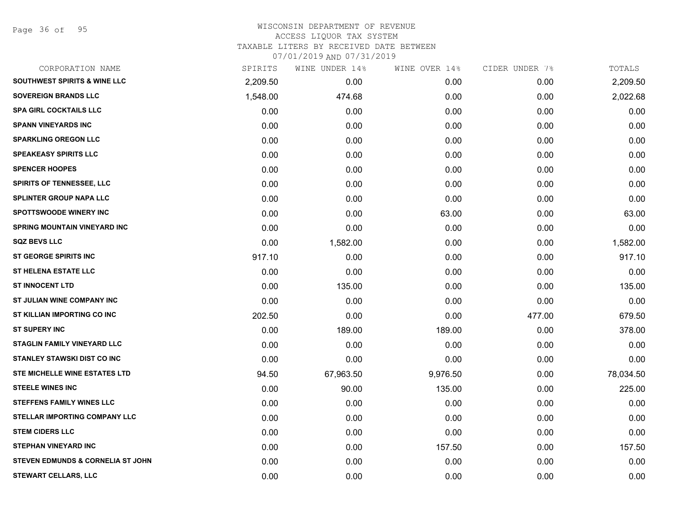Page 36 of 95

#### WISCONSIN DEPARTMENT OF REVENUE ACCESS LIQUOR TAX SYSTEM

TAXABLE LITERS BY RECEIVED DATE BETWEEN

| CORPORATION NAME                        | SPIRITS  | WINE UNDER 14% | WINE OVER 14% | CIDER UNDER 7% | TOTALS    |
|-----------------------------------------|----------|----------------|---------------|----------------|-----------|
| <b>SOUTHWEST SPIRITS &amp; WINE LLC</b> | 2,209.50 | 0.00           | 0.00          | 0.00           | 2,209.50  |
| <b>SOVEREIGN BRANDS LLC</b>             | 1,548.00 | 474.68         | 0.00          | 0.00           | 2,022.68  |
| <b>SPA GIRL COCKTAILS LLC</b>           | 0.00     | 0.00           | 0.00          | 0.00           | 0.00      |
| <b>SPANN VINEYARDS INC</b>              | 0.00     | 0.00           | 0.00          | 0.00           | 0.00      |
| <b>SPARKLING OREGON LLC</b>             | 0.00     | 0.00           | 0.00          | 0.00           | 0.00      |
| <b>SPEAKEASY SPIRITS LLC</b>            | 0.00     | 0.00           | 0.00          | 0.00           | 0.00      |
| <b>SPENCER HOOPES</b>                   | 0.00     | 0.00           | 0.00          | 0.00           | 0.00      |
| <b>SPIRITS OF TENNESSEE, LLC</b>        | 0.00     | 0.00           | 0.00          | 0.00           | 0.00      |
| <b>SPLINTER GROUP NAPA LLC</b>          | 0.00     | 0.00           | 0.00          | 0.00           | 0.00      |
| <b>SPOTTSWOODE WINERY INC</b>           | 0.00     | 0.00           | 63.00         | 0.00           | 63.00     |
| <b>SPRING MOUNTAIN VINEYARD INC</b>     | 0.00     | 0.00           | 0.00          | 0.00           | 0.00      |
| <b>SQZ BEVS LLC</b>                     | 0.00     | 1,582.00       | 0.00          | 0.00           | 1,582.00  |
| <b>ST GEORGE SPIRITS INC</b>            | 917.10   | 0.00           | 0.00          | 0.00           | 917.10    |
| <b>ST HELENA ESTATE LLC</b>             | 0.00     | 0.00           | 0.00          | 0.00           | 0.00      |
| <b>ST INNOCENT LTD</b>                  | 0.00     | 135.00         | 0.00          | 0.00           | 135.00    |
| ST JULIAN WINE COMPANY INC              | 0.00     | 0.00           | 0.00          | 0.00           | 0.00      |
| ST KILLIAN IMPORTING CO INC             | 202.50   | 0.00           | 0.00          | 477.00         | 679.50    |
| <b>ST SUPERY INC</b>                    | 0.00     | 189.00         | 189.00        | 0.00           | 378.00    |
| STAGLIN FAMILY VINEYARD LLC             | 0.00     | 0.00           | 0.00          | 0.00           | 0.00      |
| <b>STANLEY STAWSKI DIST CO INC</b>      | 0.00     | 0.00           | 0.00          | 0.00           | 0.00      |
| <b>STE MICHELLE WINE ESTATES LTD</b>    | 94.50    | 67,963.50      | 9,976.50      | 0.00           | 78,034.50 |
| <b>STEELE WINES INC</b>                 | 0.00     | 90.00          | 135.00        | 0.00           | 225.00    |
| <b>STEFFENS FAMILY WINES LLC</b>        | 0.00     | 0.00           | 0.00          | 0.00           | 0.00      |
| <b>STELLAR IMPORTING COMPANY LLC</b>    | 0.00     | 0.00           | 0.00          | 0.00           | 0.00      |
| <b>STEM CIDERS LLC</b>                  | 0.00     | 0.00           | 0.00          | 0.00           | 0.00      |
| <b>STEPHAN VINEYARD INC</b>             | 0.00     | 0.00           | 157.50        | 0.00           | 157.50    |
| STEVEN EDMUNDS & CORNELIA ST JOHN       | 0.00     | 0.00           | 0.00          | 0.00           | 0.00      |
| STEWART CELLARS, LLC                    | 0.00     | 0.00           | 0.00          | 0.00           | 0.00      |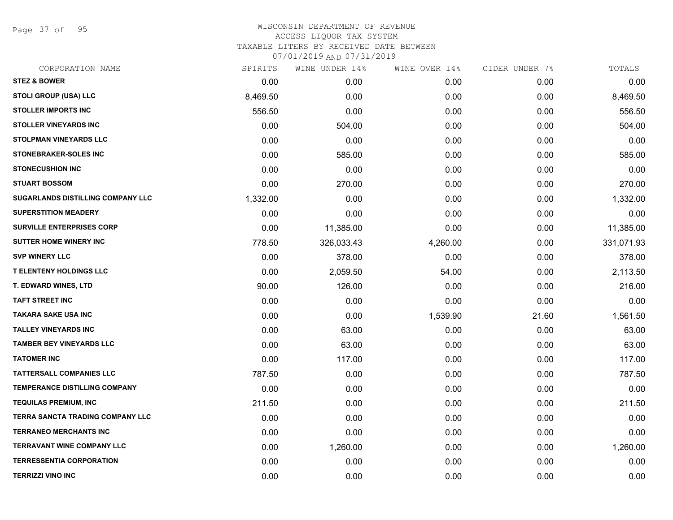Page 37 of 95

## WISCONSIN DEPARTMENT OF REVENUE ACCESS LIQUOR TAX SYSTEM TAXABLE LITERS BY RECEIVED DATE BETWEEN

| CORPORATION NAME                         | SPIRITS  | WINE UNDER 14% | WINE OVER 14% | CIDER UNDER 7% | TOTALS     |
|------------------------------------------|----------|----------------|---------------|----------------|------------|
| <b>STEZ &amp; BOWER</b>                  | 0.00     | 0.00           | 0.00          | 0.00           | 0.00       |
| STOLI GROUP (USA) LLC                    | 8,469.50 | 0.00           | 0.00          | 0.00           | 8,469.50   |
| <b>STOLLER IMPORTS INC</b>               | 556.50   | 0.00           | 0.00          | 0.00           | 556.50     |
| <b>STOLLER VINEYARDS INC</b>             | 0.00     | 504.00         | 0.00          | 0.00           | 504.00     |
| STOLPMAN VINEYARDS LLC                   | 0.00     | 0.00           | 0.00          | 0.00           | 0.00       |
| STONEBRAKER-SOLES INC                    | 0.00     | 585.00         | 0.00          | 0.00           | 585.00     |
| <b>STONECUSHION INC</b>                  | 0.00     | 0.00           | 0.00          | 0.00           | 0.00       |
| <b>STUART BOSSOM</b>                     | 0.00     | 270.00         | 0.00          | 0.00           | 270.00     |
| <b>SUGARLANDS DISTILLING COMPANY LLC</b> | 1,332.00 | 0.00           | 0.00          | 0.00           | 1,332.00   |
| <b>SUPERSTITION MEADERY</b>              | 0.00     | 0.00           | 0.00          | 0.00           | 0.00       |
| <b>SURVILLE ENTERPRISES CORP</b>         | 0.00     | 11,385.00      | 0.00          | 0.00           | 11,385.00  |
| <b>SUTTER HOME WINERY INC</b>            | 778.50   | 326,033.43     | 4,260.00      | 0.00           | 331,071.93 |
| <b>SVP WINERY LLC</b>                    | 0.00     | 378.00         | 0.00          | 0.00           | 378.00     |
| <b>T ELENTENY HOLDINGS LLC</b>           | 0.00     | 2,059.50       | 54.00         | 0.00           | 2,113.50   |
| T. EDWARD WINES, LTD                     | 90.00    | 126.00         | 0.00          | 0.00           | 216.00     |
| <b>TAFT STREET INC</b>                   | 0.00     | 0.00           | 0.00          | 0.00           | 0.00       |
| <b>TAKARA SAKE USA INC</b>               | 0.00     | 0.00           | 1,539.90      | 21.60          | 1,561.50   |
| <b>TALLEY VINEYARDS INC</b>              | 0.00     | 63.00          | 0.00          | 0.00           | 63.00      |
| <b>TAMBER BEY VINEYARDS LLC</b>          | 0.00     | 63.00          | 0.00          | 0.00           | 63.00      |
| <b>TATOMER INC</b>                       | 0.00     | 117.00         | 0.00          | 0.00           | 117.00     |
| <b>TATTERSALL COMPANIES LLC</b>          | 787.50   | 0.00           | 0.00          | 0.00           | 787.50     |
| <b>TEMPERANCE DISTILLING COMPANY</b>     | 0.00     | 0.00           | 0.00          | 0.00           | 0.00       |
| <b>TEQUILAS PREMIUM, INC</b>             | 211.50   | 0.00           | 0.00          | 0.00           | 211.50     |
| <b>TERRA SANCTA TRADING COMPANY LLC</b>  | 0.00     | 0.00           | 0.00          | 0.00           | 0.00       |
| <b>TERRANEO MERCHANTS INC</b>            | 0.00     | 0.00           | 0.00          | 0.00           | 0.00       |
| <b>TERRAVANT WINE COMPANY LLC</b>        | 0.00     | 1,260.00       | 0.00          | 0.00           | 1,260.00   |
| <b>TERRESSENTIA CORPORATION</b>          | 0.00     | 0.00           | 0.00          | 0.00           | 0.00       |
| <b>TERRIZZI VINO INC</b>                 | 0.00     | 0.00           | 0.00          | 0.00           | 0.00       |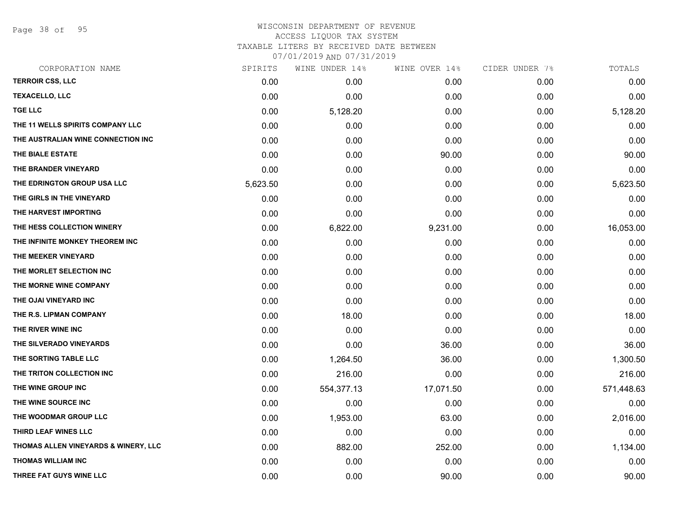Page 38 of 95

#### WISCONSIN DEPARTMENT OF REVENUE ACCESS LIQUOR TAX SYSTEM TAXABLE LITERS BY RECEIVED DATE BETWEEN

| CORPORATION NAME                     | SPIRITS  | WINE UNDER 14% | WINE OVER 14% | CIDER UNDER 7% | TOTALS     |
|--------------------------------------|----------|----------------|---------------|----------------|------------|
| <b>TERROIR CSS, LLC</b>              | 0.00     | 0.00           | 0.00          | 0.00           | 0.00       |
| <b>TEXACELLO, LLC</b>                | 0.00     | 0.00           | 0.00          | 0.00           | 0.00       |
| <b>TGE LLC</b>                       | 0.00     | 5,128.20       | 0.00          | 0.00           | 5,128.20   |
| THE 11 WELLS SPIRITS COMPANY LLC     | 0.00     | 0.00           | 0.00          | 0.00           | 0.00       |
| THE AUSTRALIAN WINE CONNECTION INC   | 0.00     | 0.00           | 0.00          | 0.00           | 0.00       |
| THE BIALE ESTATE                     | 0.00     | 0.00           | 90.00         | 0.00           | 90.00      |
| THE BRANDER VINEYARD                 | 0.00     | 0.00           | 0.00          | 0.00           | 0.00       |
| THE EDRINGTON GROUP USA LLC          | 5,623.50 | 0.00           | 0.00          | 0.00           | 5,623.50   |
| THE GIRLS IN THE VINEYARD            | 0.00     | 0.00           | 0.00          | 0.00           | 0.00       |
| THE HARVEST IMPORTING                | 0.00     | 0.00           | 0.00          | 0.00           | 0.00       |
| THE HESS COLLECTION WINERY           | 0.00     | 6,822.00       | 9,231.00      | 0.00           | 16,053.00  |
| THE INFINITE MONKEY THEOREM INC      | 0.00     | 0.00           | 0.00          | 0.00           | 0.00       |
| THE MEEKER VINEYARD                  | 0.00     | 0.00           | 0.00          | 0.00           | 0.00       |
| THE MORLET SELECTION INC             | 0.00     | 0.00           | 0.00          | 0.00           | 0.00       |
| THE MORNE WINE COMPANY               | 0.00     | 0.00           | 0.00          | 0.00           | 0.00       |
| THE OJAI VINEYARD INC                | 0.00     | 0.00           | 0.00          | 0.00           | 0.00       |
| THE R.S. LIPMAN COMPANY              | 0.00     | 18.00          | 0.00          | 0.00           | 18.00      |
| THE RIVER WINE INC                   | 0.00     | 0.00           | 0.00          | 0.00           | 0.00       |
| THE SILVERADO VINEYARDS              | 0.00     | 0.00           | 36.00         | 0.00           | 36.00      |
| THE SORTING TABLE LLC                | 0.00     | 1,264.50       | 36.00         | 0.00           | 1,300.50   |
| THE TRITON COLLECTION INC            | 0.00     | 216.00         | 0.00          | 0.00           | 216.00     |
| THE WINE GROUP INC                   | 0.00     | 554,377.13     | 17,071.50     | 0.00           | 571,448.63 |
| THE WINE SOURCE INC                  | 0.00     | 0.00           | 0.00          | 0.00           | 0.00       |
| THE WOODMAR GROUP LLC                | 0.00     | 1,953.00       | 63.00         | 0.00           | 2,016.00   |
| THIRD LEAF WINES LLC                 | 0.00     | 0.00           | 0.00          | 0.00           | 0.00       |
| THOMAS ALLEN VINEYARDS & WINERY, LLC | 0.00     | 882.00         | 252.00        | 0.00           | 1,134.00   |
| <b>THOMAS WILLIAM INC</b>            | 0.00     | 0.00           | 0.00          | 0.00           | 0.00       |
| THREE FAT GUYS WINE LLC              | 0.00     | 0.00           | 90.00         | 0.00           | 90.00      |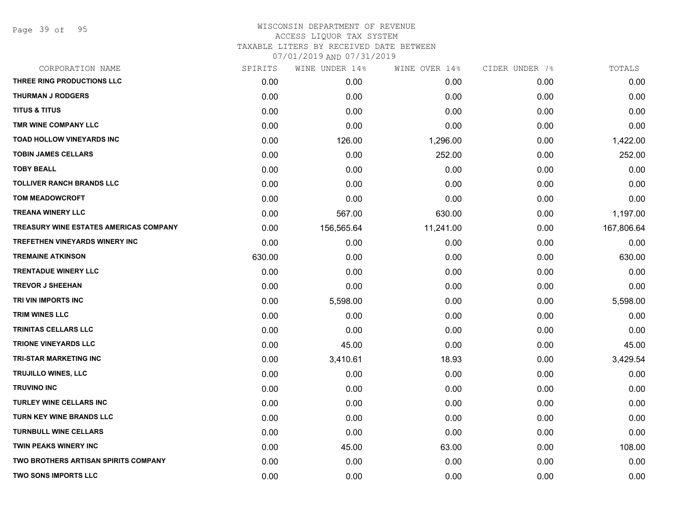Page 39 of 95

| SPIRITS | WINE UNDER 14% | WINE OVER 14% | CIDER UNDER 7% | TOTALS     |
|---------|----------------|---------------|----------------|------------|
| 0.00    | 0.00           | 0.00          | 0.00           | 0.00       |
| 0.00    | 0.00           | 0.00          | 0.00           | 0.00       |
| 0.00    | 0.00           | 0.00          | 0.00           | 0.00       |
| 0.00    | 0.00           | 0.00          | 0.00           | 0.00       |
| 0.00    | 126.00         | 1,296.00      | 0.00           | 1,422.00   |
| 0.00    | 0.00           | 252.00        | 0.00           | 252.00     |
| 0.00    | 0.00           | 0.00          | 0.00           | 0.00       |
| 0.00    | 0.00           | 0.00          | 0.00           | 0.00       |
| 0.00    | 0.00           | 0.00          | 0.00           | 0.00       |
| 0.00    | 567.00         | 630.00        | 0.00           | 1,197.00   |
| 0.00    | 156,565.64     | 11,241.00     | 0.00           | 167,806.64 |
| 0.00    | 0.00           | 0.00          | 0.00           | 0.00       |
| 630.00  | 0.00           | 0.00          | 0.00           | 630.00     |
| 0.00    | 0.00           | 0.00          | 0.00           | 0.00       |
| 0.00    | 0.00           | 0.00          | 0.00           | 0.00       |
| 0.00    | 5,598.00       | 0.00          | 0.00           | 5,598.00   |
| 0.00    | 0.00           | 0.00          | 0.00           | 0.00       |
| 0.00    | 0.00           | 0.00          | 0.00           | 0.00       |
| 0.00    | 45.00          | 0.00          | 0.00           | 45.00      |
| 0.00    | 3,410.61       | 18.93         | 0.00           | 3,429.54   |
| 0.00    | 0.00           | 0.00          | 0.00           | 0.00       |
| 0.00    | 0.00           | 0.00          | 0.00           | 0.00       |
| 0.00    | 0.00           | 0.00          | 0.00           | 0.00       |
| 0.00    | 0.00           | 0.00          | 0.00           | 0.00       |
| 0.00    | 0.00           | 0.00          | 0.00           | 0.00       |
| 0.00    | 45.00          | 63.00         | 0.00           | 108.00     |
| 0.00    | 0.00           | 0.00          | 0.00           | 0.00       |
| 0.00    | 0.00           | 0.00          | 0.00           | 0.00       |
|         |                |               |                |            |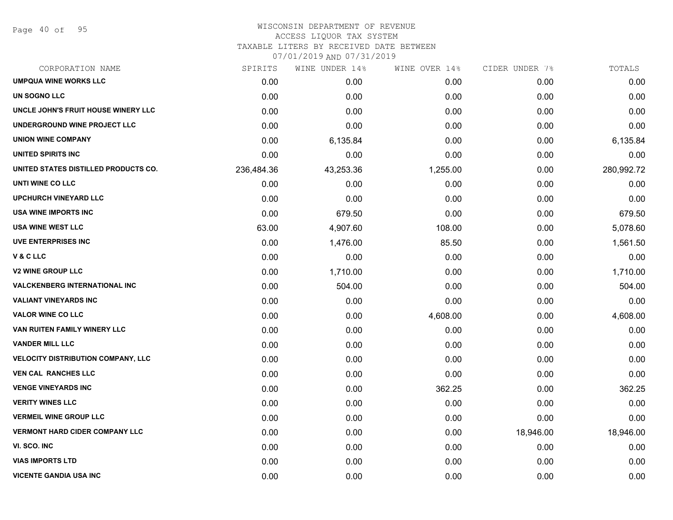Page 40 of 95

#### WISCONSIN DEPARTMENT OF REVENUE ACCESS LIQUOR TAX SYSTEM TAXABLE LITERS BY RECEIVED DATE BETWEEN

| CORPORATION NAME                          | SPIRITS    | WINE UNDER 14% | WINE OVER 14% | CIDER UNDER 7% | TOTALS     |
|-------------------------------------------|------------|----------------|---------------|----------------|------------|
| <b>UMPQUA WINE WORKS LLC</b>              | 0.00       | 0.00           | 0.00          | 0.00           | 0.00       |
| UN SOGNO LLC                              | 0.00       | 0.00           | 0.00          | 0.00           | 0.00       |
| UNCLE JOHN'S FRUIT HOUSE WINERY LLC       | 0.00       | 0.00           | 0.00          | 0.00           | 0.00       |
| UNDERGROUND WINE PROJECT LLC              | 0.00       | 0.00           | 0.00          | 0.00           | 0.00       |
| <b>UNION WINE COMPANY</b>                 | 0.00       | 6,135.84       | 0.00          | 0.00           | 6,135.84   |
| <b>UNITED SPIRITS INC</b>                 | 0.00       | 0.00           | 0.00          | 0.00           | 0.00       |
| UNITED STATES DISTILLED PRODUCTS CO.      | 236,484.36 | 43,253.36      | 1,255.00      | 0.00           | 280,992.72 |
| UNTI WINE CO LLC                          | 0.00       | 0.00           | 0.00          | 0.00           | 0.00       |
| <b>UPCHURCH VINEYARD LLC</b>              | 0.00       | 0.00           | 0.00          | 0.00           | 0.00       |
| <b>USA WINE IMPORTS INC</b>               | 0.00       | 679.50         | 0.00          | 0.00           | 679.50     |
| <b>USA WINE WEST LLC</b>                  | 63.00      | 4,907.60       | 108.00        | 0.00           | 5,078.60   |
| <b>UVE ENTERPRISES INC</b>                | 0.00       | 1,476.00       | 85.50         | 0.00           | 1,561.50   |
| V&CLLC                                    | 0.00       | 0.00           | 0.00          | 0.00           | 0.00       |
| <b>V2 WINE GROUP LLC</b>                  | 0.00       | 1,710.00       | 0.00          | 0.00           | 1,710.00   |
| <b>VALCKENBERG INTERNATIONAL INC</b>      | 0.00       | 504.00         | 0.00          | 0.00           | 504.00     |
| <b>VALIANT VINEYARDS INC</b>              | 0.00       | 0.00           | 0.00          | 0.00           | 0.00       |
| <b>VALOR WINE CO LLC</b>                  | 0.00       | 0.00           | 4,608.00      | 0.00           | 4,608.00   |
| VAN RUITEN FAMILY WINERY LLC              | 0.00       | 0.00           | 0.00          | 0.00           | 0.00       |
| <b>VANDER MILL LLC</b>                    | 0.00       | 0.00           | 0.00          | 0.00           | 0.00       |
| <b>VELOCITY DISTRIBUTION COMPANY, LLC</b> | 0.00       | 0.00           | 0.00          | 0.00           | 0.00       |
| <b>VEN CAL RANCHES LLC</b>                | 0.00       | 0.00           | 0.00          | 0.00           | 0.00       |
| <b>VENGE VINEYARDS INC</b>                | 0.00       | 0.00           | 362.25        | 0.00           | 362.25     |
| <b>VERITY WINES LLC</b>                   | 0.00       | 0.00           | 0.00          | 0.00           | 0.00       |
| <b>VERMEIL WINE GROUP LLC</b>             | 0.00       | 0.00           | 0.00          | 0.00           | 0.00       |
| <b>VERMONT HARD CIDER COMPANY LLC</b>     | 0.00       | 0.00           | 0.00          | 18,946.00      | 18,946.00  |
| VI. SCO. INC                              | 0.00       | 0.00           | 0.00          | 0.00           | 0.00       |
| <b>VIAS IMPORTS LTD</b>                   | 0.00       | 0.00           | 0.00          | 0.00           | 0.00       |
| <b>VICENTE GANDIA USA INC</b>             | 0.00       | 0.00           | 0.00          | 0.00           | 0.00       |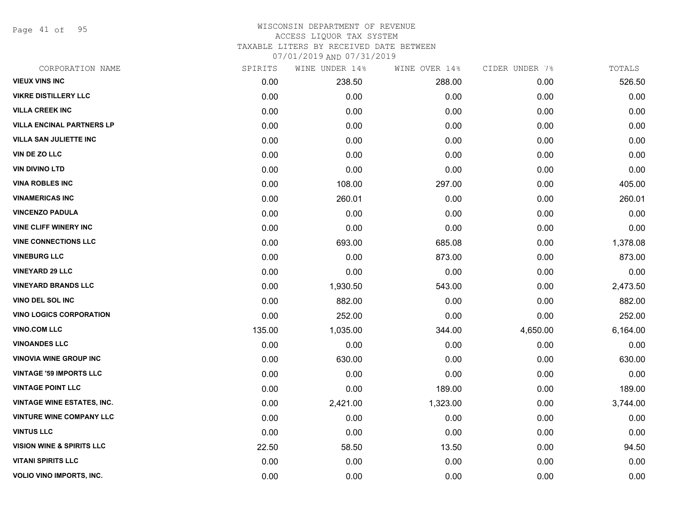Page 41 of 95

#### WISCONSIN DEPARTMENT OF REVENUE ACCESS LIQUOR TAX SYSTEM TAXABLE LITERS BY RECEIVED DATE BETWEEN

| CORPORATION NAME                     | SPIRITS | WINE UNDER 14% | WINE OVER 14% | CIDER UNDER 7% | TOTALS   |
|--------------------------------------|---------|----------------|---------------|----------------|----------|
| <b>VIEUX VINS INC</b>                | 0.00    | 238.50         | 288.00        | 0.00           | 526.50   |
| <b>VIKRE DISTILLERY LLC</b>          | 0.00    | 0.00           | 0.00          | 0.00           | 0.00     |
| <b>VILLA CREEK INC</b>               | 0.00    | 0.00           | 0.00          | 0.00           | 0.00     |
| <b>VILLA ENCINAL PARTNERS LP</b>     | 0.00    | 0.00           | 0.00          | 0.00           | 0.00     |
| <b>VILLA SAN JULIETTE INC</b>        | 0.00    | 0.00           | 0.00          | 0.00           | 0.00     |
| <b>VIN DE ZO LLC</b>                 | 0.00    | 0.00           | 0.00          | 0.00           | 0.00     |
| <b>VIN DIVINO LTD</b>                | 0.00    | 0.00           | 0.00          | 0.00           | 0.00     |
| <b>VINA ROBLES INC</b>               | 0.00    | 108.00         | 297.00        | 0.00           | 405.00   |
| <b>VINAMERICAS INC</b>               | 0.00    | 260.01         | 0.00          | 0.00           | 260.01   |
| <b>VINCENZO PADULA</b>               | 0.00    | 0.00           | 0.00          | 0.00           | 0.00     |
| <b>VINE CLIFF WINERY INC</b>         | 0.00    | 0.00           | 0.00          | 0.00           | 0.00     |
| <b>VINE CONNECTIONS LLC</b>          | 0.00    | 693.00         | 685.08        | 0.00           | 1,378.08 |
| <b>VINEBURG LLC</b>                  | 0.00    | 0.00           | 873.00        | 0.00           | 873.00   |
| <b>VINEYARD 29 LLC</b>               | 0.00    | 0.00           | 0.00          | 0.00           | 0.00     |
| <b>VINEYARD BRANDS LLC</b>           | 0.00    | 1,930.50       | 543.00        | 0.00           | 2,473.50 |
| <b>VINO DEL SOL INC</b>              | 0.00    | 882.00         | 0.00          | 0.00           | 882.00   |
| <b>VINO LOGICS CORPORATION</b>       | 0.00    | 252.00         | 0.00          | 0.00           | 252.00   |
| <b>VINO.COM LLC</b>                  | 135.00  | 1,035.00       | 344.00        | 4,650.00       | 6,164.00 |
| <b>VINOANDES LLC</b>                 | 0.00    | 0.00           | 0.00          | 0.00           | 0.00     |
| <b>VINOVIA WINE GROUP INC</b>        | 0.00    | 630.00         | 0.00          | 0.00           | 630.00   |
| <b>VINTAGE '59 IMPORTS LLC</b>       | 0.00    | 0.00           | 0.00          | 0.00           | 0.00     |
| <b>VINTAGE POINT LLC</b>             | 0.00    | 0.00           | 189.00        | 0.00           | 189.00   |
| <b>VINTAGE WINE ESTATES, INC.</b>    | 0.00    | 2,421.00       | 1,323.00      | 0.00           | 3,744.00 |
| <b>VINTURE WINE COMPANY LLC</b>      | 0.00    | 0.00           | 0.00          | 0.00           | 0.00     |
| <b>VINTUS LLC</b>                    | 0.00    | 0.00           | 0.00          | 0.00           | 0.00     |
| <b>VISION WINE &amp; SPIRITS LLC</b> | 22.50   | 58.50          | 13.50         | 0.00           | 94.50    |
| <b>VITANI SPIRITS LLC</b>            | 0.00    | 0.00           | 0.00          | 0.00           | 0.00     |
| VOLIO VINO IMPORTS, INC.             | 0.00    | 0.00           | 0.00          | 0.00           | 0.00     |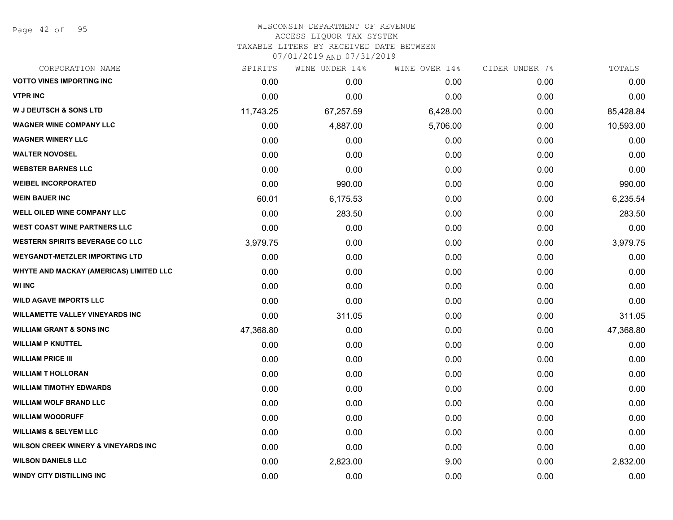Page 42 of 95

| CORPORATION NAME                               | SPIRITS   | WINE UNDER 14% | WINE OVER 14% | CIDER UNDER 7% | TOTALS    |
|------------------------------------------------|-----------|----------------|---------------|----------------|-----------|
| <b>VOTTO VINES IMPORTING INC</b>               | 0.00      | 0.00           | 0.00          | 0.00           | 0.00      |
| <b>VTPR INC</b>                                | 0.00      | 0.00           | 0.00          | 0.00           | 0.00      |
| <b>W J DEUTSCH &amp; SONS LTD</b>              | 11,743.25 | 67,257.59      | 6,428.00      | 0.00           | 85,428.84 |
| <b>WAGNER WINE COMPANY LLC</b>                 | 0.00      | 4,887.00       | 5,706.00      | 0.00           | 10,593.00 |
| <b>WAGNER WINERY LLC</b>                       | 0.00      | 0.00           | 0.00          | 0.00           | 0.00      |
| <b>WALTER NOVOSEL</b>                          | 0.00      | 0.00           | 0.00          | 0.00           | 0.00      |
| <b>WEBSTER BARNES LLC</b>                      | 0.00      | 0.00           | 0.00          | 0.00           | 0.00      |
| <b>WEIBEL INCORPORATED</b>                     | 0.00      | 990.00         | 0.00          | 0.00           | 990.00    |
| <b>WEIN BAUER INC</b>                          | 60.01     | 6,175.53       | 0.00          | 0.00           | 6,235.54  |
| <b>WELL OILED WINE COMPANY LLC</b>             | 0.00      | 283.50         | 0.00          | 0.00           | 283.50    |
| <b>WEST COAST WINE PARTNERS LLC</b>            | 0.00      | 0.00           | 0.00          | 0.00           | 0.00      |
| <b>WESTERN SPIRITS BEVERAGE CO LLC</b>         | 3,979.75  | 0.00           | 0.00          | 0.00           | 3,979.75  |
| <b>WEYGANDT-METZLER IMPORTING LTD</b>          | 0.00      | 0.00           | 0.00          | 0.00           | 0.00      |
| WHYTE AND MACKAY (AMERICAS) LIMITED LLC        | 0.00      | 0.00           | 0.00          | 0.00           | 0.00      |
| <b>WI INC</b>                                  | 0.00      | 0.00           | 0.00          | 0.00           | 0.00      |
| <b>WILD AGAVE IMPORTS LLC</b>                  | 0.00      | 0.00           | 0.00          | 0.00           | 0.00      |
| <b>WILLAMETTE VALLEY VINEYARDS INC</b>         | 0.00      | 311.05         | 0.00          | 0.00           | 311.05    |
| <b>WILLIAM GRANT &amp; SONS INC</b>            | 47,368.80 | 0.00           | 0.00          | 0.00           | 47,368.80 |
| <b>WILLIAM P KNUTTEL</b>                       | 0.00      | 0.00           | 0.00          | 0.00           | 0.00      |
| <b>WILLIAM PRICE III</b>                       | 0.00      | 0.00           | 0.00          | 0.00           | 0.00      |
| <b>WILLIAM T HOLLORAN</b>                      | 0.00      | 0.00           | 0.00          | 0.00           | 0.00      |
| <b>WILLIAM TIMOTHY EDWARDS</b>                 | 0.00      | 0.00           | 0.00          | 0.00           | 0.00      |
| <b>WILLIAM WOLF BRAND LLC</b>                  | 0.00      | 0.00           | 0.00          | 0.00           | 0.00      |
| <b>WILLIAM WOODRUFF</b>                        | 0.00      | 0.00           | 0.00          | 0.00           | 0.00      |
| <b>WILLIAMS &amp; SELYEM LLC</b>               | 0.00      | 0.00           | 0.00          | 0.00           | 0.00      |
| <b>WILSON CREEK WINERY &amp; VINEYARDS INC</b> | 0.00      | 0.00           | 0.00          | 0.00           | 0.00      |
| <b>WILSON DANIELS LLC</b>                      | 0.00      | 2,823.00       | 9.00          | 0.00           | 2,832.00  |
| <b>WINDY CITY DISTILLING INC</b>               | 0.00      | 0.00           | 0.00          | 0.00           | 0.00      |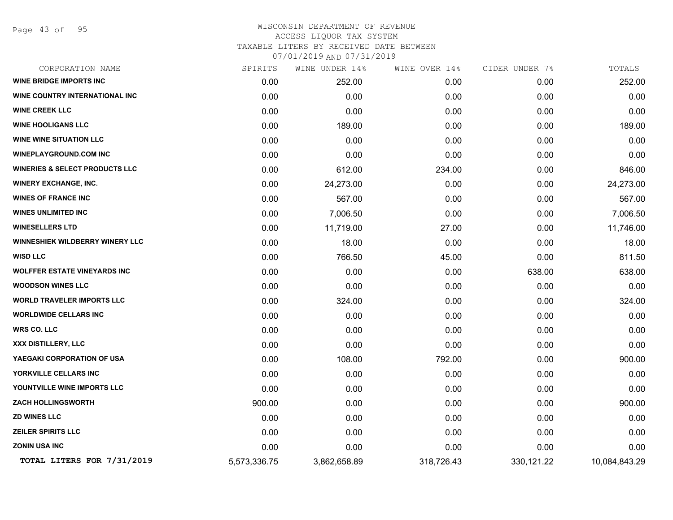Page 43 of 95

## WISCONSIN DEPARTMENT OF REVENUE ACCESS LIQUOR TAX SYSTEM TAXABLE LITERS BY RECEIVED DATE BETWEEN

| CORPORATION NAME                          | SPIRITS      | WINE UNDER 14% | WINE OVER 14% | CIDER UNDER 7% | TOTALS        |
|-------------------------------------------|--------------|----------------|---------------|----------------|---------------|
| <b>WINE BRIDGE IMPORTS INC</b>            | 0.00         | 252.00         | 0.00          | 0.00           | 252.00        |
| WINE COUNTRY INTERNATIONAL INC            | 0.00         | 0.00           | 0.00          | 0.00           | 0.00          |
| <b>WINE CREEK LLC</b>                     | 0.00         | 0.00           | 0.00          | 0.00           | 0.00          |
| <b>WINE HOOLIGANS LLC</b>                 | 0.00         | 189.00         | 0.00          | 0.00           | 189.00        |
| <b>WINE WINE SITUATION LLC</b>            | 0.00         | 0.00           | 0.00          | 0.00           | 0.00          |
| <b>WINEPLAYGROUND.COM INC</b>             | 0.00         | 0.00           | 0.00          | 0.00           | 0.00          |
| <b>WINERIES &amp; SELECT PRODUCTS LLC</b> | 0.00         | 612.00         | 234.00        | 0.00           | 846.00        |
| <b>WINERY EXCHANGE, INC.</b>              | 0.00         | 24,273.00      | 0.00          | 0.00           | 24,273.00     |
| <b>WINES OF FRANCE INC</b>                | 0.00         | 567.00         | 0.00          | 0.00           | 567.00        |
| <b>WINES UNLIMITED INC</b>                | 0.00         | 7,006.50       | 0.00          | 0.00           | 7,006.50      |
| <b>WINESELLERS LTD</b>                    | 0.00         | 11,719.00      | 27.00         | 0.00           | 11,746.00     |
| <b>WINNESHIEK WILDBERRY WINERY LLC</b>    | 0.00         | 18.00          | 0.00          | 0.00           | 18.00         |
| <b>WISD LLC</b>                           | 0.00         | 766.50         | 45.00         | 0.00           | 811.50        |
| <b>WOLFFER ESTATE VINEYARDS INC</b>       | 0.00         | 0.00           | 0.00          | 638.00         | 638.00        |
| <b>WOODSON WINES LLC</b>                  | 0.00         | 0.00           | 0.00          | 0.00           | 0.00          |
| <b>WORLD TRAVELER IMPORTS LLC</b>         | 0.00         | 324.00         | 0.00          | 0.00           | 324.00        |
| <b>WORLDWIDE CELLARS INC</b>              | 0.00         | 0.00           | 0.00          | 0.00           | 0.00          |
| <b>WRS CO. LLC</b>                        | 0.00         | 0.00           | 0.00          | 0.00           | 0.00          |
| XXX DISTILLERY, LLC                       | 0.00         | 0.00           | 0.00          | 0.00           | 0.00          |
| YAEGAKI CORPORATION OF USA                | 0.00         | 108.00         | 792.00        | 0.00           | 900.00        |
| YORKVILLE CELLARS INC                     | 0.00         | 0.00           | 0.00          | 0.00           | 0.00          |
| YOUNTVILLE WINE IMPORTS LLC               | 0.00         | 0.00           | 0.00          | 0.00           | 0.00          |
| <b>ZACH HOLLINGSWORTH</b>                 | 900.00       | 0.00           | 0.00          | 0.00           | 900.00        |
| <b>ZD WINES LLC</b>                       | 0.00         | 0.00           | 0.00          | 0.00           | 0.00          |
| <b>ZEILER SPIRITS LLC</b>                 | 0.00         | 0.00           | 0.00          | 0.00           | 0.00          |
| <b>ZONIN USA INC</b>                      | 0.00         | 0.00           | 0.00          | 0.00           | 0.00          |
| TOTAL LITERS FOR 7/31/2019                | 5,573,336.75 | 3,862,658.89   | 318,726.43    | 330,121.22     | 10,084,843.29 |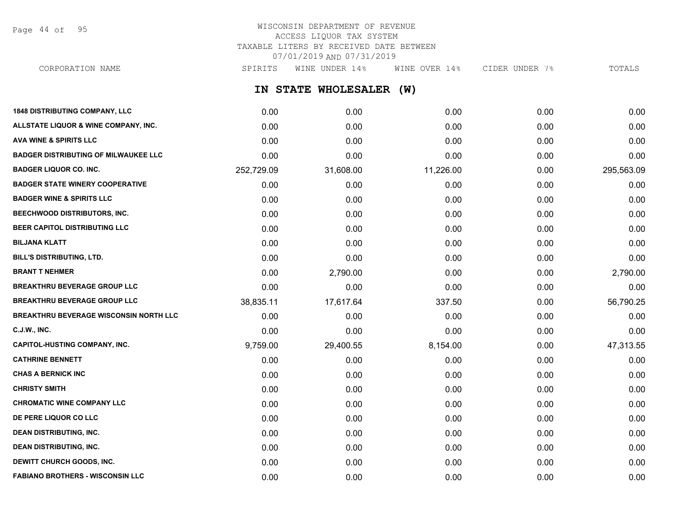Page 44 of 95

## WISCONSIN DEPARTMENT OF REVENUE ACCESS LIQUOR TAX SYSTEM TAXABLE LITERS BY RECEIVED DATE BETWEEN 07/01/2019 AND 07/31/2019

CORPORATION NAME SPIRITS WINE UNDER 14% WINE OVER 14% CIDER UNDER 7% TOTALS

**IN STATE WHOLESALER (W)**

| <b>1848 DISTRIBUTING COMPANY, LLC</b>         | 0.00       | 0.00      | 0.00      | 0.00 | 0.00       |
|-----------------------------------------------|------------|-----------|-----------|------|------------|
| ALLSTATE LIQUOR & WINE COMPANY, INC.          | 0.00       | 0.00      | 0.00      | 0.00 | 0.00       |
| <b>AVA WINE &amp; SPIRITS LLC</b>             | 0.00       | 0.00      | 0.00      | 0.00 | 0.00       |
| <b>BADGER DISTRIBUTING OF MILWAUKEE LLC</b>   | 0.00       | 0.00      | 0.00      | 0.00 | 0.00       |
| <b>BADGER LIQUOR CO. INC.</b>                 | 252,729.09 | 31,608.00 | 11,226.00 | 0.00 | 295,563.09 |
| <b>BADGER STATE WINERY COOPERATIVE</b>        | 0.00       | 0.00      | 0.00      | 0.00 | 0.00       |
| <b>BADGER WINE &amp; SPIRITS LLC</b>          | 0.00       | 0.00      | 0.00      | 0.00 | 0.00       |
| BEECHWOOD DISTRIBUTORS, INC.                  | 0.00       | 0.00      | 0.00      | 0.00 | 0.00       |
| BEER CAPITOL DISTRIBUTING LLC                 | 0.00       | 0.00      | 0.00      | 0.00 | 0.00       |
| <b>BILJANA KLATT</b>                          | 0.00       | 0.00      | 0.00      | 0.00 | 0.00       |
| BILL'S DISTRIBUTING, LTD.                     | 0.00       | 0.00      | 0.00      | 0.00 | 0.00       |
| <b>BRANT T NEHMER</b>                         | 0.00       | 2,790.00  | 0.00      | 0.00 | 2,790.00   |
| <b>BREAKTHRU BEVERAGE GROUP LLC</b>           | 0.00       | 0.00      | 0.00      | 0.00 | 0.00       |
| <b>BREAKTHRU BEVERAGE GROUP LLC</b>           | 38,835.11  | 17,617.64 | 337.50    | 0.00 | 56,790.25  |
| <b>BREAKTHRU BEVERAGE WISCONSIN NORTH LLC</b> | 0.00       | 0.00      | 0.00      | 0.00 | 0.00       |
| <b>C.J.W., INC.</b>                           | 0.00       | 0.00      | 0.00      | 0.00 | 0.00       |
| <b>CAPITOL-HUSTING COMPANY, INC.</b>          | 9,759.00   | 29,400.55 | 8,154.00  | 0.00 | 47,313.55  |
| <b>CATHRINE BENNETT</b>                       | 0.00       | 0.00      | 0.00      | 0.00 | 0.00       |
| <b>CHAS A BERNICK INC</b>                     | 0.00       | 0.00      | 0.00      | 0.00 | 0.00       |
| <b>CHRISTY SMITH</b>                          | 0.00       | 0.00      | 0.00      | 0.00 | 0.00       |
| <b>CHROMATIC WINE COMPANY LLC</b>             | 0.00       | 0.00      | 0.00      | 0.00 | 0.00       |
| DE PERE LIQUOR CO LLC                         | 0.00       | 0.00      | 0.00      | 0.00 | 0.00       |
| <b>DEAN DISTRIBUTING, INC.</b>                | 0.00       | 0.00      | 0.00      | 0.00 | 0.00       |
| <b>DEAN DISTRIBUTING, INC.</b>                | 0.00       | 0.00      | 0.00      | 0.00 | 0.00       |
| <b>DEWITT CHURCH GOODS, INC.</b>              | 0.00       | 0.00      | 0.00      | 0.00 | 0.00       |
| <b>FABIANO BROTHERS - WISCONSIN LLC</b>       | 0.00       | 0.00      | 0.00      | 0.00 | 0.00       |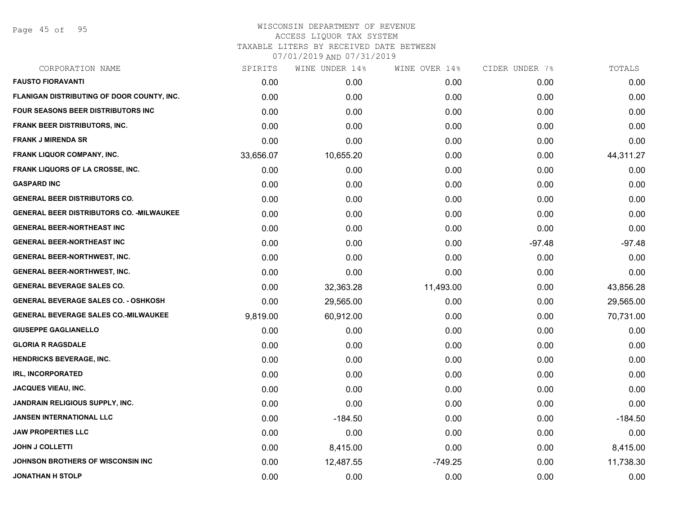Page 45 of 95

# WISCONSIN DEPARTMENT OF REVENUE ACCESS LIQUOR TAX SYSTEM TAXABLE LITERS BY RECEIVED DATE BETWEEN

| CORPORATION NAME                                 | SPIRITS   | WINE UNDER 14% | WINE OVER 14% | CIDER UNDER 7% | TOTALS    |
|--------------------------------------------------|-----------|----------------|---------------|----------------|-----------|
| <b>FAUSTO FIORAVANTI</b>                         | 0.00      | 0.00           | 0.00          | 0.00           | 0.00      |
| FLANIGAN DISTRIBUTING OF DOOR COUNTY, INC.       | 0.00      | 0.00           | 0.00          | 0.00           | 0.00      |
| FOUR SEASONS BEER DISTRIBUTORS INC               | 0.00      | 0.00           | 0.00          | 0.00           | 0.00      |
| <b>FRANK BEER DISTRIBUTORS, INC.</b>             | 0.00      | 0.00           | 0.00          | 0.00           | 0.00      |
| <b>FRANK J MIRENDA SR</b>                        | 0.00      | 0.00           | 0.00          | 0.00           | 0.00      |
| <b>FRANK LIQUOR COMPANY, INC.</b>                | 33,656.07 | 10,655.20      | 0.00          | 0.00           | 44,311.27 |
| <b>FRANK LIQUORS OF LA CROSSE, INC.</b>          | 0.00      | 0.00           | 0.00          | 0.00           | 0.00      |
| <b>GASPARD INC</b>                               | 0.00      | 0.00           | 0.00          | 0.00           | 0.00      |
| <b>GENERAL BEER DISTRIBUTORS CO.</b>             | 0.00      | 0.00           | 0.00          | 0.00           | 0.00      |
| <b>GENERAL BEER DISTRIBUTORS CO. - MILWAUKEE</b> | 0.00      | 0.00           | 0.00          | 0.00           | 0.00      |
| <b>GENERAL BEER-NORTHEAST INC</b>                | 0.00      | 0.00           | 0.00          | 0.00           | 0.00      |
| <b>GENERAL BEER-NORTHEAST INC</b>                | 0.00      | 0.00           | 0.00          | $-97.48$       | $-97.48$  |
| <b>GENERAL BEER-NORTHWEST, INC.</b>              | 0.00      | 0.00           | 0.00          | 0.00           | 0.00      |
| <b>GENERAL BEER-NORTHWEST, INC.</b>              | 0.00      | 0.00           | 0.00          | 0.00           | 0.00      |
| <b>GENERAL BEVERAGE SALES CO.</b>                | 0.00      | 32,363.28      | 11,493.00     | 0.00           | 43,856.28 |
| <b>GENERAL BEVERAGE SALES CO. - OSHKOSH</b>      | 0.00      | 29,565.00      | 0.00          | 0.00           | 29,565.00 |
| <b>GENERAL BEVERAGE SALES CO.-MILWAUKEE</b>      | 9,819.00  | 60,912.00      | 0.00          | 0.00           | 70,731.00 |
| <b>GIUSEPPE GAGLIANELLO</b>                      | 0.00      | 0.00           | 0.00          | 0.00           | 0.00      |
| <b>GLORIA R RAGSDALE</b>                         | 0.00      | 0.00           | 0.00          | 0.00           | 0.00      |
| <b>HENDRICKS BEVERAGE, INC.</b>                  | 0.00      | 0.00           | 0.00          | 0.00           | 0.00      |
| <b>IRL, INCORPORATED</b>                         | 0.00      | 0.00           | 0.00          | 0.00           | 0.00      |
| <b>JACQUES VIEAU, INC.</b>                       | 0.00      | 0.00           | 0.00          | 0.00           | 0.00      |
| <b>JANDRAIN RELIGIOUS SUPPLY, INC.</b>           | 0.00      | 0.00           | 0.00          | 0.00           | 0.00      |
| <b>JANSEN INTERNATIONAL LLC</b>                  | 0.00      | $-184.50$      | 0.00          | 0.00           | $-184.50$ |
| <b>JAW PROPERTIES LLC</b>                        | 0.00      | 0.00           | 0.00          | 0.00           | 0.00      |
| <b>JOHN J COLLETTI</b>                           | 0.00      | 8,415.00       | 0.00          | 0.00           | 8,415.00  |
| JOHNSON BROTHERS OF WISCONSIN INC                | 0.00      | 12,487.55      | $-749.25$     | 0.00           | 11,738.30 |
| <b>JONATHAN H STOLP</b>                          | 0.00      | 0.00           | 0.00          | 0.00           | 0.00      |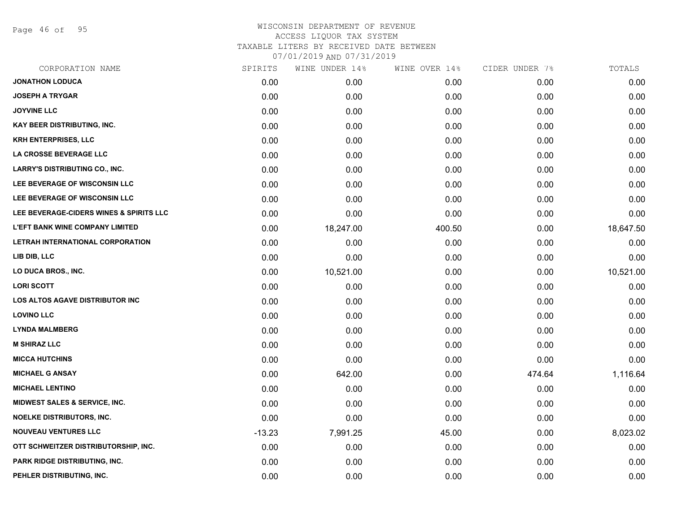Page 46 of 95

| CORPORATION NAME                         | SPIRITS  | WINE UNDER 14% | WINE OVER 14% | CIDER UNDER 7% | TOTALS    |
|------------------------------------------|----------|----------------|---------------|----------------|-----------|
| <b>JONATHON LODUCA</b>                   | 0.00     | 0.00           | 0.00          | 0.00           | 0.00      |
| <b>JOSEPH A TRYGAR</b>                   | 0.00     | 0.00           | 0.00          | 0.00           | 0.00      |
| <b>JOYVINE LLC</b>                       | 0.00     | 0.00           | 0.00          | 0.00           | 0.00      |
| <b>KAY BEER DISTRIBUTING, INC.</b>       | 0.00     | 0.00           | 0.00          | 0.00           | 0.00      |
| <b>KRH ENTERPRISES, LLC</b>              | 0.00     | 0.00           | 0.00          | 0.00           | 0.00      |
| LA CROSSE BEVERAGE LLC                   | 0.00     | 0.00           | 0.00          | 0.00           | 0.00      |
| <b>LARRY'S DISTRIBUTING CO., INC.</b>    | 0.00     | 0.00           | 0.00          | 0.00           | 0.00      |
| LEE BEVERAGE OF WISCONSIN LLC            | 0.00     | 0.00           | 0.00          | 0.00           | 0.00      |
| LEE BEVERAGE OF WISCONSIN LLC            | 0.00     | 0.00           | 0.00          | 0.00           | 0.00      |
| LEE BEVERAGE-CIDERS WINES & SPIRITS LLC  | 0.00     | 0.00           | 0.00          | 0.00           | 0.00      |
| <b>L'EFT BANK WINE COMPANY LIMITED</b>   | 0.00     | 18,247.00      | 400.50        | 0.00           | 18,647.50 |
| LETRAH INTERNATIONAL CORPORATION         | 0.00     | 0.00           | 0.00          | 0.00           | 0.00      |
| LIB DIB, LLC                             | 0.00     | 0.00           | 0.00          | 0.00           | 0.00      |
| LO DUCA BROS., INC.                      | 0.00     | 10,521.00      | 0.00          | 0.00           | 10,521.00 |
| <b>LORI SCOTT</b>                        | 0.00     | 0.00           | 0.00          | 0.00           | 0.00      |
| LOS ALTOS AGAVE DISTRIBUTOR INC          | 0.00     | 0.00           | 0.00          | 0.00           | 0.00      |
| <b>LOVINO LLC</b>                        | 0.00     | 0.00           | 0.00          | 0.00           | 0.00      |
| <b>LYNDA MALMBERG</b>                    | 0.00     | 0.00           | 0.00          | 0.00           | 0.00      |
| <b>M SHIRAZ LLC</b>                      | 0.00     | 0.00           | 0.00          | 0.00           | 0.00      |
| <b>MICCA HUTCHINS</b>                    | 0.00     | 0.00           | 0.00          | 0.00           | 0.00      |
| <b>MICHAEL G ANSAY</b>                   | 0.00     | 642.00         | 0.00          | 474.64         | 1,116.64  |
| <b>MICHAEL LENTINO</b>                   | 0.00     | 0.00           | 0.00          | 0.00           | 0.00      |
| <b>MIDWEST SALES &amp; SERVICE, INC.</b> | 0.00     | 0.00           | 0.00          | 0.00           | 0.00      |
| <b>NOELKE DISTRIBUTORS, INC.</b>         | 0.00     | 0.00           | 0.00          | 0.00           | 0.00      |
| <b>NOUVEAU VENTURES LLC</b>              | $-13.23$ | 7,991.25       | 45.00         | 0.00           | 8,023.02  |
| OTT SCHWEITZER DISTRIBUTORSHIP, INC.     | 0.00     | 0.00           | 0.00          | 0.00           | 0.00      |
| <b>PARK RIDGE DISTRIBUTING, INC.</b>     | 0.00     | 0.00           | 0.00          | 0.00           | 0.00      |
| PEHLER DISTRIBUTING, INC.                | 0.00     | 0.00           | 0.00          | 0.00           | 0.00      |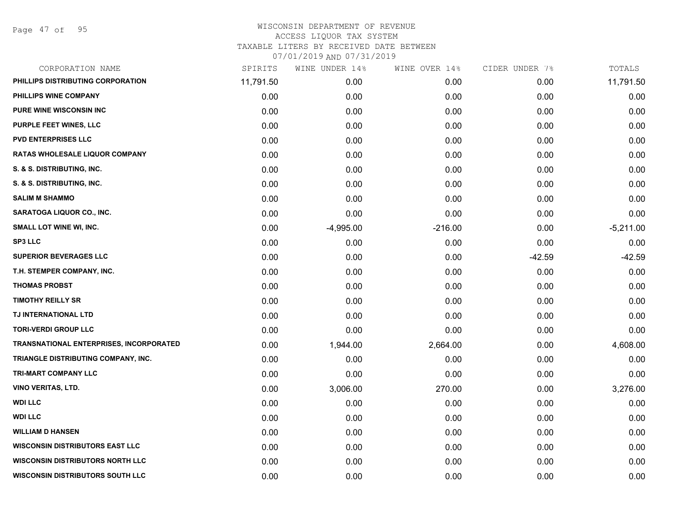Page 47 of 95

| SPIRITS   |             | WINE OVER 14%  | CIDER UNDER 7% | TOTALS      |
|-----------|-------------|----------------|----------------|-------------|
| 11,791.50 | 0.00        | 0.00           | 0.00           | 11,791.50   |
| 0.00      | 0.00        | 0.00           | 0.00           | 0.00        |
| 0.00      | 0.00        | 0.00           | 0.00           | 0.00        |
| 0.00      | 0.00        | 0.00           | 0.00           | 0.00        |
| 0.00      | 0.00        | 0.00           | 0.00           | 0.00        |
| 0.00      | 0.00        | 0.00           | 0.00           | 0.00        |
| 0.00      | 0.00        | 0.00           | 0.00           | 0.00        |
| 0.00      | 0.00        | 0.00           | 0.00           | 0.00        |
| 0.00      | 0.00        | 0.00           | 0.00           | 0.00        |
| 0.00      | 0.00        | 0.00           | 0.00           | 0.00        |
| 0.00      | $-4,995.00$ | $-216.00$      | 0.00           | $-5,211.00$ |
| 0.00      | 0.00        | 0.00           | 0.00           | 0.00        |
| 0.00      | 0.00        | 0.00           | $-42.59$       | $-42.59$    |
| 0.00      | 0.00        | 0.00           | 0.00           | 0.00        |
| 0.00      | 0.00        | 0.00           | 0.00           | 0.00        |
| 0.00      | 0.00        | 0.00           | 0.00           | 0.00        |
| 0.00      | 0.00        | 0.00           | 0.00           | 0.00        |
| 0.00      | 0.00        | 0.00           | 0.00           | 0.00        |
| 0.00      | 1,944.00    | 2,664.00       | 0.00           | 4,608.00    |
| 0.00      | 0.00        | 0.00           | 0.00           | 0.00        |
| 0.00      | 0.00        | 0.00           | 0.00           | 0.00        |
| 0.00      | 3,006.00    | 270.00         | 0.00           | 3,276.00    |
| 0.00      | 0.00        | 0.00           | 0.00           | 0.00        |
| 0.00      | 0.00        | 0.00           | 0.00           | 0.00        |
| 0.00      | 0.00        | 0.00           | 0.00           | 0.00        |
| 0.00      | 0.00        | 0.00           | 0.00           | 0.00        |
| 0.00      | 0.00        | 0.00           | 0.00           | 0.00        |
| 0.00      | 0.00        | 0.00           | 0.00           | 0.00        |
|           |             | WINE UNDER 14% |                |             |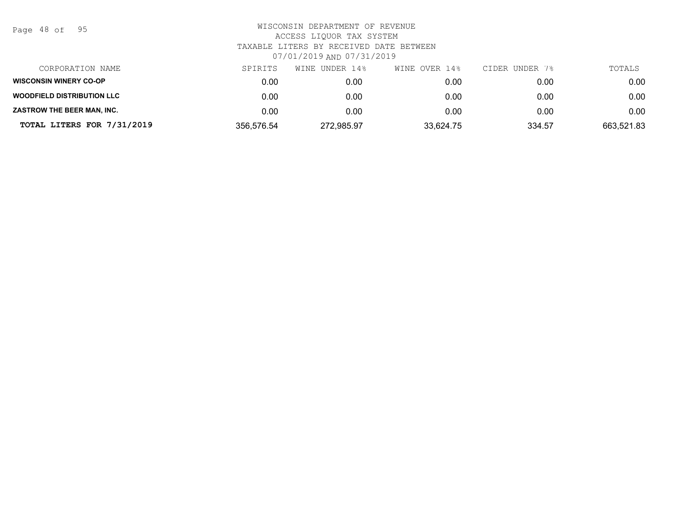| Page | 48 of |  | 95 |
|------|-------|--|----|
|------|-------|--|----|

| CORPORATION NAME                  | SPIRITS    | WINE UNDER 14% | WINE OVER 14% | CIDER UNDER 7% | TOTALS     |
|-----------------------------------|------------|----------------|---------------|----------------|------------|
| <b>WISCONSIN WINERY CO-OP</b>     | 0.00       | 0.00           | 0.00          | 0.00           | 0.00       |
| <b>WOODFIELD DISTRIBUTION LLC</b> | 0.00       | 0.00           | 0.00          | 0.00           | 0.00       |
| ZASTROW THE BEER MAN, INC.        | 0.00       | 0.00           | 0.00          | 0.00           | 0.00       |
| TOTAL LITERS FOR 7/31/2019        | 356,576.54 | 272,985.97     | 33,624.75     | 334.57         | 663,521.83 |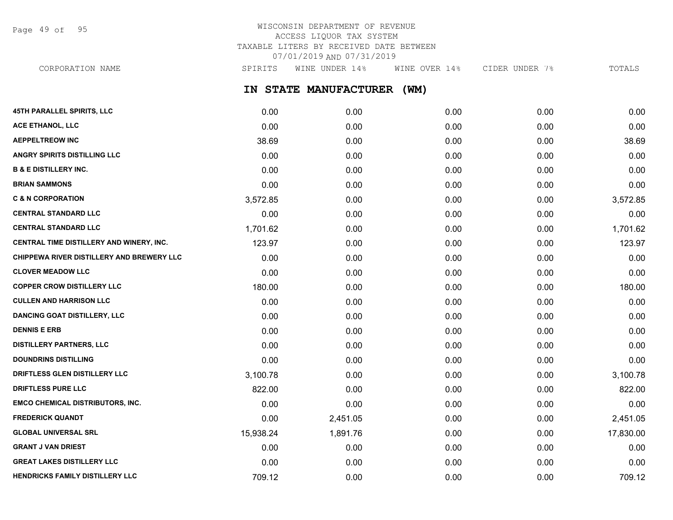Page 49 of 95

## WISCONSIN DEPARTMENT OF REVENUE ACCESS LIQUOR TAX SYSTEM TAXABLE LITERS BY RECEIVED DATE BETWEEN 07/01/2019 AND 07/31/2019

CORPORATION NAME SPIRITS WINE UNDER 14% WINE OVER 14% CIDER UNDER 7% TOTALS

**IN STATE MANUFACTURER (WM)**

| 45TH PARALLEL SPIRITS, LLC                       | 0.00      | 0.00     | 0.00 | 0.00 | 0.00      |
|--------------------------------------------------|-----------|----------|------|------|-----------|
| <b>ACE ETHANOL, LLC</b>                          | 0.00      | 0.00     | 0.00 | 0.00 | 0.00      |
| <b>AEPPELTREOW INC</b>                           | 38.69     | 0.00     | 0.00 | 0.00 | 38.69     |
| <b>ANGRY SPIRITS DISTILLING LLC</b>              | 0.00      | 0.00     | 0.00 | 0.00 | 0.00      |
| <b>B &amp; E DISTILLERY INC.</b>                 | 0.00      | 0.00     | 0.00 | 0.00 | 0.00      |
| <b>BRIAN SAMMONS</b>                             | 0.00      | 0.00     | 0.00 | 0.00 | 0.00      |
| <b>C &amp; N CORPORATION</b>                     | 3,572.85  | 0.00     | 0.00 | 0.00 | 3,572.85  |
| <b>CENTRAL STANDARD LLC</b>                      | 0.00      | 0.00     | 0.00 | 0.00 | 0.00      |
| <b>CENTRAL STANDARD LLC</b>                      | 1,701.62  | 0.00     | 0.00 | 0.00 | 1,701.62  |
| CENTRAL TIME DISTILLERY AND WINERY, INC.         | 123.97    | 0.00     | 0.00 | 0.00 | 123.97    |
| <b>CHIPPEWA RIVER DISTILLERY AND BREWERY LLC</b> | 0.00      | 0.00     | 0.00 | 0.00 | 0.00      |
| <b>CLOVER MEADOW LLC</b>                         | 0.00      | 0.00     | 0.00 | 0.00 | 0.00      |
| <b>COPPER CROW DISTILLERY LLC</b>                | 180.00    | 0.00     | 0.00 | 0.00 | 180.00    |
| <b>CULLEN AND HARRISON LLC</b>                   | 0.00      | 0.00     | 0.00 | 0.00 | 0.00      |
| <b>DANCING GOAT DISTILLERY, LLC</b>              | 0.00      | 0.00     | 0.00 | 0.00 | 0.00      |
| <b>DENNIS E ERB</b>                              | 0.00      | 0.00     | 0.00 | 0.00 | 0.00      |
| <b>DISTILLERY PARTNERS, LLC</b>                  | 0.00      | 0.00     | 0.00 | 0.00 | 0.00      |
| <b>DOUNDRINS DISTILLING</b>                      | 0.00      | 0.00     | 0.00 | 0.00 | 0.00      |
| DRIFTLESS GLEN DISTILLERY LLC                    | 3,100.78  | 0.00     | 0.00 | 0.00 | 3,100.78  |
| DRIFTLESS PURE LLC                               | 822.00    | 0.00     | 0.00 | 0.00 | 822.00    |
| <b>EMCO CHEMICAL DISTRIBUTORS, INC.</b>          | 0.00      | 0.00     | 0.00 | 0.00 | 0.00      |
| <b>FREDERICK QUANDT</b>                          | 0.00      | 2,451.05 | 0.00 | 0.00 | 2,451.05  |
| <b>GLOBAL UNIVERSAL SRL</b>                      | 15,938.24 | 1,891.76 | 0.00 | 0.00 | 17,830.00 |
| <b>GRANT J VAN DRIEST</b>                        | 0.00      | 0.00     | 0.00 | 0.00 | 0.00      |
| <b>GREAT LAKES DISTILLERY LLC</b>                | 0.00      | 0.00     | 0.00 | 0.00 | 0.00      |
| HENDRICKS FAMILY DISTILLERY LLC                  | 709.12    | 0.00     | 0.00 | 0.00 | 709.12    |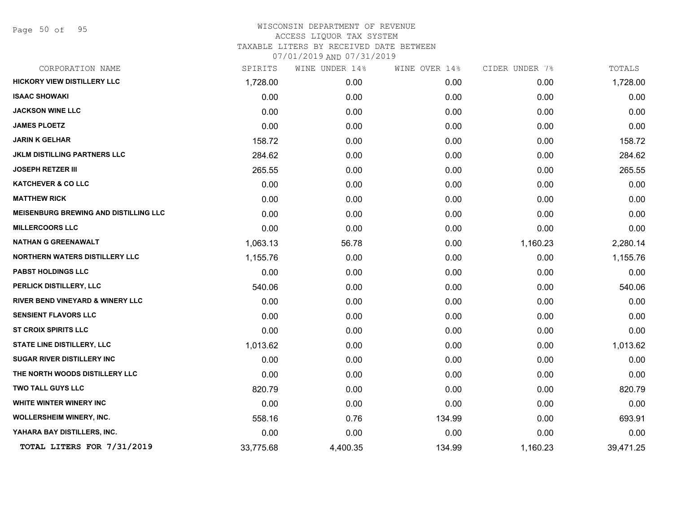Page 50 of 95

| CORPORATION NAME                             | SPIRITS   | WINE UNDER 14% | WINE OVER 14% | CIDER UNDER 7% | TOTALS    |
|----------------------------------------------|-----------|----------------|---------------|----------------|-----------|
| <b>HICKORY VIEW DISTILLERY LLC</b>           | 1,728.00  | 0.00           | 0.00          | 0.00           | 1,728.00  |
| <b>ISAAC SHOWAKI</b>                         | 0.00      | 0.00           | 0.00          | 0.00           | 0.00      |
| <b>JACKSON WINE LLC</b>                      | 0.00      | 0.00           | 0.00          | 0.00           | 0.00      |
| <b>JAMES PLOETZ</b>                          | 0.00      | 0.00           | 0.00          | 0.00           | 0.00      |
| <b>JARIN K GELHAR</b>                        | 158.72    | 0.00           | 0.00          | 0.00           | 158.72    |
| JKLM DISTILLING PARTNERS LLC                 | 284.62    | 0.00           | 0.00          | 0.00           | 284.62    |
| <b>JOSEPH RETZER III</b>                     | 265.55    | 0.00           | 0.00          | 0.00           | 265.55    |
| <b>KATCHEVER &amp; CO LLC</b>                | 0.00      | 0.00           | 0.00          | 0.00           | 0.00      |
| <b>MATTHEW RICK</b>                          | 0.00      | 0.00           | 0.00          | 0.00           | 0.00      |
| <b>MEISENBURG BREWING AND DISTILLING LLC</b> | 0.00      | 0.00           | 0.00          | 0.00           | 0.00      |
| <b>MILLERCOORS LLC</b>                       | 0.00      | 0.00           | 0.00          | 0.00           | 0.00      |
| <b>NATHAN G GREENAWALT</b>                   | 1,063.13  | 56.78          | 0.00          | 1,160.23       | 2,280.14  |
| NORTHERN WATERS DISTILLERY LLC               | 1,155.76  | 0.00           | 0.00          | 0.00           | 1,155.76  |
| PABST HOLDINGS LLC                           | 0.00      | 0.00           | 0.00          | 0.00           | 0.00      |
| PERLICK DISTILLERY, LLC                      | 540.06    | 0.00           | 0.00          | 0.00           | 540.06    |
| <b>RIVER BEND VINEYARD &amp; WINERY LLC</b>  | 0.00      | 0.00           | 0.00          | 0.00           | 0.00      |
| <b>SENSIENT FLAVORS LLC</b>                  | 0.00      | 0.00           | 0.00          | 0.00           | 0.00      |
| <b>ST CROIX SPIRITS LLC</b>                  | 0.00      | 0.00           | 0.00          | 0.00           | 0.00      |
| STATE LINE DISTILLERY, LLC                   | 1,013.62  | 0.00           | 0.00          | 0.00           | 1,013.62  |
| <b>SUGAR RIVER DISTILLERY INC</b>            | 0.00      | 0.00           | 0.00          | 0.00           | 0.00      |
| THE NORTH WOODS DISTILLERY LLC               | 0.00      | 0.00           | 0.00          | 0.00           | 0.00      |
| <b>TWO TALL GUYS LLC</b>                     | 820.79    | 0.00           | 0.00          | 0.00           | 820.79    |
| WHITE WINTER WINERY INC                      | 0.00      | 0.00           | 0.00          | 0.00           | 0.00      |
| <b>WOLLERSHEIM WINERY, INC.</b>              | 558.16    | 0.76           | 134.99        | 0.00           | 693.91    |
| YAHARA BAY DISTILLERS, INC.                  | 0.00      | 0.00           | 0.00          | 0.00           | 0.00      |
| TOTAL LITERS FOR 7/31/2019                   | 33,775.68 | 4,400.35       | 134.99        | 1,160.23       | 39,471.25 |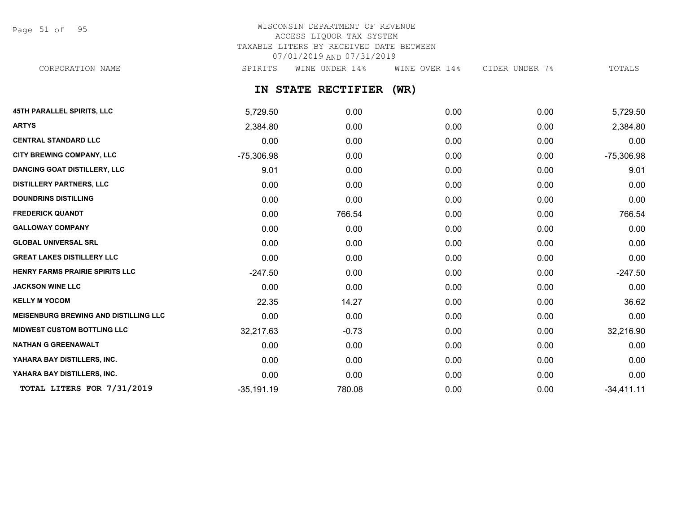Page 51 of 95

### WISCONSIN DEPARTMENT OF REVENUE ACCESS LIQUOR TAX SYSTEM TAXABLE LITERS BY RECEIVED DATE BETWEEN 07/01/2019 AND 07/31/2019 CORPORATION NAME SPIRITS WINE UNDER 14% WINE OVER 14% CIDER UNDER 7% TOTALS

**IN STATE RECTIFIER (WR)**

| <b>45TH PARALLEL SPIRITS, LLC</b>            | 5,729.50     | 0.00    | 0.00 | 0.00 | 5,729.50     |
|----------------------------------------------|--------------|---------|------|------|--------------|
| <b>ARTYS</b>                                 | 2,384.80     | 0.00    | 0.00 | 0.00 | 2,384.80     |
| <b>CENTRAL STANDARD LLC</b>                  | 0.00         | 0.00    | 0.00 | 0.00 | 0.00         |
| <b>CITY BREWING COMPANY, LLC</b>             | $-75,306.98$ | 0.00    | 0.00 | 0.00 | $-75,306.98$ |
| <b>DANCING GOAT DISTILLERY, LLC</b>          | 9.01         | 0.00    | 0.00 | 0.00 | 9.01         |
| <b>DISTILLERY PARTNERS, LLC</b>              | 0.00         | 0.00    | 0.00 | 0.00 | 0.00         |
| <b>DOUNDRINS DISTILLING</b>                  | 0.00         | 0.00    | 0.00 | 0.00 | 0.00         |
| <b>FREDERICK QUANDT</b>                      | 0.00         | 766.54  | 0.00 | 0.00 | 766.54       |
| <b>GALLOWAY COMPANY</b>                      | 0.00         | 0.00    | 0.00 | 0.00 | 0.00         |
| <b>GLOBAL UNIVERSAL SRL</b>                  | 0.00         | 0.00    | 0.00 | 0.00 | 0.00         |
| <b>GREAT LAKES DISTILLERY LLC</b>            | 0.00         | 0.00    | 0.00 | 0.00 | 0.00         |
| <b>HENRY FARMS PRAIRIE SPIRITS LLC</b>       | $-247.50$    | 0.00    | 0.00 | 0.00 | $-247.50$    |
| <b>JACKSON WINE LLC</b>                      | 0.00         | 0.00    | 0.00 | 0.00 | 0.00         |
| <b>KELLY M YOCOM</b>                         | 22.35        | 14.27   | 0.00 | 0.00 | 36.62        |
| <b>MEISENBURG BREWING AND DISTILLING LLC</b> | 0.00         | 0.00    | 0.00 | 0.00 | 0.00         |
| <b>MIDWEST CUSTOM BOTTLING LLC</b>           | 32,217.63    | $-0.73$ | 0.00 | 0.00 | 32,216.90    |
| <b>NATHAN G GREENAWALT</b>                   | 0.00         | 0.00    | 0.00 | 0.00 | 0.00         |
| YAHARA BAY DISTILLERS, INC.                  | 0.00         | 0.00    | 0.00 | 0.00 | 0.00         |
| YAHARA BAY DISTILLERS, INC.                  | 0.00         | 0.00    | 0.00 | 0.00 | 0.00         |
| TOTAL LITERS FOR 7/31/2019                   | $-35,191.19$ | 780.08  | 0.00 | 0.00 | $-34,411.11$ |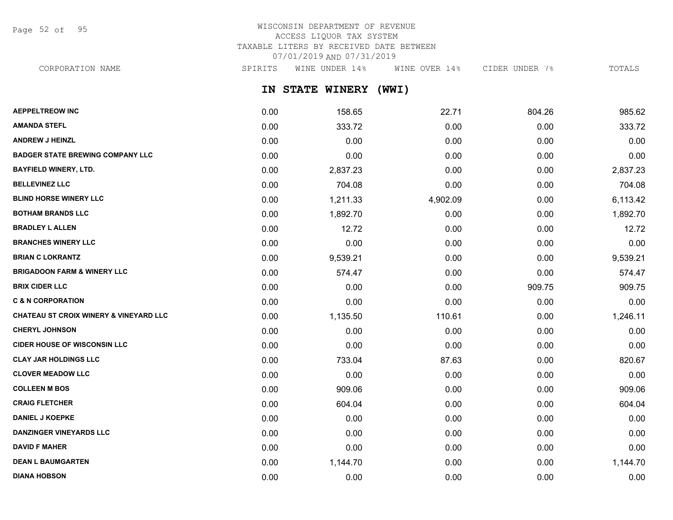Page 52 of 95

## WISCONSIN DEPARTMENT OF REVENUE ACCESS LIQUOR TAX SYSTEM TAXABLE LITERS BY RECEIVED DATE BETWEEN 07/01/2019 AND 07/31/2019

CORPORATION NAME SPIRITS WINE UNDER 14% WINE OVER 14% CIDER UNDER 7% TOTALS

**IN STATE WINERY (WWI)**

| <b>AEPPELTREOW INC</b>                            | 0.00 | 158.65   | 22.71    | 804.26 | 985.62   |
|---------------------------------------------------|------|----------|----------|--------|----------|
| <b>AMANDA STEFL</b>                               | 0.00 | 333.72   | 0.00     | 0.00   | 333.72   |
| <b>ANDREW J HEINZL</b>                            | 0.00 | 0.00     | 0.00     | 0.00   | 0.00     |
| <b>BADGER STATE BREWING COMPANY LLC</b>           | 0.00 | 0.00     | 0.00     | 0.00   | 0.00     |
| <b>BAYFIELD WINERY, LTD.</b>                      | 0.00 | 2,837.23 | 0.00     | 0.00   | 2,837.23 |
| <b>BELLEVINEZ LLC</b>                             | 0.00 | 704.08   | 0.00     | 0.00   | 704.08   |
| <b>BLIND HORSE WINERY LLC</b>                     | 0.00 | 1,211.33 | 4,902.09 | 0.00   | 6,113.42 |
| <b>BOTHAM BRANDS LLC</b>                          | 0.00 | 1,892.70 | 0.00     | 0.00   | 1,892.70 |
| <b>BRADLEY L ALLEN</b>                            | 0.00 | 12.72    | 0.00     | 0.00   | 12.72    |
| <b>BRANCHES WINERY LLC</b>                        | 0.00 | 0.00     | 0.00     | 0.00   | 0.00     |
| <b>BRIAN C LOKRANTZ</b>                           | 0.00 | 9,539.21 | 0.00     | 0.00   | 9,539.21 |
| <b>BRIGADOON FARM &amp; WINERY LLC</b>            | 0.00 | 574.47   | 0.00     | 0.00   | 574.47   |
| <b>BRIX CIDER LLC</b>                             | 0.00 | 0.00     | 0.00     | 909.75 | 909.75   |
| <b>C &amp; N CORPORATION</b>                      | 0.00 | 0.00     | 0.00     | 0.00   | 0.00     |
| <b>CHATEAU ST CROIX WINERY &amp; VINEYARD LLC</b> | 0.00 | 1,135.50 | 110.61   | 0.00   | 1,246.11 |
| <b>CHERYL JOHNSON</b>                             | 0.00 | 0.00     | 0.00     | 0.00   | 0.00     |
| <b>CIDER HOUSE OF WISCONSIN LLC</b>               | 0.00 | 0.00     | 0.00     | 0.00   | 0.00     |
| <b>CLAY JAR HOLDINGS LLC</b>                      | 0.00 | 733.04   | 87.63    | 0.00   | 820.67   |
| <b>CLOVER MEADOW LLC</b>                          | 0.00 | 0.00     | 0.00     | 0.00   | 0.00     |
| <b>COLLEEN M BOS</b>                              | 0.00 | 909.06   | 0.00     | 0.00   | 909.06   |
| <b>CRAIG FLETCHER</b>                             | 0.00 | 604.04   | 0.00     | 0.00   | 604.04   |
| <b>DANIEL J KOEPKE</b>                            | 0.00 | 0.00     | 0.00     | 0.00   | 0.00     |
| DANZINGER VINEYARDS LLC                           | 0.00 | 0.00     | 0.00     | 0.00   | 0.00     |
| <b>DAVID F MAHER</b>                              | 0.00 | 0.00     | 0.00     | 0.00   | 0.00     |
| <b>DEAN L BAUMGARTEN</b>                          | 0.00 | 1,144.70 | 0.00     | 0.00   | 1,144.70 |
| <b>DIANA HOBSON</b>                               | 0.00 | 0.00     | 0.00     | 0.00   | 0.00     |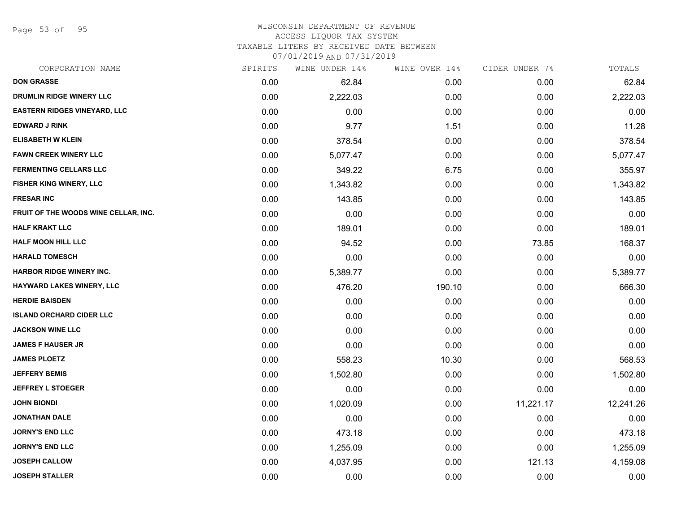Page 53 of 95

#### WISCONSIN DEPARTMENT OF REVENUE ACCESS LIQUOR TAX SYSTEM TAXABLE LITERS BY RECEIVED DATE BETWEEN

| CORPORATION NAME                     | SPIRITS | WINE UNDER 14% | WINE OVER 14% | CIDER UNDER 7% | TOTALS    |
|--------------------------------------|---------|----------------|---------------|----------------|-----------|
| <b>DON GRASSE</b>                    | 0.00    | 62.84          | 0.00          | 0.00           | 62.84     |
| DRUMLIN RIDGE WINERY LLC             | 0.00    | 2,222.03       | 0.00          | 0.00           | 2,222.03  |
| <b>EASTERN RIDGES VINEYARD, LLC</b>  | 0.00    | 0.00           | 0.00          | 0.00           | 0.00      |
| <b>EDWARD J RINK</b>                 | 0.00    | 9.77           | 1.51          | 0.00           | 11.28     |
| <b>ELISABETH W KLEIN</b>             | 0.00    | 378.54         | 0.00          | 0.00           | 378.54    |
| <b>FAWN CREEK WINERY LLC</b>         | 0.00    | 5,077.47       | 0.00          | 0.00           | 5,077.47  |
| <b>FERMENTING CELLARS LLC</b>        | 0.00    | 349.22         | 6.75          | 0.00           | 355.97    |
| <b>FISHER KING WINERY, LLC</b>       | 0.00    | 1,343.82       | 0.00          | 0.00           | 1,343.82  |
| <b>FRESAR INC</b>                    | 0.00    | 143.85         | 0.00          | 0.00           | 143.85    |
| FRUIT OF THE WOODS WINE CELLAR, INC. | 0.00    | 0.00           | 0.00          | 0.00           | 0.00      |
| <b>HALF KRAKT LLC</b>                | 0.00    | 189.01         | 0.00          | 0.00           | 189.01    |
| <b>HALF MOON HILL LLC</b>            | 0.00    | 94.52          | 0.00          | 73.85          | 168.37    |
| <b>HARALD TOMESCH</b>                | 0.00    | 0.00           | 0.00          | 0.00           | 0.00      |
| <b>HARBOR RIDGE WINERY INC.</b>      | 0.00    | 5,389.77       | 0.00          | 0.00           | 5,389.77  |
| HAYWARD LAKES WINERY, LLC            | 0.00    | 476.20         | 190.10        | 0.00           | 666.30    |
| <b>HERDIE BAISDEN</b>                | 0.00    | 0.00           | 0.00          | 0.00           | 0.00      |
| <b>ISLAND ORCHARD CIDER LLC</b>      | 0.00    | 0.00           | 0.00          | 0.00           | 0.00      |
| <b>JACKSON WINE LLC</b>              | 0.00    | 0.00           | 0.00          | 0.00           | 0.00      |
| <b>JAMES F HAUSER JR</b>             | 0.00    | 0.00           | 0.00          | 0.00           | 0.00      |
| <b>JAMES PLOETZ</b>                  | 0.00    | 558.23         | 10.30         | 0.00           | 568.53    |
| <b>JEFFERY BEMIS</b>                 | 0.00    | 1,502.80       | 0.00          | 0.00           | 1,502.80  |
| <b>JEFFREY L STOEGER</b>             | 0.00    | 0.00           | 0.00          | 0.00           | 0.00      |
| <b>JOHN BIONDI</b>                   | 0.00    | 1,020.09       | 0.00          | 11,221.17      | 12,241.26 |
| <b>JONATHAN DALE</b>                 | 0.00    | 0.00           | 0.00          | 0.00           | 0.00      |
| <b>JORNY'S END LLC</b>               | 0.00    | 473.18         | 0.00          | 0.00           | 473.18    |
| <b>JORNY'S END LLC</b>               | 0.00    | 1,255.09       | 0.00          | 0.00           | 1,255.09  |
| <b>JOSEPH CALLOW</b>                 | 0.00    | 4,037.95       | 0.00          | 121.13         | 4,159.08  |
| <b>JOSEPH STALLER</b>                | 0.00    | 0.00           | 0.00          | 0.00           | 0.00      |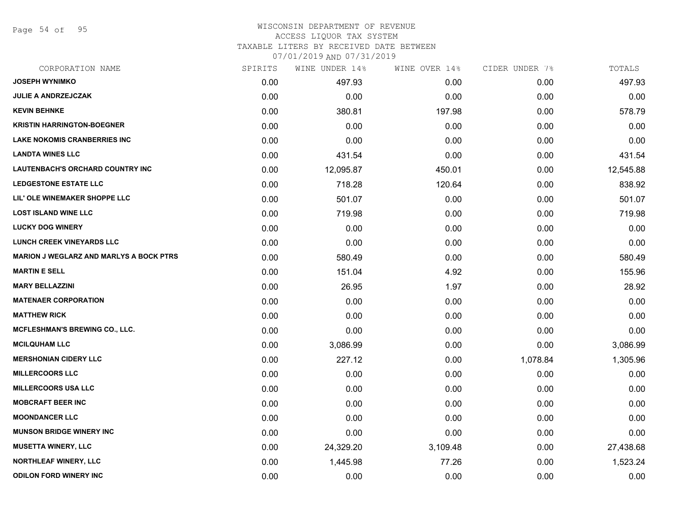Page 54 of 95

## WISCONSIN DEPARTMENT OF REVENUE ACCESS LIQUOR TAX SYSTEM

TAXABLE LITERS BY RECEIVED DATE BETWEEN

| CORPORATION NAME                               | SPIRITS | WINE UNDER 14% | WINE OVER 14% | CIDER UNDER 7% | TOTALS    |
|------------------------------------------------|---------|----------------|---------------|----------------|-----------|
| <b>JOSEPH WYNIMKO</b>                          | 0.00    | 497.93         | 0.00          | 0.00           | 497.93    |
| <b>JULIE A ANDRZEJCZAK</b>                     | 0.00    | 0.00           | 0.00          | 0.00           | 0.00      |
| <b>KEVIN BEHNKE</b>                            | 0.00    | 380.81         | 197.98        | 0.00           | 578.79    |
| <b>KRISTIN HARRINGTON-BOEGNER</b>              | 0.00    | 0.00           | 0.00          | 0.00           | 0.00      |
| <b>LAKE NOKOMIS CRANBERRIES INC</b>            | 0.00    | 0.00           | 0.00          | 0.00           | 0.00      |
| <b>LANDTA WINES LLC</b>                        | 0.00    | 431.54         | 0.00          | 0.00           | 431.54    |
| LAUTENBACH'S ORCHARD COUNTRY INC               | 0.00    | 12,095.87      | 450.01        | 0.00           | 12,545.88 |
| <b>LEDGESTONE ESTATE LLC</b>                   | 0.00    | 718.28         | 120.64        | 0.00           | 838.92    |
| LIL' OLE WINEMAKER SHOPPE LLC                  | 0.00    | 501.07         | 0.00          | 0.00           | 501.07    |
| <b>LOST ISLAND WINE LLC</b>                    | 0.00    | 719.98         | 0.00          | 0.00           | 719.98    |
| <b>LUCKY DOG WINERY</b>                        | 0.00    | 0.00           | 0.00          | 0.00           | 0.00      |
| <b>LUNCH CREEK VINEYARDS LLC</b>               | 0.00    | 0.00           | 0.00          | 0.00           | 0.00      |
| <b>MARION J WEGLARZ AND MARLYS A BOCK PTRS</b> | 0.00    | 580.49         | 0.00          | 0.00           | 580.49    |
| <b>MARTIN E SELL</b>                           | 0.00    | 151.04         | 4.92          | 0.00           | 155.96    |
| <b>MARY BELLAZZINI</b>                         | 0.00    | 26.95          | 1.97          | 0.00           | 28.92     |
| <b>MATENAER CORPORATION</b>                    | 0.00    | 0.00           | 0.00          | 0.00           | 0.00      |
| <b>MATTHEW RICK</b>                            | 0.00    | 0.00           | 0.00          | 0.00           | 0.00      |
| <b>MCFLESHMAN'S BREWING CO., LLC.</b>          | 0.00    | 0.00           | 0.00          | 0.00           | 0.00      |
| <b>MCILQUHAM LLC</b>                           | 0.00    | 3,086.99       | 0.00          | 0.00           | 3,086.99  |
| <b>MERSHONIAN CIDERY LLC</b>                   | 0.00    | 227.12         | 0.00          | 1,078.84       | 1,305.96  |
| <b>MILLERCOORS LLC</b>                         | 0.00    | 0.00           | 0.00          | 0.00           | 0.00      |
| <b>MILLERCOORS USA LLC</b>                     | 0.00    | 0.00           | 0.00          | 0.00           | 0.00      |
| <b>MOBCRAFT BEER INC</b>                       | 0.00    | 0.00           | 0.00          | 0.00           | 0.00      |
| <b>MOONDANCER LLC</b>                          | 0.00    | 0.00           | 0.00          | 0.00           | 0.00      |
| <b>MUNSON BRIDGE WINERY INC</b>                | 0.00    | 0.00           | 0.00          | 0.00           | 0.00      |
| <b>MUSETTA WINERY, LLC</b>                     | 0.00    | 24,329.20      | 3,109.48      | 0.00           | 27,438.68 |
| <b>NORTHLEAF WINERY, LLC</b>                   | 0.00    | 1,445.98       | 77.26         | 0.00           | 1,523.24  |
| <b>ODILON FORD WINERY INC</b>                  | 0.00    | 0.00           | 0.00          | 0.00           | 0.00      |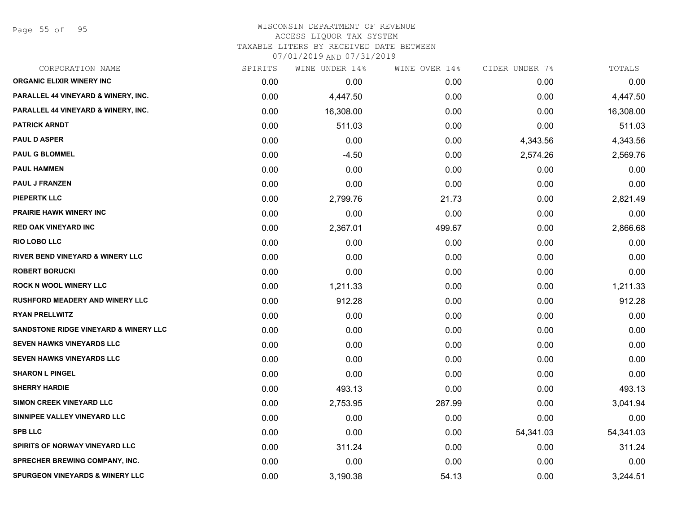Page 55 of 95

| CORPORATION NAME                                 | SPIRITS | WINE UNDER 14% | WINE OVER 14% | CIDER UNDER 7% | TOTALS    |
|--------------------------------------------------|---------|----------------|---------------|----------------|-----------|
| <b>ORGANIC ELIXIR WINERY INC</b>                 | 0.00    | 0.00           | 0.00          | 0.00           | 0.00      |
| PARALLEL 44 VINEYARD & WINERY, INC.              | 0.00    | 4,447.50       | 0.00          | 0.00           | 4,447.50  |
| PARALLEL 44 VINEYARD & WINERY, INC.              | 0.00    | 16,308.00      | 0.00          | 0.00           | 16,308.00 |
| <b>PATRICK ARNDT</b>                             | 0.00    | 511.03         | 0.00          | 0.00           | 511.03    |
| <b>PAUL D ASPER</b>                              | 0.00    | 0.00           | 0.00          | 4,343.56       | 4,343.56  |
| <b>PAUL G BLOMMEL</b>                            | 0.00    | $-4.50$        | 0.00          | 2,574.26       | 2,569.76  |
| <b>PAUL HAMMEN</b>                               | 0.00    | 0.00           | 0.00          | 0.00           | 0.00      |
| <b>PAUL J FRANZEN</b>                            | 0.00    | 0.00           | 0.00          | 0.00           | 0.00      |
| <b>PIEPERTK LLC</b>                              | 0.00    | 2,799.76       | 21.73         | 0.00           | 2,821.49  |
| PRAIRIE HAWK WINERY INC                          | 0.00    | 0.00           | 0.00          | 0.00           | 0.00      |
| <b>RED OAK VINEYARD INC</b>                      | 0.00    | 2,367.01       | 499.67        | 0.00           | 2,866.68  |
| RIO LOBO LLC                                     | 0.00    | 0.00           | 0.00          | 0.00           | 0.00      |
| <b>RIVER BEND VINEYARD &amp; WINERY LLC</b>      | 0.00    | 0.00           | 0.00          | 0.00           | 0.00      |
| <b>ROBERT BORUCKI</b>                            | 0.00    | 0.00           | 0.00          | 0.00           | 0.00      |
| <b>ROCK N WOOL WINERY LLC</b>                    | 0.00    | 1,211.33       | 0.00          | 0.00           | 1,211.33  |
| <b>RUSHFORD MEADERY AND WINERY LLC</b>           | 0.00    | 912.28         | 0.00          | 0.00           | 912.28    |
| <b>RYAN PRELLWITZ</b>                            | 0.00    | 0.00           | 0.00          | 0.00           | 0.00      |
| <b>SANDSTONE RIDGE VINEYARD &amp; WINERY LLC</b> | 0.00    | 0.00           | 0.00          | 0.00           | 0.00      |
| <b>SEVEN HAWKS VINEYARDS LLC</b>                 | 0.00    | 0.00           | 0.00          | 0.00           | 0.00      |
| <b>SEVEN HAWKS VINEYARDS LLC</b>                 | 0.00    | 0.00           | 0.00          | 0.00           | 0.00      |
| <b>SHARON L PINGEL</b>                           | 0.00    | 0.00           | 0.00          | 0.00           | 0.00      |
| <b>SHERRY HARDIE</b>                             | 0.00    | 493.13         | 0.00          | 0.00           | 493.13    |
| <b>SIMON CREEK VINEYARD LLC</b>                  | 0.00    | 2,753.95       | 287.99        | 0.00           | 3,041.94  |
| SINNIPEE VALLEY VINEYARD LLC                     | 0.00    | 0.00           | 0.00          | 0.00           | 0.00      |
| <b>SPB LLC</b>                                   | 0.00    | 0.00           | 0.00          | 54,341.03      | 54,341.03 |
| SPIRITS OF NORWAY VINEYARD LLC                   | 0.00    | 311.24         | 0.00          | 0.00           | 311.24    |
| <b>SPRECHER BREWING COMPANY, INC.</b>            | 0.00    | 0.00           | 0.00          | 0.00           | 0.00      |
| <b>SPURGEON VINEYARDS &amp; WINERY LLC</b>       | 0.00    | 3,190.38       | 54.13         | 0.00           | 3,244.51  |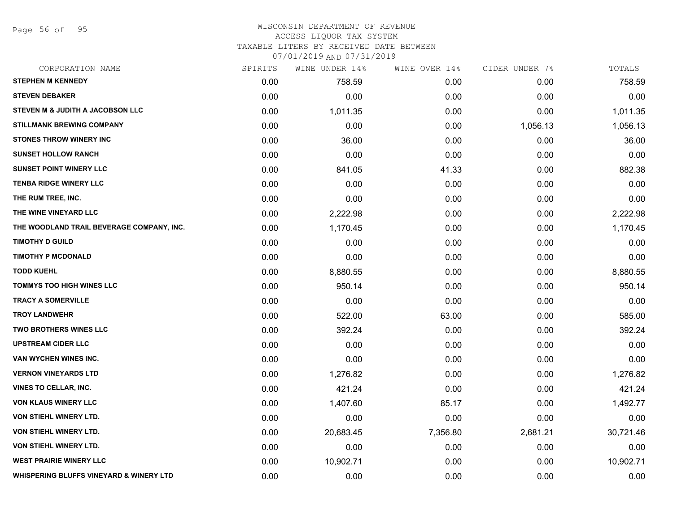Page 56 of 95

#### WISCONSIN DEPARTMENT OF REVENUE ACCESS LIQUOR TAX SYSTEM TAXABLE LITERS BY RECEIVED DATE BETWEEN

| CORPORATION NAME                                   | SPIRITS | WINE UNDER 14% | WINE OVER 14% | CIDER UNDER 7% | TOTALS    |
|----------------------------------------------------|---------|----------------|---------------|----------------|-----------|
| <b>STEPHEN M KENNEDY</b>                           | 0.00    | 758.59         | 0.00          | 0.00           | 758.59    |
| <b>STEVEN DEBAKER</b>                              | 0.00    | 0.00           | 0.00          | 0.00           | 0.00      |
| STEVEN M & JUDITH A JACOBSON LLC                   | 0.00    | 1,011.35       | 0.00          | 0.00           | 1,011.35  |
| STILLMANK BREWING COMPANY                          | 0.00    | 0.00           | 0.00          | 1,056.13       | 1,056.13  |
| <b>STONES THROW WINERY INC.</b>                    | 0.00    | 36.00          | 0.00          | 0.00           | 36.00     |
| <b>SUNSET HOLLOW RANCH</b>                         | 0.00    | 0.00           | 0.00          | 0.00           | 0.00      |
| <b>SUNSET POINT WINERY LLC</b>                     | 0.00    | 841.05         | 41.33         | 0.00           | 882.38    |
| <b>TENBA RIDGE WINERY LLC</b>                      | 0.00    | 0.00           | 0.00          | 0.00           | 0.00      |
| THE RUM TREE, INC.                                 | 0.00    | 0.00           | 0.00          | 0.00           | 0.00      |
| THE WINE VINEYARD LLC                              | 0.00    | 2,222.98       | 0.00          | 0.00           | 2,222.98  |
| THE WOODLAND TRAIL BEVERAGE COMPANY, INC.          | 0.00    | 1,170.45       | 0.00          | 0.00           | 1,170.45  |
| <b>TIMOTHY D GUILD</b>                             | 0.00    | 0.00           | 0.00          | 0.00           | 0.00      |
| <b>TIMOTHY P MCDONALD</b>                          | 0.00    | 0.00           | 0.00          | 0.00           | 0.00      |
| <b>TODD KUEHL</b>                                  | 0.00    | 8,880.55       | 0.00          | 0.00           | 8,880.55  |
| <b>TOMMYS TOO HIGH WINES LLC</b>                   | 0.00    | 950.14         | 0.00          | 0.00           | 950.14    |
| <b>TRACY A SOMERVILLE</b>                          | 0.00    | 0.00           | 0.00          | 0.00           | 0.00      |
| <b>TROY LANDWEHR</b>                               | 0.00    | 522.00         | 63.00         | 0.00           | 585.00    |
| <b>TWO BROTHERS WINES LLC</b>                      | 0.00    | 392.24         | 0.00          | 0.00           | 392.24    |
| <b>UPSTREAM CIDER LLC</b>                          | 0.00    | 0.00           | 0.00          | 0.00           | 0.00      |
| VAN WYCHEN WINES INC.                              | 0.00    | 0.00           | 0.00          | 0.00           | 0.00      |
| <b>VERNON VINEYARDS LTD</b>                        | 0.00    | 1,276.82       | 0.00          | 0.00           | 1,276.82  |
| <b>VINES TO CELLAR, INC.</b>                       | 0.00    | 421.24         | 0.00          | 0.00           | 421.24    |
| <b>VON KLAUS WINERY LLC</b>                        | 0.00    | 1,407.60       | 85.17         | 0.00           | 1,492.77  |
| <b>VON STIEHL WINERY LTD.</b>                      | 0.00    | 0.00           | 0.00          | 0.00           | 0.00      |
| <b>VON STIEHL WINERY LTD.</b>                      | 0.00    | 20,683.45      | 7,356.80      | 2,681.21       | 30,721.46 |
| <b>VON STIEHL WINERY LTD.</b>                      | 0.00    | 0.00           | 0.00          | 0.00           | 0.00      |
| <b>WEST PRAIRIE WINERY LLC</b>                     | 0.00    | 10,902.71      | 0.00          | 0.00           | 10,902.71 |
| <b>WHISPERING BLUFFS VINEYARD &amp; WINERY LTD</b> | 0.00    | 0.00           | 0.00          | 0.00           | 0.00      |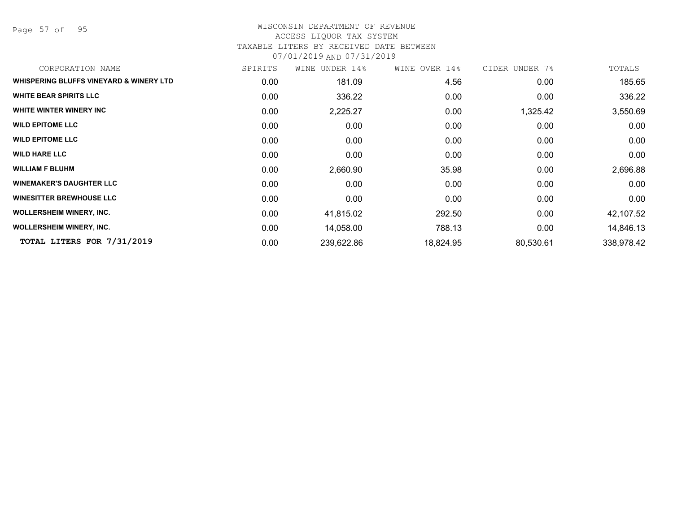Page 57 of 95

#### WISCONSIN DEPARTMENT OF REVENUE ACCESS LIQUOR TAX SYSTEM TAXABLE LITERS BY RECEIVED DATE BETWEEN

| CORPORATION NAME                        | SPIRITS | WINE UNDER 14% | WINE OVER 14% | CIDER UNDER 7% | TOTALS     |
|-----------------------------------------|---------|----------------|---------------|----------------|------------|
| WHISPERING BLUFFS VINEYARD & WINERY LTD | 0.00    | 181.09         | 4.56          | 0.00           | 185.65     |
| <b>WHITE BEAR SPIRITS LLC</b>           | 0.00    | 336.22         | 0.00          | 0.00           | 336.22     |
| WHITE WINTER WINERY INC                 | 0.00    | 2,225.27       | 0.00          | 1,325.42       | 3,550.69   |
| <b>WILD EPITOME LLC</b>                 | 0.00    | 0.00           | 0.00          | 0.00           | 0.00       |
| <b>WILD EPITOME LLC</b>                 | 0.00    | 0.00           | 0.00          | 0.00           | 0.00       |
| <b>WILD HARE LLC</b>                    | 0.00    | 0.00           | 0.00          | 0.00           | 0.00       |
| <b>WILLIAM F BLUHM</b>                  | 0.00    | 2,660.90       | 35.98         | 0.00           | 2,696.88   |
| <b>WINEMAKER'S DAUGHTER LLC</b>         | 0.00    | 0.00           | 0.00          | 0.00           | 0.00       |
| <b>WINESITTER BREWHOUSE LLC</b>         | 0.00    | 0.00           | 0.00          | 0.00           | 0.00       |
| <b>WOLLERSHEIM WINERY, INC.</b>         | 0.00    | 41,815.02      | 292.50        | 0.00           | 42,107.52  |
| <b>WOLLERSHEIM WINERY, INC.</b>         | 0.00    | 14,058.00      | 788.13        | 0.00           | 14,846.13  |
| TOTAL LITERS FOR 7/31/2019              | 0.00    | 239,622.86     | 18,824.95     | 80,530.61      | 338,978.42 |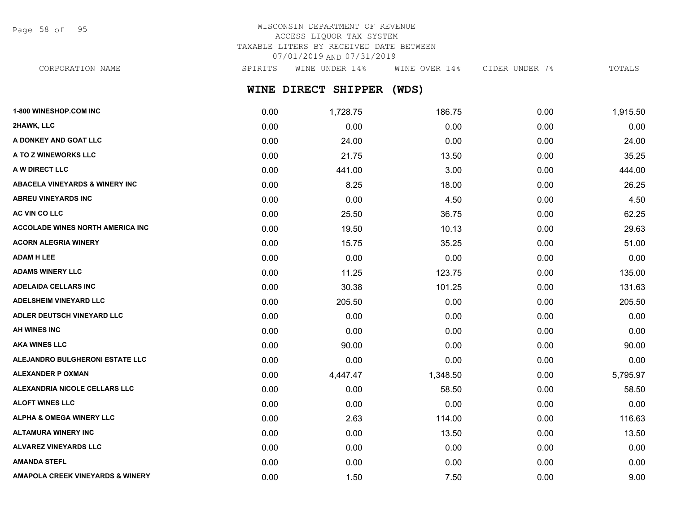Page 58 of 95

## WISCONSIN DEPARTMENT OF REVENUE ACCESS LIQUOR TAX SYSTEM TAXABLE LITERS BY RECEIVED DATE BETWEEN 07/01/2019 AND 07/31/2019

CORPORATION NAME SPIRITS WINE UNDER 14% WINE OVER 14% CIDER UNDER 7% TOTALS

## **WINE DIRECT SHIPPER (WDS)**

| 1-800 WINESHOP.COM INC                      | 0.00 | 1,728.75 | 186.75   | 0.00 | 1,915.50 |
|---------------------------------------------|------|----------|----------|------|----------|
| 2HAWK, LLC                                  | 0.00 | 0.00     | 0.00     | 0.00 | 0.00     |
| A DONKEY AND GOAT LLC                       | 0.00 | 24.00    | 0.00     | 0.00 | 24.00    |
| A TO Z WINEWORKS LLC                        | 0.00 | 21.75    | 13.50    | 0.00 | 35.25    |
| A W DIRECT LLC                              | 0.00 | 441.00   | 3.00     | 0.00 | 444.00   |
| <b>ABACELA VINEYARDS &amp; WINERY INC.</b>  | 0.00 | 8.25     | 18.00    | 0.00 | 26.25    |
| <b>ABREU VINEYARDS INC</b>                  | 0.00 | 0.00     | 4.50     | 0.00 | 4.50     |
| AC VIN CO LLC                               | 0.00 | 25.50    | 36.75    | 0.00 | 62.25    |
| <b>ACCOLADE WINES NORTH AMERICA INC</b>     | 0.00 | 19.50    | 10.13    | 0.00 | 29.63    |
| <b>ACORN ALEGRIA WINERY</b>                 | 0.00 | 15.75    | 35.25    | 0.00 | 51.00    |
| <b>ADAM H LEE</b>                           | 0.00 | 0.00     | 0.00     | 0.00 | 0.00     |
| <b>ADAMS WINERY LLC</b>                     | 0.00 | 11.25    | 123.75   | 0.00 | 135.00   |
| <b>ADELAIDA CELLARS INC</b>                 | 0.00 | 30.38    | 101.25   | 0.00 | 131.63   |
| <b>ADELSHEIM VINEYARD LLC</b>               | 0.00 | 205.50   | 0.00     | 0.00 | 205.50   |
| ADLER DEUTSCH VINEYARD LLC                  | 0.00 | 0.00     | 0.00     | 0.00 | 0.00     |
| <b>AH WINES INC</b>                         | 0.00 | 0.00     | 0.00     | 0.00 | 0.00     |
| <b>AKA WINES LLC</b>                        | 0.00 | 90.00    | 0.00     | 0.00 | 90.00    |
| ALEJANDRO BULGHERONI ESTATE LLC             | 0.00 | 0.00     | 0.00     | 0.00 | 0.00     |
| <b>ALEXANDER P OXMAN</b>                    | 0.00 | 4,447.47 | 1,348.50 | 0.00 | 5,795.97 |
| ALEXANDRIA NICOLE CELLARS LLC               | 0.00 | 0.00     | 58.50    | 0.00 | 58.50    |
| <b>ALOFT WINES LLC</b>                      | 0.00 | 0.00     | 0.00     | 0.00 | 0.00     |
| <b>ALPHA &amp; OMEGA WINERY LLC</b>         | 0.00 | 2.63     | 114.00   | 0.00 | 116.63   |
| <b>ALTAMURA WINERY INC</b>                  | 0.00 | 0.00     | 13.50    | 0.00 | 13.50    |
| <b>ALVAREZ VINEYARDS LLC</b>                | 0.00 | 0.00     | 0.00     | 0.00 | 0.00     |
| <b>AMANDA STEFL</b>                         | 0.00 | 0.00     | 0.00     | 0.00 | 0.00     |
| <b>AMAPOLA CREEK VINEYARDS &amp; WINERY</b> | 0.00 | 1.50     | 7.50     | 0.00 | 9.00     |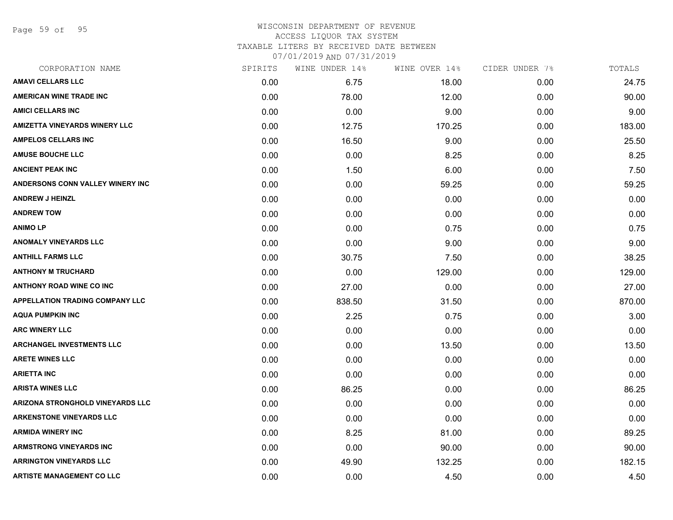Page 59 of 95

## WISCONSIN DEPARTMENT OF REVENUE ACCESS LIQUOR TAX SYSTEM TAXABLE LITERS BY RECEIVED DATE BETWEEN

| CORPORATION NAME                        | SPIRITS | WINE UNDER 14% | WINE OVER 14% | CIDER UNDER 7% | TOTALS |
|-----------------------------------------|---------|----------------|---------------|----------------|--------|
| <b>AMAVI CELLARS LLC</b>                | 0.00    | 6.75           | 18.00         | 0.00           | 24.75  |
| <b>AMERICAN WINE TRADE INC</b>          | 0.00    | 78.00          | 12.00         | 0.00           | 90.00  |
| <b>AMICI CELLARS INC</b>                | 0.00    | 0.00           | 9.00          | 0.00           | 9.00   |
| <b>AMIZETTA VINEYARDS WINERY LLC</b>    | 0.00    | 12.75          | 170.25        | 0.00           | 183.00 |
| <b>AMPELOS CELLARS INC</b>              | 0.00    | 16.50          | 9.00          | 0.00           | 25.50  |
| <b>AMUSE BOUCHE LLC</b>                 | 0.00    | 0.00           | 8.25          | 0.00           | 8.25   |
| <b>ANCIENT PEAK INC</b>                 | 0.00    | 1.50           | 6.00          | 0.00           | 7.50   |
| ANDERSONS CONN VALLEY WINERY INC        | 0.00    | 0.00           | 59.25         | 0.00           | 59.25  |
| <b>ANDREW J HEINZL</b>                  | 0.00    | 0.00           | 0.00          | 0.00           | 0.00   |
| <b>ANDREW TOW</b>                       | 0.00    | 0.00           | 0.00          | 0.00           | 0.00   |
| <b>ANIMOLP</b>                          | 0.00    | 0.00           | 0.75          | 0.00           | 0.75   |
| <b>ANOMALY VINEYARDS LLC</b>            | 0.00    | 0.00           | 9.00          | 0.00           | 9.00   |
| <b>ANTHILL FARMS LLC</b>                | 0.00    | 30.75          | 7.50          | 0.00           | 38.25  |
| <b>ANTHONY M TRUCHARD</b>               | 0.00    | 0.00           | 129.00        | 0.00           | 129.00 |
| <b>ANTHONY ROAD WINE CO INC</b>         | 0.00    | 27.00          | 0.00          | 0.00           | 27.00  |
| <b>APPELLATION TRADING COMPANY LLC</b>  | 0.00    | 838.50         | 31.50         | 0.00           | 870.00 |
| <b>AQUA PUMPKIN INC</b>                 | 0.00    | 2.25           | 0.75          | 0.00           | 3.00   |
| <b>ARC WINERY LLC</b>                   | 0.00    | 0.00           | 0.00          | 0.00           | 0.00   |
| <b>ARCHANGEL INVESTMENTS LLC</b>        | 0.00    | 0.00           | 13.50         | 0.00           | 13.50  |
| <b>ARETE WINES LLC</b>                  | 0.00    | 0.00           | 0.00          | 0.00           | 0.00   |
| <b>ARIETTA INC</b>                      | 0.00    | 0.00           | 0.00          | 0.00           | 0.00   |
| <b>ARISTA WINES LLC</b>                 | 0.00    | 86.25          | 0.00          | 0.00           | 86.25  |
| <b>ARIZONA STRONGHOLD VINEYARDS LLC</b> | 0.00    | 0.00           | 0.00          | 0.00           | 0.00   |
| <b>ARKENSTONE VINEYARDS LLC</b>         | 0.00    | 0.00           | 0.00          | 0.00           | 0.00   |
| <b>ARMIDA WINERY INC</b>                | 0.00    | 8.25           | 81.00         | 0.00           | 89.25  |
| <b>ARMSTRONG VINEYARDS INC</b>          | 0.00    | 0.00           | 90.00         | 0.00           | 90.00  |
| <b>ARRINGTON VINEYARDS LLC</b>          | 0.00    | 49.90          | 132.25        | 0.00           | 182.15 |
| <b>ARTISTE MANAGEMENT CO LLC</b>        | 0.00    | 0.00           | 4.50          | 0.00           | 4.50   |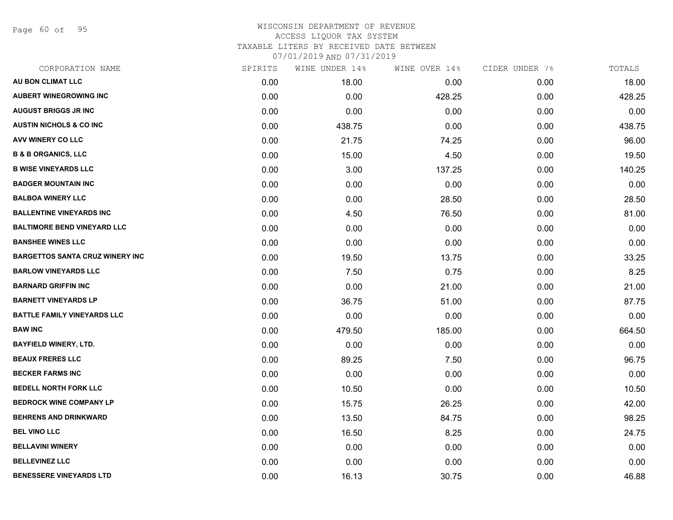Page 60 of 95

## WISCONSIN DEPARTMENT OF REVENUE ACCESS LIQUOR TAX SYSTEM TAXABLE LITERS BY RECEIVED DATE BETWEEN

| CORPORATION NAME                       | SPIRITS | WINE UNDER 14% | WINE OVER 14% | CIDER UNDER 7% | TOTALS |
|----------------------------------------|---------|----------------|---------------|----------------|--------|
| AU BON CLIMAT LLC                      | 0.00    | 18.00          | 0.00          | 0.00           | 18.00  |
| <b>AUBERT WINEGROWING INC</b>          | 0.00    | 0.00           | 428.25        | 0.00           | 428.25 |
| <b>AUGUST BRIGGS JR INC</b>            | 0.00    | 0.00           | 0.00          | 0.00           | 0.00   |
| <b>AUSTIN NICHOLS &amp; CO INC</b>     | 0.00    | 438.75         | 0.00          | 0.00           | 438.75 |
| <b>AVV WINERY CO LLC</b>               | 0.00    | 21.75          | 74.25         | 0.00           | 96.00  |
| <b>B &amp; B ORGANICS, LLC</b>         | 0.00    | 15.00          | 4.50          | 0.00           | 19.50  |
| <b>B WISE VINEYARDS LLC</b>            | 0.00    | 3.00           | 137.25        | 0.00           | 140.25 |
| <b>BADGER MOUNTAIN INC</b>             | 0.00    | 0.00           | 0.00          | 0.00           | 0.00   |
| <b>BALBOA WINERY LLC</b>               | 0.00    | 0.00           | 28.50         | 0.00           | 28.50  |
| <b>BALLENTINE VINEYARDS INC</b>        | 0.00    | 4.50           | 76.50         | 0.00           | 81.00  |
| <b>BALTIMORE BEND VINEYARD LLC</b>     | 0.00    | 0.00           | 0.00          | 0.00           | 0.00   |
| <b>BANSHEE WINES LLC</b>               | 0.00    | 0.00           | 0.00          | 0.00           | 0.00   |
| <b>BARGETTOS SANTA CRUZ WINERY INC</b> | 0.00    | 19.50          | 13.75         | 0.00           | 33.25  |
| <b>BARLOW VINEYARDS LLC</b>            | 0.00    | 7.50           | 0.75          | 0.00           | 8.25   |
| <b>BARNARD GRIFFIN INC</b>             | 0.00    | 0.00           | 21.00         | 0.00           | 21.00  |
| <b>BARNETT VINEYARDS LP</b>            | 0.00    | 36.75          | 51.00         | 0.00           | 87.75  |
| <b>BATTLE FAMILY VINEYARDS LLC</b>     | 0.00    | 0.00           | 0.00          | 0.00           | 0.00   |
| <b>BAW INC</b>                         | 0.00    | 479.50         | 185.00        | 0.00           | 664.50 |
| <b>BAYFIELD WINERY, LTD.</b>           | 0.00    | 0.00           | 0.00          | 0.00           | 0.00   |
| <b>BEAUX FRERES LLC</b>                | 0.00    | 89.25          | 7.50          | 0.00           | 96.75  |
| <b>BECKER FARMS INC</b>                | 0.00    | 0.00           | 0.00          | 0.00           | 0.00   |
| <b>BEDELL NORTH FORK LLC</b>           | 0.00    | 10.50          | 0.00          | 0.00           | 10.50  |
| <b>BEDROCK WINE COMPANY LP</b>         | 0.00    | 15.75          | 26.25         | 0.00           | 42.00  |
| <b>BEHRENS AND DRINKWARD</b>           | 0.00    | 13.50          | 84.75         | 0.00           | 98.25  |
| <b>BEL VINO LLC</b>                    | 0.00    | 16.50          | 8.25          | 0.00           | 24.75  |
| <b>BELLAVINI WINERY</b>                | 0.00    | 0.00           | 0.00          | 0.00           | 0.00   |
| <b>BELLEVINEZ LLC</b>                  | 0.00    | 0.00           | 0.00          | 0.00           | 0.00   |
| <b>BENESSERE VINEYARDS LTD</b>         | 0.00    | 16.13          | 30.75         | 0.00           | 46.88  |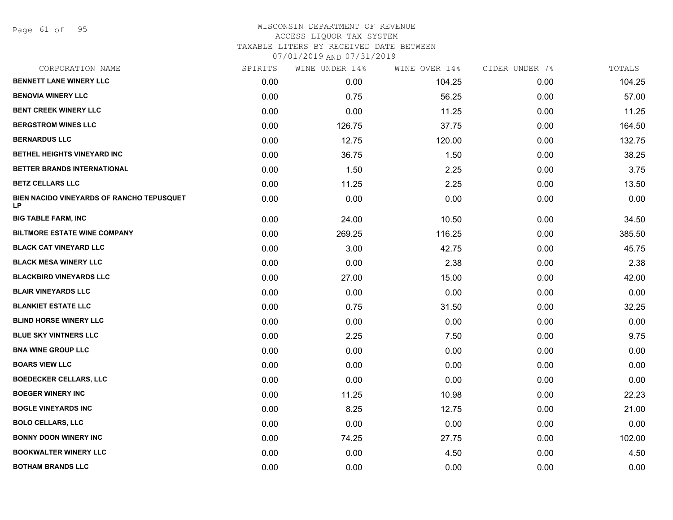Page 61 of 95

| CORPORATION NAME                                       | SPIRITS | WINE UNDER 14% | WINE OVER 14% | CIDER UNDER 7% | TOTALS |
|--------------------------------------------------------|---------|----------------|---------------|----------------|--------|
| <b>BENNETT LANE WINERY LLC</b>                         | 0.00    | 0.00           | 104.25        | 0.00           | 104.25 |
| <b>BENOVIA WINERY LLC</b>                              | 0.00    | 0.75           | 56.25         | 0.00           | 57.00  |
| <b>BENT CREEK WINERY LLC</b>                           | 0.00    | 0.00           | 11.25         | 0.00           | 11.25  |
| <b>BERGSTROM WINES LLC</b>                             | 0.00    | 126.75         | 37.75         | 0.00           | 164.50 |
| <b>BERNARDUS LLC</b>                                   | 0.00    | 12.75          | 120.00        | 0.00           | 132.75 |
| BETHEL HEIGHTS VINEYARD INC                            | 0.00    | 36.75          | 1.50          | 0.00           | 38.25  |
| BETTER BRANDS INTERNATIONAL                            | 0.00    | 1.50           | 2.25          | 0.00           | 3.75   |
| <b>BETZ CELLARS LLC</b>                                | 0.00    | 11.25          | 2.25          | 0.00           | 13.50  |
| BIEN NACIDO VINEYARDS OF RANCHO TEPUSQUET<br><b>LP</b> | 0.00    | 0.00           | 0.00          | 0.00           | 0.00   |
| <b>BIG TABLE FARM, INC</b>                             | 0.00    | 24.00          | 10.50         | 0.00           | 34.50  |
| <b>BILTMORE ESTATE WINE COMPANY</b>                    | 0.00    | 269.25         | 116.25        | 0.00           | 385.50 |
| <b>BLACK CAT VINEYARD LLC</b>                          | 0.00    | 3.00           | 42.75         | 0.00           | 45.75  |
| <b>BLACK MESA WINERY LLC</b>                           | 0.00    | 0.00           | 2.38          | 0.00           | 2.38   |
| <b>BLACKBIRD VINEYARDS LLC</b>                         | 0.00    | 27.00          | 15.00         | 0.00           | 42.00  |
| <b>BLAIR VINEYARDS LLC</b>                             | 0.00    | 0.00           | 0.00          | 0.00           | 0.00   |
| <b>BLANKIET ESTATE LLC</b>                             | 0.00    | 0.75           | 31.50         | 0.00           | 32.25  |
| <b>BLIND HORSE WINERY LLC</b>                          | 0.00    | 0.00           | 0.00          | 0.00           | 0.00   |
| <b>BLUE SKY VINTNERS LLC</b>                           | 0.00    | 2.25           | 7.50          | 0.00           | 9.75   |
| <b>BNA WINE GROUP LLC</b>                              | 0.00    | 0.00           | 0.00          | 0.00           | 0.00   |
| <b>BOARS VIEW LLC</b>                                  | 0.00    | 0.00           | 0.00          | 0.00           | 0.00   |
| <b>BOEDECKER CELLARS, LLC</b>                          | 0.00    | 0.00           | 0.00          | 0.00           | 0.00   |
| <b>BOEGER WINERY INC</b>                               | 0.00    | 11.25          | 10.98         | 0.00           | 22.23  |
| <b>BOGLE VINEYARDS INC</b>                             | 0.00    | 8.25           | 12.75         | 0.00           | 21.00  |
| <b>BOLO CELLARS, LLC</b>                               | 0.00    | 0.00           | 0.00          | 0.00           | 0.00   |
| <b>BONNY DOON WINERY INC</b>                           | 0.00    | 74.25          | 27.75         | 0.00           | 102.00 |
| <b>BOOKWALTER WINERY LLC</b>                           | 0.00    | 0.00           | 4.50          | 0.00           | 4.50   |
| <b>BOTHAM BRANDS LLC</b>                               | 0.00    | 0.00           | 0.00          | 0.00           | 0.00   |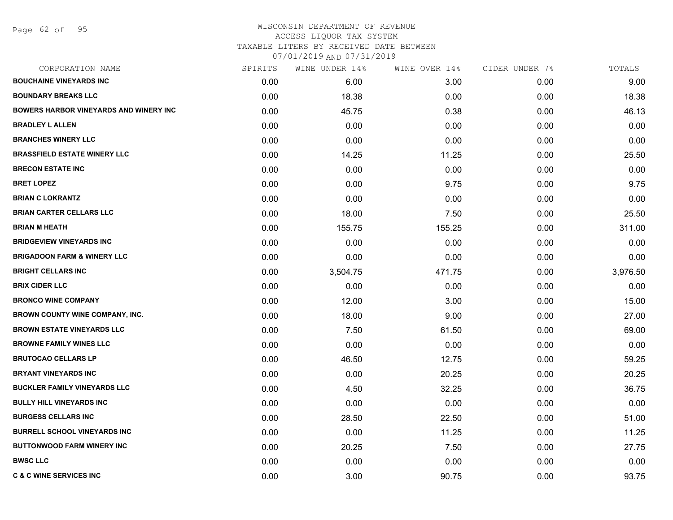Page 62 of 95

#### WISCONSIN DEPARTMENT OF REVENUE ACCESS LIQUOR TAX SYSTEM TAXABLE LITERS BY RECEIVED DATE BETWEEN

| CORPORATION NAME                              | SPIRITS           | WINE UNDER 14% | WINE OVER 14% | CIDER UNDER 7% | TOTALS   |
|-----------------------------------------------|-------------------|----------------|---------------|----------------|----------|
| <b>BOUCHAINE VINEYARDS INC</b>                | 0.00 <sub>1</sub> | 6.00           | 3.00          | 0.00           | 9.00     |
| <b>BOUNDARY BREAKS LLC</b>                    | 0.00              | 18.38          | 0.00          | 0.00           | 18.38    |
| <b>BOWERS HARBOR VINEYARDS AND WINERY INC</b> | 0.00              | 45.75          | 0.38          | 0.00           | 46.13    |
| <b>BRADLEY L ALLEN</b>                        | 0.00              | 0.00           | 0.00          | 0.00           | 0.00     |
| <b>BRANCHES WINERY LLC</b>                    | 0.00              | 0.00           | 0.00          | 0.00           | 0.00     |
| <b>BRASSFIELD ESTATE WINERY LLC</b>           | 0.00              | 14.25          | 11.25         | 0.00           | 25.50    |
| <b>BRECON ESTATE INC</b>                      | 0.00              | 0.00           | 0.00          | 0.00           | 0.00     |
| <b>BRET LOPEZ</b>                             | 0.00              | 0.00           | 9.75          | 0.00           | 9.75     |
| <b>BRIAN C LOKRANTZ</b>                       | 0.00              | 0.00           | 0.00          | 0.00           | 0.00     |
| <b>BRIAN CARTER CELLARS LLC</b>               | 0.00              | 18.00          | 7.50          | 0.00           | 25.50    |
| <b>BRIAN M HEATH</b>                          | 0.00              | 155.75         | 155.25        | 0.00           | 311.00   |
| <b>BRIDGEVIEW VINEYARDS INC</b>               | 0.00              | 0.00           | 0.00          | 0.00           | 0.00     |
| <b>BRIGADOON FARM &amp; WINERY LLC</b>        | 0.00              | 0.00           | 0.00          | 0.00           | 0.00     |
| <b>BRIGHT CELLARS INC</b>                     | 0.00              | 3,504.75       | 471.75        | 0.00           | 3,976.50 |
| <b>BRIX CIDER LLC</b>                         | 0.00              | 0.00           | 0.00          | 0.00           | 0.00     |
| <b>BRONCO WINE COMPANY</b>                    | 0.00              | 12.00          | 3.00          | 0.00           | 15.00    |
| <b>BROWN COUNTY WINE COMPANY, INC.</b>        | 0.00              | 18.00          | 9.00          | 0.00           | 27.00    |
| <b>BROWN ESTATE VINEYARDS LLC</b>             | 0.00              | 7.50           | 61.50         | 0.00           | 69.00    |
| <b>BROWNE FAMILY WINES LLC</b>                | 0.00              | 0.00           | 0.00          | 0.00           | 0.00     |
| <b>BRUTOCAO CELLARS LP</b>                    | 0.00              | 46.50          | 12.75         | 0.00           | 59.25    |
| <b>BRYANT VINEYARDS INC</b>                   | 0.00              | 0.00           | 20.25         | 0.00           | 20.25    |
| <b>BUCKLER FAMILY VINEYARDS LLC</b>           | 0.00              | 4.50           | 32.25         | 0.00           | 36.75    |
| <b>BULLY HILL VINEYARDS INC</b>               | 0.00              | 0.00           | 0.00          | 0.00           | 0.00     |
| <b>BURGESS CELLARS INC</b>                    | 0.00              | 28.50          | 22.50         | 0.00           | 51.00    |
| <b>BURRELL SCHOOL VINEYARDS INC</b>           | 0.00              | 0.00           | 11.25         | 0.00           | 11.25    |
| <b>BUTTONWOOD FARM WINERY INC</b>             | 0.00              | 20.25          | 7.50          | 0.00           | 27.75    |
| <b>BWSC LLC</b>                               | 0.00              | 0.00           | 0.00          | 0.00           | 0.00     |
| <b>C &amp; C WINE SERVICES INC</b>            | 0.00              | 3.00           | 90.75         | 0.00           | 93.75    |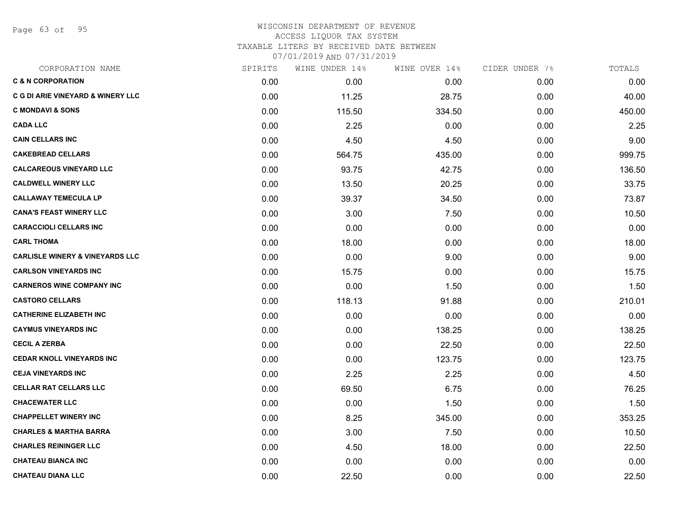Page 63 of 95

| CORPORATION NAME                             | SPIRITS | WINE UNDER 14% | WINE OVER 14% | CIDER UNDER 7% | TOTALS |
|----------------------------------------------|---------|----------------|---------------|----------------|--------|
| <b>C &amp; N CORPORATION</b>                 | 0.00    | 0.00           | 0.00          | 0.00           | 0.00   |
| <b>C G DI ARIE VINEYARD &amp; WINERY LLC</b> | 0.00    | 11.25          | 28.75         | 0.00           | 40.00  |
| <b>C MONDAVI &amp; SONS</b>                  | 0.00    | 115.50         | 334.50        | 0.00           | 450.00 |
| <b>CADA LLC</b>                              | 0.00    | 2.25           | 0.00          | 0.00           | 2.25   |
| <b>CAIN CELLARS INC</b>                      | 0.00    | 4.50           | 4.50          | 0.00           | 9.00   |
| <b>CAKEBREAD CELLARS</b>                     | 0.00    | 564.75         | 435.00        | 0.00           | 999.75 |
| <b>CALCAREOUS VINEYARD LLC</b>               | 0.00    | 93.75          | 42.75         | 0.00           | 136.50 |
| <b>CALDWELL WINERY LLC</b>                   | 0.00    | 13.50          | 20.25         | 0.00           | 33.75  |
| <b>CALLAWAY TEMECULA LP</b>                  | 0.00    | 39.37          | 34.50         | 0.00           | 73.87  |
| <b>CANA'S FEAST WINERY LLC</b>               | 0.00    | 3.00           | 7.50          | 0.00           | 10.50  |
| <b>CARACCIOLI CELLARS INC</b>                | 0.00    | 0.00           | 0.00          | 0.00           | 0.00   |
| <b>CARL THOMA</b>                            | 0.00    | 18.00          | 0.00          | 0.00           | 18.00  |
| <b>CARLISLE WINERY &amp; VINEYARDS LLC</b>   | 0.00    | 0.00           | 9.00          | 0.00           | 9.00   |
| <b>CARLSON VINEYARDS INC</b>                 | 0.00    | 15.75          | 0.00          | 0.00           | 15.75  |
| <b>CARNEROS WINE COMPANY INC</b>             | 0.00    | 0.00           | 1.50          | 0.00           | 1.50   |
| <b>CASTORO CELLARS</b>                       | 0.00    | 118.13         | 91.88         | 0.00           | 210.01 |
| <b>CATHERINE ELIZABETH INC</b>               | 0.00    | 0.00           | 0.00          | 0.00           | 0.00   |
| <b>CAYMUS VINEYARDS INC</b>                  | 0.00    | 0.00           | 138.25        | 0.00           | 138.25 |
| <b>CECIL A ZERBA</b>                         | 0.00    | 0.00           | 22.50         | 0.00           | 22.50  |
| <b>CEDAR KNOLL VINEYARDS INC</b>             | 0.00    | 0.00           | 123.75        | 0.00           | 123.75 |
| <b>CEJA VINEYARDS INC</b>                    | 0.00    | 2.25           | 2.25          | 0.00           | 4.50   |
| <b>CELLAR RAT CELLARS LLC</b>                | 0.00    | 69.50          | 6.75          | 0.00           | 76.25  |
| <b>CHACEWATER LLC</b>                        | 0.00    | 0.00           | 1.50          | 0.00           | 1.50   |
| <b>CHAPPELLET WINERY INC</b>                 | 0.00    | 8.25           | 345.00        | 0.00           | 353.25 |
| <b>CHARLES &amp; MARTHA BARRA</b>            | 0.00    | 3.00           | 7.50          | 0.00           | 10.50  |
| <b>CHARLES REININGER LLC</b>                 | 0.00    | 4.50           | 18.00         | 0.00           | 22.50  |
| <b>CHATEAU BIANCA INC</b>                    | 0.00    | 0.00           | 0.00          | 0.00           | 0.00   |
| <b>CHATEAU DIANA LLC</b>                     | 0.00    | 22.50          | 0.00          | 0.00           | 22.50  |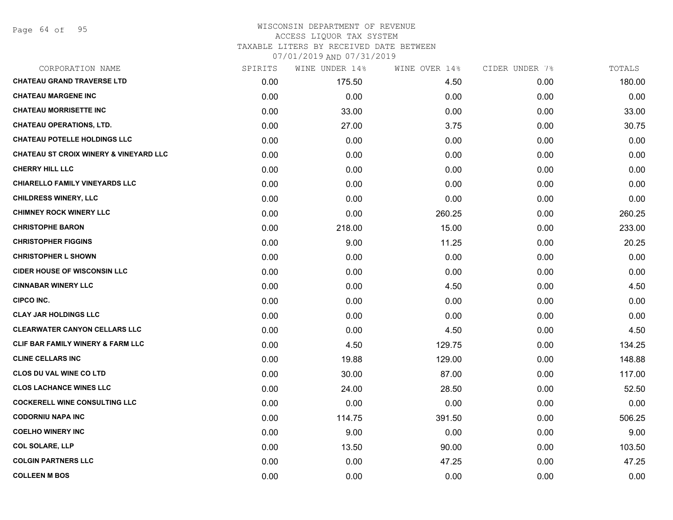Page 64 of 95

#### WISCONSIN DEPARTMENT OF REVENUE ACCESS LIQUOR TAX SYSTEM TAXABLE LITERS BY RECEIVED DATE BETWEEN

| CORPORATION NAME                                  | SPIRITS | WINE UNDER 14% | WINE OVER 14% | CIDER UNDER 7% | TOTALS |
|---------------------------------------------------|---------|----------------|---------------|----------------|--------|
| <b>CHATEAU GRAND TRAVERSE LTD</b>                 | 0.00    | 175.50         | 4.50          | 0.00           | 180.00 |
| <b>CHATEAU MARGENE INC</b>                        | 0.00    | 0.00           | 0.00          | 0.00           | 0.00   |
| <b>CHATEAU MORRISETTE INC</b>                     | 0.00    | 33.00          | 0.00          | 0.00           | 33.00  |
| <b>CHATEAU OPERATIONS, LTD.</b>                   | 0.00    | 27.00          | 3.75          | 0.00           | 30.75  |
| <b>CHATEAU POTELLE HOLDINGS LLC</b>               | 0.00    | 0.00           | 0.00          | 0.00           | 0.00   |
| <b>CHATEAU ST CROIX WINERY &amp; VINEYARD LLC</b> | 0.00    | 0.00           | 0.00          | 0.00           | 0.00   |
| <b>CHERRY HILL LLC</b>                            | 0.00    | 0.00           | 0.00          | 0.00           | 0.00   |
| CHIARELLO FAMILY VINEYARDS LLC                    | 0.00    | 0.00           | 0.00          | 0.00           | 0.00   |
| <b>CHILDRESS WINERY, LLC</b>                      | 0.00    | 0.00           | 0.00          | 0.00           | 0.00   |
| <b>CHIMNEY ROCK WINERY LLC</b>                    | 0.00    | 0.00           | 260.25        | 0.00           | 260.25 |
| <b>CHRISTOPHE BARON</b>                           | 0.00    | 218.00         | 15.00         | 0.00           | 233.00 |
| <b>CHRISTOPHER FIGGINS</b>                        | 0.00    | 9.00           | 11.25         | 0.00           | 20.25  |
| <b>CHRISTOPHER L SHOWN</b>                        | 0.00    | 0.00           | 0.00          | 0.00           | 0.00   |
| <b>CIDER HOUSE OF WISCONSIN LLC</b>               | 0.00    | 0.00           | 0.00          | 0.00           | 0.00   |
| <b>CINNABAR WINERY LLC</b>                        | 0.00    | 0.00           | 4.50          | 0.00           | 4.50   |
| <b>CIPCO INC.</b>                                 | 0.00    | 0.00           | 0.00          | 0.00           | 0.00   |
| <b>CLAY JAR HOLDINGS LLC</b>                      | 0.00    | 0.00           | 0.00          | 0.00           | 0.00   |
| <b>CLEARWATER CANYON CELLARS LLC</b>              | 0.00    | 0.00           | 4.50          | 0.00           | 4.50   |
| <b>CLIF BAR FAMILY WINERY &amp; FARM LLC</b>      | 0.00    | 4.50           | 129.75        | 0.00           | 134.25 |
| <b>CLINE CELLARS INC</b>                          | 0.00    | 19.88          | 129.00        | 0.00           | 148.88 |
| <b>CLOS DU VAL WINE CO LTD</b>                    | 0.00    | 30.00          | 87.00         | 0.00           | 117.00 |
| <b>CLOS LACHANCE WINES LLC</b>                    | 0.00    | 24.00          | 28.50         | 0.00           | 52.50  |
| <b>COCKERELL WINE CONSULTING LLC</b>              | 0.00    | 0.00           | 0.00          | 0.00           | 0.00   |
| <b>CODORNIU NAPA INC</b>                          | 0.00    | 114.75         | 391.50        | 0.00           | 506.25 |
| <b>COELHO WINERY INC</b>                          | 0.00    | 9.00           | 0.00          | 0.00           | 9.00   |
| <b>COL SOLARE, LLP</b>                            | 0.00    | 13.50          | 90.00         | 0.00           | 103.50 |
| <b>COLGIN PARTNERS LLC</b>                        | 0.00    | 0.00           | 47.25         | 0.00           | 47.25  |
| <b>COLLEEN M BOS</b>                              | 0.00    | 0.00           | 0.00          | 0.00           | 0.00   |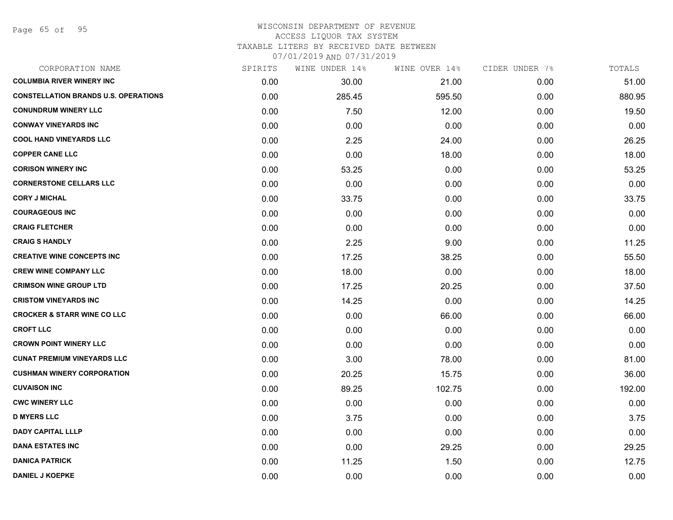| CORPORATION NAME                            | SPIRITS | WINE UNDER 14% | WINE OVER 14% | CIDER UNDER 7% | TOTALS |
|---------------------------------------------|---------|----------------|---------------|----------------|--------|
| <b>COLUMBIA RIVER WINERY INC</b>            | 0.00    | 30.00          | 21.00         | 0.00           | 51.00  |
| <b>CONSTELLATION BRANDS U.S. OPERATIONS</b> | 0.00    | 285.45         | 595.50        | 0.00           | 880.95 |
| <b>CONUNDRUM WINERY LLC</b>                 | 0.00    | 7.50           | 12.00         | 0.00           | 19.50  |
| <b>CONWAY VINEYARDS INC</b>                 | 0.00    | 0.00           | 0.00          | 0.00           | 0.00   |
| <b>COOL HAND VINEYARDS LLC</b>              | 0.00    | 2.25           | 24.00         | 0.00           | 26.25  |
| <b>COPPER CANE LLC</b>                      | 0.00    | 0.00           | 18.00         | 0.00           | 18.00  |
| <b>CORISON WINERY INC</b>                   | 0.00    | 53.25          | 0.00          | 0.00           | 53.25  |
| <b>CORNERSTONE CELLARS LLC</b>              | 0.00    | 0.00           | 0.00          | 0.00           | 0.00   |
| <b>CORY J MICHAL</b>                        | 0.00    | 33.75          | 0.00          | 0.00           | 33.75  |
| <b>COURAGEOUS INC</b>                       | 0.00    | 0.00           | 0.00          | 0.00           | 0.00   |
| <b>CRAIG FLETCHER</b>                       | 0.00    | 0.00           | 0.00          | 0.00           | 0.00   |
| <b>CRAIG S HANDLY</b>                       | 0.00    | 2.25           | 9.00          | 0.00           | 11.25  |
| <b>CREATIVE WINE CONCEPTS INC</b>           | 0.00    | 17.25          | 38.25         | 0.00           | 55.50  |
| <b>CREW WINE COMPANY LLC</b>                | 0.00    | 18.00          | 0.00          | 0.00           | 18.00  |
| <b>CRIMSON WINE GROUP LTD</b>               | 0.00    | 17.25          | 20.25         | 0.00           | 37.50  |
| <b>CRISTOM VINEYARDS INC</b>                | 0.00    | 14.25          | 0.00          | 0.00           | 14.25  |
| <b>CROCKER &amp; STARR WINE CO LLC</b>      | 0.00    | 0.00           | 66.00         | 0.00           | 66.00  |
| <b>CROFT LLC</b>                            | 0.00    | 0.00           | 0.00          | 0.00           | 0.00   |
| <b>CROWN POINT WINERY LLC</b>               | 0.00    | 0.00           | 0.00          | 0.00           | 0.00   |
| <b>CUNAT PREMIUM VINEYARDS LLC</b>          | 0.00    | 3.00           | 78.00         | 0.00           | 81.00  |
| <b>CUSHMAN WINERY CORPORATION</b>           | 0.00    | 20.25          | 15.75         | 0.00           | 36.00  |
| <b>CUVAISON INC</b>                         | 0.00    | 89.25          | 102.75        | 0.00           | 192.00 |
| <b>CWC WINERY LLC</b>                       | 0.00    | 0.00           | 0.00          | 0.00           | 0.00   |
| <b>D MYERS LLC</b>                          | 0.00    | 3.75           | 0.00          | 0.00           | 3.75   |
| <b>DADY CAPITAL LLLP</b>                    | 0.00    | 0.00           | 0.00          | 0.00           | 0.00   |
| <b>DANA ESTATES INC</b>                     | 0.00    | 0.00           | 29.25         | 0.00           | 29.25  |
| <b>DANICA PATRICK</b>                       | 0.00    | 11.25          | 1.50          | 0.00           | 12.75  |
| <b>DANIEL J KOEPKE</b>                      | 0.00    | 0.00           | 0.00          | 0.00           | 0.00   |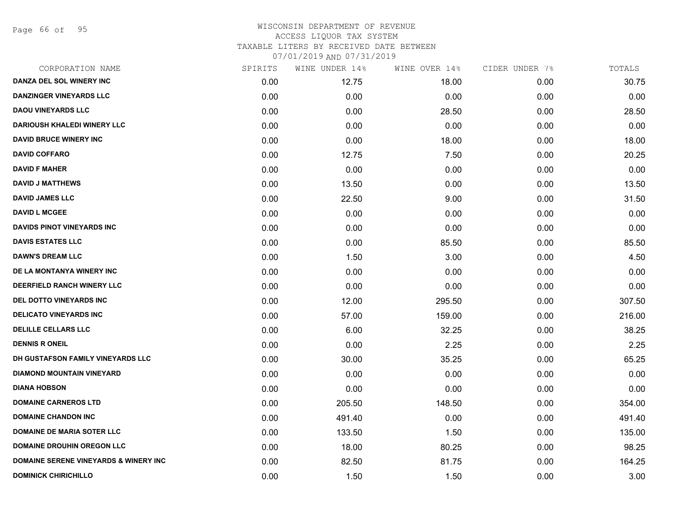Page 66 of 95

| CORPORATION NAME                                 | SPIRITS | WINE UNDER 14% | WINE OVER 14% | CIDER UNDER 7% | TOTALS |
|--------------------------------------------------|---------|----------------|---------------|----------------|--------|
| DANZA DEL SOL WINERY INC                         | 0.00    | 12.75          | 18.00         | 0.00           | 30.75  |
| <b>DANZINGER VINEYARDS LLC</b>                   | 0.00    | 0.00           | 0.00          | 0.00           | 0.00   |
| <b>DAOU VINEYARDS LLC</b>                        | 0.00    | 0.00           | 28.50         | 0.00           | 28.50  |
| <b>DARIOUSH KHALEDI WINERY LLC</b>               | 0.00    | 0.00           | 0.00          | 0.00           | 0.00   |
| <b>DAVID BRUCE WINERY INC</b>                    | 0.00    | 0.00           | 18.00         | 0.00           | 18.00  |
| <b>DAVID COFFARO</b>                             | 0.00    | 12.75          | 7.50          | 0.00           | 20.25  |
| <b>DAVID F MAHER</b>                             | 0.00    | 0.00           | 0.00          | 0.00           | 0.00   |
| <b>DAVID J MATTHEWS</b>                          | 0.00    | 13.50          | 0.00          | 0.00           | 13.50  |
| <b>DAVID JAMES LLC</b>                           | 0.00    | 22.50          | 9.00          | 0.00           | 31.50  |
| <b>DAVID L MCGEE</b>                             | 0.00    | 0.00           | 0.00          | 0.00           | 0.00   |
| <b>DAVIDS PINOT VINEYARDS INC</b>                | 0.00    | 0.00           | 0.00          | 0.00           | 0.00   |
| <b>DAVIS ESTATES LLC</b>                         | 0.00    | 0.00           | 85.50         | 0.00           | 85.50  |
| <b>DAWN'S DREAM LLC</b>                          | 0.00    | 1.50           | 3.00          | 0.00           | 4.50   |
| DE LA MONTANYA WINERY INC                        | 0.00    | 0.00           | 0.00          | 0.00           | 0.00   |
| <b>DEERFIELD RANCH WINERY LLC</b>                | 0.00    | 0.00           | 0.00          | 0.00           | 0.00   |
| <b>DEL DOTTO VINEYARDS INC</b>                   | 0.00    | 12.00          | 295.50        | 0.00           | 307.50 |
| <b>DELICATO VINEYARDS INC</b>                    | 0.00    | 57.00          | 159.00        | 0.00           | 216.00 |
| <b>DELILLE CELLARS LLC</b>                       | 0.00    | 6.00           | 32.25         | 0.00           | 38.25  |
| <b>DENNIS R ONEIL</b>                            | 0.00    | 0.00           | 2.25          | 0.00           | 2.25   |
| DH GUSTAFSON FAMILY VINEYARDS LLC                | 0.00    | 30.00          | 35.25         | 0.00           | 65.25  |
| <b>DIAMOND MOUNTAIN VINEYARD</b>                 | 0.00    | 0.00           | 0.00          | 0.00           | 0.00   |
| <b>DIANA HOBSON</b>                              | 0.00    | 0.00           | 0.00          | 0.00           | 0.00   |
| <b>DOMAINE CARNEROS LTD</b>                      | 0.00    | 205.50         | 148.50        | 0.00           | 354.00 |
| <b>DOMAINE CHANDON INC</b>                       | 0.00    | 491.40         | 0.00          | 0.00           | 491.40 |
| <b>DOMAINE DE MARIA SOTER LLC</b>                | 0.00    | 133.50         | 1.50          | 0.00           | 135.00 |
| <b>DOMAINE DROUHIN OREGON LLC</b>                | 0.00    | 18.00          | 80.25         | 0.00           | 98.25  |
| <b>DOMAINE SERENE VINEYARDS &amp; WINERY INC</b> | 0.00    | 82.50          | 81.75         | 0.00           | 164.25 |
| <b>DOMINICK CHIRICHILLO</b>                      | 0.00    | 1.50           | 1.50          | 0.00           | 3.00   |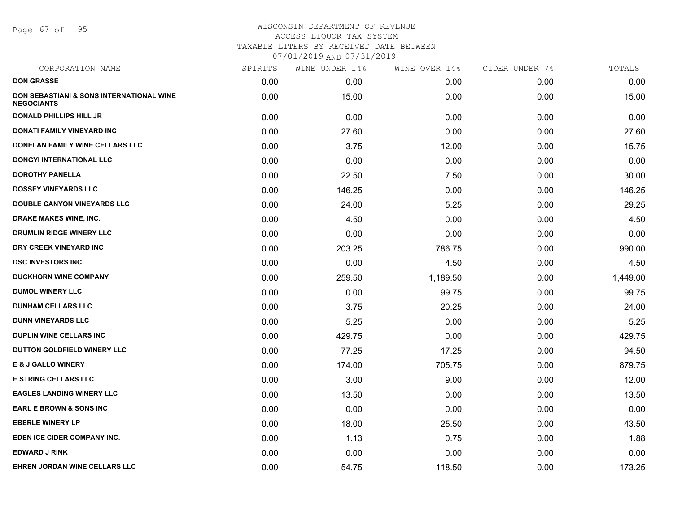Page 67 of 95

| CORPORATION NAME                                              | SPIRITS | WINE UNDER 14% | WINE OVER 14% | CIDER UNDER 7% | TOTALS   |
|---------------------------------------------------------------|---------|----------------|---------------|----------------|----------|
| <b>DON GRASSE</b>                                             | 0.00    | 0.00           | 0.00          | 0.00           | 0.00     |
| DON SEBASTIANI & SONS INTERNATIONAL WINE<br><b>NEGOCIANTS</b> | 0.00    | 15.00          | 0.00          | 0.00           | 15.00    |
| <b>DONALD PHILLIPS HILL JR</b>                                | 0.00    | 0.00           | 0.00          | 0.00           | 0.00     |
| DONATI FAMILY VINEYARD INC                                    | 0.00    | 27.60          | 0.00          | 0.00           | 27.60    |
| DONELAN FAMILY WINE CELLARS LLC                               | 0.00    | 3.75           | 12.00         | 0.00           | 15.75    |
| DONGYI INTERNATIONAL LLC                                      | 0.00    | 0.00           | 0.00          | 0.00           | 0.00     |
| <b>DOROTHY PANELLA</b>                                        | 0.00    | 22.50          | 7.50          | 0.00           | 30.00    |
| <b>DOSSEY VINEYARDS LLC</b>                                   | 0.00    | 146.25         | 0.00          | 0.00           | 146.25   |
| <b>DOUBLE CANYON VINEYARDS LLC</b>                            | 0.00    | 24.00          | 5.25          | 0.00           | 29.25    |
| DRAKE MAKES WINE, INC.                                        | 0.00    | 4.50           | 0.00          | 0.00           | 4.50     |
| <b>DRUMLIN RIDGE WINERY LLC</b>                               | 0.00    | 0.00           | 0.00          | 0.00           | 0.00     |
| DRY CREEK VINEYARD INC                                        | 0.00    | 203.25         | 786.75        | 0.00           | 990.00   |
| <b>DSC INVESTORS INC</b>                                      | 0.00    | 0.00           | 4.50          | 0.00           | 4.50     |
| <b>DUCKHORN WINE COMPANY</b>                                  | 0.00    | 259.50         | 1,189.50      | 0.00           | 1,449.00 |
| <b>DUMOL WINERY LLC</b>                                       | 0.00    | 0.00           | 99.75         | 0.00           | 99.75    |
| <b>DUNHAM CELLARS LLC</b>                                     | 0.00    | 3.75           | 20.25         | 0.00           | 24.00    |
| <b>DUNN VINEYARDS LLC</b>                                     | 0.00    | 5.25           | 0.00          | 0.00           | 5.25     |
| <b>DUPLIN WINE CELLARS INC.</b>                               | 0.00    | 429.75         | 0.00          | 0.00           | 429.75   |
| DUTTON GOLDFIELD WINERY LLC                                   | 0.00    | 77.25          | 17.25         | 0.00           | 94.50    |
| <b>E &amp; J GALLO WINERY</b>                                 | 0.00    | 174.00         | 705.75        | 0.00           | 879.75   |
| <b>E STRING CELLARS LLC</b>                                   | 0.00    | 3.00           | 9.00          | 0.00           | 12.00    |
| <b>EAGLES LANDING WINERY LLC</b>                              | 0.00    | 13.50          | 0.00          | 0.00           | 13.50    |
| <b>EARL E BROWN &amp; SONS INC</b>                            | 0.00    | 0.00           | 0.00          | 0.00           | 0.00     |
| <b>EBERLE WINERY LP</b>                                       | 0.00    | 18.00          | 25.50         | 0.00           | 43.50    |
| EDEN ICE CIDER COMPANY INC.                                   | 0.00    | 1.13           | 0.75          | 0.00           | 1.88     |
| <b>EDWARD J RINK</b>                                          | 0.00    | 0.00           | 0.00          | 0.00           | 0.00     |
| EHREN JORDAN WINE CELLARS LLC                                 | 0.00    | 54.75          | 118.50        | 0.00           | 173.25   |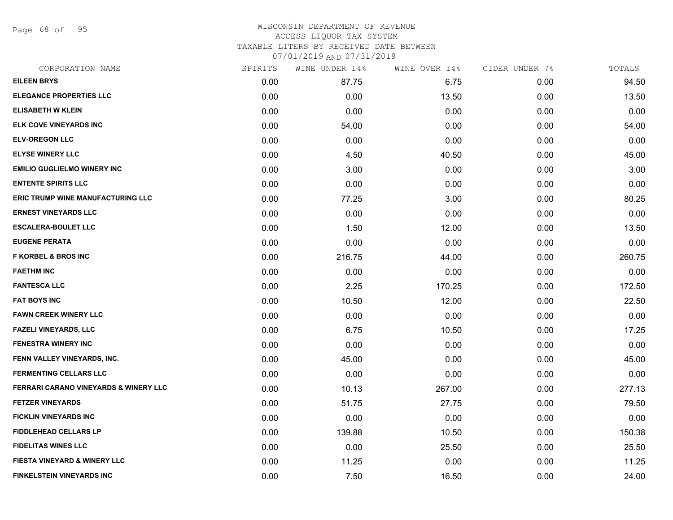Page 68 of 95

#### WISCONSIN DEPARTMENT OF REVENUE ACCESS LIQUOR TAX SYSTEM TAXABLE LITERS BY RECEIVED DATE BETWEEN

| CORPORATION NAME                         | SPIRITS | WINE UNDER 14% | WINE OVER 14% | CIDER UNDER 7% | TOTALS |
|------------------------------------------|---------|----------------|---------------|----------------|--------|
| <b>EILEEN BRYS</b>                       | 0.00    | 87.75          | 6.75          | 0.00           | 94.50  |
| <b>ELEGANCE PROPERTIES LLC</b>           | 0.00    | 0.00           | 13.50         | 0.00           | 13.50  |
| <b>ELISABETH W KLEIN</b>                 | 0.00    | 0.00           | 0.00          | 0.00           | 0.00   |
| ELK COVE VINEYARDS INC                   | 0.00    | 54.00          | 0.00          | 0.00           | 54.00  |
| <b>ELV-OREGON LLC</b>                    | 0.00    | 0.00           | 0.00          | 0.00           | 0.00   |
| <b>ELYSE WINERY LLC</b>                  | 0.00    | 4.50           | 40.50         | 0.00           | 45.00  |
| <b>EMILIO GUGLIELMO WINERY INC</b>       | 0.00    | 3.00           | 0.00          | 0.00           | 3.00   |
| <b>ENTENTE SPIRITS LLC</b>               | 0.00    | 0.00           | 0.00          | 0.00           | 0.00   |
| <b>ERIC TRUMP WINE MANUFACTURING LLC</b> | 0.00    | 77.25          | 3.00          | 0.00           | 80.25  |
| <b>ERNEST VINEYARDS LLC</b>              | 0.00    | 0.00           | 0.00          | 0.00           | 0.00   |
| <b>ESCALERA-BOULET LLC</b>               | 0.00    | 1.50           | 12.00         | 0.00           | 13.50  |
| <b>EUGENE PERATA</b>                     | 0.00    | 0.00           | 0.00          | 0.00           | 0.00   |
| <b>F KORBEL &amp; BROS INC</b>           | 0.00    | 216.75         | 44.00         | 0.00           | 260.75 |
| <b>FAETHM INC</b>                        | 0.00    | 0.00           | 0.00          | 0.00           | 0.00   |
| <b>FANTESCA LLC</b>                      | 0.00    | 2.25           | 170.25        | 0.00           | 172.50 |
| <b>FAT BOYS INC</b>                      | 0.00    | 10.50          | 12.00         | 0.00           | 22.50  |
| <b>FAWN CREEK WINERY LLC</b>             | 0.00    | 0.00           | 0.00          | 0.00           | 0.00   |
| <b>FAZELI VINEYARDS, LLC</b>             | 0.00    | 6.75           | 10.50         | 0.00           | 17.25  |
| <b>FENESTRA WINERY INC</b>               | 0.00    | 0.00           | 0.00          | 0.00           | 0.00   |
| FENN VALLEY VINEYARDS, INC.              | 0.00    | 45.00          | 0.00          | 0.00           | 45.00  |
| <b>FERMENTING CELLARS LLC</b>            | 0.00    | 0.00           | 0.00          | 0.00           | 0.00   |
| FERRARI CARANO VINEYARDS & WINERY LLC    | 0.00    | 10.13          | 267.00        | 0.00           | 277.13 |
| <b>FETZER VINEYARDS</b>                  | 0.00    | 51.75          | 27.75         | 0.00           | 79.50  |
| FICKLIN VINEYARDS INC                    | 0.00    | 0.00           | 0.00          | 0.00           | 0.00   |
| <b>FIDDLEHEAD CELLARS LP</b>             | 0.00    | 139.88         | 10.50         | 0.00           | 150.38 |
| <b>FIDELITAS WINES LLC</b>               | 0.00    | 0.00           | 25.50         | 0.00           | 25.50  |
| <b>FIESTA VINEYARD &amp; WINERY LLC</b>  | 0.00    | 11.25          | 0.00          | 0.00           | 11.25  |
| <b>FINKELSTEIN VINEYARDS INC</b>         | 0.00    | 7.50           | 16.50         | 0.00           | 24.00  |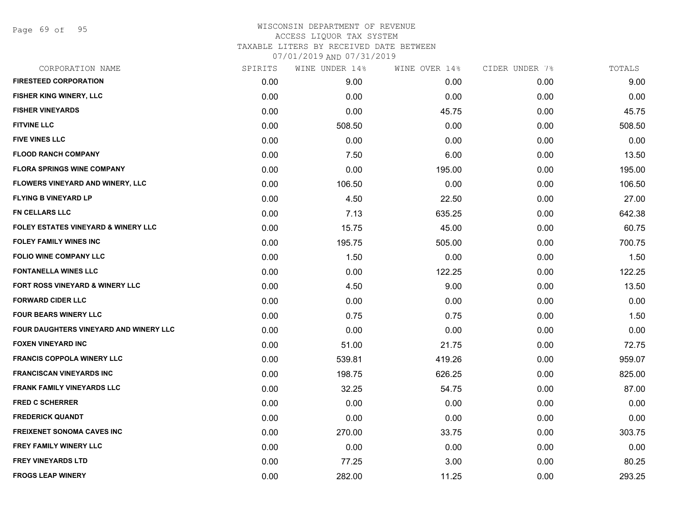Page 69 of 95

| CORPORATION NAME                               | SPIRITS | WINE UNDER 14% | WINE OVER 14% | CIDER UNDER 7% | TOTALS |
|------------------------------------------------|---------|----------------|---------------|----------------|--------|
| <b>FIRESTEED CORPORATION</b>                   | 0.00    | 9.00           | 0.00          | 0.00           | 9.00   |
| FISHER KING WINERY, LLC                        | 0.00    | 0.00           | 0.00          | 0.00           | 0.00   |
| <b>FISHER VINEYARDS</b>                        | 0.00    | 0.00           | 45.75         | 0.00           | 45.75  |
| <b>FITVINE LLC</b>                             | 0.00    | 508.50         | 0.00          | 0.00           | 508.50 |
| <b>FIVE VINES LLC</b>                          | 0.00    | 0.00           | 0.00          | 0.00           | 0.00   |
| <b>FLOOD RANCH COMPANY</b>                     | 0.00    | 7.50           | 6.00          | 0.00           | 13.50  |
| <b>FLORA SPRINGS WINE COMPANY</b>              | 0.00    | 0.00           | 195.00        | 0.00           | 195.00 |
| FLOWERS VINEYARD AND WINERY, LLC               | 0.00    | 106.50         | 0.00          | 0.00           | 106.50 |
| <b>FLYING B VINEYARD LP</b>                    | 0.00    | 4.50           | 22.50         | 0.00           | 27.00  |
| <b>FN CELLARS LLC</b>                          | 0.00    | 7.13           | 635.25        | 0.00           | 642.38 |
| <b>FOLEY ESTATES VINEYARD &amp; WINERY LLC</b> | 0.00    | 15.75          | 45.00         | 0.00           | 60.75  |
| <b>FOLEY FAMILY WINES INC</b>                  | 0.00    | 195.75         | 505.00        | 0.00           | 700.75 |
| <b>FOLIO WINE COMPANY LLC</b>                  | 0.00    | 1.50           | 0.00          | 0.00           | 1.50   |
| <b>FONTANELLA WINES LLC</b>                    | 0.00    | 0.00           | 122.25        | 0.00           | 122.25 |
| FORT ROSS VINEYARD & WINERY LLC                | 0.00    | 4.50           | 9.00          | 0.00           | 13.50  |
| <b>FORWARD CIDER LLC</b>                       | 0.00    | 0.00           | 0.00          | 0.00           | 0.00   |
| <b>FOUR BEARS WINERY LLC</b>                   | 0.00    | 0.75           | 0.75          | 0.00           | 1.50   |
| FOUR DAUGHTERS VINEYARD AND WINERY LLC         | 0.00    | 0.00           | 0.00          | 0.00           | 0.00   |
| <b>FOXEN VINEYARD INC</b>                      | 0.00    | 51.00          | 21.75         | 0.00           | 72.75  |
| <b>FRANCIS COPPOLA WINERY LLC</b>              | 0.00    | 539.81         | 419.26        | 0.00           | 959.07 |
| <b>FRANCISCAN VINEYARDS INC</b>                | 0.00    | 198.75         | 626.25        | 0.00           | 825.00 |
| <b>FRANK FAMILY VINEYARDS LLC</b>              | 0.00    | 32.25          | 54.75         | 0.00           | 87.00  |
| <b>FRED C SCHERRER</b>                         | 0.00    | 0.00           | 0.00          | 0.00           | 0.00   |
| <b>FREDERICK QUANDT</b>                        | 0.00    | 0.00           | 0.00          | 0.00           | 0.00   |
| <b>FREIXENET SONOMA CAVES INC</b>              | 0.00    | 270.00         | 33.75         | 0.00           | 303.75 |
| FREY FAMILY WINERY LLC                         | 0.00    | 0.00           | 0.00          | 0.00           | 0.00   |
| <b>FREY VINEYARDS LTD</b>                      | 0.00    | 77.25          | 3.00          | 0.00           | 80.25  |
| <b>FROGS LEAP WINERY</b>                       | 0.00    | 282.00         | 11.25         | 0.00           | 293.25 |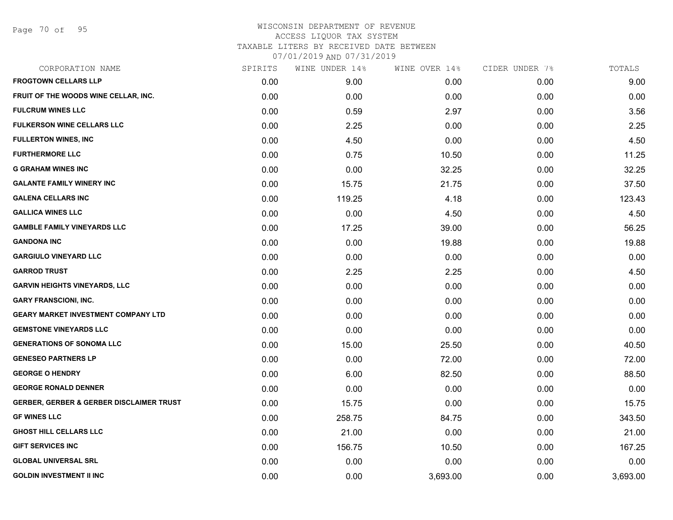Page 70 of 95

| CORPORATION NAME                                    | SPIRITS | WINE UNDER 14% | WINE OVER 14% | CIDER UNDER 7% | TOTALS   |
|-----------------------------------------------------|---------|----------------|---------------|----------------|----------|
| <b>FROGTOWN CELLARS LLP</b>                         | 0.00    | 9.00           | 0.00          | 0.00           | 9.00     |
| FRUIT OF THE WOODS WINE CELLAR, INC.                | 0.00    | 0.00           | 0.00          | 0.00           | 0.00     |
| <b>FULCRUM WINES LLC</b>                            | 0.00    | 0.59           | 2.97          | 0.00           | 3.56     |
| <b>FULKERSON WINE CELLARS LLC</b>                   | 0.00    | 2.25           | 0.00          | 0.00           | 2.25     |
| <b>FULLERTON WINES, INC</b>                         | 0.00    | 4.50           | 0.00          | 0.00           | 4.50     |
| <b>FURTHERMORE LLC</b>                              | 0.00    | 0.75           | 10.50         | 0.00           | 11.25    |
| <b>G GRAHAM WINES INC</b>                           | 0.00    | 0.00           | 32.25         | 0.00           | 32.25    |
| <b>GALANTE FAMILY WINERY INC</b>                    | 0.00    | 15.75          | 21.75         | 0.00           | 37.50    |
| <b>GALENA CELLARS INC</b>                           | 0.00    | 119.25         | 4.18          | 0.00           | 123.43   |
| <b>GALLICA WINES LLC</b>                            | 0.00    | 0.00           | 4.50          | 0.00           | 4.50     |
| <b>GAMBLE FAMILY VINEYARDS LLC</b>                  | 0.00    | 17.25          | 39.00         | 0.00           | 56.25    |
| <b>GANDONA INC</b>                                  | 0.00    | 0.00           | 19.88         | 0.00           | 19.88    |
| <b>GARGIULO VINEYARD LLC</b>                        | 0.00    | 0.00           | 0.00          | 0.00           | 0.00     |
| <b>GARROD TRUST</b>                                 | 0.00    | 2.25           | 2.25          | 0.00           | 4.50     |
| <b>GARVIN HEIGHTS VINEYARDS, LLC</b>                | 0.00    | 0.00           | 0.00          | 0.00           | 0.00     |
| <b>GARY FRANSCIONI, INC.</b>                        | 0.00    | 0.00           | 0.00          | 0.00           | 0.00     |
| <b>GEARY MARKET INVESTMENT COMPANY LTD</b>          | 0.00    | 0.00           | 0.00          | 0.00           | 0.00     |
| <b>GEMSTONE VINEYARDS LLC</b>                       | 0.00    | 0.00           | 0.00          | 0.00           | 0.00     |
| <b>GENERATIONS OF SONOMA LLC</b>                    | 0.00    | 15.00          | 25.50         | 0.00           | 40.50    |
| <b>GENESEO PARTNERS LP</b>                          | 0.00    | 0.00           | 72.00         | 0.00           | 72.00    |
| <b>GEORGE O HENDRY</b>                              | 0.00    | 6.00           | 82.50         | 0.00           | 88.50    |
| <b>GEORGE RONALD DENNER</b>                         | 0.00    | 0.00           | 0.00          | 0.00           | 0.00     |
| <b>GERBER, GERBER &amp; GERBER DISCLAIMER TRUST</b> | 0.00    | 15.75          | 0.00          | 0.00           | 15.75    |
| <b>GF WINES LLC</b>                                 | 0.00    | 258.75         | 84.75         | 0.00           | 343.50   |
| <b>GHOST HILL CELLARS LLC</b>                       | 0.00    | 21.00          | 0.00          | 0.00           | 21.00    |
| <b>GIFT SERVICES INC</b>                            | 0.00    | 156.75         | 10.50         | 0.00           | 167.25   |
| <b>GLOBAL UNIVERSAL SRL</b>                         | 0.00    | 0.00           | 0.00          | 0.00           | 0.00     |
| <b>GOLDIN INVESTMENT II INC</b>                     | 0.00    | 0.00           | 3,693.00      | 0.00           | 3,693.00 |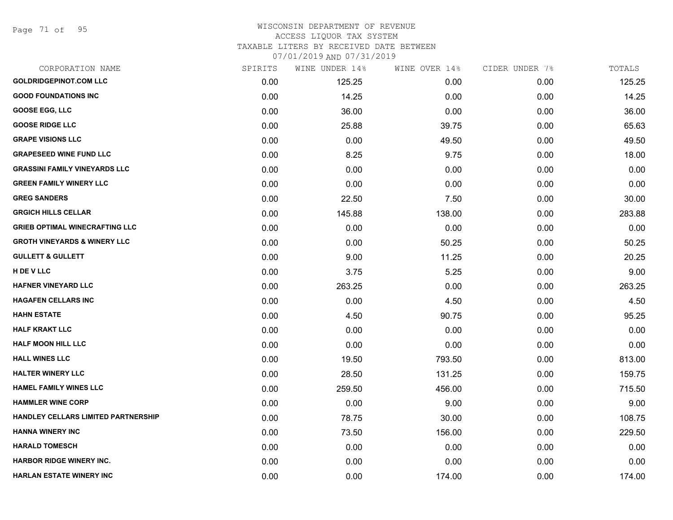Page 71 of 95

#### WISCONSIN DEPARTMENT OF REVENUE ACCESS LIQUOR TAX SYSTEM

TAXABLE LITERS BY RECEIVED DATE BETWEEN

| CORPORATION NAME                        | SPIRITS | WINE UNDER 14% | WINE OVER 14% | CIDER UNDER 7% | TOTALS |
|-----------------------------------------|---------|----------------|---------------|----------------|--------|
| <b>GOLDRIDGEPINOT.COM LLC</b>           | 0.00    | 125.25         | 0.00          | 0.00           | 125.25 |
| <b>GOOD FOUNDATIONS INC</b>             | 0.00    | 14.25          | 0.00          | 0.00           | 14.25  |
| <b>GOOSE EGG, LLC</b>                   | 0.00    | 36.00          | 0.00          | 0.00           | 36.00  |
| <b>GOOSE RIDGE LLC</b>                  | 0.00    | 25.88          | 39.75         | 0.00           | 65.63  |
| <b>GRAPE VISIONS LLC</b>                | 0.00    | 0.00           | 49.50         | 0.00           | 49.50  |
| <b>GRAPESEED WINE FUND LLC</b>          | 0.00    | 8.25           | 9.75          | 0.00           | 18.00  |
| <b>GRASSINI FAMILY VINEYARDS LLC</b>    | 0.00    | 0.00           | 0.00          | 0.00           | 0.00   |
| <b>GREEN FAMILY WINERY LLC</b>          | 0.00    | 0.00           | 0.00          | 0.00           | 0.00   |
| <b>GREG SANDERS</b>                     | 0.00    | 22.50          | 7.50          | 0.00           | 30.00  |
| <b>GRGICH HILLS CELLAR</b>              | 0.00    | 145.88         | 138.00        | 0.00           | 283.88 |
| <b>GRIEB OPTIMAL WINECRAFTING LLC</b>   | 0.00    | 0.00           | 0.00          | 0.00           | 0.00   |
| <b>GROTH VINEYARDS &amp; WINERY LLC</b> | 0.00    | 0.00           | 50.25         | 0.00           | 50.25  |
| <b>GULLETT &amp; GULLETT</b>            | 0.00    | 9.00           | 11.25         | 0.00           | 20.25  |
| H DE V LLC                              | 0.00    | 3.75           | 5.25          | 0.00           | 9.00   |
| <b>HAFNER VINEYARD LLC</b>              | 0.00    | 263.25         | 0.00          | 0.00           | 263.25 |
| <b>HAGAFEN CELLARS INC</b>              | 0.00    | 0.00           | 4.50          | 0.00           | 4.50   |
| <b>HAHN ESTATE</b>                      | 0.00    | 4.50           | 90.75         | 0.00           | 95.25  |
| <b>HALF KRAKT LLC</b>                   | 0.00    | 0.00           | 0.00          | 0.00           | 0.00   |
| <b>HALF MOON HILL LLC</b>               | 0.00    | 0.00           | 0.00          | 0.00           | 0.00   |
| <b>HALL WINES LLC</b>                   | 0.00    | 19.50          | 793.50        | 0.00           | 813.00 |
| <b>HALTER WINERY LLC</b>                | 0.00    | 28.50          | 131.25        | 0.00           | 159.75 |
| <b>HAMEL FAMILY WINES LLC</b>           | 0.00    | 259.50         | 456.00        | 0.00           | 715.50 |
| <b>HAMMLER WINE CORP</b>                | 0.00    | 0.00           | 9.00          | 0.00           | 9.00   |
| HANDLEY CELLARS LIMITED PARTNERSHIP     | 0.00    | 78.75          | 30.00         | 0.00           | 108.75 |
| <b>HANNA WINERY INC</b>                 | 0.00    | 73.50          | 156.00        | 0.00           | 229.50 |
| <b>HARALD TOMESCH</b>                   | 0.00    | 0.00           | 0.00          | 0.00           | 0.00   |
| <b>HARBOR RIDGE WINERY INC.</b>         | 0.00    | 0.00           | 0.00          | 0.00           | 0.00   |
| <b>HARLAN ESTATE WINERY INC</b>         | 0.00    | 0.00           | 174.00        | 0.00           | 174.00 |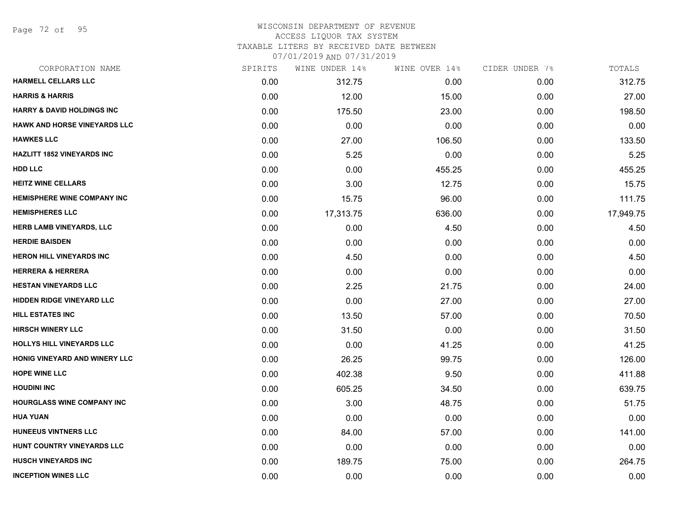Page 72 of 95

## WISCONSIN DEPARTMENT OF REVENUE ACCESS LIQUOR TAX SYSTEM TAXABLE LITERS BY RECEIVED DATE BETWEEN

| CORPORATION NAME                      | SPIRITS | WINE UNDER 14% | WINE OVER 14% | CIDER UNDER 7% | TOTALS    |
|---------------------------------------|---------|----------------|---------------|----------------|-----------|
| HARMELL CELLARS LLC                   | 0.00    | 312.75         | 0.00          | 0.00           | 312.75    |
| <b>HARRIS &amp; HARRIS</b>            | 0.00    | 12.00          | 15.00         | 0.00           | 27.00     |
| <b>HARRY &amp; DAVID HOLDINGS INC</b> | 0.00    | 175.50         | 23.00         | 0.00           | 198.50    |
| <b>HAWK AND HORSE VINEYARDS LLC</b>   | 0.00    | 0.00           | 0.00          | 0.00           | 0.00      |
| <b>HAWKES LLC</b>                     | 0.00    | 27.00          | 106.50        | 0.00           | 133.50    |
| <b>HAZLITT 1852 VINEYARDS INC</b>     | 0.00    | 5.25           | 0.00          | 0.00           | 5.25      |
| <b>HDD LLC</b>                        | 0.00    | 0.00           | 455.25        | 0.00           | 455.25    |
| <b>HEITZ WINE CELLARS</b>             | 0.00    | 3.00           | 12.75         | 0.00           | 15.75     |
| <b>HEMISPHERE WINE COMPANY INC</b>    | 0.00    | 15.75          | 96.00         | 0.00           | 111.75    |
| <b>HEMISPHERES LLC</b>                | 0.00    | 17,313.75      | 636.00        | 0.00           | 17,949.75 |
| HERB LAMB VINEYARDS, LLC              | 0.00    | 0.00           | 4.50          | 0.00           | 4.50      |
| <b>HERDIE BAISDEN</b>                 | 0.00    | 0.00           | 0.00          | 0.00           | 0.00      |
| <b>HERON HILL VINEYARDS INC</b>       | 0.00    | 4.50           | 0.00          | 0.00           | 4.50      |
| <b>HERRERA &amp; HERRERA</b>          | 0.00    | 0.00           | 0.00          | 0.00           | 0.00      |
| <b>HESTAN VINEYARDS LLC</b>           | 0.00    | 2.25           | 21.75         | 0.00           | 24.00     |
| <b>HIDDEN RIDGE VINEYARD LLC</b>      | 0.00    | 0.00           | 27.00         | 0.00           | 27.00     |
| <b>HILL ESTATES INC</b>               | 0.00    | 13.50          | 57.00         | 0.00           | 70.50     |
| <b>HIRSCH WINERY LLC</b>              | 0.00    | 31.50          | 0.00          | 0.00           | 31.50     |
| <b>HOLLYS HILL VINEYARDS LLC</b>      | 0.00    | 0.00           | 41.25         | 0.00           | 41.25     |
| HONIG VINEYARD AND WINERY LLC         | 0.00    | 26.25          | 99.75         | 0.00           | 126.00    |
| <b>HOPE WINE LLC</b>                  | 0.00    | 402.38         | 9.50          | 0.00           | 411.88    |
| <b>HOUDINI INC</b>                    | 0.00    | 605.25         | 34.50         | 0.00           | 639.75    |
| <b>HOURGLASS WINE COMPANY INC</b>     | 0.00    | 3.00           | 48.75         | 0.00           | 51.75     |
| <b>HUA YUAN</b>                       | 0.00    | 0.00           | 0.00          | 0.00           | 0.00      |
| <b>HUNEEUS VINTNERS LLC</b>           | 0.00    | 84.00          | 57.00         | 0.00           | 141.00    |
| HUNT COUNTRY VINEYARDS LLC            | 0.00    | 0.00           | 0.00          | 0.00           | 0.00      |
| <b>HUSCH VINEYARDS INC</b>            | 0.00    | 189.75         | 75.00         | 0.00           | 264.75    |
| <b>INCEPTION WINES LLC</b>            | 0.00    | 0.00           | 0.00          | 0.00           | 0.00      |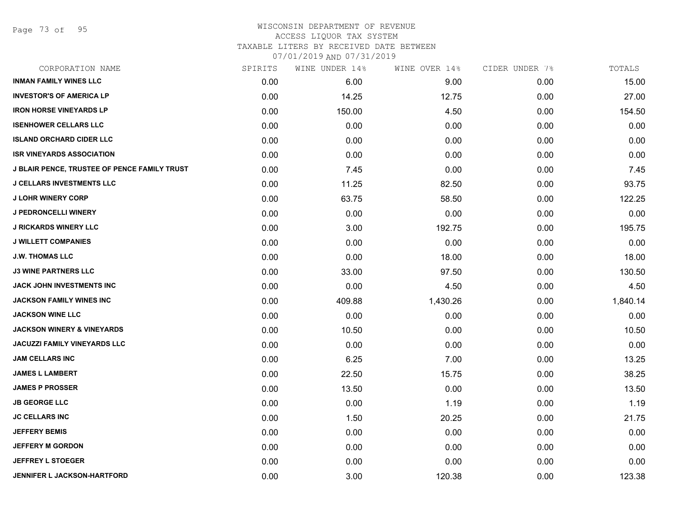Page 73 of 95

### WISCONSIN DEPARTMENT OF REVENUE ACCESS LIQUOR TAX SYSTEM

TAXABLE LITERS BY RECEIVED DATE BETWEEN

| CORPORATION NAME                             | SPIRITS | WINE UNDER 14% | WINE OVER 14% | CIDER UNDER 7% | TOTALS   |
|----------------------------------------------|---------|----------------|---------------|----------------|----------|
| <b>INMAN FAMILY WINES LLC</b>                | 0.00    | 6.00           | 9.00          | 0.00           | 15.00    |
| <b>INVESTOR'S OF AMERICA LP</b>              | 0.00    | 14.25          | 12.75         | 0.00           | 27.00    |
| <b>IRON HORSE VINEYARDS LP</b>               | 0.00    | 150.00         | 4.50          | 0.00           | 154.50   |
| <b>ISENHOWER CELLARS LLC</b>                 | 0.00    | 0.00           | 0.00          | 0.00           | 0.00     |
| <b>ISLAND ORCHARD CIDER LLC</b>              | 0.00    | 0.00           | 0.00          | 0.00           | 0.00     |
| <b>ISR VINEYARDS ASSOCIATION</b>             | 0.00    | 0.00           | 0.00          | 0.00           | 0.00     |
| J BLAIR PENCE, TRUSTEE OF PENCE FAMILY TRUST | 0.00    | 7.45           | 0.00          | 0.00           | 7.45     |
| <b>J CELLARS INVESTMENTS LLC</b>             | 0.00    | 11.25          | 82.50         | 0.00           | 93.75    |
| <b>J LOHR WINERY CORP</b>                    | 0.00    | 63.75          | 58.50         | 0.00           | 122.25   |
| <b>J PEDRONCELLI WINERY</b>                  | 0.00    | 0.00           | 0.00          | 0.00           | 0.00     |
| <b>J RICKARDS WINERY LLC</b>                 | 0.00    | 3.00           | 192.75        | 0.00           | 195.75   |
| <b>J WILLETT COMPANIES</b>                   | 0.00    | 0.00           | 0.00          | 0.00           | 0.00     |
| <b>J.W. THOMAS LLC</b>                       | 0.00    | 0.00           | 18.00         | 0.00           | 18.00    |
| <b>J3 WINE PARTNERS LLC</b>                  | 0.00    | 33.00          | 97.50         | 0.00           | 130.50   |
| JACK JOHN INVESTMENTS INC                    | 0.00    | 0.00           | 4.50          | 0.00           | 4.50     |
| JACKSON FAMILY WINES INC                     | 0.00    | 409.88         | 1,430.26      | 0.00           | 1,840.14 |
| <b>JACKSON WINE LLC</b>                      | 0.00    | 0.00           | 0.00          | 0.00           | 0.00     |
| <b>JACKSON WINERY &amp; VINEYARDS</b>        | 0.00    | 10.50          | 0.00          | 0.00           | 10.50    |
| JACUZZI FAMILY VINEYARDS LLC                 | 0.00    | 0.00           | 0.00          | 0.00           | 0.00     |
| <b>JAM CELLARS INC</b>                       | 0.00    | 6.25           | 7.00          | 0.00           | 13.25    |
| <b>JAMES L LAMBERT</b>                       | 0.00    | 22.50          | 15.75         | 0.00           | 38.25    |
| <b>JAMES P PROSSER</b>                       | 0.00    | 13.50          | 0.00          | 0.00           | 13.50    |
| <b>JB GEORGE LLC</b>                         | 0.00    | 0.00           | 1.19          | 0.00           | 1.19     |
| <b>JC CELLARS INC</b>                        | 0.00    | 1.50           | 20.25         | 0.00           | 21.75    |
| <b>JEFFERY BEMIS</b>                         | 0.00    | 0.00           | 0.00          | 0.00           | 0.00     |
| <b>JEFFERY M GORDON</b>                      | 0.00    | 0.00           | 0.00          | 0.00           | 0.00     |
| <b>JEFFREY L STOEGER</b>                     | 0.00    | 0.00           | 0.00          | 0.00           | 0.00     |
| <b>JENNIFER L JACKSON-HARTFORD</b>           | 0.00    | 3.00           | 120.38        | 0.00           | 123.38   |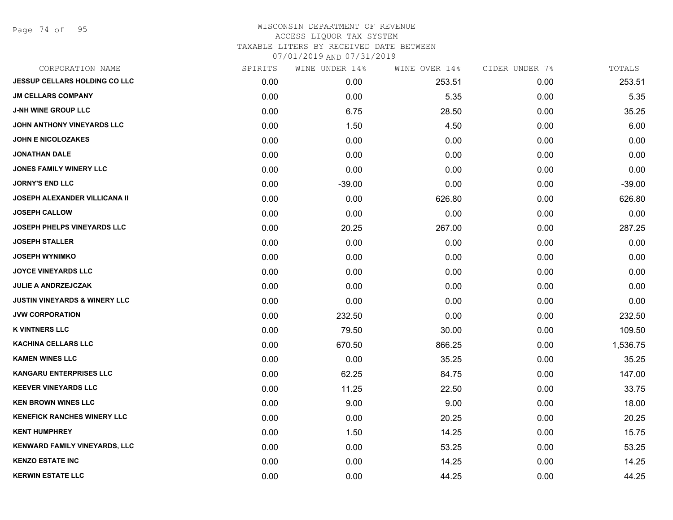Page 74 of 95

| CORPORATION NAME                         | SPIRITS | WINE UNDER 14% | WINE OVER 14% | CIDER UNDER 7% | TOTALS   |
|------------------------------------------|---------|----------------|---------------|----------------|----------|
| <b>JESSUP CELLARS HOLDING CO LLC</b>     | 0.00    | 0.00           | 253.51        | 0.00           | 253.51   |
| <b>JM CELLARS COMPANY</b>                | 0.00    | 0.00           | 5.35          | 0.00           | 5.35     |
| <b>J-NH WINE GROUP LLC</b>               | 0.00    | 6.75           | 28.50         | 0.00           | 35.25    |
| JOHN ANTHONY VINEYARDS LLC               | 0.00    | 1.50           | 4.50          | 0.00           | 6.00     |
| <b>JOHN E NICOLOZAKES</b>                | 0.00    | 0.00           | 0.00          | 0.00           | 0.00     |
| <b>JONATHAN DALE</b>                     | 0.00    | 0.00           | 0.00          | 0.00           | 0.00     |
| <b>JONES FAMILY WINERY LLC</b>           | 0.00    | 0.00           | 0.00          | 0.00           | 0.00     |
| <b>JORNY'S END LLC</b>                   | 0.00    | $-39.00$       | 0.00          | 0.00           | $-39.00$ |
| <b>JOSEPH ALEXANDER VILLICANA II</b>     | 0.00    | 0.00           | 626.80        | 0.00           | 626.80   |
| <b>JOSEPH CALLOW</b>                     | 0.00    | 0.00           | 0.00          | 0.00           | 0.00     |
| <b>JOSEPH PHELPS VINEYARDS LLC</b>       | 0.00    | 20.25          | 267.00        | 0.00           | 287.25   |
| <b>JOSEPH STALLER</b>                    | 0.00    | 0.00           | 0.00          | 0.00           | 0.00     |
| <b>JOSEPH WYNIMKO</b>                    | 0.00    | 0.00           | 0.00          | 0.00           | 0.00     |
| <b>JOYCE VINEYARDS LLC</b>               | 0.00    | 0.00           | 0.00          | 0.00           | 0.00     |
| <b>JULIE A ANDRZEJCZAK</b>               | 0.00    | 0.00           | 0.00          | 0.00           | 0.00     |
| <b>JUSTIN VINEYARDS &amp; WINERY LLC</b> | 0.00    | 0.00           | 0.00          | 0.00           | 0.00     |
| <b>JVW CORPORATION</b>                   | 0.00    | 232.50         | 0.00          | 0.00           | 232.50   |
| <b>K VINTNERS LLC</b>                    | 0.00    | 79.50          | 30.00         | 0.00           | 109.50   |
| <b>KACHINA CELLARS LLC</b>               | 0.00    | 670.50         | 866.25        | 0.00           | 1,536.75 |
| <b>KAMEN WINES LLC</b>                   | 0.00    | 0.00           | 35.25         | 0.00           | 35.25    |
| <b>KANGARU ENTERPRISES LLC</b>           | 0.00    | 62.25          | 84.75         | 0.00           | 147.00   |
| <b>KEEVER VINEYARDS LLC</b>              | 0.00    | 11.25          | 22.50         | 0.00           | 33.75    |
| <b>KEN BROWN WINES LLC</b>               | 0.00    | 9.00           | 9.00          | 0.00           | 18.00    |
| <b>KENEFICK RANCHES WINERY LLC</b>       | 0.00    | 0.00           | 20.25         | 0.00           | 20.25    |
| <b>KENT HUMPHREY</b>                     | 0.00    | 1.50           | 14.25         | 0.00           | 15.75    |
| <b>KENWARD FAMILY VINEYARDS, LLC</b>     | 0.00    | 0.00           | 53.25         | 0.00           | 53.25    |
| <b>KENZO ESTATE INC</b>                  | 0.00    | 0.00           | 14.25         | 0.00           | 14.25    |
| <b>KERWIN ESTATE LLC</b>                 | 0.00    | 0.00           | 44.25         | 0.00           | 44.25    |
|                                          |         |                |               |                |          |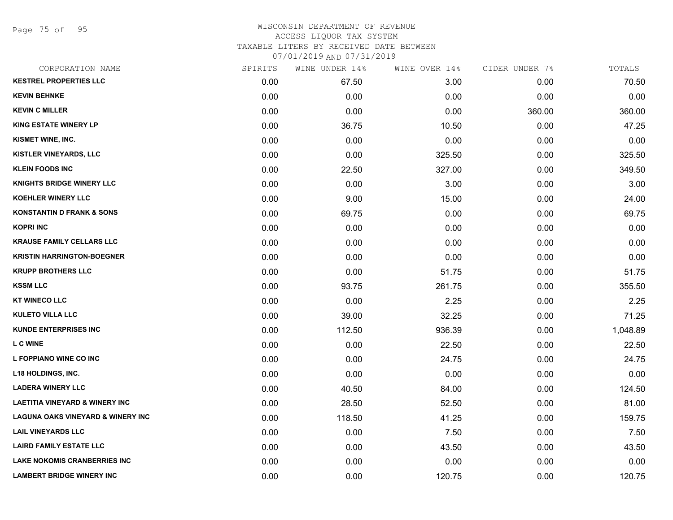Page 75 of 95

| CORPORATION NAME                             | SPIRITS | WINE UNDER 14% | WINE OVER 14% | CIDER UNDER 7% | TOTALS   |
|----------------------------------------------|---------|----------------|---------------|----------------|----------|
| <b>KESTREL PROPERTIES LLC</b>                | 0.00    | 67.50          | 3.00          | 0.00           | 70.50    |
| <b>KEVIN BEHNKE</b>                          | 0.00    | 0.00           | 0.00          | 0.00           | 0.00     |
| <b>KEVIN C MILLER</b>                        | 0.00    | 0.00           | 0.00          | 360.00         | 360.00   |
| <b>KING ESTATE WINERY LP</b>                 | 0.00    | 36.75          | 10.50         | 0.00           | 47.25    |
| KISMET WINE, INC.                            | 0.00    | 0.00           | 0.00          | 0.00           | 0.00     |
| KISTLER VINEYARDS, LLC                       | 0.00    | 0.00           | 325.50        | 0.00           | 325.50   |
| <b>KLEIN FOODS INC</b>                       | 0.00    | 22.50          | 327.00        | 0.00           | 349.50   |
| <b>KNIGHTS BRIDGE WINERY LLC</b>             | 0.00    | 0.00           | 3.00          | 0.00           | 3.00     |
| <b>KOEHLER WINERY LLC</b>                    | 0.00    | 9.00           | 15.00         | 0.00           | 24.00    |
| <b>KONSTANTIN D FRANK &amp; SONS</b>         | 0.00    | 69.75          | 0.00          | 0.00           | 69.75    |
| <b>KOPRI INC</b>                             | 0.00    | 0.00           | 0.00          | 0.00           | 0.00     |
| <b>KRAUSE FAMILY CELLARS LLC</b>             | 0.00    | 0.00           | 0.00          | 0.00           | 0.00     |
| <b>KRISTIN HARRINGTON-BOEGNER</b>            | 0.00    | 0.00           | 0.00          | 0.00           | 0.00     |
| <b>KRUPP BROTHERS LLC</b>                    | 0.00    | 0.00           | 51.75         | 0.00           | 51.75    |
| <b>KSSM LLC</b>                              | 0.00    | 93.75          | 261.75        | 0.00           | 355.50   |
| <b>KT WINECO LLC</b>                         | 0.00    | 0.00           | 2.25          | 0.00           | 2.25     |
| <b>KULETO VILLA LLC</b>                      | 0.00    | 39.00          | 32.25         | 0.00           | 71.25    |
| <b>KUNDE ENTERPRISES INC</b>                 | 0.00    | 112.50         | 936.39        | 0.00           | 1,048.89 |
| <b>LC WINE</b>                               | 0.00    | 0.00           | 22.50         | 0.00           | 22.50    |
| L FOPPIANO WINE CO INC                       | 0.00    | 0.00           | 24.75         | 0.00           | 24.75    |
| <b>L18 HOLDINGS, INC.</b>                    | 0.00    | 0.00           | 0.00          | 0.00           | 0.00     |
| <b>LADERA WINERY LLC</b>                     | 0.00    | 40.50          | 84.00         | 0.00           | 124.50   |
| <b>LAETITIA VINEYARD &amp; WINERY INC</b>    | 0.00    | 28.50          | 52.50         | 0.00           | 81.00    |
| <b>LAGUNA OAKS VINEYARD &amp; WINERY INC</b> | 0.00    | 118.50         | 41.25         | 0.00           | 159.75   |
| <b>LAIL VINEYARDS LLC</b>                    | 0.00    | 0.00           | 7.50          | 0.00           | 7.50     |
| <b>LAIRD FAMILY ESTATE LLC</b>               | 0.00    | 0.00           | 43.50         | 0.00           | 43.50    |
| LAKE NOKOMIS CRANBERRIES INC                 | 0.00    | 0.00           | 0.00          | 0.00           | 0.00     |
| <b>LAMBERT BRIDGE WINERY INC</b>             | 0.00    | 0.00           | 120.75        | 0.00           | 120.75   |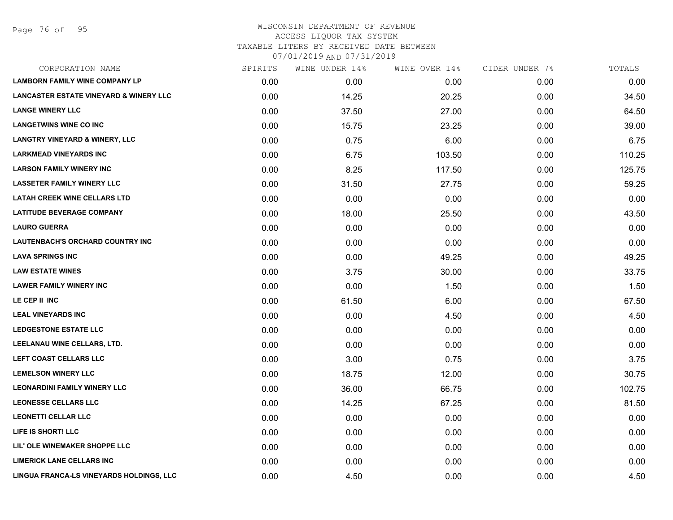Page 76 of 95

| CORPORATION NAME                                  | SPIRITS | WINE UNDER 14% | WINE OVER 14% | CIDER UNDER 7% | TOTALS |
|---------------------------------------------------|---------|----------------|---------------|----------------|--------|
| <b>LAMBORN FAMILY WINE COMPANY LP</b>             | 0.00    | 0.00           | 0.00          | 0.00           | 0.00   |
| <b>LANCASTER ESTATE VINEYARD &amp; WINERY LLC</b> | 0.00    | 14.25          | 20.25         | 0.00           | 34.50  |
| <b>LANGE WINERY LLC</b>                           | 0.00    | 37.50          | 27.00         | 0.00           | 64.50  |
| <b>LANGETWINS WINE CO INC</b>                     | 0.00    | 15.75          | 23.25         | 0.00           | 39.00  |
| <b>LANGTRY VINEYARD &amp; WINERY, LLC</b>         | 0.00    | 0.75           | 6.00          | 0.00           | 6.75   |
| <b>LARKMEAD VINEYARDS INC</b>                     | 0.00    | 6.75           | 103.50        | 0.00           | 110.25 |
| <b>LARSON FAMILY WINERY INC</b>                   | 0.00    | 8.25           | 117.50        | 0.00           | 125.75 |
| <b>LASSETER FAMILY WINERY LLC</b>                 | 0.00    | 31.50          | 27.75         | 0.00           | 59.25  |
| <b>LATAH CREEK WINE CELLARS LTD</b>               | 0.00    | 0.00           | 0.00          | 0.00           | 0.00   |
| <b>LATITUDE BEVERAGE COMPANY</b>                  | 0.00    | 18.00          | 25.50         | 0.00           | 43.50  |
| <b>LAURO GUERRA</b>                               | 0.00    | 0.00           | 0.00          | 0.00           | 0.00   |
| <b>LAUTENBACH'S ORCHARD COUNTRY INC</b>           | 0.00    | 0.00           | 0.00          | 0.00           | 0.00   |
| <b>LAVA SPRINGS INC</b>                           | 0.00    | 0.00           | 49.25         | 0.00           | 49.25  |
| <b>LAW ESTATE WINES</b>                           | 0.00    | 3.75           | 30.00         | 0.00           | 33.75  |
| <b>LAWER FAMILY WINERY INC</b>                    | 0.00    | 0.00           | 1.50          | 0.00           | 1.50   |
| LE CEP II INC                                     | 0.00    | 61.50          | 6.00          | 0.00           | 67.50  |
| <b>LEAL VINEYARDS INC</b>                         | 0.00    | 0.00           | 4.50          | 0.00           | 4.50   |
| <b>LEDGESTONE ESTATE LLC</b>                      | 0.00    | 0.00           | 0.00          | 0.00           | 0.00   |
| LEELANAU WINE CELLARS, LTD.                       | 0.00    | 0.00           | 0.00          | 0.00           | 0.00   |
| <b>LEFT COAST CELLARS LLC</b>                     | 0.00    | 3.00           | 0.75          | 0.00           | 3.75   |
| <b>LEMELSON WINERY LLC</b>                        | 0.00    | 18.75          | 12.00         | 0.00           | 30.75  |
| <b>LEONARDINI FAMILY WINERY LLC</b>               | 0.00    | 36.00          | 66.75         | 0.00           | 102.75 |
| <b>LEONESSE CELLARS LLC</b>                       | 0.00    | 14.25          | 67.25         | 0.00           | 81.50  |
| <b>LEONETTI CELLAR LLC</b>                        | 0.00    | 0.00           | 0.00          | 0.00           | 0.00   |
| LIFE IS SHORT! LLC                                | 0.00    | 0.00           | 0.00          | 0.00           | 0.00   |
| LIL' OLE WINEMAKER SHOPPE LLC                     | 0.00    | 0.00           | 0.00          | 0.00           | 0.00   |
| <b>LIMERICK LANE CELLARS INC</b>                  | 0.00    | 0.00           | 0.00          | 0.00           | 0.00   |
| LINGUA FRANCA-LS VINEYARDS HOLDINGS, LLC          | 0.00    | 4.50           | 0.00          | 0.00           | 4.50   |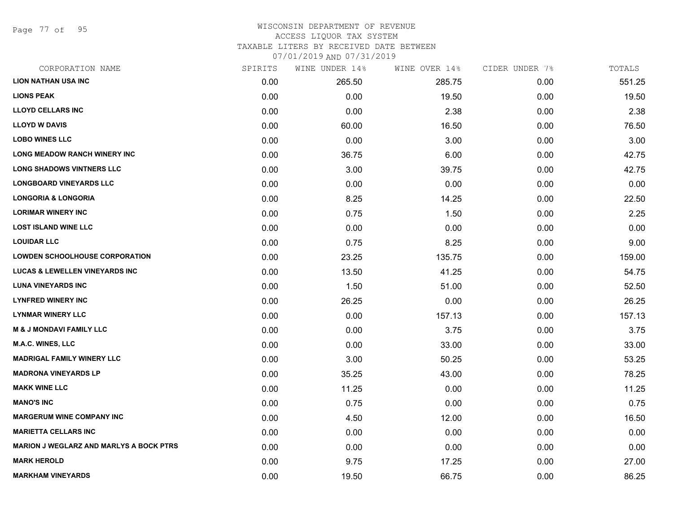Page 77 of 95

### WISCONSIN DEPARTMENT OF REVENUE ACCESS LIQUOR TAX SYSTEM

TAXABLE LITERS BY RECEIVED DATE BETWEEN

| CORPORATION NAME                               | SPIRITS | WINE UNDER 14% | WINE OVER 14% | CIDER UNDER 7% | TOTALS |
|------------------------------------------------|---------|----------------|---------------|----------------|--------|
| <b>LION NATHAN USA INC</b>                     | 0.00    | 265.50         | 285.75        | 0.00           | 551.25 |
| <b>LIONS PEAK</b>                              | 0.00    | 0.00           | 19.50         | 0.00           | 19.50  |
| <b>LLOYD CELLARS INC</b>                       | 0.00    | 0.00           | 2.38          | 0.00           | 2.38   |
| <b>LLOYD W DAVIS</b>                           | 0.00    | 60.00          | 16.50         | 0.00           | 76.50  |
| <b>LOBO WINES LLC</b>                          | 0.00    | 0.00           | 3.00          | 0.00           | 3.00   |
| LONG MEADOW RANCH WINERY INC                   | 0.00    | 36.75          | 6.00          | 0.00           | 42.75  |
| <b>LONG SHADOWS VINTNERS LLC</b>               | 0.00    | 3.00           | 39.75         | 0.00           | 42.75  |
| <b>LONGBOARD VINEYARDS LLC</b>                 | 0.00    | 0.00           | 0.00          | 0.00           | 0.00   |
| <b>LONGORIA &amp; LONGORIA</b>                 | 0.00    | 8.25           | 14.25         | 0.00           | 22.50  |
| <b>LORIMAR WINERY INC</b>                      | 0.00    | 0.75           | 1.50          | 0.00           | 2.25   |
| <b>LOST ISLAND WINE LLC</b>                    | 0.00    | 0.00           | 0.00          | 0.00           | 0.00   |
| <b>LOUIDAR LLC</b>                             | 0.00    | 0.75           | 8.25          | 0.00           | 9.00   |
| <b>LOWDEN SCHOOLHOUSE CORPORATION</b>          | 0.00    | 23.25          | 135.75        | 0.00           | 159.00 |
| <b>LUCAS &amp; LEWELLEN VINEYARDS INC</b>      | 0.00    | 13.50          | 41.25         | 0.00           | 54.75  |
| <b>LUNA VINEYARDS INC</b>                      | 0.00    | 1.50           | 51.00         | 0.00           | 52.50  |
| <b>LYNFRED WINERY INC</b>                      | 0.00    | 26.25          | 0.00          | 0.00           | 26.25  |
| <b>LYNMAR WINERY LLC</b>                       | 0.00    | 0.00           | 157.13        | 0.00           | 157.13 |
| <b>M &amp; J MONDAVI FAMILY LLC</b>            | 0.00    | 0.00           | 3.75          | 0.00           | 3.75   |
| <b>M.A.C. WINES, LLC</b>                       | 0.00    | 0.00           | 33.00         | 0.00           | 33.00  |
| <b>MADRIGAL FAMILY WINERY LLC</b>              | 0.00    | 3.00           | 50.25         | 0.00           | 53.25  |
| <b>MADRONA VINEYARDS LP</b>                    | 0.00    | 35.25          | 43.00         | 0.00           | 78.25  |
| <b>MAKK WINE LLC</b>                           | 0.00    | 11.25          | 0.00          | 0.00           | 11.25  |
| <b>MANO'S INC</b>                              | 0.00    | 0.75           | 0.00          | 0.00           | 0.75   |
| <b>MARGERUM WINE COMPANY INC</b>               | 0.00    | 4.50           | 12.00         | 0.00           | 16.50  |
| <b>MARIETTA CELLARS INC</b>                    | 0.00    | 0.00           | 0.00          | 0.00           | 0.00   |
| <b>MARION J WEGLARZ AND MARLYS A BOCK PTRS</b> | 0.00    | 0.00           | 0.00          | 0.00           | 0.00   |
| <b>MARK HEROLD</b>                             | 0.00    | 9.75           | 17.25         | 0.00           | 27.00  |
| <b>MARKHAM VINEYARDS</b>                       | 0.00    | 19.50          | 66.75         | 0.00           | 86.25  |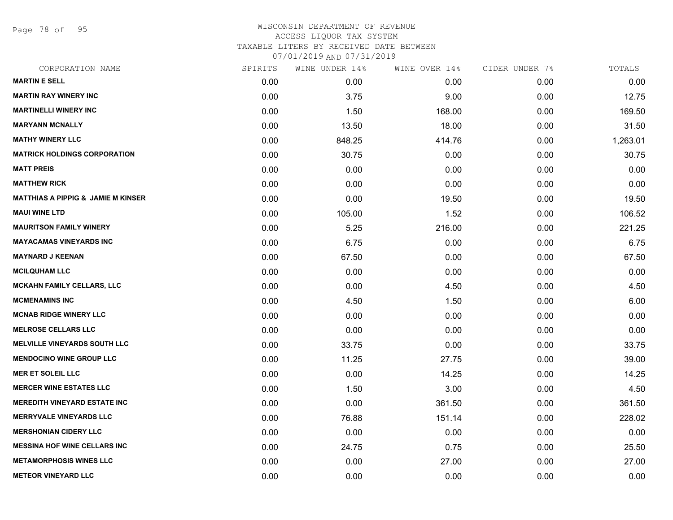Page 78 of 95

| SPIRITS | WINE UNDER 14% | WINE OVER 14% | CIDER UNDER 7% | TOTALS   |
|---------|----------------|---------------|----------------|----------|
| 0.00    | 0.00           | 0.00          | 0.00           | 0.00     |
| 0.00    | 3.75           | 9.00          | 0.00           | 12.75    |
| 0.00    | 1.50           | 168.00        | 0.00           | 169.50   |
| 0.00    | 13.50          | 18.00         | 0.00           | 31.50    |
| 0.00    | 848.25         | 414.76        | 0.00           | 1,263.01 |
| 0.00    | 30.75          | 0.00          | 0.00           | 30.75    |
| 0.00    | 0.00           | 0.00          | 0.00           | 0.00     |
| 0.00    | 0.00           | 0.00          | 0.00           | 0.00     |
| 0.00    | 0.00           | 19.50         | 0.00           | 19.50    |
| 0.00    | 105.00         | 1.52          | 0.00           | 106.52   |
| 0.00    | 5.25           | 216.00        | 0.00           | 221.25   |
| 0.00    | 6.75           | 0.00          | 0.00           | 6.75     |
| 0.00    | 67.50          | 0.00          | 0.00           | 67.50    |
| 0.00    | 0.00           | 0.00          | 0.00           | 0.00     |
| 0.00    | 0.00           | 4.50          | 0.00           | 4.50     |
| 0.00    | 4.50           | 1.50          | 0.00           | 6.00     |
| 0.00    | 0.00           | 0.00          | 0.00           | 0.00     |
| 0.00    | 0.00           | 0.00          | 0.00           | 0.00     |
| 0.00    | 33.75          | 0.00          | 0.00           | 33.75    |
| 0.00    | 11.25          | 27.75         | 0.00           | 39.00    |
| 0.00    | 0.00           | 14.25         | 0.00           | 14.25    |
| 0.00    | 1.50           | 3.00          | 0.00           | 4.50     |
| 0.00    | 0.00           | 361.50        | 0.00           | 361.50   |
| 0.00    | 76.88          | 151.14        | 0.00           | 228.02   |
| 0.00    | 0.00           | 0.00          | 0.00           | 0.00     |
| 0.00    | 24.75          | 0.75          | 0.00           | 25.50    |
| 0.00    | 0.00           | 27.00         | 0.00           | 27.00    |
| 0.00    | 0.00           | 0.00          | 0.00           | 0.00     |
|         |                |               |                |          |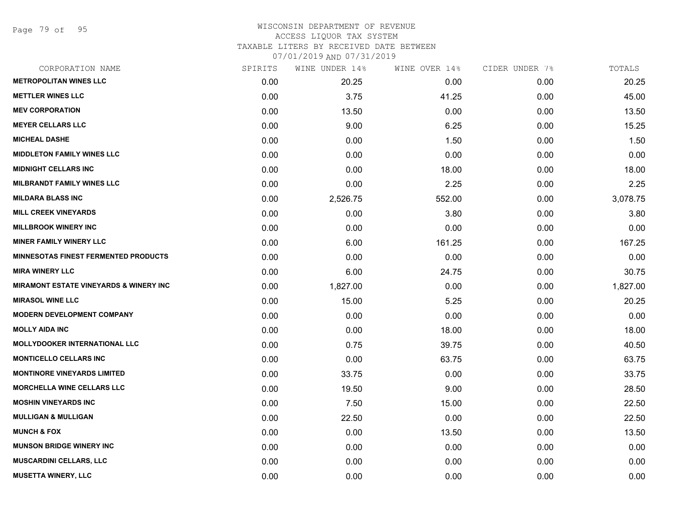Page 79 of 95

### WISCONSIN DEPARTMENT OF REVENUE ACCESS LIQUOR TAX SYSTEM TAXABLE LITERS BY RECEIVED DATE BETWEEN

| CORPORATION NAME                                  | SPIRITS | WINE UNDER 14% | WINE OVER 14% | CIDER UNDER 7% | TOTALS   |
|---------------------------------------------------|---------|----------------|---------------|----------------|----------|
| <b>METROPOLITAN WINES LLC</b>                     | 0.00    | 20.25          | 0.00          | 0.00           | 20.25    |
| <b>METTLER WINES LLC</b>                          | 0.00    | 3.75           | 41.25         | 0.00           | 45.00    |
| <b>MEV CORPORATION</b>                            | 0.00    | 13.50          | 0.00          | 0.00           | 13.50    |
| <b>MEYER CELLARS LLC</b>                          | 0.00    | 9.00           | 6.25          | 0.00           | 15.25    |
| <b>MICHEAL DASHE</b>                              | 0.00    | 0.00           | 1.50          | 0.00           | 1.50     |
| <b>MIDDLETON FAMILY WINES LLC</b>                 | 0.00    | 0.00           | 0.00          | 0.00           | 0.00     |
| <b>MIDNIGHT CELLARS INC</b>                       | 0.00    | 0.00           | 18.00         | 0.00           | 18.00    |
| <b>MILBRANDT FAMILY WINES LLC</b>                 | 0.00    | 0.00           | 2.25          | 0.00           | 2.25     |
| <b>MILDARA BLASS INC</b>                          | 0.00    | 2,526.75       | 552.00        | 0.00           | 3,078.75 |
| <b>MILL CREEK VINEYARDS</b>                       | 0.00    | 0.00           | 3.80          | 0.00           | 3.80     |
| <b>MILLBROOK WINERY INC</b>                       | 0.00    | 0.00           | 0.00          | 0.00           | 0.00     |
| <b>MINER FAMILY WINERY LLC</b>                    | 0.00    | 6.00           | 161.25        | 0.00           | 167.25   |
| <b>MINNESOTAS FINEST FERMENTED PRODUCTS</b>       | 0.00    | 0.00           | 0.00          | 0.00           | 0.00     |
| <b>MIRA WINERY LLC</b>                            | 0.00    | 6.00           | 24.75         | 0.00           | 30.75    |
| <b>MIRAMONT ESTATE VINEYARDS &amp; WINERY INC</b> | 0.00    | 1,827.00       | 0.00          | 0.00           | 1,827.00 |
| <b>MIRASOL WINE LLC</b>                           | 0.00    | 15.00          | 5.25          | 0.00           | 20.25    |
| <b>MODERN DEVELOPMENT COMPANY</b>                 | 0.00    | 0.00           | 0.00          | 0.00           | 0.00     |
| <b>MOLLY AIDA INC</b>                             | 0.00    | 0.00           | 18.00         | 0.00           | 18.00    |
| <b>MOLLYDOOKER INTERNATIONAL LLC</b>              | 0.00    | 0.75           | 39.75         | 0.00           | 40.50    |
| <b>MONTICELLO CELLARS INC</b>                     | 0.00    | 0.00           | 63.75         | 0.00           | 63.75    |
| <b>MONTINORE VINEYARDS LIMITED</b>                | 0.00    | 33.75          | 0.00          | 0.00           | 33.75    |
| <b>MORCHELLA WINE CELLARS LLC</b>                 | 0.00    | 19.50          | 9.00          | 0.00           | 28.50    |
| <b>MOSHIN VINEYARDS INC</b>                       | 0.00    | 7.50           | 15.00         | 0.00           | 22.50    |
| <b>MULLIGAN &amp; MULLIGAN</b>                    | 0.00    | 22.50          | 0.00          | 0.00           | 22.50    |
| <b>MUNCH &amp; FOX</b>                            | 0.00    | 0.00           | 13.50         | 0.00           | 13.50    |
| <b>MUNSON BRIDGE WINERY INC</b>                   | 0.00    | 0.00           | 0.00          | 0.00           | 0.00     |
| <b>MUSCARDINI CELLARS, LLC</b>                    | 0.00    | 0.00           | 0.00          | 0.00           | 0.00     |
| <b>MUSETTA WINERY, LLC</b>                        | 0.00    | 0.00           | 0.00          | 0.00           | 0.00     |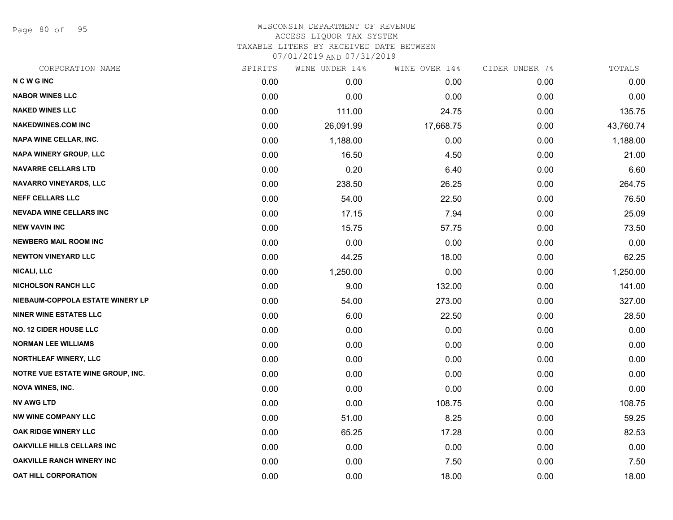Page 80 of 95

### WISCONSIN DEPARTMENT OF REVENUE ACCESS LIQUOR TAX SYSTEM TAXABLE LITERS BY RECEIVED DATE BETWEEN

| CORPORATION NAME                         | SPIRITS | WINE UNDER 14% | WINE OVER 14% | CIDER UNDER 7% | TOTALS    |
|------------------------------------------|---------|----------------|---------------|----------------|-----------|
| <b>NCWGINC</b>                           | 0.00    | 0.00           | 0.00          | 0.00           | 0.00      |
| <b>NABOR WINES LLC</b>                   | 0.00    | 0.00           | 0.00          | 0.00           | 0.00      |
| <b>NAKED WINES LLC</b>                   | 0.00    | 111.00         | 24.75         | 0.00           | 135.75    |
| <b>NAKEDWINES.COM INC</b>                | 0.00    | 26,091.99      | 17,668.75     | 0.00           | 43,760.74 |
| <b>NAPA WINE CELLAR, INC.</b>            | 0.00    | 1,188.00       | 0.00          | 0.00           | 1,188.00  |
| NAPA WINERY GROUP, LLC                   | 0.00    | 16.50          | 4.50          | 0.00           | 21.00     |
| <b>NAVARRE CELLARS LTD</b>               | 0.00    | 0.20           | 6.40          | 0.00           | 6.60      |
| <b>NAVARRO VINEYARDS, LLC</b>            | 0.00    | 238.50         | 26.25         | 0.00           | 264.75    |
| <b>NEFF CELLARS LLC</b>                  | 0.00    | 54.00          | 22.50         | 0.00           | 76.50     |
| <b>NEVADA WINE CELLARS INC</b>           | 0.00    | 17.15          | 7.94          | 0.00           | 25.09     |
| <b>NEW VAVIN INC</b>                     | 0.00    | 15.75          | 57.75         | 0.00           | 73.50     |
| <b>NEWBERG MAIL ROOM INC</b>             | 0.00    | 0.00           | 0.00          | 0.00           | 0.00      |
| <b>NEWTON VINEYARD LLC</b>               | 0.00    | 44.25          | 18.00         | 0.00           | 62.25     |
| <b>NICALI, LLC</b>                       | 0.00    | 1,250.00       | 0.00          | 0.00           | 1,250.00  |
| <b>NICHOLSON RANCH LLC</b>               | 0.00    | 9.00           | 132.00        | 0.00           | 141.00    |
| NIEBAUM-COPPOLA ESTATE WINERY LP         | 0.00    | 54.00          | 273.00        | 0.00           | 327.00    |
| <b>NINER WINE ESTATES LLC</b>            | 0.00    | 6.00           | 22.50         | 0.00           | 28.50     |
| <b>NO. 12 CIDER HOUSE LLC</b>            | 0.00    | 0.00           | 0.00          | 0.00           | 0.00      |
| <b>NORMAN LEE WILLIAMS</b>               | 0.00    | 0.00           | 0.00          | 0.00           | 0.00      |
| <b>NORTHLEAF WINERY, LLC</b>             | 0.00    | 0.00           | 0.00          | 0.00           | 0.00      |
| <b>NOTRE VUE ESTATE WINE GROUP, INC.</b> | 0.00    | 0.00           | 0.00          | 0.00           | 0.00      |
| <b>NOVA WINES, INC.</b>                  | 0.00    | 0.00           | 0.00          | 0.00           | 0.00      |
| <b>NV AWG LTD</b>                        | 0.00    | 0.00           | 108.75        | 0.00           | 108.75    |
| <b>NW WINE COMPANY LLC</b>               | 0.00    | 51.00          | 8.25          | 0.00           | 59.25     |
| OAK RIDGE WINERY LLC                     | 0.00    | 65.25          | 17.28         | 0.00           | 82.53     |
| OAKVILLE HILLS CELLARS INC               | 0.00    | 0.00           | 0.00          | 0.00           | 0.00      |
| <b>OAKVILLE RANCH WINERY INC</b>         | 0.00    | 0.00           | 7.50          | 0.00           | 7.50      |
| OAT HILL CORPORATION                     | 0.00    | 0.00           | 18.00         | 0.00           | 18.00     |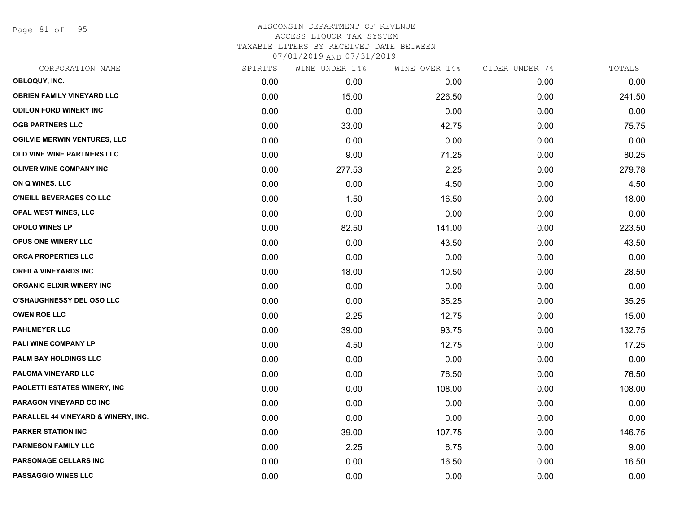Page 81 of 95

| CORPORATION NAME                    | SPIRITS | WINE UNDER 14% | WINE OVER 14% | CIDER UNDER 7% | TOTALS |
|-------------------------------------|---------|----------------|---------------|----------------|--------|
| OBLOQUY, INC.                       | 0.00    | 0.00           | 0.00          | 0.00           | 0.00   |
| <b>OBRIEN FAMILY VINEYARD LLC</b>   | 0.00    | 15.00          | 226.50        | 0.00           | 241.50 |
| <b>ODILON FORD WINERY INC</b>       | 0.00    | 0.00           | 0.00          | 0.00           | 0.00   |
| <b>OGB PARTNERS LLC</b>             | 0.00    | 33.00          | 42.75         | 0.00           | 75.75  |
| <b>OGILVIE MERWIN VENTURES, LLC</b> | 0.00    | 0.00           | 0.00          | 0.00           | 0.00   |
| OLD VINE WINE PARTNERS LLC          | 0.00    | 9.00           | 71.25         | 0.00           | 80.25  |
| <b>OLIVER WINE COMPANY INC</b>      | 0.00    | 277.53         | 2.25          | 0.00           | 279.78 |
| ON Q WINES, LLC                     | 0.00    | 0.00           | 4.50          | 0.00           | 4.50   |
| O'NEILL BEVERAGES CO LLC            | 0.00    | 1.50           | 16.50         | 0.00           | 18.00  |
| <b>OPAL WEST WINES, LLC</b>         | 0.00    | 0.00           | 0.00          | 0.00           | 0.00   |
| <b>OPOLO WINES LP</b>               | 0.00    | 82.50          | 141.00        | 0.00           | 223.50 |
| <b>OPUS ONE WINERY LLC</b>          | 0.00    | 0.00           | 43.50         | 0.00           | 43.50  |
| ORCA PROPERTIES LLC                 | 0.00    | 0.00           | 0.00          | 0.00           | 0.00   |
| <b>ORFILA VINEYARDS INC</b>         | 0.00    | 18.00          | 10.50         | 0.00           | 28.50  |
| <b>ORGANIC ELIXIR WINERY INC</b>    | 0.00    | 0.00           | 0.00          | 0.00           | 0.00   |
| O'SHAUGHNESSY DEL OSO LLC           | 0.00    | 0.00           | 35.25         | 0.00           | 35.25  |
| <b>OWEN ROE LLC</b>                 | 0.00    | 2.25           | 12.75         | 0.00           | 15.00  |
| <b>PAHLMEYER LLC</b>                | 0.00    | 39.00          | 93.75         | 0.00           | 132.75 |
| PALI WINE COMPANY LP                | 0.00    | 4.50           | 12.75         | 0.00           | 17.25  |
| PALM BAY HOLDINGS LLC               | 0.00    | 0.00           | 0.00          | 0.00           | 0.00   |
| PALOMA VINEYARD LLC                 | 0.00    | 0.00           | 76.50         | 0.00           | 76.50  |
| PAOLETTI ESTATES WINERY, INC        | 0.00    | 0.00           | 108.00        | 0.00           | 108.00 |
| PARAGON VINEYARD CO INC             | 0.00    | 0.00           | 0.00          | 0.00           | 0.00   |
| PARALLEL 44 VINEYARD & WINERY, INC. | 0.00    | 0.00           | 0.00          | 0.00           | 0.00   |
| <b>PARKER STATION INC</b>           | 0.00    | 39.00          | 107.75        | 0.00           | 146.75 |
| <b>PARMESON FAMILY LLC</b>          | 0.00    | 2.25           | 6.75          | 0.00           | 9.00   |
| <b>PARSONAGE CELLARS INC</b>        | 0.00    | 0.00           | 16.50         | 0.00           | 16.50  |
| PASSAGGIO WINES LLC                 | 0.00    | 0.00           | 0.00          | 0.00           | 0.00   |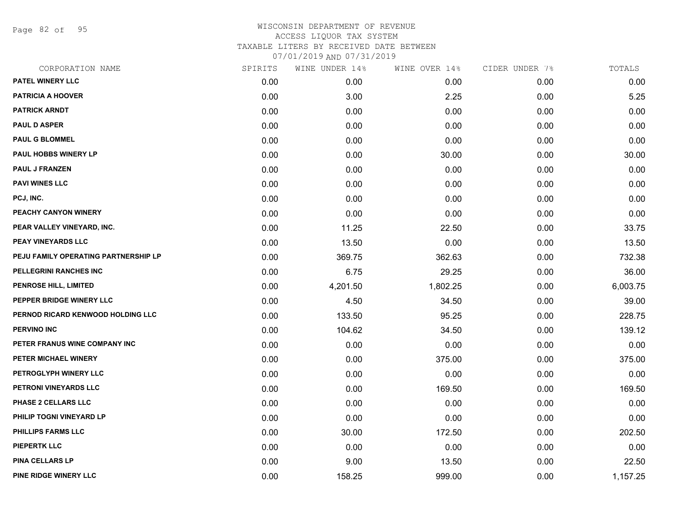Page 82 of 95

| CORPORATION NAME                     | SPIRITS | WINE UNDER 14% | WINE OVER 14% | CIDER UNDER 7% | TOTALS   |
|--------------------------------------|---------|----------------|---------------|----------------|----------|
| PATEL WINERY LLC                     | 0.00    | 0.00           | 0.00          | 0.00           | 0.00     |
| <b>PATRICIA A HOOVER</b>             | 0.00    | 3.00           | 2.25          | 0.00           | 5.25     |
| <b>PATRICK ARNDT</b>                 | 0.00    | 0.00           | 0.00          | 0.00           | 0.00     |
| <b>PAUL D ASPER</b>                  | 0.00    | 0.00           | 0.00          | 0.00           | 0.00     |
| <b>PAUL G BLOMMEL</b>                | 0.00    | 0.00           | 0.00          | 0.00           | 0.00     |
| PAUL HOBBS WINERY LP                 | 0.00    | 0.00           | 30.00         | 0.00           | 30.00    |
| <b>PAUL J FRANZEN</b>                | 0.00    | 0.00           | 0.00          | 0.00           | 0.00     |
| <b>PAVI WINES LLC</b>                | 0.00    | 0.00           | 0.00          | 0.00           | 0.00     |
| PCJ, INC.                            | 0.00    | 0.00           | 0.00          | 0.00           | 0.00     |
| PEACHY CANYON WINERY                 | 0.00    | 0.00           | 0.00          | 0.00           | 0.00     |
| PEAR VALLEY VINEYARD, INC.           | 0.00    | 11.25          | 22.50         | 0.00           | 33.75    |
| PEAY VINEYARDS LLC                   | 0.00    | 13.50          | 0.00          | 0.00           | 13.50    |
| PEJU FAMILY OPERATING PARTNERSHIP LP | 0.00    | 369.75         | 362.63        | 0.00           | 732.38   |
| PELLEGRINI RANCHES INC               | 0.00    | 6.75           | 29.25         | 0.00           | 36.00    |
| PENROSE HILL, LIMITED                | 0.00    | 4,201.50       | 1,802.25      | 0.00           | 6,003.75 |
| PEPPER BRIDGE WINERY LLC             | 0.00    | 4.50           | 34.50         | 0.00           | 39.00    |
| PERNOD RICARD KENWOOD HOLDING LLC    | 0.00    | 133.50         | 95.25         | 0.00           | 228.75   |
| <b>PERVINO INC</b>                   | 0.00    | 104.62         | 34.50         | 0.00           | 139.12   |
| PETER FRANUS WINE COMPANY INC        | 0.00    | 0.00           | 0.00          | 0.00           | 0.00     |
| PETER MICHAEL WINERY                 | 0.00    | 0.00           | 375.00        | 0.00           | 375.00   |
| PETROGLYPH WINERY LLC                | 0.00    | 0.00           | 0.00          | 0.00           | 0.00     |
| PETRONI VINEYARDS LLC                | 0.00    | 0.00           | 169.50        | 0.00           | 169.50   |
| PHASE 2 CELLARS LLC                  | 0.00    | 0.00           | 0.00          | 0.00           | 0.00     |
| PHILIP TOGNI VINEYARD LP             | 0.00    | 0.00           | 0.00          | 0.00           | 0.00     |
| PHILLIPS FARMS LLC                   | 0.00    | 30.00          | 172.50        | 0.00           | 202.50   |
| <b>PIEPERTK LLC</b>                  | 0.00    | 0.00           | 0.00          | 0.00           | 0.00     |
| <b>PINA CELLARS LP</b>               | 0.00    | 9.00           | 13.50         | 0.00           | 22.50    |
| PINE RIDGE WINERY LLC                | 0.00    | 158.25         | 999.00        | 0.00           | 1,157.25 |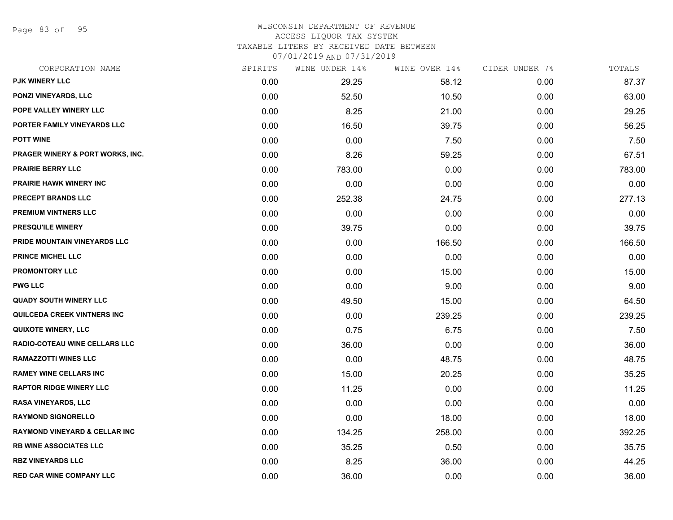Page 83 of 95

### WISCONSIN DEPARTMENT OF REVENUE ACCESS LIQUOR TAX SYSTEM

TAXABLE LITERS BY RECEIVED DATE BETWEEN

| CORPORATION NAME                         | SPIRITS | WINE UNDER 14% | WINE OVER 14% | CIDER UNDER 7% | TOTALS |
|------------------------------------------|---------|----------------|---------------|----------------|--------|
| PJK WINERY LLC                           | 0.00    | 29.25          | 58.12         | 0.00           | 87.37  |
| <b>PONZI VINEYARDS, LLC</b>              | 0.00    | 52.50          | 10.50         | 0.00           | 63.00  |
| POPE VALLEY WINERY LLC                   | 0.00    | 8.25           | 21.00         | 0.00           | 29.25  |
| PORTER FAMILY VINEYARDS LLC              | 0.00    | 16.50          | 39.75         | 0.00           | 56.25  |
| <b>POTT WINE</b>                         | 0.00    | 0.00           | 7.50          | 0.00           | 7.50   |
| PRAGER WINERY & PORT WORKS, INC.         | 0.00    | 8.26           | 59.25         | 0.00           | 67.51  |
| <b>PRAIRIE BERRY LLC</b>                 | 0.00    | 783.00         | 0.00          | 0.00           | 783.00 |
| PRAIRIE HAWK WINERY INC                  | 0.00    | 0.00           | 0.00          | 0.00           | 0.00   |
| PRECEPT BRANDS LLC                       | 0.00    | 252.38         | 24.75         | 0.00           | 277.13 |
| PREMIUM VINTNERS LLC                     | 0.00    | 0.00           | 0.00          | 0.00           | 0.00   |
| PRESQU'ILE WINERY                        | 0.00    | 39.75          | 0.00          | 0.00           | 39.75  |
| PRIDE MOUNTAIN VINEYARDS LLC             | 0.00    | 0.00           | 166.50        | 0.00           | 166.50 |
| <b>PRINCE MICHEL LLC</b>                 | 0.00    | 0.00           | 0.00          | 0.00           | 0.00   |
| <b>PROMONTORY LLC</b>                    | 0.00    | 0.00           | 15.00         | 0.00           | 15.00  |
| <b>PWG LLC</b>                           | 0.00    | 0.00           | 9.00          | 0.00           | 9.00   |
| <b>QUADY SOUTH WINERY LLC</b>            | 0.00    | 49.50          | 15.00         | 0.00           | 64.50  |
| QUILCEDA CREEK VINTNERS INC              | 0.00    | 0.00           | 239.25        | 0.00           | 239.25 |
| <b>QUIXOTE WINERY, LLC</b>               | 0.00    | 0.75           | 6.75          | 0.00           | 7.50   |
| <b>RADIO-COTEAU WINE CELLARS LLC</b>     | 0.00    | 36.00          | 0.00          | 0.00           | 36.00  |
| <b>RAMAZZOTTI WINES LLC</b>              | 0.00    | 0.00           | 48.75         | 0.00           | 48.75  |
| <b>RAMEY WINE CELLARS INC</b>            | 0.00    | 15.00          | 20.25         | 0.00           | 35.25  |
| <b>RAPTOR RIDGE WINERY LLC</b>           | 0.00    | 11.25          | 0.00          | 0.00           | 11.25  |
| <b>RASA VINEYARDS, LLC</b>               | 0.00    | 0.00           | 0.00          | 0.00           | 0.00   |
| <b>RAYMOND SIGNORELLO</b>                | 0.00    | 0.00           | 18.00         | 0.00           | 18.00  |
| <b>RAYMOND VINEYARD &amp; CELLAR INC</b> | 0.00    | 134.25         | 258.00        | 0.00           | 392.25 |
| <b>RB WINE ASSOCIATES LLC</b>            | 0.00    | 35.25          | 0.50          | 0.00           | 35.75  |
| <b>RBZ VINEYARDS LLC</b>                 | 0.00    | 8.25           | 36.00         | 0.00           | 44.25  |
| <b>RED CAR WINE COMPANY LLC</b>          | 0.00    | 36.00          | 0.00          | 0.00           | 36.00  |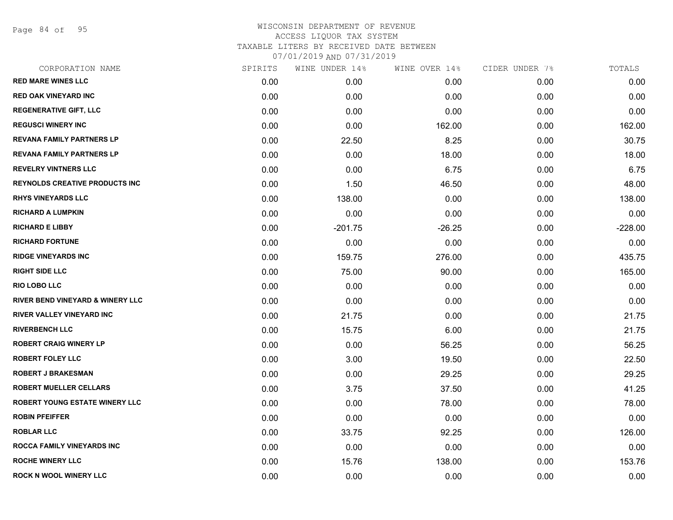Page 84 of 95

| CORPORATION NAME                      | SPIRITS | WINE UNDER 14% | WINE OVER 14% | CIDER UNDER 7% | TOTALS    |
|---------------------------------------|---------|----------------|---------------|----------------|-----------|
| <b>RED MARE WINES LLC</b>             | 0.00    | 0.00           | 0.00          | 0.00           | 0.00      |
| <b>RED OAK VINEYARD INC</b>           | 0.00    | 0.00           | 0.00          | 0.00           | 0.00      |
| <b>REGENERATIVE GIFT, LLC</b>         | 0.00    | 0.00           | 0.00          | 0.00           | 0.00      |
| <b>REGUSCI WINERY INC</b>             | 0.00    | 0.00           | 162.00        | 0.00           | 162.00    |
| <b>REVANA FAMILY PARTNERS LP</b>      | 0.00    | 22.50          | 8.25          | 0.00           | 30.75     |
| <b>REVANA FAMILY PARTNERS LP</b>      | 0.00    | 0.00           | 18.00         | 0.00           | 18.00     |
| <b>REVELRY VINTNERS LLC</b>           | 0.00    | 0.00           | 6.75          | 0.00           | 6.75      |
| <b>REYNOLDS CREATIVE PRODUCTS INC</b> | 0.00    | 1.50           | 46.50         | 0.00           | 48.00     |
| <b>RHYS VINEYARDS LLC</b>             | 0.00    | 138.00         | 0.00          | 0.00           | 138.00    |
| <b>RICHARD A LUMPKIN</b>              | 0.00    | 0.00           | 0.00          | 0.00           | 0.00      |
| <b>RICHARD E LIBBY</b>                | 0.00    | $-201.75$      | $-26.25$      | 0.00           | $-228.00$ |
| <b>RICHARD FORTUNE</b>                | 0.00    | 0.00           | 0.00          | 0.00           | 0.00      |
| <b>RIDGE VINEYARDS INC</b>            | 0.00    | 159.75         | 276.00        | 0.00           | 435.75    |
| <b>RIGHT SIDE LLC</b>                 | 0.00    | 75.00          | 90.00         | 0.00           | 165.00    |
| <b>RIO LOBO LLC</b>                   | 0.00    | 0.00           | 0.00          | 0.00           | 0.00      |
| RIVER BEND VINEYARD & WINERY LLC      | 0.00    | 0.00           | 0.00          | 0.00           | 0.00      |
| <b>RIVER VALLEY VINEYARD INC</b>      | 0.00    | 21.75          | 0.00          | 0.00           | 21.75     |
| <b>RIVERBENCH LLC</b>                 | 0.00    | 15.75          | 6.00          | 0.00           | 21.75     |
| <b>ROBERT CRAIG WINERY LP</b>         | 0.00    | 0.00           | 56.25         | 0.00           | 56.25     |
| <b>ROBERT FOLEY LLC</b>               | 0.00    | 3.00           | 19.50         | 0.00           | 22.50     |
| <b>ROBERT J BRAKESMAN</b>             | 0.00    | 0.00           | 29.25         | 0.00           | 29.25     |
| <b>ROBERT MUELLER CELLARS</b>         | 0.00    | 3.75           | 37.50         | 0.00           | 41.25     |
| <b>ROBERT YOUNG ESTATE WINERY LLC</b> | 0.00    | 0.00           | 78.00         | 0.00           | 78.00     |
| <b>ROBIN PFEIFFER</b>                 | 0.00    | 0.00           | 0.00          | 0.00           | 0.00      |
| <b>ROBLAR LLC</b>                     | 0.00    | 33.75          | 92.25         | 0.00           | 126.00    |
| ROCCA FAMILY VINEYARDS INC            | 0.00    | 0.00           | 0.00          | 0.00           | 0.00      |
| <b>ROCHE WINERY LLC</b>               | 0.00    | 15.76          | 138.00        | 0.00           | 153.76    |
| <b>ROCK N WOOL WINERY LLC</b>         | 0.00    | 0.00           | 0.00          | 0.00           | 0.00      |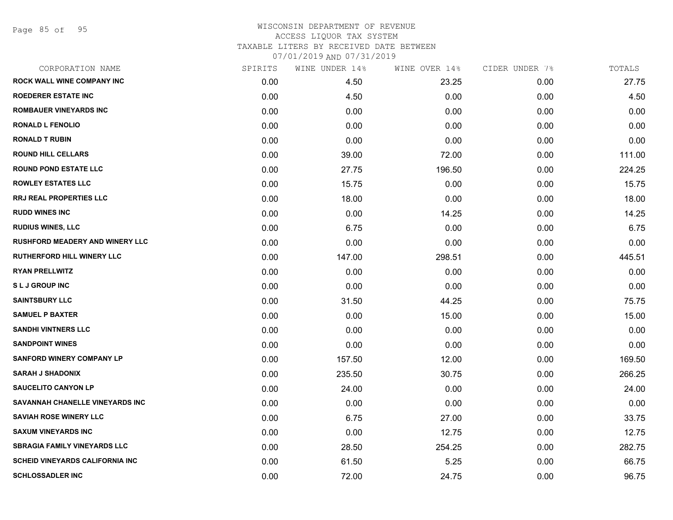Page 85 of 95

| CORPORATION NAME                       | SPIRITS | WINE UNDER 14% | WINE OVER 14% | CIDER UNDER 7% | TOTALS |
|----------------------------------------|---------|----------------|---------------|----------------|--------|
| <b>ROCK WALL WINE COMPANY INC</b>      | 0.00    | 4.50           | 23.25         | 0.00           | 27.75  |
| <b>ROEDERER ESTATE INC</b>             | 0.00    | 4.50           | 0.00          | 0.00           | 4.50   |
| <b>ROMBAUER VINEYARDS INC</b>          | 0.00    | 0.00           | 0.00          | 0.00           | 0.00   |
| <b>RONALD L FENOLIO</b>                | 0.00    | 0.00           | 0.00          | 0.00           | 0.00   |
| <b>RONALD T RUBIN</b>                  | 0.00    | 0.00           | 0.00          | 0.00           | 0.00   |
| <b>ROUND HILL CELLARS</b>              | 0.00    | 39.00          | 72.00         | 0.00           | 111.00 |
| <b>ROUND POND ESTATE LLC</b>           | 0.00    | 27.75          | 196.50        | 0.00           | 224.25 |
| <b>ROWLEY ESTATES LLC</b>              | 0.00    | 15.75          | 0.00          | 0.00           | 15.75  |
| <b>RRJ REAL PROPERTIES LLC</b>         | 0.00    | 18.00          | 0.00          | 0.00           | 18.00  |
| <b>RUDD WINES INC</b>                  | 0.00    | 0.00           | 14.25         | 0.00           | 14.25  |
| <b>RUDIUS WINES, LLC</b>               | 0.00    | 6.75           | 0.00          | 0.00           | 6.75   |
| <b>RUSHFORD MEADERY AND WINERY LLC</b> | 0.00    | 0.00           | 0.00          | 0.00           | 0.00   |
| <b>RUTHERFORD HILL WINERY LLC</b>      | 0.00    | 147.00         | 298.51        | 0.00           | 445.51 |
| <b>RYAN PRELLWITZ</b>                  | 0.00    | 0.00           | 0.00          | 0.00           | 0.00   |
| <b>SLJ GROUP INC</b>                   | 0.00    | 0.00           | 0.00          | 0.00           | 0.00   |
| <b>SAINTSBURY LLC</b>                  | 0.00    | 31.50          | 44.25         | 0.00           | 75.75  |
| <b>SAMUEL P BAXTER</b>                 | 0.00    | 0.00           | 15.00         | 0.00           | 15.00  |
| <b>SANDHI VINTNERS LLC</b>             | 0.00    | 0.00           | 0.00          | 0.00           | 0.00   |
| <b>SANDPOINT WINES</b>                 | 0.00    | 0.00           | 0.00          | 0.00           | 0.00   |
| <b>SANFORD WINERY COMPANY LP</b>       | 0.00    | 157.50         | 12.00         | 0.00           | 169.50 |
| <b>SARAH J SHADONIX</b>                | 0.00    | 235.50         | 30.75         | 0.00           | 266.25 |
| <b>SAUCELITO CANYON LP</b>             | 0.00    | 24.00          | 0.00          | 0.00           | 24.00  |
| SAVANNAH CHANELLE VINEYARDS INC        | 0.00    | 0.00           | 0.00          | 0.00           | 0.00   |
| <b>SAVIAH ROSE WINERY LLC</b>          | 0.00    | 6.75           | 27.00         | 0.00           | 33.75  |
| <b>SAXUM VINEYARDS INC</b>             | 0.00    | 0.00           | 12.75         | 0.00           | 12.75  |
| <b>SBRAGIA FAMILY VINEYARDS LLC</b>    | 0.00    | 28.50          | 254.25        | 0.00           | 282.75 |
| <b>SCHEID VINEYARDS CALIFORNIA INC</b> | 0.00    | 61.50          | 5.25          | 0.00           | 66.75  |
| <b>SCHLOSSADLER INC</b>                | 0.00    | 72.00          | 24.75         | 0.00           | 96.75  |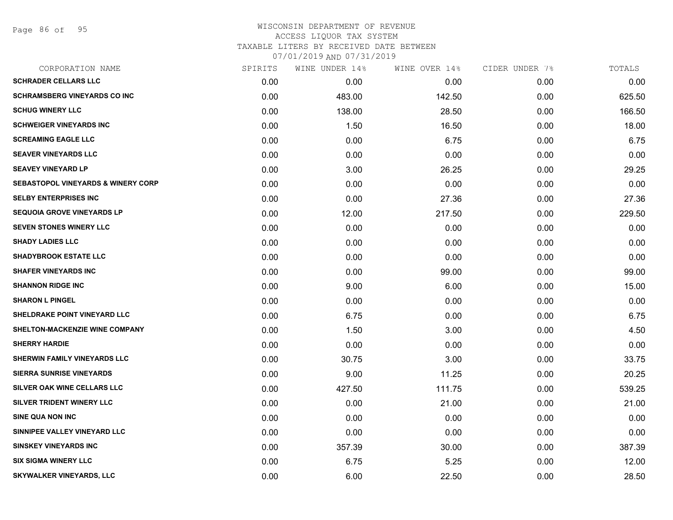Page 86 of 95

# WISCONSIN DEPARTMENT OF REVENUE ACCESS LIQUOR TAX SYSTEM TAXABLE LITERS BY RECEIVED DATE BETWEEN

| CORPORATION NAME                              | SPIRITS | WINE UNDER 14% | WINE OVER 14% | CIDER UNDER 7% | TOTALS |
|-----------------------------------------------|---------|----------------|---------------|----------------|--------|
| <b>SCHRADER CELLARS LLC</b>                   | 0.00    | 0.00           | 0.00          | 0.00           | 0.00   |
| <b>SCHRAMSBERG VINEYARDS CO INC</b>           | 0.00    | 483.00         | 142.50        | 0.00           | 625.50 |
| <b>SCHUG WINERY LLC</b>                       | 0.00    | 138.00         | 28.50         | 0.00           | 166.50 |
| <b>SCHWEIGER VINEYARDS INC</b>                | 0.00    | 1.50           | 16.50         | 0.00           | 18.00  |
| <b>SCREAMING EAGLE LLC</b>                    | 0.00    | 0.00           | 6.75          | 0.00           | 6.75   |
| <b>SEAVER VINEYARDS LLC</b>                   | 0.00    | 0.00           | 0.00          | 0.00           | 0.00   |
| <b>SEAVEY VINEYARD LP</b>                     | 0.00    | 3.00           | 26.25         | 0.00           | 29.25  |
| <b>SEBASTOPOL VINEYARDS &amp; WINERY CORP</b> | 0.00    | 0.00           | 0.00          | 0.00           | 0.00   |
| <b>SELBY ENTERPRISES INC</b>                  | 0.00    | 0.00           | 27.36         | 0.00           | 27.36  |
| <b>SEQUOIA GROVE VINEYARDS LP</b>             | 0.00    | 12.00          | 217.50        | 0.00           | 229.50 |
| <b>SEVEN STONES WINERY LLC</b>                | 0.00    | 0.00           | 0.00          | 0.00           | 0.00   |
| <b>SHADY LADIES LLC</b>                       | 0.00    | 0.00           | 0.00          | 0.00           | 0.00   |
| <b>SHADYBROOK ESTATE LLC</b>                  | 0.00    | 0.00           | 0.00          | 0.00           | 0.00   |
| <b>SHAFER VINEYARDS INC</b>                   | 0.00    | 0.00           | 99.00         | 0.00           | 99.00  |
| <b>SHANNON RIDGE INC</b>                      | 0.00    | 9.00           | 6.00          | 0.00           | 15.00  |
| <b>SHARON L PINGEL</b>                        | 0.00    | 0.00           | 0.00          | 0.00           | 0.00   |
| SHELDRAKE POINT VINEYARD LLC                  | 0.00    | 6.75           | 0.00          | 0.00           | 6.75   |
| <b>SHELTON-MACKENZIE WINE COMPANY</b>         | 0.00    | 1.50           | 3.00          | 0.00           | 4.50   |
| <b>SHERRY HARDIE</b>                          | 0.00    | 0.00           | 0.00          | 0.00           | 0.00   |
| SHERWIN FAMILY VINEYARDS LLC                  | 0.00    | 30.75          | 3.00          | 0.00           | 33.75  |
| <b>SIERRA SUNRISE VINEYARDS</b>               | 0.00    | 9.00           | 11.25         | 0.00           | 20.25  |
| SILVER OAK WINE CELLARS LLC                   | 0.00    | 427.50         | 111.75        | 0.00           | 539.25 |
| SILVER TRIDENT WINERY LLC                     | 0.00    | 0.00           | 21.00         | 0.00           | 21.00  |
| <b>SINE QUA NON INC</b>                       | 0.00    | 0.00           | 0.00          | 0.00           | 0.00   |
| SINNIPEE VALLEY VINEYARD LLC                  | 0.00    | 0.00           | 0.00          | 0.00           | 0.00   |
| <b>SINSKEY VINEYARDS INC</b>                  | 0.00    | 357.39         | 30.00         | 0.00           | 387.39 |
| <b>SIX SIGMA WINERY LLC</b>                   | 0.00    | 6.75           | 5.25          | 0.00           | 12.00  |
| <b>SKYWALKER VINEYARDS, LLC</b>               | 0.00    | 6.00           | 22.50         | 0.00           | 28.50  |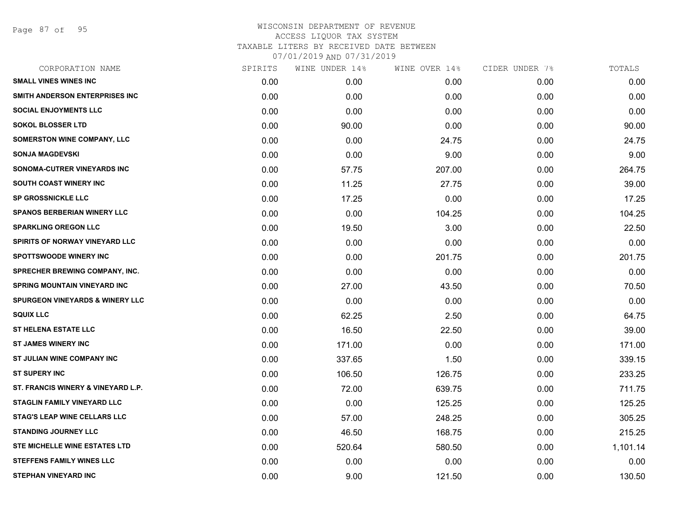Page 87 of 95

| CORPORATION NAME                           | SPIRITS | WINE UNDER 14% | WINE OVER 14% | CIDER UNDER 7% | TOTALS   |
|--------------------------------------------|---------|----------------|---------------|----------------|----------|
| <b>SMALL VINES WINES INC</b>               | 0.00    | 0.00           | 0.00          | 0.00           | 0.00     |
| SMITH ANDERSON ENTERPRISES INC             | 0.00    | 0.00           | 0.00          | 0.00           | 0.00     |
| <b>SOCIAL ENJOYMENTS LLC</b>               | 0.00    | 0.00           | 0.00          | 0.00           | 0.00     |
| <b>SOKOL BLOSSER LTD</b>                   | 0.00    | 90.00          | 0.00          | 0.00           | 90.00    |
| <b>SOMERSTON WINE COMPANY, LLC</b>         | 0.00    | 0.00           | 24.75         | 0.00           | 24.75    |
| <b>SONJA MAGDEVSKI</b>                     | 0.00    | 0.00           | 9.00          | 0.00           | 9.00     |
| SONOMA-CUTRER VINEYARDS INC                | 0.00    | 57.75          | 207.00        | 0.00           | 264.75   |
| <b>SOUTH COAST WINERY INC</b>              | 0.00    | 11.25          | 27.75         | 0.00           | 39.00    |
| <b>SP GROSSNICKLE LLC</b>                  | 0.00    | 17.25          | 0.00          | 0.00           | 17.25    |
| <b>SPANOS BERBERIAN WINERY LLC</b>         | 0.00    | 0.00           | 104.25        | 0.00           | 104.25   |
| <b>SPARKLING OREGON LLC</b>                | 0.00    | 19.50          | 3.00          | 0.00           | 22.50    |
| SPIRITS OF NORWAY VINEYARD LLC             | 0.00    | 0.00           | 0.00          | 0.00           | 0.00     |
| <b>SPOTTSWOODE WINERY INC</b>              | 0.00    | 0.00           | 201.75        | 0.00           | 201.75   |
| <b>SPRECHER BREWING COMPANY, INC.</b>      | 0.00    | 0.00           | 0.00          | 0.00           | 0.00     |
| <b>SPRING MOUNTAIN VINEYARD INC</b>        | 0.00    | 27.00          | 43.50         | 0.00           | 70.50    |
| <b>SPURGEON VINEYARDS &amp; WINERY LLC</b> | 0.00    | 0.00           | 0.00          | 0.00           | 0.00     |
| <b>SQUIX LLC</b>                           | 0.00    | 62.25          | 2.50          | 0.00           | 64.75    |
| <b>ST HELENA ESTATE LLC</b>                | 0.00    | 16.50          | 22.50         | 0.00           | 39.00    |
| <b>ST JAMES WINERY INC</b>                 | 0.00    | 171.00         | 0.00          | 0.00           | 171.00   |
| ST JULIAN WINE COMPANY INC                 | 0.00    | 337.65         | 1.50          | 0.00           | 339.15   |
| <b>ST SUPERY INC</b>                       | 0.00    | 106.50         | 126.75        | 0.00           | 233.25   |
| ST. FRANCIS WINERY & VINEYARD L.P.         | 0.00    | 72.00          | 639.75        | 0.00           | 711.75   |
| <b>STAGLIN FAMILY VINEYARD LLC</b>         | 0.00    | 0.00           | 125.25        | 0.00           | 125.25   |
| <b>STAG'S LEAP WINE CELLARS LLC</b>        | 0.00    | 57.00          | 248.25        | 0.00           | 305.25   |
| <b>STANDING JOURNEY LLC</b>                | 0.00    | 46.50          | 168.75        | 0.00           | 215.25   |
| <b>STE MICHELLE WINE ESTATES LTD</b>       | 0.00    | 520.64         | 580.50        | 0.00           | 1,101.14 |
| <b>STEFFENS FAMILY WINES LLC</b>           | 0.00    | 0.00           | 0.00          | 0.00           | 0.00     |
| <b>STEPHAN VINEYARD INC</b>                | 0.00    | 9.00           | 121.50        | 0.00           | 130.50   |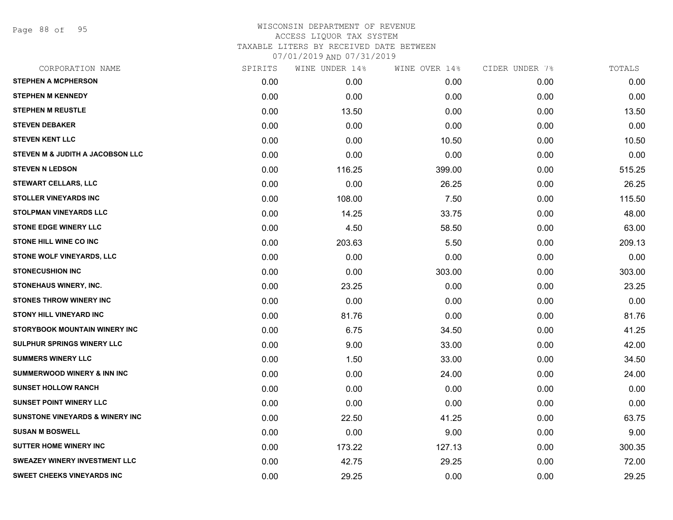Page 88 of 95

| CORPORATION NAME                           | SPIRITS | WINE UNDER 14% | WINE OVER 14% | CIDER UNDER 7% | TOTALS |
|--------------------------------------------|---------|----------------|---------------|----------------|--------|
| <b>STEPHEN A MCPHERSON</b>                 | 0.00    | 0.00           | 0.00          | 0.00           | 0.00   |
| <b>STEPHEN M KENNEDY</b>                   | 0.00    | 0.00           | 0.00          | 0.00           | 0.00   |
| <b>STEPHEN M REUSTLE</b>                   | 0.00    | 13.50          | 0.00          | 0.00           | 13.50  |
| <b>STEVEN DEBAKER</b>                      | 0.00    | 0.00           | 0.00          | 0.00           | 0.00   |
| <b>STEVEN KENT LLC</b>                     | 0.00    | 0.00           | 10.50         | 0.00           | 10.50  |
| STEVEN M & JUDITH A JACOBSON LLC           | 0.00    | 0.00           | 0.00          | 0.00           | 0.00   |
| <b>STEVEN N LEDSON</b>                     | 0.00    | 116.25         | 399.00        | 0.00           | 515.25 |
| <b>STEWART CELLARS, LLC</b>                | 0.00    | 0.00           | 26.25         | 0.00           | 26.25  |
| <b>STOLLER VINEYARDS INC</b>               | 0.00    | 108.00         | 7.50          | 0.00           | 115.50 |
| <b>STOLPMAN VINEYARDS LLC</b>              | 0.00    | 14.25          | 33.75         | 0.00           | 48.00  |
| <b>STONE EDGE WINERY LLC</b>               | 0.00    | 4.50           | 58.50         | 0.00           | 63.00  |
| <b>STONE HILL WINE CO INC</b>              | 0.00    | 203.63         | 5.50          | 0.00           | 209.13 |
| STONE WOLF VINEYARDS, LLC                  | 0.00    | 0.00           | 0.00          | 0.00           | 0.00   |
| <b>STONECUSHION INC</b>                    | 0.00    | 0.00           | 303.00        | 0.00           | 303.00 |
| STONEHAUS WINERY, INC.                     | 0.00    | 23.25          | 0.00          | 0.00           | 23.25  |
| <b>STONES THROW WINERY INC</b>             | 0.00    | 0.00           | 0.00          | 0.00           | 0.00   |
| <b>STONY HILL VINEYARD INC</b>             | 0.00    | 81.76          | 0.00          | 0.00           | 81.76  |
| STORYBOOK MOUNTAIN WINERY INC              | 0.00    | 6.75           | 34.50         | 0.00           | 41.25  |
| SULPHUR SPRINGS WINERY LLC                 | 0.00    | 9.00           | 33.00         | 0.00           | 42.00  |
| <b>SUMMERS WINERY LLC</b>                  | 0.00    | 1.50           | 33.00         | 0.00           | 34.50  |
| <b>SUMMERWOOD WINERY &amp; INN INC</b>     | 0.00    | 0.00           | 24.00         | 0.00           | 24.00  |
| <b>SUNSET HOLLOW RANCH</b>                 | 0.00    | 0.00           | 0.00          | 0.00           | 0.00   |
| <b>SUNSET POINT WINERY LLC</b>             | 0.00    | 0.00           | 0.00          | 0.00           | 0.00   |
| <b>SUNSTONE VINEYARDS &amp; WINERY INC</b> | 0.00    | 22.50          | 41.25         | 0.00           | 63.75  |
| <b>SUSAN M BOSWELL</b>                     | 0.00    | 0.00           | 9.00          | 0.00           | 9.00   |
| <b>SUTTER HOME WINERY INC</b>              | 0.00    | 173.22         | 127.13        | 0.00           | 300.35 |
| SWEAZEY WINERY INVESTMENT LLC              | 0.00    | 42.75          | 29.25         | 0.00           | 72.00  |
| <b>SWEET CHEEKS VINEYARDS INC</b>          | 0.00    | 29.25          | 0.00          | 0.00           | 29.25  |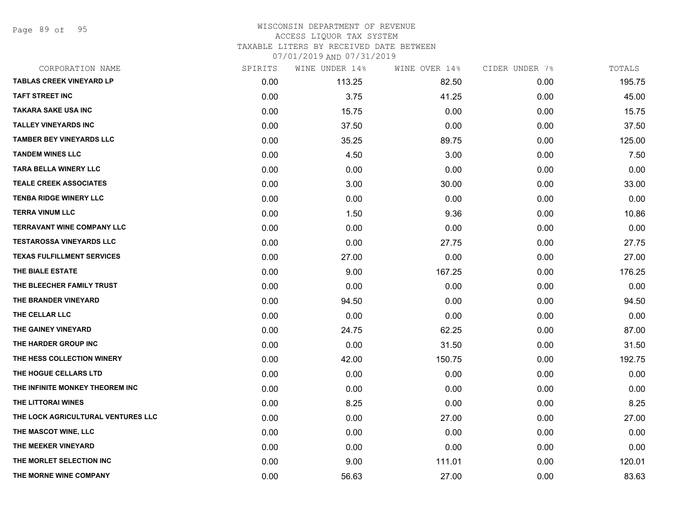Page 89 of 95

| CORPORATION NAME                   | SPIRITS | WINE UNDER 14% | WINE OVER 14% | CIDER UNDER 7% | TOTALS |
|------------------------------------|---------|----------------|---------------|----------------|--------|
| <b>TABLAS CREEK VINEYARD LP</b>    | 0.00    | 113.25         | 82.50         | 0.00           | 195.75 |
| <b>TAFT STREET INC</b>             | 0.00    | 3.75           | 41.25         | 0.00           | 45.00  |
| <b>TAKARA SAKE USA INC</b>         | 0.00    | 15.75          | 0.00          | 0.00           | 15.75  |
| <b>TALLEY VINEYARDS INC</b>        | 0.00    | 37.50          | 0.00          | 0.00           | 37.50  |
| <b>TAMBER BEY VINEYARDS LLC</b>    | 0.00    | 35.25          | 89.75         | 0.00           | 125.00 |
| <b>TANDEM WINES LLC</b>            | 0.00    | 4.50           | 3.00          | 0.00           | 7.50   |
| <b>TARA BELLA WINERY LLC</b>       | 0.00    | 0.00           | 0.00          | 0.00           | 0.00   |
| <b>TEALE CREEK ASSOCIATES</b>      | 0.00    | 3.00           | 30.00         | 0.00           | 33.00  |
| <b>TENBA RIDGE WINERY LLC</b>      | 0.00    | 0.00           | 0.00          | 0.00           | 0.00   |
| <b>TERRA VINUM LLC</b>             | 0.00    | 1.50           | 9.36          | 0.00           | 10.86  |
| <b>TERRAVANT WINE COMPANY LLC</b>  | 0.00    | 0.00           | 0.00          | 0.00           | 0.00   |
| <b>TESTAROSSA VINEYARDS LLC</b>    | 0.00    | 0.00           | 27.75         | 0.00           | 27.75  |
| <b>TEXAS FULFILLMENT SERVICES</b>  | 0.00    | 27.00          | 0.00          | 0.00           | 27.00  |
| THE BIALE ESTATE                   | 0.00    | 9.00           | 167.25        | 0.00           | 176.25 |
| THE BLEECHER FAMILY TRUST          | 0.00    | 0.00           | 0.00          | 0.00           | 0.00   |
| THE BRANDER VINEYARD               | 0.00    | 94.50          | 0.00          | 0.00           | 94.50  |
| THE CELLAR LLC                     | 0.00    | 0.00           | 0.00          | 0.00           | 0.00   |
| THE GAINEY VINEYARD                | 0.00    | 24.75          | 62.25         | 0.00           | 87.00  |
| THE HARDER GROUP INC               | 0.00    | 0.00           | 31.50         | 0.00           | 31.50  |
| THE HESS COLLECTION WINERY         | 0.00    | 42.00          | 150.75        | 0.00           | 192.75 |
| THE HOGUE CELLARS LTD              | 0.00    | 0.00           | 0.00          | 0.00           | 0.00   |
| THE INFINITE MONKEY THEOREM INC    | 0.00    | 0.00           | 0.00          | 0.00           | 0.00   |
| THE LITTORAI WINES                 | 0.00    | 8.25           | 0.00          | 0.00           | 8.25   |
| THE LOCK AGRICULTURAL VENTURES LLC | 0.00    | 0.00           | 27.00         | 0.00           | 27.00  |
| THE MASCOT WINE, LLC               | 0.00    | 0.00           | 0.00          | 0.00           | 0.00   |
| THE MEEKER VINEYARD                | 0.00    | 0.00           | 0.00          | 0.00           | 0.00   |
| THE MORLET SELECTION INC           | 0.00    | 9.00           | 111.01        | 0.00           | 120.01 |
| THE MORNE WINE COMPANY             | 0.00    | 56.63          | 27.00         | 0.00           | 83.63  |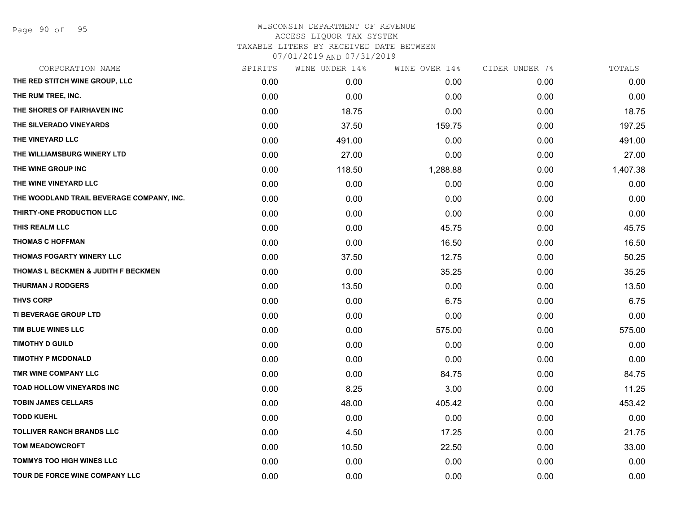| CORPORATION NAME                          | SPIRITS | WINE UNDER 14% | WINE OVER 14% | CIDER UNDER 7% | TOTALS   |
|-------------------------------------------|---------|----------------|---------------|----------------|----------|
| THE RED STITCH WINE GROUP, LLC            | 0.00    | 0.00           | 0.00          | 0.00           | 0.00     |
| THE RUM TREE, INC.                        | 0.00    | 0.00           | 0.00          | 0.00           | 0.00     |
| THE SHORES OF FAIRHAVEN INC               | 0.00    | 18.75          | 0.00          | 0.00           | 18.75    |
| THE SILVERADO VINEYARDS                   | 0.00    | 37.50          | 159.75        | 0.00           | 197.25   |
| THE VINEYARD LLC                          | 0.00    | 491.00         | 0.00          | 0.00           | 491.00   |
| THE WILLIAMSBURG WINERY LTD               | 0.00    | 27.00          | 0.00          | 0.00           | 27.00    |
| THE WINE GROUP INC                        | 0.00    | 118.50         | 1,288.88      | 0.00           | 1,407.38 |
| THE WINE VINEYARD LLC                     | 0.00    | 0.00           | 0.00          | 0.00           | 0.00     |
| THE WOODLAND TRAIL BEVERAGE COMPANY, INC. | 0.00    | 0.00           | 0.00          | 0.00           | 0.00     |
| THIRTY-ONE PRODUCTION LLC                 | 0.00    | 0.00           | 0.00          | 0.00           | 0.00     |
| THIS REALM LLC                            | 0.00    | 0.00           | 45.75         | 0.00           | 45.75    |
| <b>THOMAS C HOFFMAN</b>                   | 0.00    | 0.00           | 16.50         | 0.00           | 16.50    |
| THOMAS FOGARTY WINERY LLC                 | 0.00    | 37.50          | 12.75         | 0.00           | 50.25    |
| THOMAS L BECKMEN & JUDITH F BECKMEN       | 0.00    | 0.00           | 35.25         | 0.00           | 35.25    |
| <b>THURMAN J RODGERS</b>                  | 0.00    | 13.50          | 0.00          | 0.00           | 13.50    |
| <b>THVS CORP</b>                          | 0.00    | 0.00           | 6.75          | 0.00           | 6.75     |
| TI BEVERAGE GROUP LTD                     | 0.00    | 0.00           | 0.00          | 0.00           | 0.00     |
| TIM BLUE WINES LLC                        | 0.00    | 0.00           | 575.00        | 0.00           | 575.00   |
| <b>TIMOTHY D GUILD</b>                    | 0.00    | 0.00           | 0.00          | 0.00           | 0.00     |
| <b>TIMOTHY P MCDONALD</b>                 | 0.00    | 0.00           | 0.00          | 0.00           | 0.00     |
| TMR WINE COMPANY LLC                      | 0.00    | 0.00           | 84.75         | 0.00           | 84.75    |
| TOAD HOLLOW VINEYARDS INC                 | 0.00    | 8.25           | 3.00          | 0.00           | 11.25    |
| <b>TOBIN JAMES CELLARS</b>                | 0.00    | 48.00          | 405.42        | 0.00           | 453.42   |
| <b>TODD KUEHL</b>                         | 0.00    | 0.00           | 0.00          | 0.00           | 0.00     |
| <b>TOLLIVER RANCH BRANDS LLC</b>          | 0.00    | 4.50           | 17.25         | 0.00           | 21.75    |
| <b>TOM MEADOWCROFT</b>                    | 0.00    | 10.50          | 22.50         | 0.00           | 33.00    |
| <b>TOMMYS TOO HIGH WINES LLC</b>          | 0.00    | 0.00           | 0.00          | 0.00           | 0.00     |
| <b>TOUR DE FORCE WINE COMPANY LLC</b>     | 0.00    | 0.00           | 0.00          | 0.00           | 0.00     |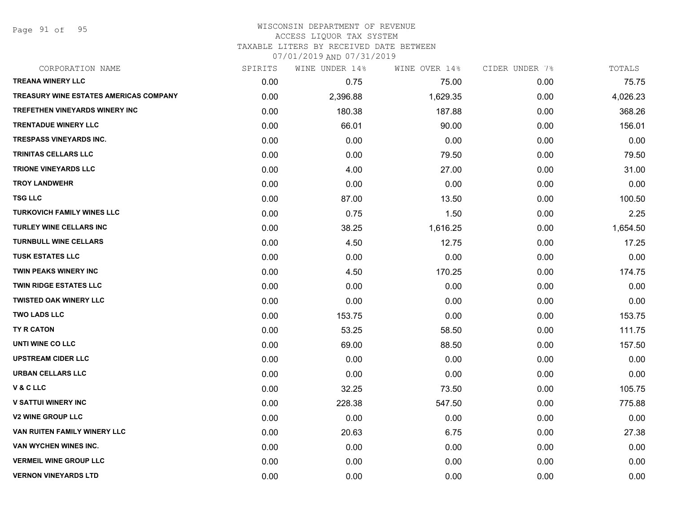Page 91 of 95

### WISCONSIN DEPARTMENT OF REVENUE ACCESS LIQUOR TAX SYSTEM TAXABLE LITERS BY RECEIVED DATE BETWEEN

| CORPORATION NAME                              | SPIRITS | WINE UNDER 14% | WINE OVER 14% | CIDER UNDER 7% | TOTALS   |
|-----------------------------------------------|---------|----------------|---------------|----------------|----------|
| <b>TREANA WINERY LLC</b>                      | 0.00    | 0.75           | 75.00         | 0.00           | 75.75    |
| <b>TREASURY WINE ESTATES AMERICAS COMPANY</b> | 0.00    | 2,396.88       | 1,629.35      | 0.00           | 4,026.23 |
| <b>TREFETHEN VINEYARDS WINERY INC</b>         | 0.00    | 180.38         | 187.88        | 0.00           | 368.26   |
| <b>TRENTADUE WINERY LLC</b>                   | 0.00    | 66.01          | 90.00         | 0.00           | 156.01   |
| <b>TRESPASS VINEYARDS INC.</b>                | 0.00    | 0.00           | 0.00          | 0.00           | 0.00     |
| TRINITAS CELLARS LLC                          | 0.00    | 0.00           | 79.50         | 0.00           | 79.50    |
| <b>TRIONE VINEYARDS LLC</b>                   | 0.00    | 4.00           | 27.00         | 0.00           | 31.00    |
| <b>TROY LANDWEHR</b>                          | 0.00    | 0.00           | 0.00          | 0.00           | 0.00     |
| <b>TSG LLC</b>                                | 0.00    | 87.00          | 13.50         | 0.00           | 100.50   |
| <b>TURKOVICH FAMILY WINES LLC</b>             | 0.00    | 0.75           | 1.50          | 0.00           | 2.25     |
| <b>TURLEY WINE CELLARS INC</b>                | 0.00    | 38.25          | 1,616.25      | 0.00           | 1,654.50 |
| <b>TURNBULL WINE CELLARS</b>                  | 0.00    | 4.50           | 12.75         | 0.00           | 17.25    |
| <b>TUSK ESTATES LLC</b>                       | 0.00    | 0.00           | 0.00          | 0.00           | 0.00     |
| <b>TWIN PEAKS WINERY INC</b>                  | 0.00    | 4.50           | 170.25        | 0.00           | 174.75   |
| <b>TWIN RIDGE ESTATES LLC</b>                 | 0.00    | 0.00           | 0.00          | 0.00           | 0.00     |
| <b>TWISTED OAK WINERY LLC</b>                 | 0.00    | 0.00           | 0.00          | 0.00           | 0.00     |
| <b>TWO LADS LLC</b>                           | 0.00    | 153.75         | 0.00          | 0.00           | 153.75   |
| TY R CATON                                    | 0.00    | 53.25          | 58.50         | 0.00           | 111.75   |
| UNTI WINE CO LLC                              | 0.00    | 69.00          | 88.50         | 0.00           | 157.50   |
| <b>UPSTREAM CIDER LLC</b>                     | 0.00    | 0.00           | 0.00          | 0.00           | 0.00     |
| <b>URBAN CELLARS LLC</b>                      | 0.00    | 0.00           | 0.00          | 0.00           | 0.00     |
| V & C LLC                                     | 0.00    | 32.25          | 73.50         | 0.00           | 105.75   |
| <b>V SATTUI WINERY INC</b>                    | 0.00    | 228.38         | 547.50        | 0.00           | 775.88   |
| <b>V2 WINE GROUP LLC</b>                      | 0.00    | 0.00           | 0.00          | 0.00           | 0.00     |
| VAN RUITEN FAMILY WINERY LLC                  | 0.00    | 20.63          | 6.75          | 0.00           | 27.38    |
| VAN WYCHEN WINES INC.                         | 0.00    | 0.00           | 0.00          | 0.00           | 0.00     |
| <b>VERMEIL WINE GROUP LLC</b>                 | 0.00    | 0.00           | 0.00          | 0.00           | 0.00     |
| <b>VERNON VINEYARDS LTD</b>                   | 0.00    | 0.00           | 0.00          | 0.00           | 0.00     |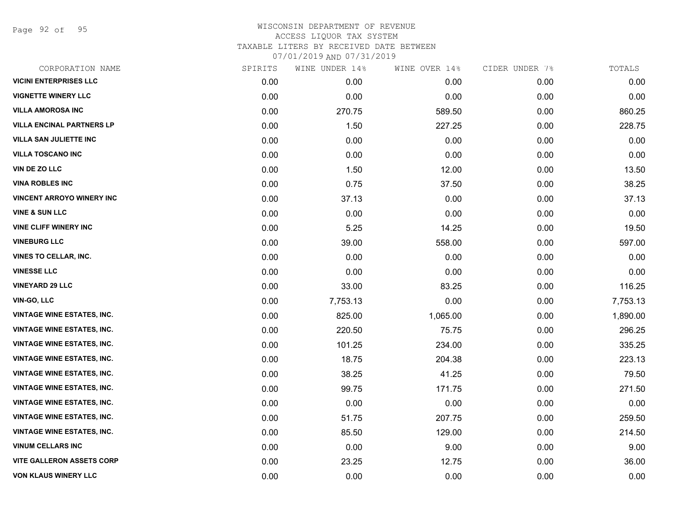Page 92 of 95

| CORPORATION NAME                  | SPIRITS | WINE UNDER 14% | WINE OVER 14% | CIDER UNDER 7% | TOTALS   |
|-----------------------------------|---------|----------------|---------------|----------------|----------|
| <b>VICINI ENTERPRISES LLC</b>     | 0.00    | 0.00           | 0.00          | 0.00           | 0.00     |
| <b>VIGNETTE WINERY LLC</b>        | 0.00    | 0.00           | 0.00          | 0.00           | 0.00     |
| <b>VILLA AMOROSA INC</b>          | 0.00    | 270.75         | 589.50        | 0.00           | 860.25   |
| <b>VILLA ENCINAL PARTNERS LP</b>  | 0.00    | 1.50           | 227.25        | 0.00           | 228.75   |
| <b>VILLA SAN JULIETTE INC</b>     | 0.00    | 0.00           | 0.00          | 0.00           | 0.00     |
| <b>VILLA TOSCANO INC</b>          | 0.00    | 0.00           | 0.00          | 0.00           | 0.00     |
| <b>VIN DE ZO LLC</b>              | 0.00    | 1.50           | 12.00         | 0.00           | 13.50    |
| <b>VINA ROBLES INC</b>            | 0.00    | 0.75           | 37.50         | 0.00           | 38.25    |
| <b>VINCENT ARROYO WINERY INC</b>  | 0.00    | 37.13          | 0.00          | 0.00           | 37.13    |
| <b>VINE &amp; SUN LLC</b>         | 0.00    | 0.00           | 0.00          | 0.00           | 0.00     |
| <b>VINE CLIFF WINERY INC</b>      | 0.00    | 5.25           | 14.25         | 0.00           | 19.50    |
| <b>VINEBURG LLC</b>               | 0.00    | 39.00          | 558.00        | 0.00           | 597.00   |
| <b>VINES TO CELLAR, INC.</b>      | 0.00    | 0.00           | 0.00          | 0.00           | 0.00     |
| <b>VINESSE LLC</b>                | 0.00    | 0.00           | 0.00          | 0.00           | 0.00     |
| <b>VINEYARD 29 LLC</b>            | 0.00    | 33.00          | 83.25         | 0.00           | 116.25   |
| <b>VIN-GO, LLC</b>                | 0.00    | 7,753.13       | 0.00          | 0.00           | 7,753.13 |
| <b>VINTAGE WINE ESTATES, INC.</b> | 0.00    | 825.00         | 1,065.00      | 0.00           | 1,890.00 |
| <b>VINTAGE WINE ESTATES, INC.</b> | 0.00    | 220.50         | 75.75         | 0.00           | 296.25   |
| <b>VINTAGE WINE ESTATES, INC.</b> | 0.00    | 101.25         | 234.00        | 0.00           | 335.25   |
| <b>VINTAGE WINE ESTATES, INC.</b> | 0.00    | 18.75          | 204.38        | 0.00           | 223.13   |
| <b>VINTAGE WINE ESTATES, INC.</b> | 0.00    | 38.25          | 41.25         | 0.00           | 79.50    |
| <b>VINTAGE WINE ESTATES, INC.</b> | 0.00    | 99.75          | 171.75        | 0.00           | 271.50   |
| <b>VINTAGE WINE ESTATES, INC.</b> | 0.00    | 0.00           | 0.00          | 0.00           | 0.00     |
| <b>VINTAGE WINE ESTATES, INC.</b> | 0.00    | 51.75          | 207.75        | 0.00           | 259.50   |
| <b>VINTAGE WINE ESTATES, INC.</b> | 0.00    | 85.50          | 129.00        | 0.00           | 214.50   |
| <b>VINUM CELLARS INC</b>          | 0.00    | 0.00           | 9.00          | 0.00           | 9.00     |
| <b>VITE GALLERON ASSETS CORP</b>  | 0.00    | 23.25          | 12.75         | 0.00           | 36.00    |
| VON KLAUS WINERY LLC              | 0.00    | 0.00           | 0.00          | 0.00           | 0.00     |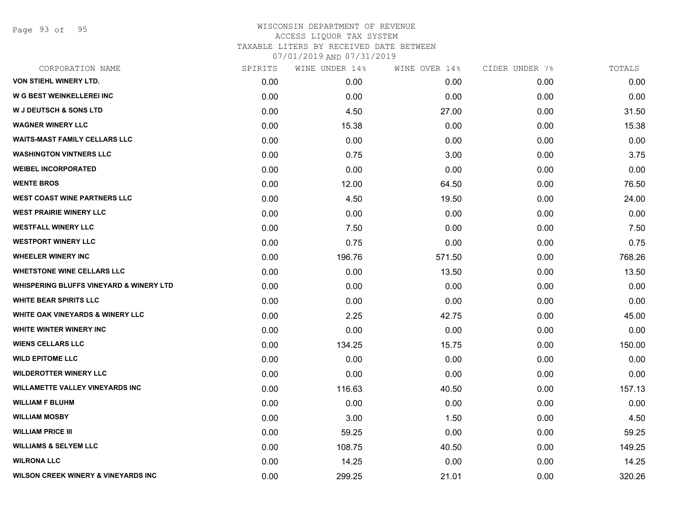Page 93 of 95

| CORPORATION NAME                                   | SPIRITS | WINE UNDER 14% | WINE OVER 14% | CIDER UNDER 7% | TOTALS |
|----------------------------------------------------|---------|----------------|---------------|----------------|--------|
| <b>VON STIEHL WINERY LTD.</b>                      | 0.00    | 0.00           | 0.00          | 0.00           | 0.00   |
| <b>W G BEST WEINKELLEREI INC</b>                   | 0.00    | 0.00           | 0.00          | 0.00           | 0.00   |
| <b>W J DEUTSCH &amp; SONS LTD</b>                  | 0.00    | 4.50           | 27.00         | 0.00           | 31.50  |
| <b>WAGNER WINERY LLC</b>                           | 0.00    | 15.38          | 0.00          | 0.00           | 15.38  |
| <b>WAITS-MAST FAMILY CELLARS LLC</b>               | 0.00    | 0.00           | 0.00          | 0.00           | 0.00   |
| <b>WASHINGTON VINTNERS LLC</b>                     | 0.00    | 0.75           | 3.00          | 0.00           | 3.75   |
| <b>WEIBEL INCORPORATED</b>                         | 0.00    | 0.00           | 0.00          | 0.00           | 0.00   |
| <b>WENTE BROS</b>                                  | 0.00    | 12.00          | 64.50         | 0.00           | 76.50  |
| <b>WEST COAST WINE PARTNERS LLC</b>                | 0.00    | 4.50           | 19.50         | 0.00           | 24.00  |
| <b>WEST PRAIRIE WINERY LLC</b>                     | 0.00    | 0.00           | 0.00          | 0.00           | 0.00   |
| <b>WESTFALL WINERY LLC</b>                         | 0.00    | 7.50           | 0.00          | 0.00           | 7.50   |
| <b>WESTPORT WINERY LLC</b>                         | 0.00    | 0.75           | 0.00          | 0.00           | 0.75   |
| <b>WHEELER WINERY INC</b>                          | 0.00    | 196.76         | 571.50        | 0.00           | 768.26 |
| <b>WHETSTONE WINE CELLARS LLC</b>                  | 0.00    | 0.00           | 13.50         | 0.00           | 13.50  |
| <b>WHISPERING BLUFFS VINEYARD &amp; WINERY LTD</b> | 0.00    | 0.00           | 0.00          | 0.00           | 0.00   |
| <b>WHITE BEAR SPIRITS LLC</b>                      | 0.00    | 0.00           | 0.00          | 0.00           | 0.00   |
| <b>WHITE OAK VINEYARDS &amp; WINERY LLC</b>        | 0.00    | 2.25           | 42.75         | 0.00           | 45.00  |
| <b>WHITE WINTER WINERY INC</b>                     | 0.00    | 0.00           | 0.00          | 0.00           | 0.00   |
| <b>WIENS CELLARS LLC</b>                           | 0.00    | 134.25         | 15.75         | 0.00           | 150.00 |
| <b>WILD EPITOME LLC</b>                            | 0.00    | 0.00           | 0.00          | 0.00           | 0.00   |
| <b>WILDEROTTER WINERY LLC</b>                      | 0.00    | 0.00           | 0.00          | 0.00           | 0.00   |
| <b>WILLAMETTE VALLEY VINEYARDS INC</b>             | 0.00    | 116.63         | 40.50         | 0.00           | 157.13 |
| <b>WILLIAM F BLUHM</b>                             | 0.00    | 0.00           | 0.00          | 0.00           | 0.00   |
| <b>WILLIAM MOSBY</b>                               | 0.00    | 3.00           | 1.50          | 0.00           | 4.50   |
| <b>WILLIAM PRICE III</b>                           | 0.00    | 59.25          | 0.00          | 0.00           | 59.25  |
| <b>WILLIAMS &amp; SELYEM LLC</b>                   | 0.00    | 108.75         | 40.50         | 0.00           | 149.25 |
| <b>WILRONA LLC</b>                                 | 0.00    | 14.25          | 0.00          | 0.00           | 14.25  |
| <b>WILSON CREEK WINERY &amp; VINEYARDS INC</b>     | 0.00    | 299.25         | 21.01         | 0.00           | 320.26 |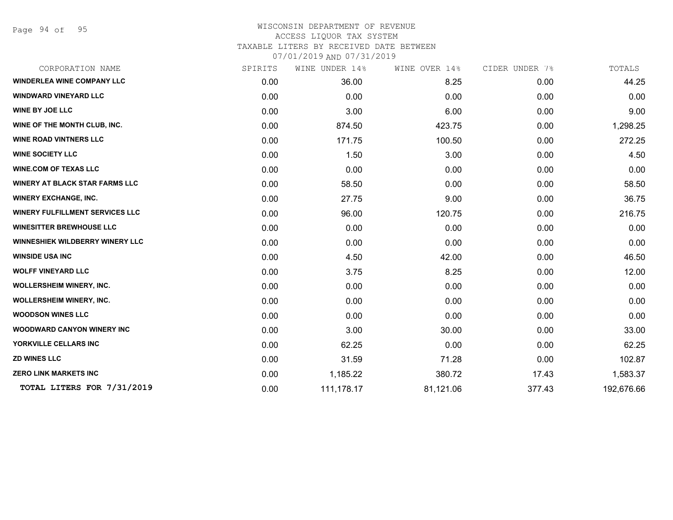Page 94 of 95

### WISCONSIN DEPARTMENT OF REVENUE ACCESS LIQUOR TAX SYSTEM TAXABLE LITERS BY RECEIVED DATE BETWEEN

| CORPORATION NAME                       | SPIRITS | WINE UNDER 14% | WINE OVER 14% | CIDER UNDER 7% | TOTALS     |
|----------------------------------------|---------|----------------|---------------|----------------|------------|
| <b>WINDERLEA WINE COMPANY LLC</b>      | 0.00    | 36.00          | 8.25          | 0.00           | 44.25      |
| <b>WINDWARD VINEYARD LLC</b>           | 0.00    | 0.00           | 0.00          | 0.00           | 0.00       |
| <b>WINE BY JOE LLC</b>                 | 0.00    | 3.00           | 6.00          | 0.00           | 9.00       |
| WINE OF THE MONTH CLUB, INC.           | 0.00    | 874.50         | 423.75        | 0.00           | 1,298.25   |
| <b>WINE ROAD VINTNERS LLC</b>          | 0.00    | 171.75         | 100.50        | 0.00           | 272.25     |
| <b>WINE SOCIETY LLC</b>                | 0.00    | 1.50           | 3.00          | 0.00           | 4.50       |
| <b>WINE.COM OF TEXAS LLC</b>           | 0.00    | 0.00           | 0.00          | 0.00           | 0.00       |
| <b>WINERY AT BLACK STAR FARMS LLC</b>  | 0.00    | 58.50          | 0.00          | 0.00           | 58.50      |
| <b>WINERY EXCHANGE, INC.</b>           | 0.00    | 27.75          | 9.00          | 0.00           | 36.75      |
| <b>WINERY FULFILLMENT SERVICES LLC</b> | 0.00    | 96.00          | 120.75        | 0.00           | 216.75     |
| <b>WINESITTER BREWHOUSE LLC</b>        | 0.00    | 0.00           | 0.00          | 0.00           | 0.00       |
| <b>WINNESHIEK WILDBERRY WINERY LLC</b> | 0.00    | 0.00           | 0.00          | 0.00           | 0.00       |
| <b>WINSIDE USA INC</b>                 | 0.00    | 4.50           | 42.00         | 0.00           | 46.50      |
| <b>WOLFF VINEYARD LLC</b>              | 0.00    | 3.75           | 8.25          | 0.00           | 12.00      |
| WOLLERSHEIM WINERY, INC.               | 0.00    | 0.00           | 0.00          | 0.00           | 0.00       |
| <b>WOLLERSHEIM WINERY, INC.</b>        | 0.00    | 0.00           | 0.00          | 0.00           | 0.00       |
| <b>WOODSON WINES LLC</b>               | 0.00    | 0.00           | 0.00          | 0.00           | 0.00       |
| <b>WOODWARD CANYON WINERY INC</b>      | 0.00    | 3.00           | 30.00         | 0.00           | 33.00      |
| YORKVILLE CELLARS INC                  | 0.00    | 62.25          | 0.00          | 0.00           | 62.25      |
| <b>ZD WINES LLC</b>                    | 0.00    | 31.59          | 71.28         | 0.00           | 102.87     |
| <b>ZERO LINK MARKETS INC</b>           | 0.00    | 1,185.22       | 380.72        | 17.43          | 1,583.37   |
| TOTAL LITERS FOR 7/31/2019             | 0.00    | 111,178.17     | 81,121.06     | 377.43         | 192,676.66 |